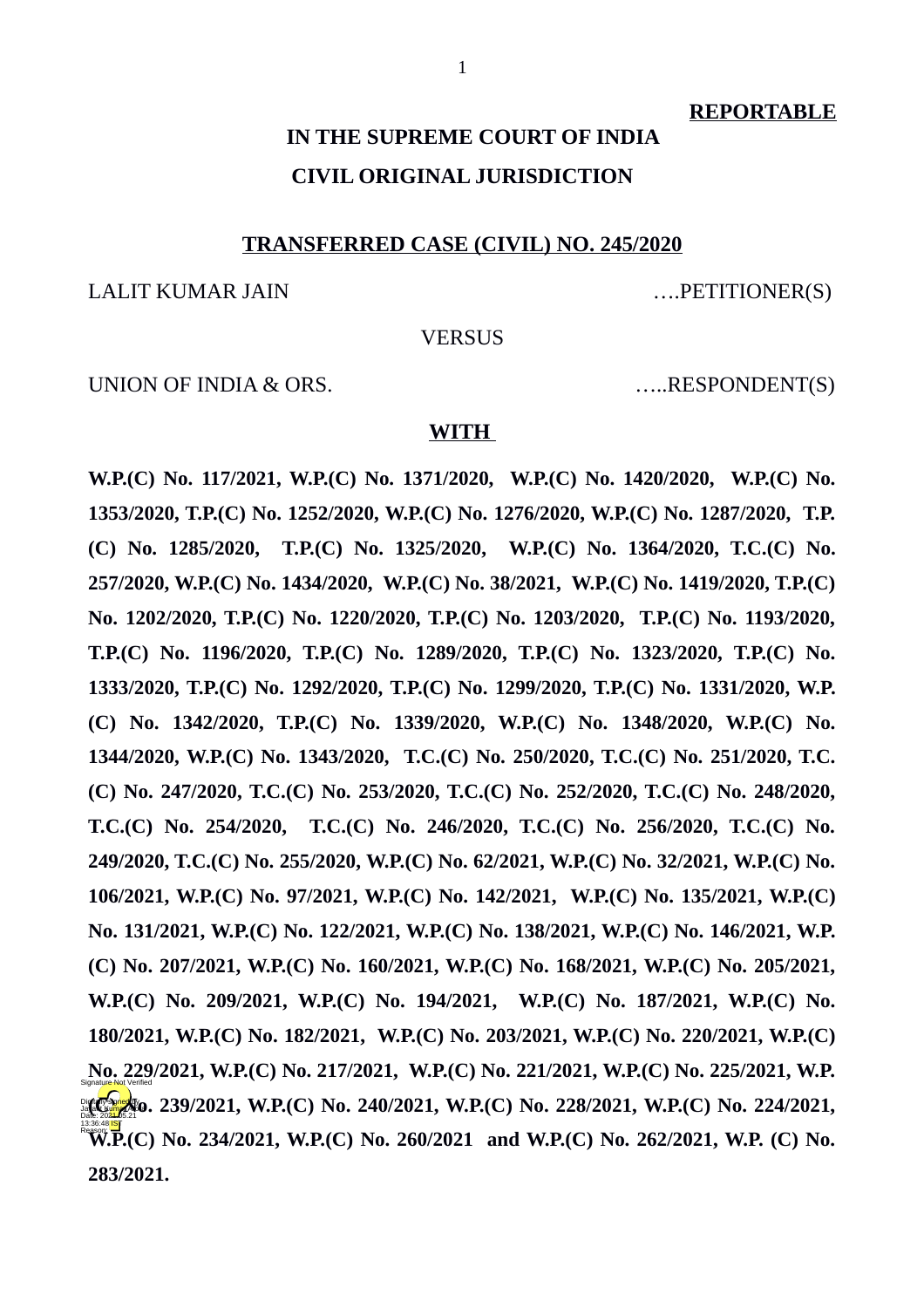**REPORTABLE**

# **IN THE SUPREME COURT OF INDIA CIVIL ORIGINAL JURISDICTION**

#### **TRANSFERRED CASE (CIVIL) NO. 245/2020**

LALIT KUMAR JAIN ….PETITIONER(S)

#### **VERSUS**

UNION OF INDIA & ORS. .....RESPONDENT(S)

#### **WITH**

**W.P.(C) No. 117/2021, W.P.(C) No. 1371/2020, W.P.(C) No. 1420/2020, W.P.(C) No. 1353/2020, T.P.(C) No. 1252/2020, W.P.(C) No. 1276/2020, W.P.(C) No. 1287/2020, T.P. (C) No. 1285/2020, T.P.(C) No. 1325/2020, W.P.(C) No. 1364/2020, T.C.(C) No. 257/2020, W.P.(C) No. 1434/2020, W.P.(C) No. 38/2021, W.P.(C) No. 1419/2020, T.P.(C) No. 1202/2020, T.P.(C) No. 1220/2020, T.P.(C) No. 1203/2020, T.P.(C) No. 1193/2020, T.P.(C) No. 1196/2020, T.P.(C) No. 1289/2020, T.P.(C) No. 1323/2020, T.P.(C) No. 1333/2020, T.P.(C) No. 1292/2020, T.P.(C) No. 1299/2020, T.P.(C) No. 1331/2020, W.P. (C) No. 1342/2020, T.P.(C) No. 1339/2020, W.P.(C) No. 1348/2020, W.P.(C) No. 1344/2020, W.P.(C) No. 1343/2020, T.C.(C) No. 250/2020, T.C.(C) No. 251/2020, T.C. (C) No. 247/2020, T.C.(C) No. 253/2020, T.C.(C) No. 252/2020, T.C.(C) No. 248/2020, T.C.(C) No. 254/2020, T.C.(C) No. 246/2020, T.C.(C) No. 256/2020, T.C.(C) No. 249/2020, T.C.(C) No. 255/2020, W.P.(C) No. 62/2021, W.P.(C) No. 32/2021, W.P.(C) No. 106/2021, W.P.(C) No. 97/2021, W.P.(C) No. 142/2021, W.P.(C) No. 135/2021, W.P.(C) No. 131/2021, W.P.(C) No. 122/2021, W.P.(C) No. 138/2021, W.P.(C) No. 146/2021, W.P. (C) No. 207/2021, W.P.(C) No. 160/2021, W.P.(C) No. 168/2021, W.P.(C) No. 205/2021, W.P.(C) No. 209/2021, W.P.(C) No. 194/2021, W.P.(C) No. 187/2021, W.P.(C) No. 180/2021, W.P.(C) No. 182/2021, W.P.(C) No. 203/2021, W.P.(C) No. 220/2021, W.P.(C) No. 229/2021, W.P.(C) No. 217/2021, W.P.(C) No. 221/2021, W.P.(C) No. 225/2021, W.P. MCMAR ARO. 239/2021, W.P.(C) No. 240/2021, W.P.(C) No. 228/2021, W.P.(C) No. 224/2021, W.P.(C) No. 234/2021, W.P.(C) No. 260/2021 and W.P.(C) No. 262/2021, W.P. (C) No. 283/2021.** 13:36:48<sup>1ST</sup>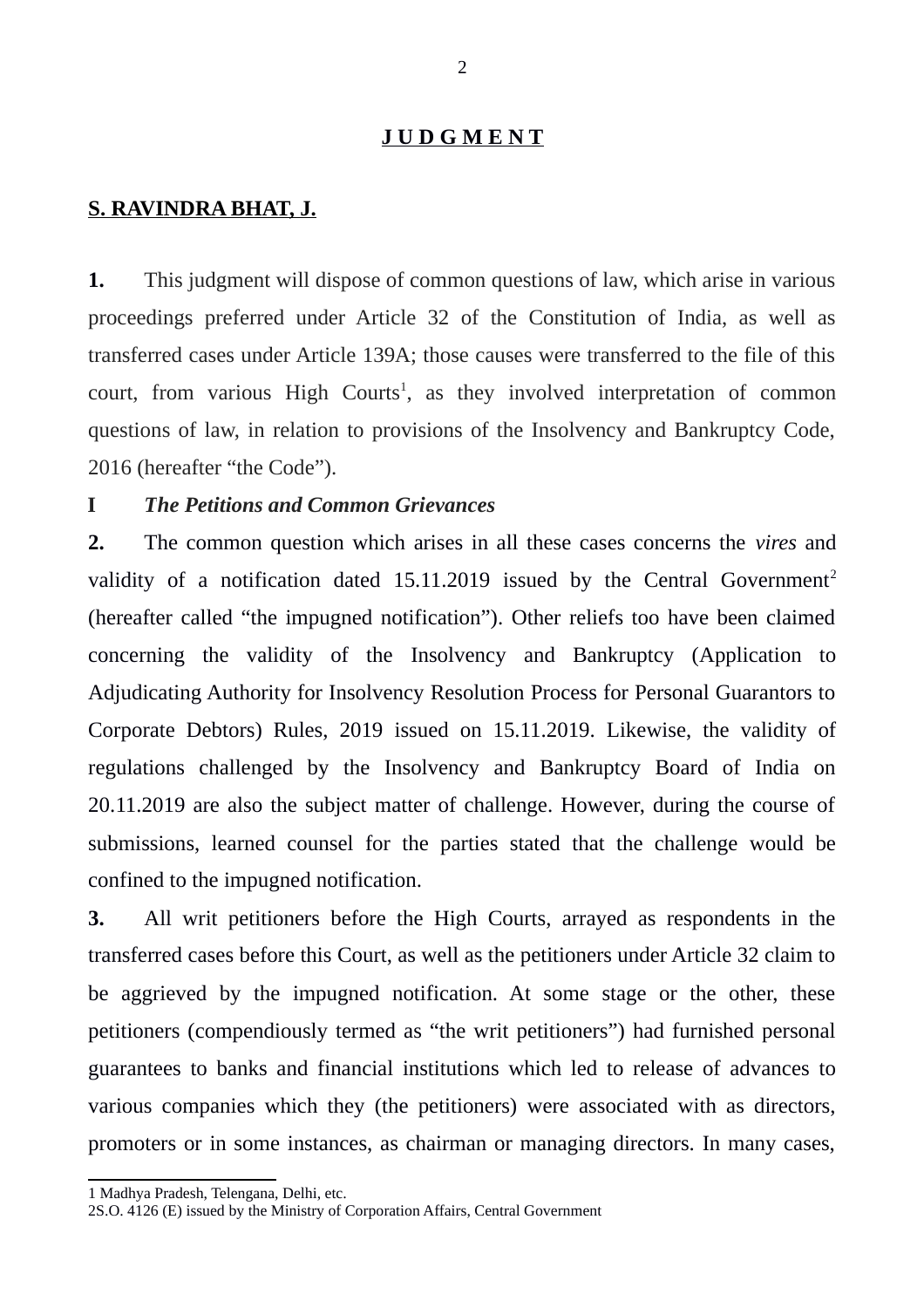#### **J U D G M E N T**

### **S. RAVINDRA BHAT, J.**

**1.** This judgment will dispose of common questions of law, which arise in various proceedings preferred under Article 32 of the Constitution of India, as well as transferred cases under Article 139A; those causes were transferred to the file of this court, from various High Courts<sup>[1](#page-1-0)</sup>, as they involved interpretation of common questions of law, in relation to provisions of the Insolvency and Bankruptcy Code, 2016 (hereafter "the Code").

# **I** *The Petitions and Common Grievances*

**2.** The common question which arises in all these cases concerns the *vires* and validity of a notification dated  $15.11.2019$  $15.11.2019$  $15.11.2019$  issued by the Central Government<sup>2</sup> (hereafter called "the impugned notification"). Other reliefs too have been claimed concerning the validity of the Insolvency and Bankruptcy (Application to Adjudicating Authority for Insolvency Resolution Process for Personal Guarantors to Corporate Debtors) Rules, 2019 issued on 15.11.2019. Likewise, the validity of regulations challenged by the Insolvency and Bankruptcy Board of India on 20.11.2019 are also the subject matter of challenge. However, during the course of submissions, learned counsel for the parties stated that the challenge would be confined to the impugned notification.

**3.** All writ petitioners before the High Courts, arrayed as respondents in the transferred cases before this Court, as well as the petitioners under Article 32 claim to be aggrieved by the impugned notification. At some stage or the other, these petitioners (compendiously termed as "the writ petitioners") had furnished personal guarantees to banks and financial institutions which led to release of advances to various companies which they (the petitioners) were associated with as directors, promoters or in some instances, as chairman or managing directors. In many cases,

<span id="page-1-0"></span><sup>1</sup> Madhya Pradesh, Telengana, Delhi, etc.

<span id="page-1-1"></span><sup>2</sup>S.O. 4126 (E) issued by the Ministry of Corporation Affairs, Central Government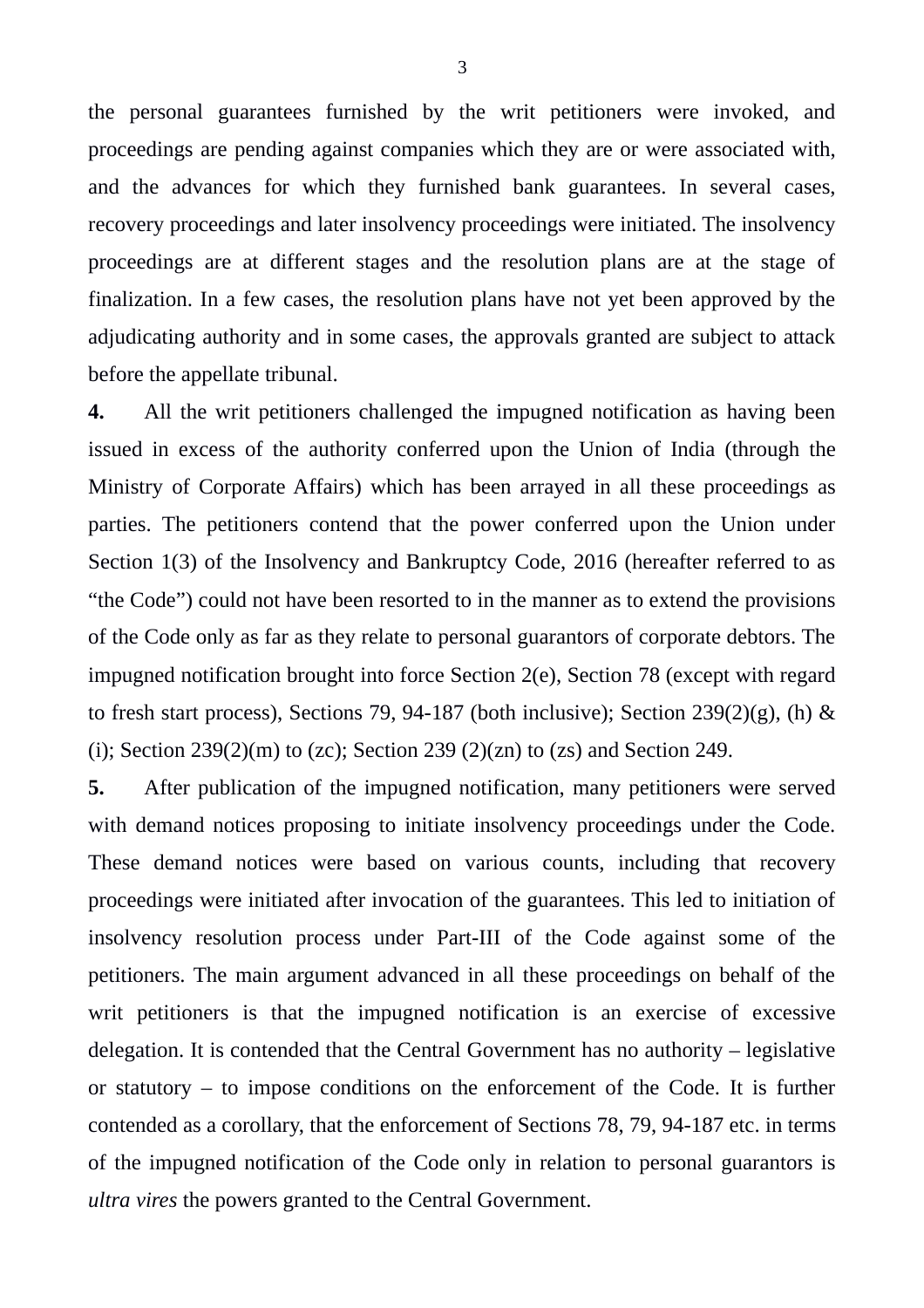the personal guarantees furnished by the writ petitioners were invoked, and proceedings are pending against companies which they are or were associated with, and the advances for which they furnished bank guarantees. In several cases, recovery proceedings and later insolvency proceedings were initiated. The insolvency proceedings are at different stages and the resolution plans are at the stage of finalization. In a few cases, the resolution plans have not yet been approved by the adjudicating authority and in some cases, the approvals granted are subject to attack before the appellate tribunal.

**4.** All the writ petitioners challenged the impugned notification as having been issued in excess of the authority conferred upon the Union of India (through the Ministry of Corporate Affairs) which has been arrayed in all these proceedings as parties. The petitioners contend that the power conferred upon the Union under Section 1(3) of the Insolvency and Bankruptcy Code, 2016 (hereafter referred to as "the Code") could not have been resorted to in the manner as to extend the provisions of the Code only as far as they relate to personal guarantors of corporate debtors. The impugned notification brought into force Section 2(e), Section 78 (except with regard to fresh start process), Sections 79, 94-187 (both inclusive); Section 239(2)(g), (h) & (i); Section  $239(2)(m)$  to (zc); Section  $239(2)(zn)$  to (zs) and Section 249.

**5.** After publication of the impugned notification, many petitioners were served with demand notices proposing to initiate insolvency proceedings under the Code. These demand notices were based on various counts, including that recovery proceedings were initiated after invocation of the guarantees. This led to initiation of insolvency resolution process under Part-III of the Code against some of the petitioners. The main argument advanced in all these proceedings on behalf of the writ petitioners is that the impugned notification is an exercise of excessive delegation. It is contended that the Central Government has no authority – legislative or statutory  $-$  to impose conditions on the enforcement of the Code. It is further contended as a corollary, that the enforcement of Sections 78, 79, 94-187 etc. in terms of the impugned notification of the Code only in relation to personal guarantors is *ultra vires* the powers granted to the Central Government.

3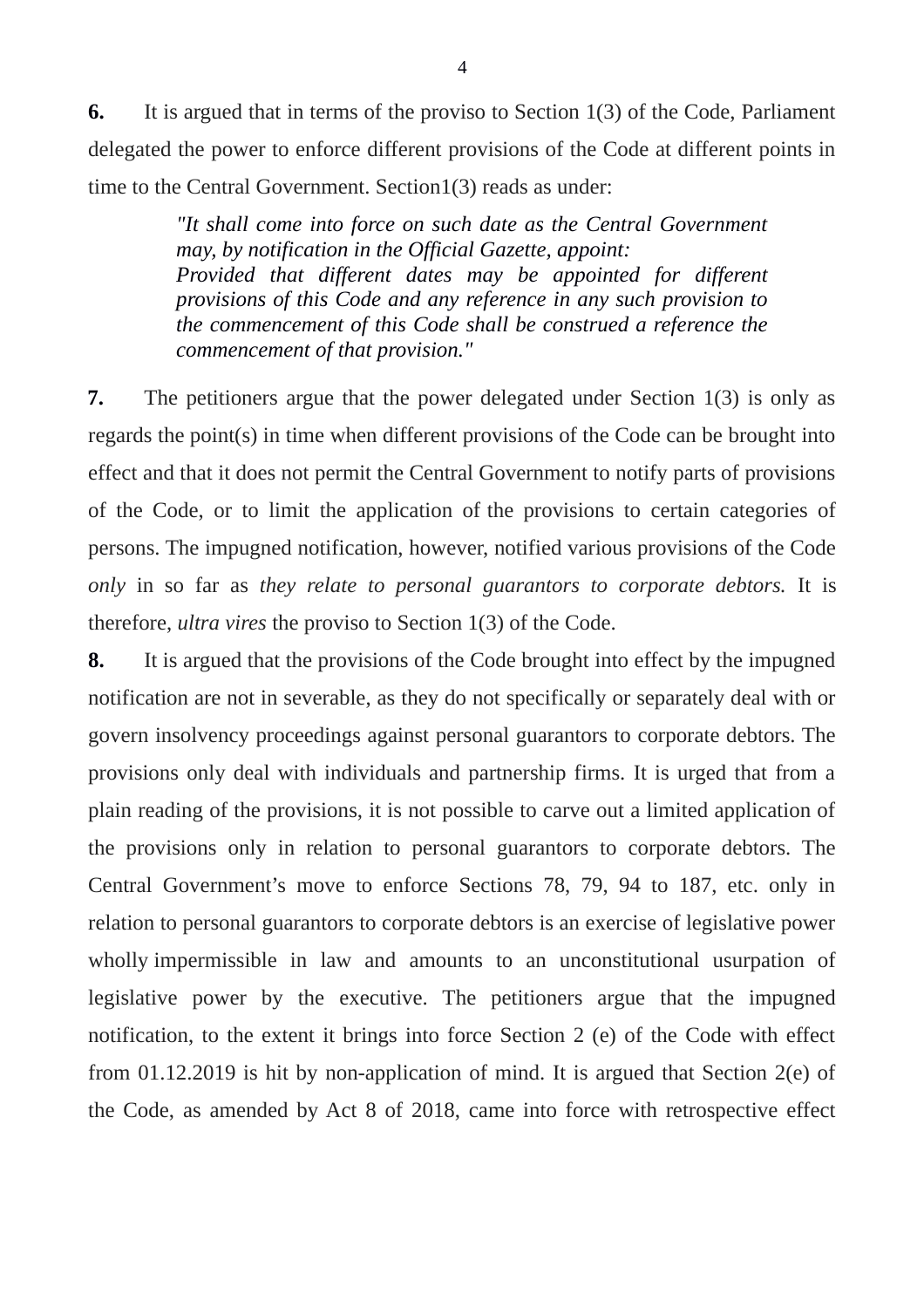**6.** It is argued that in terms of the proviso to Section 1(3) of the Code, Parliament delegated the power to enforce different provisions of the Code at different points in time to the Central Government. Section1(3) reads as under:

> *"It shall come into force on such date as the Central Government may, by notification in the Official Gazette, appoint: Provided that different dates may be appointed for different provisions of this Code and any reference in any such provision to the commencement of this Code shall be construed a reference the commencement of that provision."*

**7.** The petitioners argue that the power delegated under Section 1(3) is only as regards the point(s) in time when different provisions of the Code can be brought into effect and that it does not permit the Central Government to notify parts of provisions of the Code, or to limit the application of the provisions to certain categories of persons. The impugned notification, however, notified various provisions of the Code *only* in so far as *they relate to personal guarantors to corporate debtors.* It is therefore, *ultra vires* the proviso to Section 1(3) of the Code.

**8.** It is argued that the provisions of the Code brought into effect by the impugned notification are not in severable, as they do not specifically or separately deal with or govern insolvency proceedings against personal guarantors to corporate debtors. The provisions only deal with individuals and partnership firms. It is urged that from a plain reading of the provisions, it is not possible to carve out a limited application of the provisions only in relation to personal guarantors to corporate debtors. The Central Government's move to enforce Sections 78, 79, 94 to 187, etc. only in relation to personal guarantors to corporate debtors is an exercise of legislative power wholly impermissible in law and amounts to an unconstitutional usurpation of legislative power by the executive. The petitioners argue that the impugned notification, to the extent it brings into force Section 2 (e) of the Code with effect from 01.12.2019 is hit by non-application of mind. It is argued that Section 2(e) of the Code, as amended by Act 8 of 2018, came into force with retrospective effect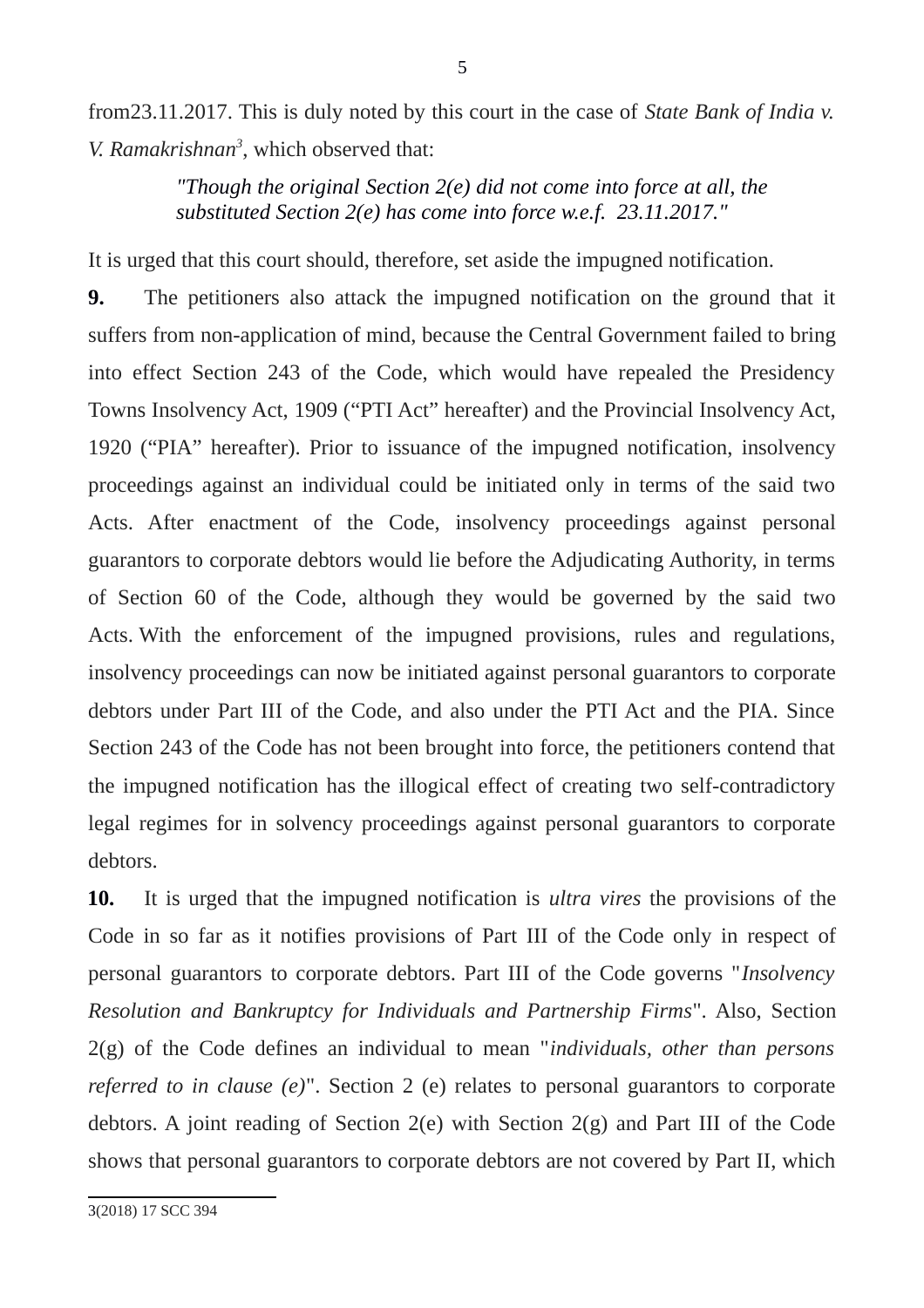from23.11.2017. This is duly noted by this court in the case of *State Bank of India v. V. Ramakrishnan[3](#page-4-0)* , which observed that:

> *"Though the original Section 2(e) did not come into force at all, the substituted Section 2(e) has come into force w.e.f. 23.11.2017."*

It is urged that this court should, therefore, set aside the impugned notification.

**9.** The petitioners also attack the impugned notification on the ground that it suffers from non-application of mind, because the Central Government failed to bring into effect Section 243 of the Code, which would have repealed the Presidency Towns Insolvency Act, 1909 ("PTI Act" hereafter) and the Provincial Insolvency Act, 1920 ("PIA" hereafter). Prior to issuance of the impugned notification, insolvency proceedings against an individual could be initiated only in terms of the said two Acts. After enactment of the Code, insolvency proceedings against personal guarantors to corporate debtors would lie before the Adjudicating Authority, in terms of Section 60 of the Code, although they would be governed by the said two Acts. With the enforcement of the impugned provisions, rules and regulations, insolvency proceedings can now be initiated against personal guarantors to corporate debtors under Part III of the Code, and also under the PTI Act and the PIA. Since Section 243 of the Code has not been brought into force, the petitioners contend that the impugned notification has the illogical effect of creating two self-contradictory legal regimes for in solvency proceedings against personal guarantors to corporate debtors.

<span id="page-4-0"></span>**10.** It is urged that the impugned notification is *ultra vires* the provisions of the Code in so far as it notifies provisions of Part III of the Code only in respect of personal guarantors to corporate debtors. Part III of the Code governs "*Insolvency Resolution and Bankruptcy for Individuals and Partnership Firms*". Also, Section 2(g) of the Code defines an individual to mean "*individuals, other than persons referred to in clause (e)*". Section 2 (e) relates to personal guarantors to corporate debtors. A joint reading of Section 2(e) with Section 2(g) and Part III of the Code shows that personal guarantors to corporate debtors are not covered by Part II, which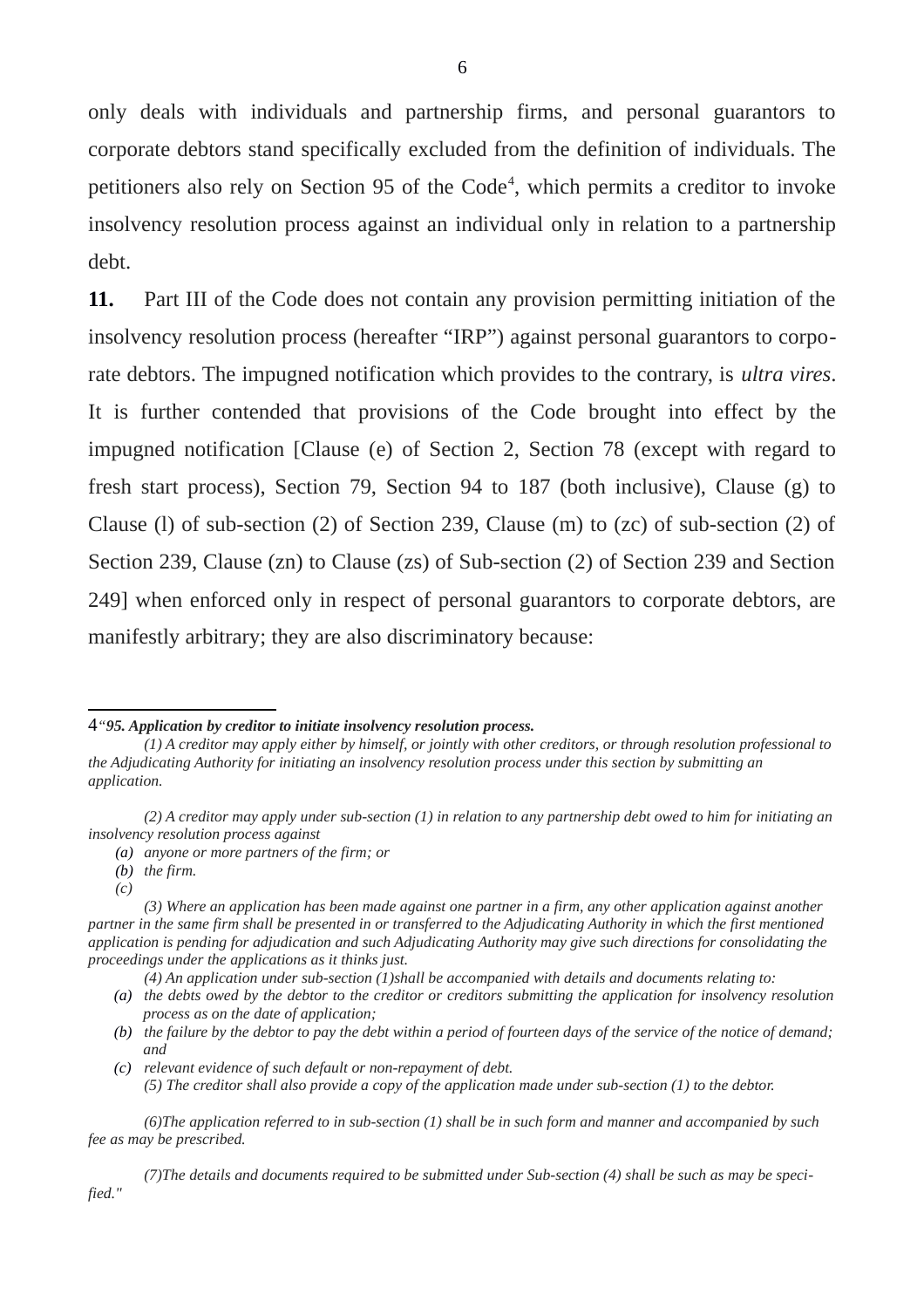only deals with individuals and partnership firms, and personal guarantors to corporate debtors stand specifically excluded from the definition of individuals. The petitioners also rely on Section 95 of the Code<sup>[4](#page-5-0)</sup>, which permits a creditor to invoke insolvency resolution process against an individual only in relation to a partnership debt.

**11.** Part III of the Code does not contain any provision permitting initiation of the insolvency resolution process (hereafter "IRP") against personal guarantors to corporate debtors. The impugned notification which provides to the contrary, is *ultra vires*. It is further contended that provisions of the Code brought into effect by the impugned notification [Clause (e) of Section 2, Section 78 (except with regard to fresh start process), Section 79, Section 94 to 187 (both inclusive), Clause (g) to Clause (l) of sub-section (2) of Section 239, Clause (m) to (zc) of sub-section (2) of Section 239, Clause (zn) to Clause (zs) of Sub-section (2) of Section 239 and Section 249] when enforced only in respect of personal guarantors to corporate debtors, are manifestly arbitrary; they are also discriminatory because:

<span id="page-5-0"></span><sup>4</sup>*"95. Application by creditor to initiate insolvency resolution process.*

*<sup>(1)</sup> A creditor may apply either by himself, or jointly with other creditors, or through resolution professional to the Adjudicating Authority for initiating an insolvency resolution process under this section by submitting an application.*

*<sup>(2)</sup> A creditor may apply under sub-section (1) in relation to any partnership debt owed to him for initiating an insolvency resolution process against* 

*<sup>(</sup>a) anyone or more partners of the firm; or*

*<sup>(</sup>b) the firm.*

*<sup>(</sup>c)*

*<sup>(3)</sup> Where an application has been made against one partner in a firm, any other application against another partner in the same firm shall be presented in or transferred to the Adjudicating Authority in which the first mentioned application is pending for adjudication and such Adjudicating Authority may give such directions for consolidating the proceedings under the applications as it thinks just.*

*<sup>(4)</sup> An application under sub-section (1)shall be accompanied with details and documents relating to:*

*<sup>(</sup>a) the debts owed by the debtor to the creditor or creditors submitting the application for insolvency resolution process as on the date of application;*

*<sup>(</sup>b) the failure by the debtor to pay the debt within a period of fourteen days of the service of the notice of demand; and*

*<sup>(</sup>c) relevant evidence of such default or non-repayment of debt. (5) The creditor shall also provide a copy of the application made under sub-section (1) to the debtor.*

*<sup>(6)</sup>The application referred to in sub-section (1) shall be in such form and manner and accompanied by such fee as may be prescribed.* 

*<sup>(7)</sup>The details and documents required to be submitted under Sub-section (4) shall be such as may be specified."*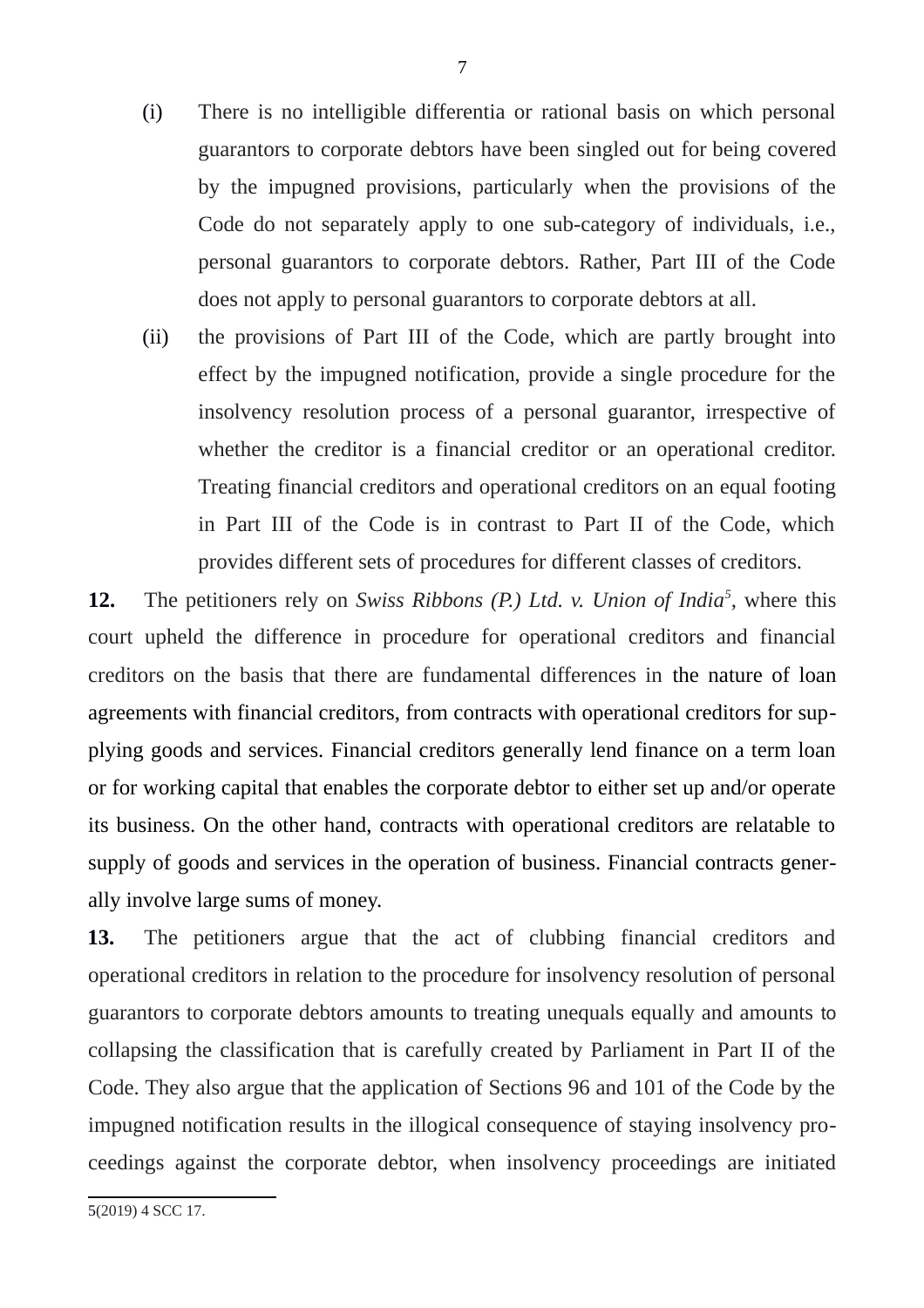- (i) There is no intelligible differentia or rational basis on which personal guarantors to corporate debtors have been singled out for being covered by the impugned provisions, particularly when the provisions of the Code do not separately apply to one sub-category of individuals, i.e., personal guarantors to corporate debtors. Rather, Part III of the Code does not apply to personal guarantors to corporate debtors at all.
- (ii) the provisions of Part III of the Code, which are partly brought into effect by the impugned notification, provide a single procedure for the insolvency resolution process of a personal guarantor, irrespective of whether the creditor is a financial creditor or an operational creditor. Treating financial creditors and operational creditors on an equal footing in Part III of the Code is in contrast to Part II of the Code, which provides different sets of procedures for different classes of creditors.

**12.** The petitioners rely on *Swiss Ribbons (P.) Ltd. v. Union of India[5](#page-6-0)* , where this court upheld the difference in procedure for operational creditors and financial creditors on the basis that there are fundamental differences in the nature of loan agreements with financial creditors, from contracts with operational creditors for supplying goods and services. Financial creditors generally lend finance on a term loan or for working capital that enables the corporate debtor to either set up and/or operate its business. On the other hand, contracts with operational creditors are relatable to supply of goods and services in the operation of business. Financial contracts generally involve large sums of money.

**13.** The petitioners argue that the act of clubbing financial creditors and operational creditors in relation to the procedure for insolvency resolution of personal guarantors to corporate debtors amounts to treating unequals equally and amounts to collapsing the classification that is carefully created by Parliament in Part II of the Code. They also argue that the application of Sections 96 and 101 of the Code by the impugned notification results in the illogical consequence of staying insolvency proceedings against the corporate debtor, when insolvency proceedings are initiated

<span id="page-6-0"></span><sup>5(2019) 4</sup> SCC 17.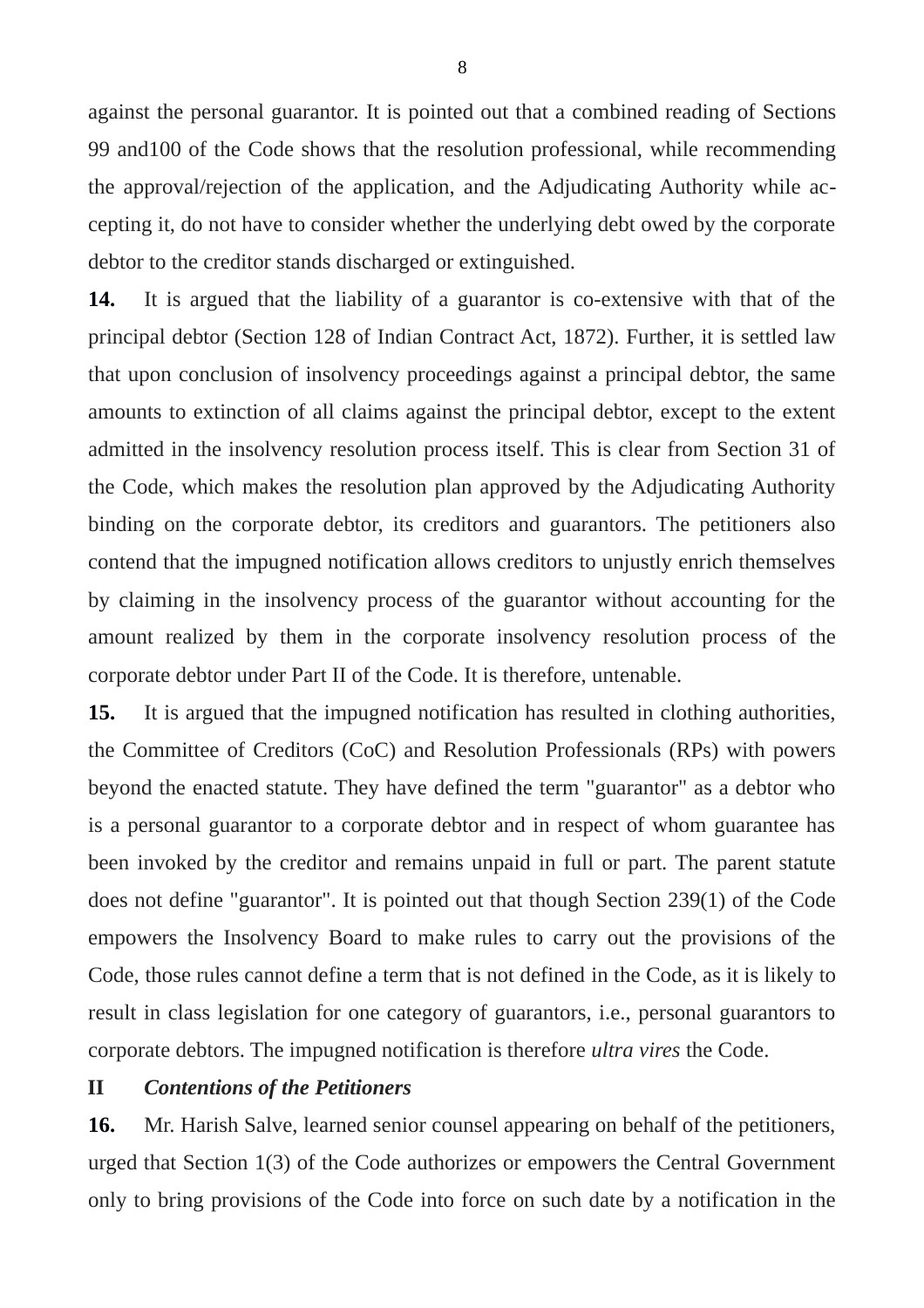against the personal guarantor. It is pointed out that a combined reading of Sections 99 and100 of the Code shows that the resolution professional, while recommending the approval/rejection of the application, and the Adjudicating Authority while accepting it, do not have to consider whether the underlying debt owed by the corporate debtor to the creditor stands discharged or extinguished.

**14.** It is argued that the liability of a guarantor is co-extensive with that of the principal debtor (Section 128 of Indian Contract Act, 1872). Further, it is settled law that upon conclusion of insolvency proceedings against a principal debtor, the same amounts to extinction of all claims against the principal debtor, except to the extent admitted in the insolvency resolution process itself. This is clear from Section 31 of the Code, which makes the resolution plan approved by the Adjudicating Authority binding on the corporate debtor, its creditors and guarantors. The petitioners also contend that the impugned notification allows creditors to unjustly enrich themselves by claiming in the insolvency process of the guarantor without accounting for the amount realized by them in the corporate insolvency resolution process of the corporate debtor under Part II of the Code. It is therefore, untenable.

**15.** It is argued that the impugned notification has resulted in clothing authorities, the Committee of Creditors (CoC) and Resolution Professionals (RPs) with powers beyond the enacted statute. They have defined the term "guarantor" as a debtor who is a personal guarantor to a corporate debtor and in respect of whom guarantee has been invoked by the creditor and remains unpaid in full or part. The parent statute does not define "guarantor". It is pointed out that though Section 239(1) of the Code empowers the Insolvency Board to make rules to carry out the provisions of the Code, those rules cannot define a term that is not defined in the Code, as it is likely to result in class legislation for one category of guarantors, i.e., personal guarantors to corporate debtors. The impugned notification is therefore *ultra vires* the Code.

### **II** *Contentions of the Petitioners*

**16.** Mr. Harish Salve, learned senior counsel appearing on behalf of the petitioners, urged that Section 1(3) of the Code authorizes or empowers the Central Government only to bring provisions of the Code into force on such date by a notification in the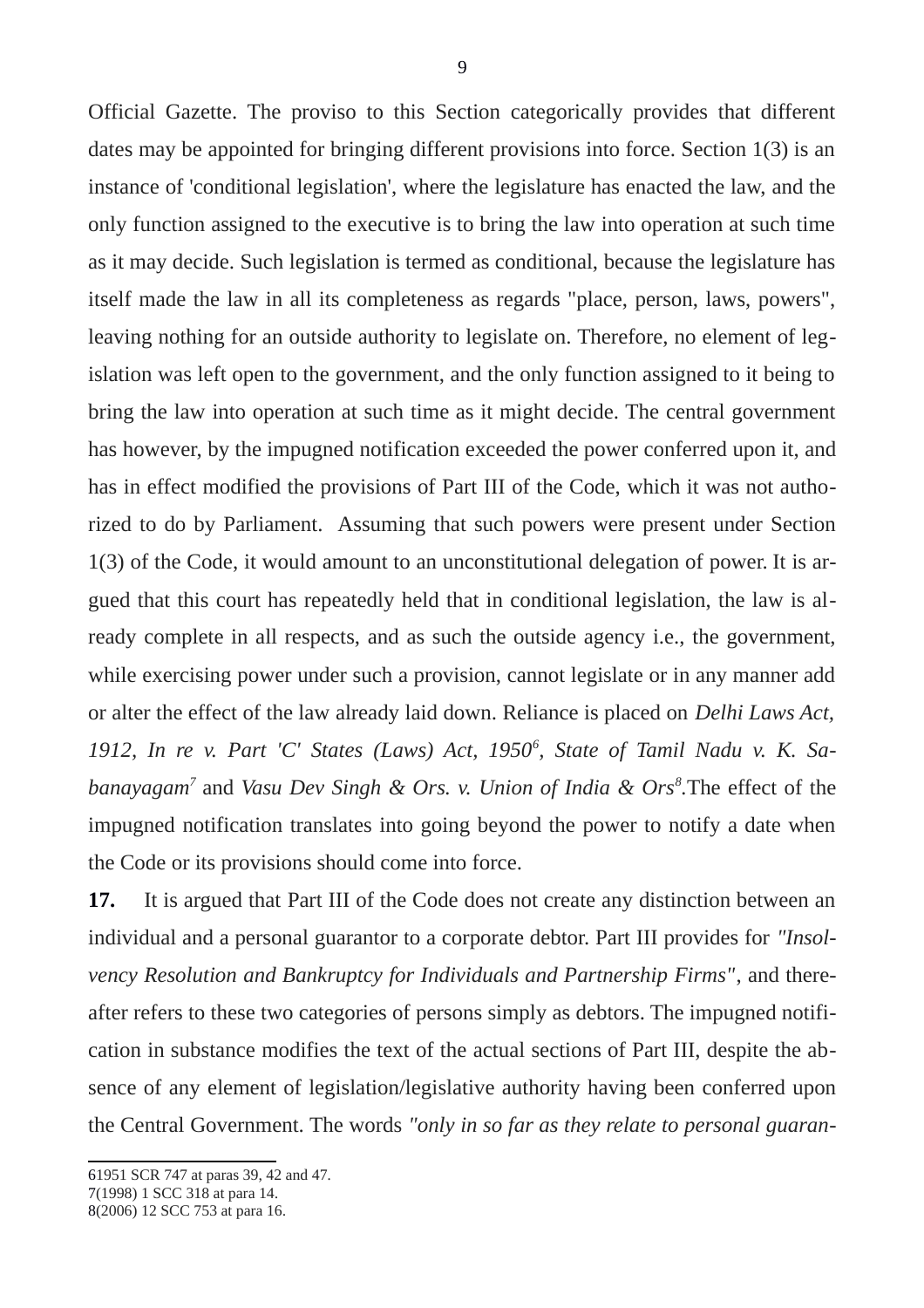Official Gazette. The proviso to this Section categorically provides that different dates may be appointed for bringing different provisions into force. Section 1(3) is an instance of 'conditional legislation', where the legislature has enacted the law, and the only function assigned to the executive is to bring the law into operation at such time as it may decide. Such legislation is termed as conditional, because the legislature has itself made the law in all its completeness as regards "place, person, laws, powers", leaving nothing for an outside authority to legislate on. Therefore, no element of legislation was left open to the government, and the only function assigned to it being to bring the law into operation at such time as it might decide. The central government has however, by the impugned notification exceeded the power conferred upon it, and has in effect modified the provisions of Part III of the Code, which it was not authorized to do by Parliament. Assuming that such powers were present under Section 1(3) of the Code, it would amount to an unconstitutional delegation of power. It is argued that this court has repeatedly held that in conditional legislation, the law is already complete in all respects, and as such the outside agency i.e., the government, while exercising power under such a provision, cannot legislate or in any manner add or alter the effect of the law already laid down. Reliance is placed on *Delhi Laws Act,* 1912, In re v. Part 'C' States (Laws) Act, 1950<sup>[6](#page-8-0)</sup>, State of Tamil Nadu v. K. Sa*banayagam[7](#page-8-1)* and *Vasu Dev Singh & Ors. v. Union of India & Ors[8](#page-8-2) .*The effect of the impugned notification translates into going beyond the power to notify a date when the Code or its provisions should come into force.

**17.** It is argued that Part III of the Code does not create any distinction between an individual and a personal guarantor to a corporate debtor. Part III provides for *"Insolvency Resolution and Bankruptcy for Individuals and Partnership Firms"*, and thereafter refers to these two categories of persons simply as debtors. The impugned notification in substance modifies the text of the actual sections of Part III, despite the absence of any element of legislation/legislative authority having been conferred upon the Central Government. The words *"only in so far as they relate to personal guaran-*

<span id="page-8-0"></span><sup>61951</sup> SCR 747 at paras 39, 42 and 47*.*

<span id="page-8-1"></span><sup>7(1998) 1</sup> SCC 318 at para 14.

<span id="page-8-2"></span><sup>8(2006) 12</sup> SCC 753 at para 16.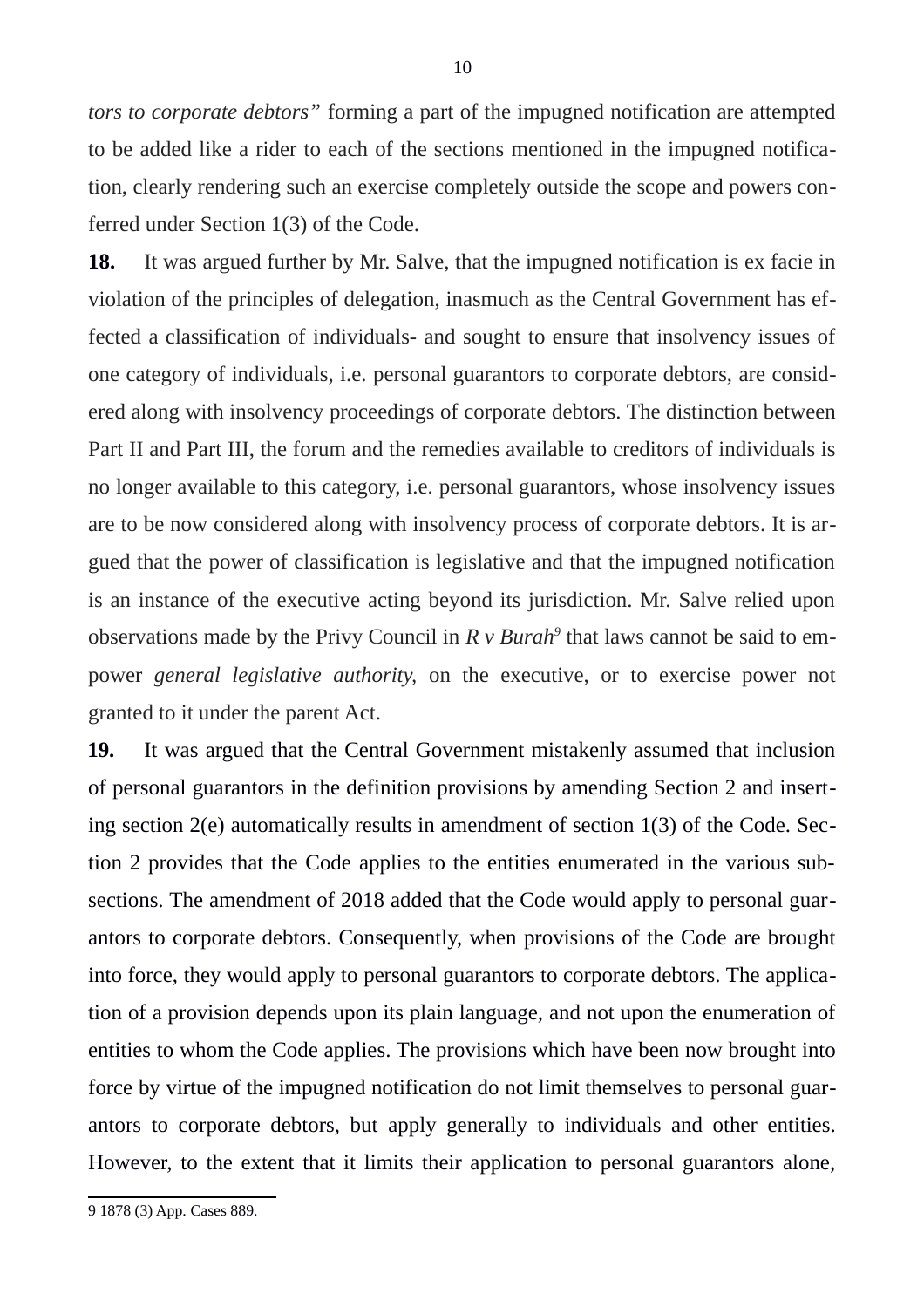*tors to corporate debtors"* forming a part of the impugned notification are attempted to be added like a rider to each of the sections mentioned in the impugned notification, clearly rendering such an exercise completely outside the scope and powers conferred under Section 1(3) of the Code.

**18.** It was argued further by Mr. Salve, that the impugned notification is ex facie in violation of the principles of delegation, inasmuch as the Central Government has effected a classification of individuals- and sought to ensure that insolvency issues of one category of individuals, i.e. personal guarantors to corporate debtors, are considered along with insolvency proceedings of corporate debtors. The distinction between Part II and Part III, the forum and the remedies available to creditors of individuals is no longer available to this category, i.e. personal guarantors, whose insolvency issues are to be now considered along with insolvency process of corporate debtors. It is argued that the power of classification is legislative and that the impugned notification is an instance of the executive acting beyond its jurisdiction. Mr. Salve relied upon observations made by the Privy Council in *R v Burah[9](#page-9-0)* that laws cannot be said to empower *general legislative authority,* on the executive, or to exercise power not granted to it under the parent Act.

**19.** It was argued that the Central Government mistakenly assumed that inclusion of personal guarantors in the definition provisions by amending Section 2 and inserting section 2(e) automatically results in amendment of section 1(3) of the Code. Section 2 provides that the Code applies to the entities enumerated in the various subsections. The amendment of 2018 added that the Code would apply to personal guarantors to corporate debtors. Consequently, when provisions of the Code are brought into force, they would apply to personal guarantors to corporate debtors. The application of a provision depends upon its plain language, and not upon the enumeration of entities to whom the Code applies. The provisions which have been now brought into force by virtue of the impugned notification do not limit themselves to personal guarantors to corporate debtors, but apply generally to individuals and other entities. However, to the extent that it limits their application to personal guarantors alone,

<span id="page-9-0"></span><sup>9 1878 (3)</sup> App. Cases 889.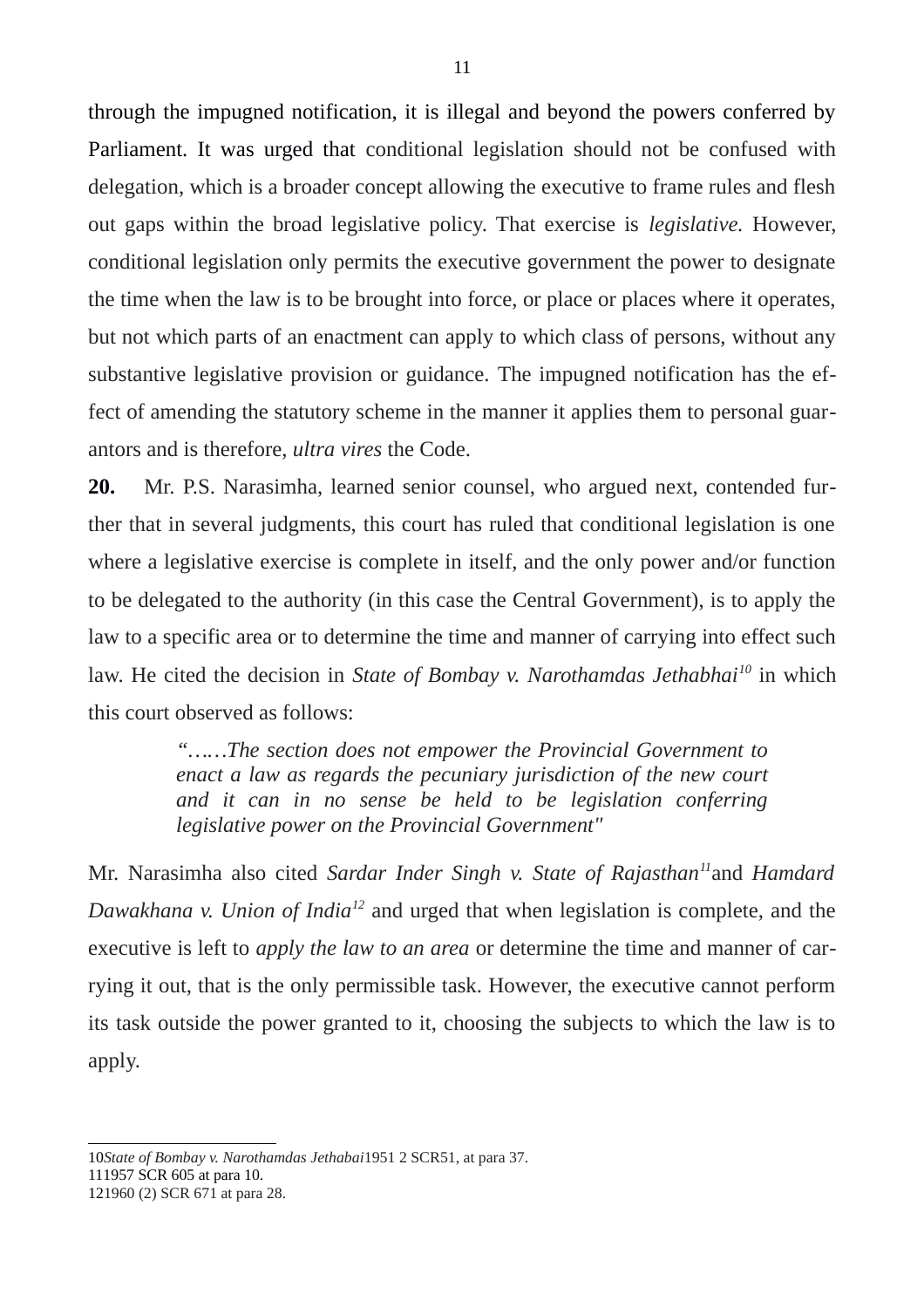through the impugned notification, it is illegal and beyond the powers conferred by Parliament. It was urged that conditional legislation should not be confused with delegation, which is a broader concept allowing the executive to frame rules and flesh out gaps within the broad legislative policy. That exercise is *legislative.* However, conditional legislation only permits the executive government the power to designate the time when the law is to be brought into force, or place or places where it operates, but not which parts of an enactment can apply to which class of persons, without any substantive legislative provision or guidance. The impugned notification has the effect of amending the statutory scheme in the manner it applies them to personal guarantors and is therefore, *ultra vires* the Code.

**20.** Mr. P.S. Narasimha, learned senior counsel, who argued next, contended further that in several judgments, this court has ruled that conditional legislation is one where a legislative exercise is complete in itself, and the only power and/or function to be delegated to the authority (in this case the Central Government), is to apply the law to a specific area or to determine the time and manner of carrying into effect such law. He cited the decision in *State of Bombay v. Narothamdas Jethabhai[10](#page-10-0)* in which this court observed as follows:

> *"……The section does not empower the Provincial Government to enact a law as regards the pecuniary jurisdiction of the new court and it can in no sense be held to be legislation conferring legislative power on the Provincial Government"*

Mr. Narasimha also cited *Sardar Inder Singh v. State of Rajasthan[11](#page-10-1)*and *Hamdard Dawakhana v. Union of India[12](#page-10-2)* and urged that when legislation is complete, and the executive is left to *apply the law to an area* or determine the time and manner of carrying it out, that is the only permissible task. However, the executive cannot perform its task outside the power granted to it, choosing the subjects to which the law is to apply.

<span id="page-10-0"></span><sup>10</sup>*State of Bombay v. Narothamdas Jethabai*1951 2 SCR51, at para 37.

<span id="page-10-1"></span><sup>111957</sup> SCR 605 at para 10.

<span id="page-10-2"></span><sup>121960 (2)</sup> SCR 671 at para 28.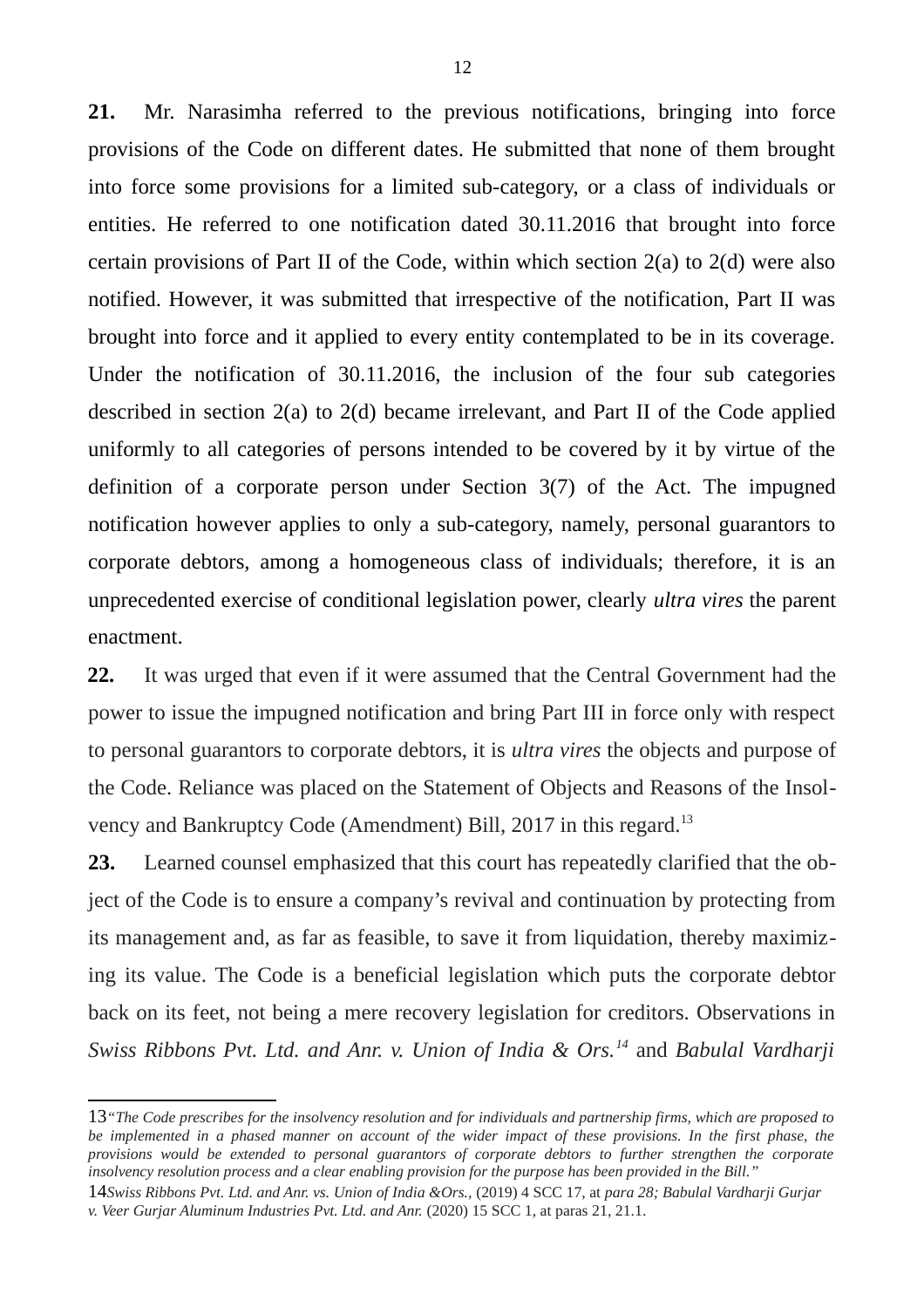**21.** Mr. Narasimha referred to the previous notifications, bringing into force provisions of the Code on different dates. He submitted that none of them brought into force some provisions for a limited sub-category, or a class of individuals or entities. He referred to one notification dated 30.11.2016 that brought into force certain provisions of Part II of the Code, within which section 2(a) to 2(d) were also notified. However, it was submitted that irrespective of the notification, Part II was brought into force and it applied to every entity contemplated to be in its coverage. Under the notification of 30.11.2016, the inclusion of the four sub categories described in section 2(a) to 2(d) became irrelevant, and Part II of the Code applied uniformly to all categories of persons intended to be covered by it by virtue of the definition of a corporate person under Section 3(7) of the Act. The impugned notification however applies to only a sub-category, namely, personal guarantors to corporate debtors, among a homogeneous class of individuals; therefore, it is an unprecedented exercise of conditional legislation power, clearly *ultra vires* the parent enactment.

**22.** It was urged that even if it were assumed that the Central Government had the power to issue the impugned notification and bring Part III in force only with respect to personal guarantors to corporate debtors, it is *ultra vires* the objects and purpose of the Code. Reliance was placed on the Statement of Objects and Reasons of the Insol-vency and Bankruptcy Code (Amendment) Bill, 2017 in this regard.<sup>[13](#page-11-0)</sup>

**23.** Learned counsel emphasized that this court has repeatedly clarified that the object of the Code is to ensure a company's revival and continuation by protecting from its management and, as far as feasible, to save it from liquidation, thereby maximizing its value. The Code is a beneficial legislation which puts the corporate debtor back on its feet, not being a mere recovery legislation for creditors. Observations in *Swiss Ribbons Pvt. Ltd. and Anr. v. Union of India & Ors.[14](#page-11-1)* and *Babulal Vardharji*

<span id="page-11-0"></span><sup>13</sup>*"The Code prescribes for the insolvency resolution and for individuals and partnership firms, which are proposed to be implemented in a phased manner on account of the wider impact of these provisions. In the first phase, the provisions would be extended to personal guarantors of corporate debtors to further strengthen the corporate insolvency resolution process and a clear enabling provision for the purpose has been provided in the Bill."*

<span id="page-11-1"></span><sup>14</sup>*Swiss Ribbons Pvt. Ltd. and Anr. vs. Union of India &Ors.,* (2019) 4 SCC 17, at *para 28; Babulal Vardharji Gurjar v. Veer Gurjar Aluminum Industries Pvt. Ltd. and Anr.* (2020) 15 SCC 1, at paras 21, 21.1.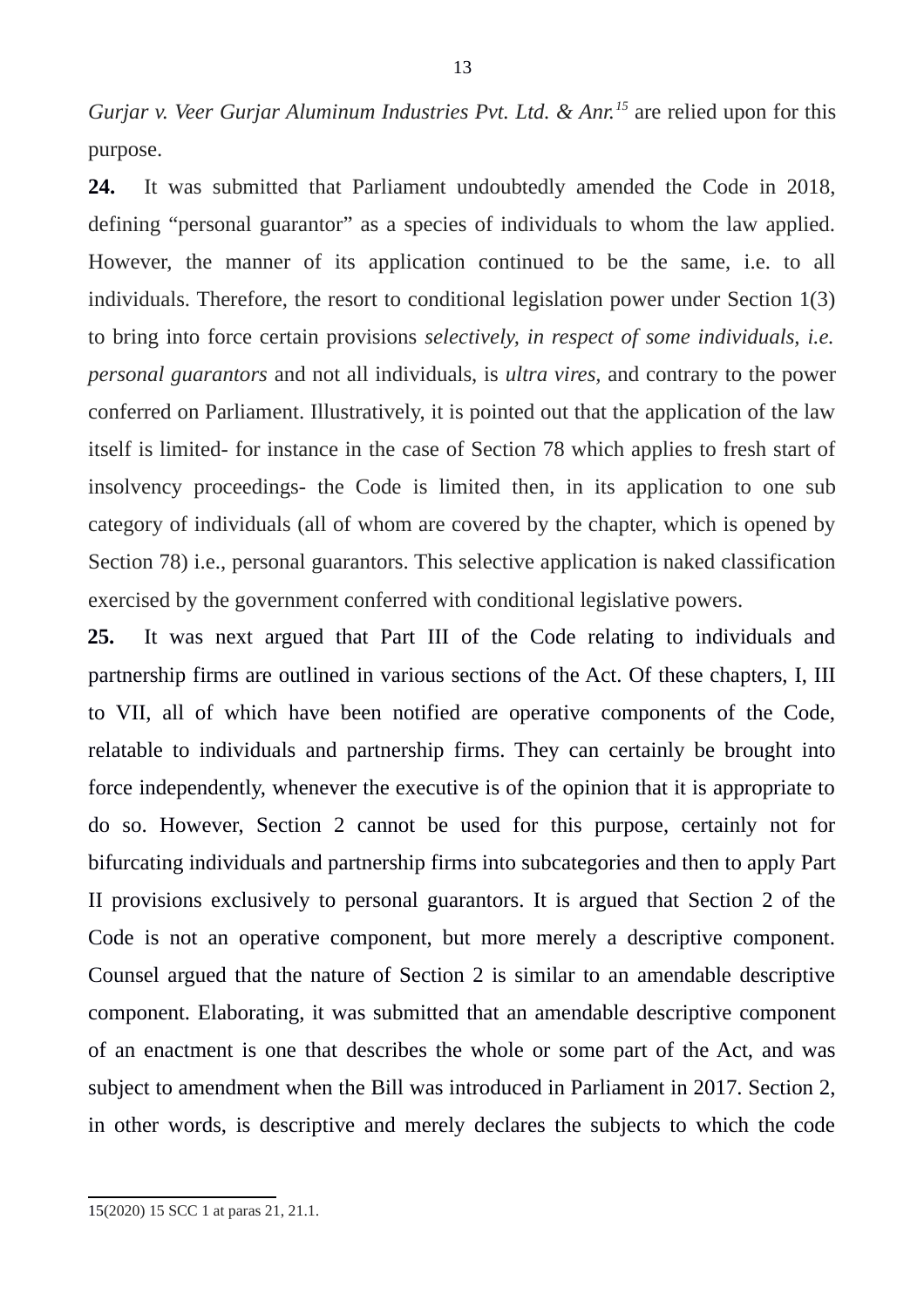*Gurjar v. Veer Gurjar Aluminum Industries Pvt. Ltd. & Anr.[15](#page-12-0)* are relied upon for this purpose.

**24.** It was submitted that Parliament undoubtedly amended the Code in 2018, defining "personal guarantor" as a species of individuals to whom the law applied. However, the manner of its application continued to be the same, i.e. to all individuals. Therefore, the resort to conditional legislation power under Section 1(3) to bring into force certain provisions *selectively, in respect of some individuals, i.e. personal guarantors* and not all individuals, is *ultra vires,* and contrary to the power conferred on Parliament. Illustratively, it is pointed out that the application of the law itself is limited- for instance in the case of Section 78 which applies to fresh start of insolvency proceedings- the Code is limited then, in its application to one sub category of individuals (all of whom are covered by the chapter, which is opened by Section 78) i.e., personal guarantors. This selective application is naked classification exercised by the government conferred with conditional legislative powers.

**25.** It was next argued that Part III of the Code relating to individuals and partnership firms are outlined in various sections of the Act. Of these chapters, I, III to VII, all of which have been notified are operative components of the Code, relatable to individuals and partnership firms. They can certainly be brought into force independently, whenever the executive is of the opinion that it is appropriate to do so. However, Section 2 cannot be used for this purpose, certainly not for bifurcating individuals and partnership firms into subcategories and then to apply Part II provisions exclusively to personal guarantors. It is argued that Section 2 of the Code is not an operative component, but more merely a descriptive component. Counsel argued that the nature of Section 2 is similar to an amendable descriptive component. Elaborating, it was submitted that an amendable descriptive component of an enactment is one that describes the whole or some part of the Act, and was subject to amendment when the Bill was introduced in Parliament in 2017. Section 2, in other words, is descriptive and merely declares the subjects to which the code

<span id="page-12-0"></span><sup>15(2020) 15</sup> SCC 1 at paras 21, 21.1.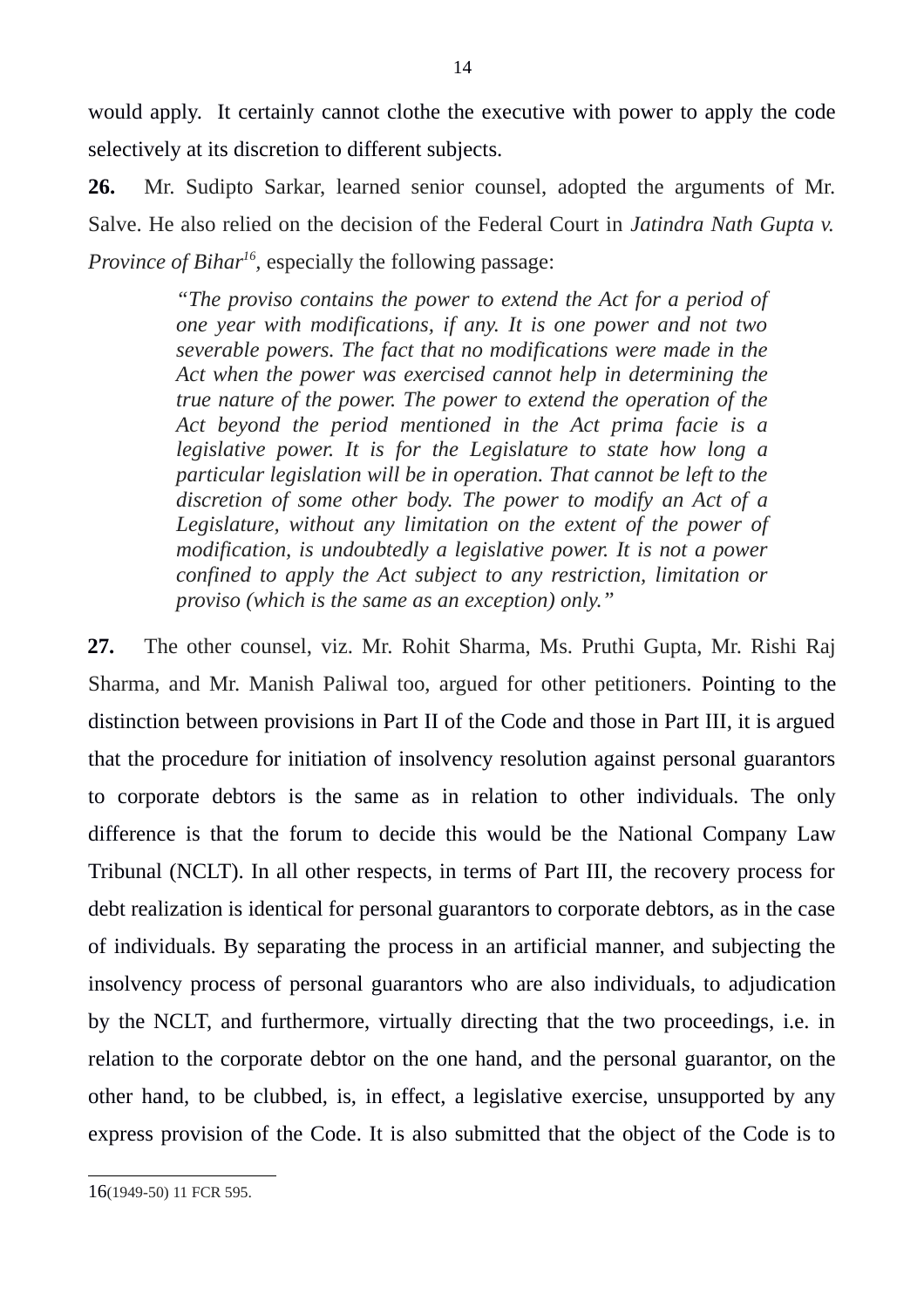would apply. It certainly cannot clothe the executive with power to apply the code selectively at its discretion to different subjects.

**26.** Mr. Sudipto Sarkar, learned senior counsel, adopted the arguments of Mr. Salve. He also relied on the decision of the Federal Court in *Jatindra Nath Gupta v. Province of Bihar[16](#page-13-0) ,* especially the following passage:

> *"The proviso contains the power to extend the Act for a period of one year with modifications, if any. It is one power and not two severable powers. The fact that no modifications were made in the Act when the power was exercised cannot help in determining the true nature of the power. The power to extend the operation of the Act beyond the period mentioned in the Act prima facie is a legislative power. It is for the Legislature to state how long a particular legislation will be in operation. That cannot be left to the discretion of some other body. The power to modify an Act of a Legislature, without any limitation on the extent of the power of modification, is undoubtedly a legislative power. It is not a power confined to apply the Act subject to any restriction, limitation or proviso (which is the same as an exception) only."*

**27.** The other counsel, viz. Mr. Rohit Sharma, Ms. Pruthi Gupta, Mr. Rishi Raj Sharma, and Mr. Manish Paliwal too, argued for other petitioners. Pointing to the distinction between provisions in Part II of the Code and those in Part III, it is argued that the procedure for initiation of insolvency resolution against personal guarantors to corporate debtors is the same as in relation to other individuals. The only difference is that the forum to decide this would be the National Company Law Tribunal (NCLT). In all other respects, in terms of Part III, the recovery process for debt realization is identical for personal guarantors to corporate debtors, as in the case of individuals. By separating the process in an artificial manner, and subjecting the insolvency process of personal guarantors who are also individuals, to adjudication by the NCLT, and furthermore, virtually directing that the two proceedings, i.e. in relation to the corporate debtor on the one hand, and the personal guarantor, on the other hand, to be clubbed, is, in effect, a legislative exercise, unsupported by any express provision of the Code. It is also submitted that the object of the Code is to

<span id="page-13-0"></span><sup>16</sup>(1949-50) 11 FCR 595.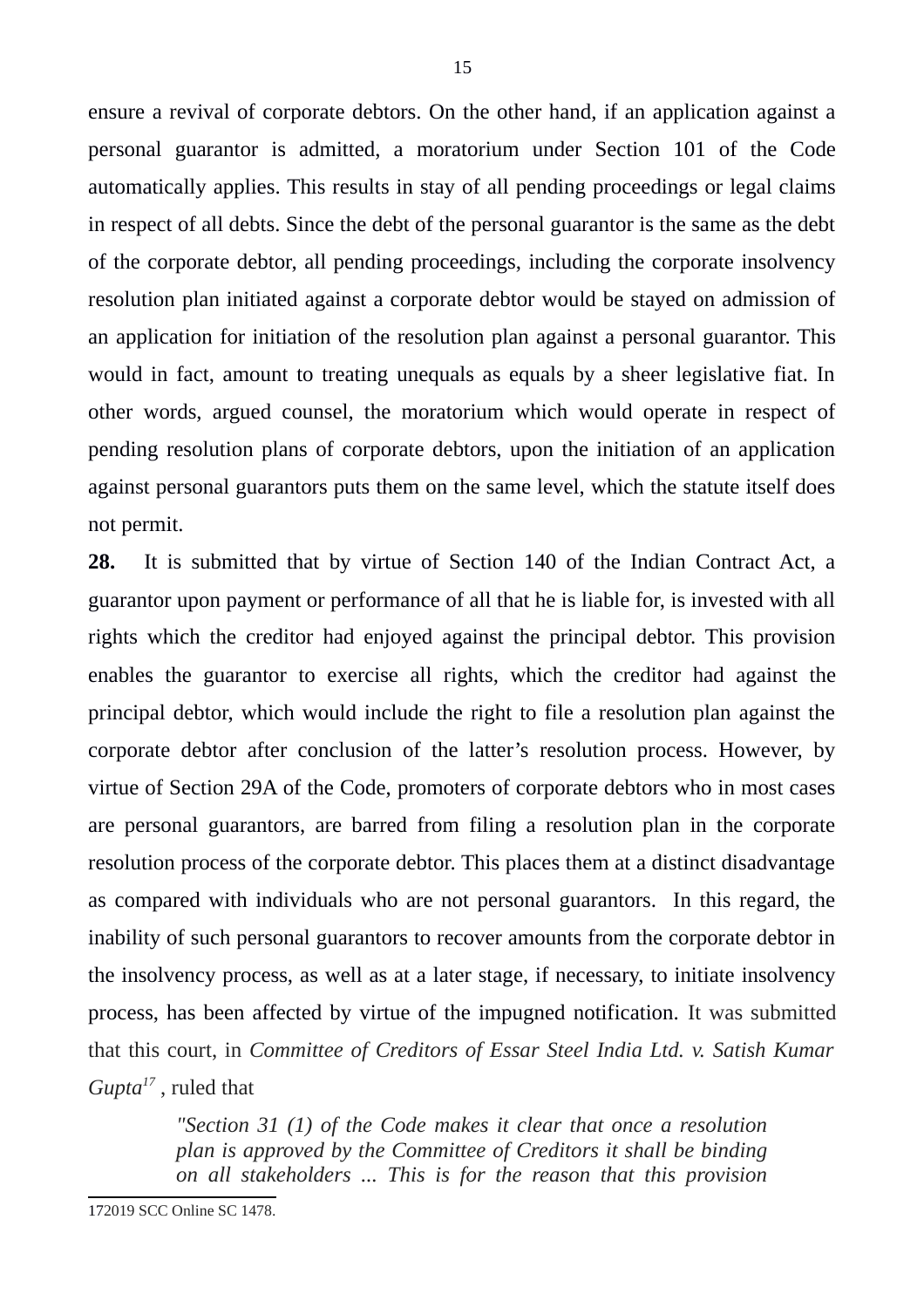ensure a revival of corporate debtors. On the other hand, if an application against a personal guarantor is admitted, a moratorium under Section 101 of the Code automatically applies. This results in stay of all pending proceedings or legal claims in respect of all debts. Since the debt of the personal guarantor is the same as the debt of the corporate debtor, all pending proceedings, including the corporate insolvency resolution plan initiated against a corporate debtor would be stayed on admission of an application for initiation of the resolution plan against a personal guarantor. This would in fact, amount to treating unequals as equals by a sheer legislative fiat. In other words, argued counsel, the moratorium which would operate in respect of pending resolution plans of corporate debtors, upon the initiation of an application against personal guarantors puts them on the same level, which the statute itself does not permit.

**28.** It is submitted that by virtue of Section 140 of the Indian Contract Act, a guarantor upon payment or performance of all that he is liable for, is invested with all rights which the creditor had enjoyed against the principal debtor. This provision enables the guarantor to exercise all rights, which the creditor had against the principal debtor, which would include the right to file a resolution plan against the corporate debtor after conclusion of the latter's resolution process. However, by virtue of Section 29A of the Code, promoters of corporate debtors who in most cases are personal guarantors, are barred from filing a resolution plan in the corporate resolution process of the corporate debtor. This places them at a distinct disadvantage as compared with individuals who are not personal guarantors. In this regard, the inability of such personal guarantors to recover amounts from the corporate debtor in the insolvency process, as well as at a later stage, if necessary, to initiate insolvency process, has been affected by virtue of the impugned notification. It was submitted that this court, in *Committee of Creditors of Essar Steel India Ltd. v. Satish Kumar Gupta[17](#page-14-0)* , ruled that

> <span id="page-14-0"></span>*"Section 31 (1) of the Code makes it clear that once a resolution plan is approved by the Committee of Creditors it shall be binding on all stakeholders ... This is for the reason that this provision*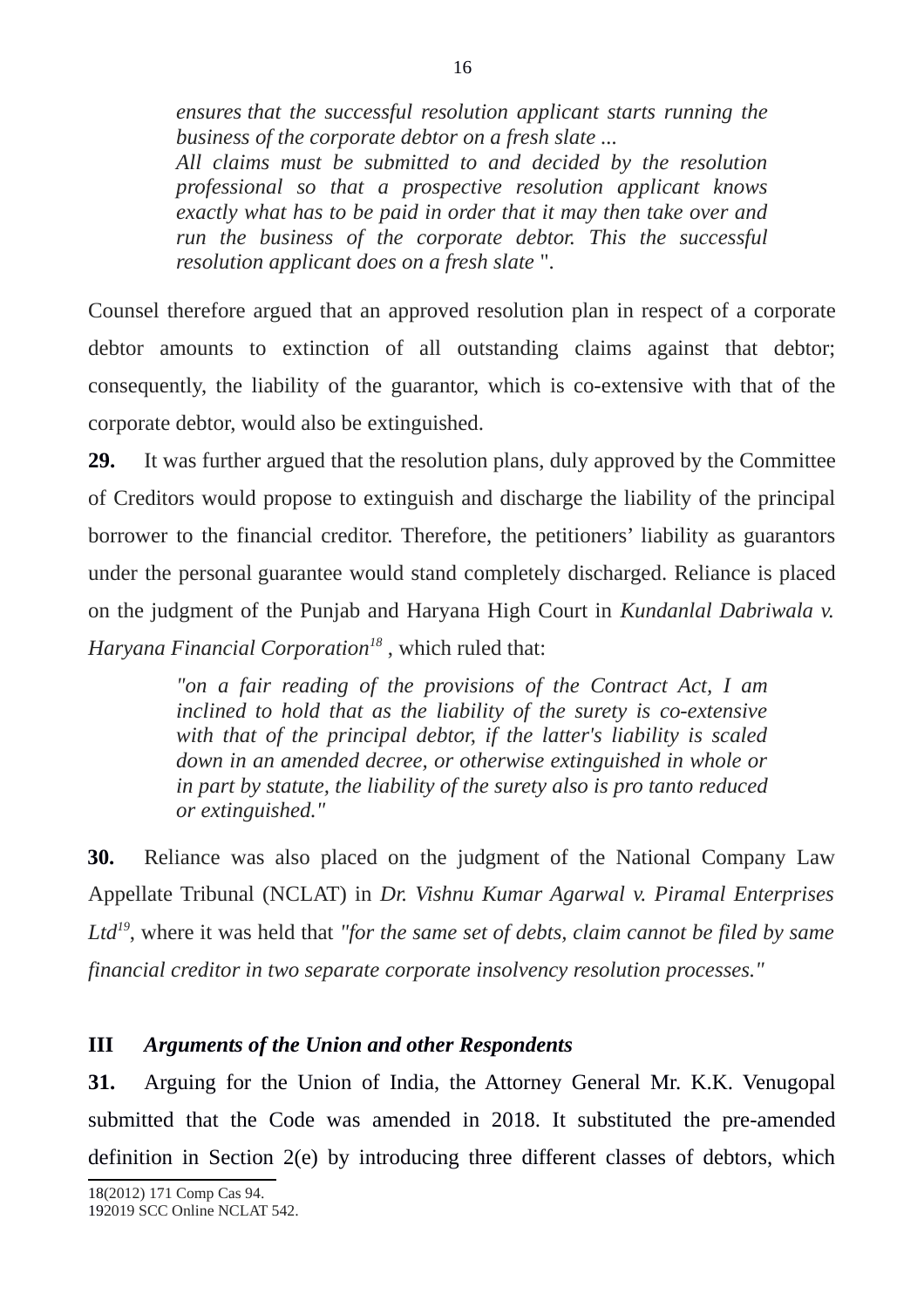*ensures that the successful resolution applicant starts running the business of the corporate debtor on a fresh slate ...*

*All claims must be submitted to and decided by the resolution professional so that a prospective resolution applicant knows exactly what has to be paid in order that it may then take over and run the business of the corporate debtor. This the successful resolution applicant does on a fresh slate* ".

Counsel therefore argued that an approved resolution plan in respect of a corporate debtor amounts to extinction of all outstanding claims against that debtor; consequently, the liability of the guarantor, which is co-extensive with that of the corporate debtor, would also be extinguished.

**29.** It was further argued that the resolution plans, duly approved by the Committee of Creditors would propose to extinguish and discharge the liability of the principal borrower to the financial creditor. Therefore, the petitioners' liability as guarantors under the personal guarantee would stand completely discharged. Reliance is placed on the judgment of the Punjab and Haryana High Court in *Kundanlal Dabriwala v. Haryana Financial Corporation[18](#page-15-0)* , which ruled that:

> *"on a fair reading of the provisions of the Contract Act, I am inclined to hold that as the liability of the surety is co-extensive with that of the principal debtor, if the latter's liability is scaled down in an amended decree, or otherwise extinguished in whole or in part by statute, the liability of the surety also is pro tanto reduced or extinguished."*

**30.** Reliance was also placed on the judgment of the National Company Law Appellate Tribunal (NCLAT) in *Dr. Vishnu Kumar Agarwal v. Piramal Enterprises Ltd[19](#page-15-1)*, where it was held that *"for the same set of debts, claim cannot be filed by same financial creditor in two separate corporate insolvency resolution processes."*

## **III** *Arguments of the Union and other Respondents*

<span id="page-15-1"></span><span id="page-15-0"></span>**31.** Arguing for the Union of India, the Attorney General Mr. K.K. Venugopal submitted that the Code was amended in 2018. It substituted the pre-amended definition in Section 2(e) by introducing three different classes of debtors, which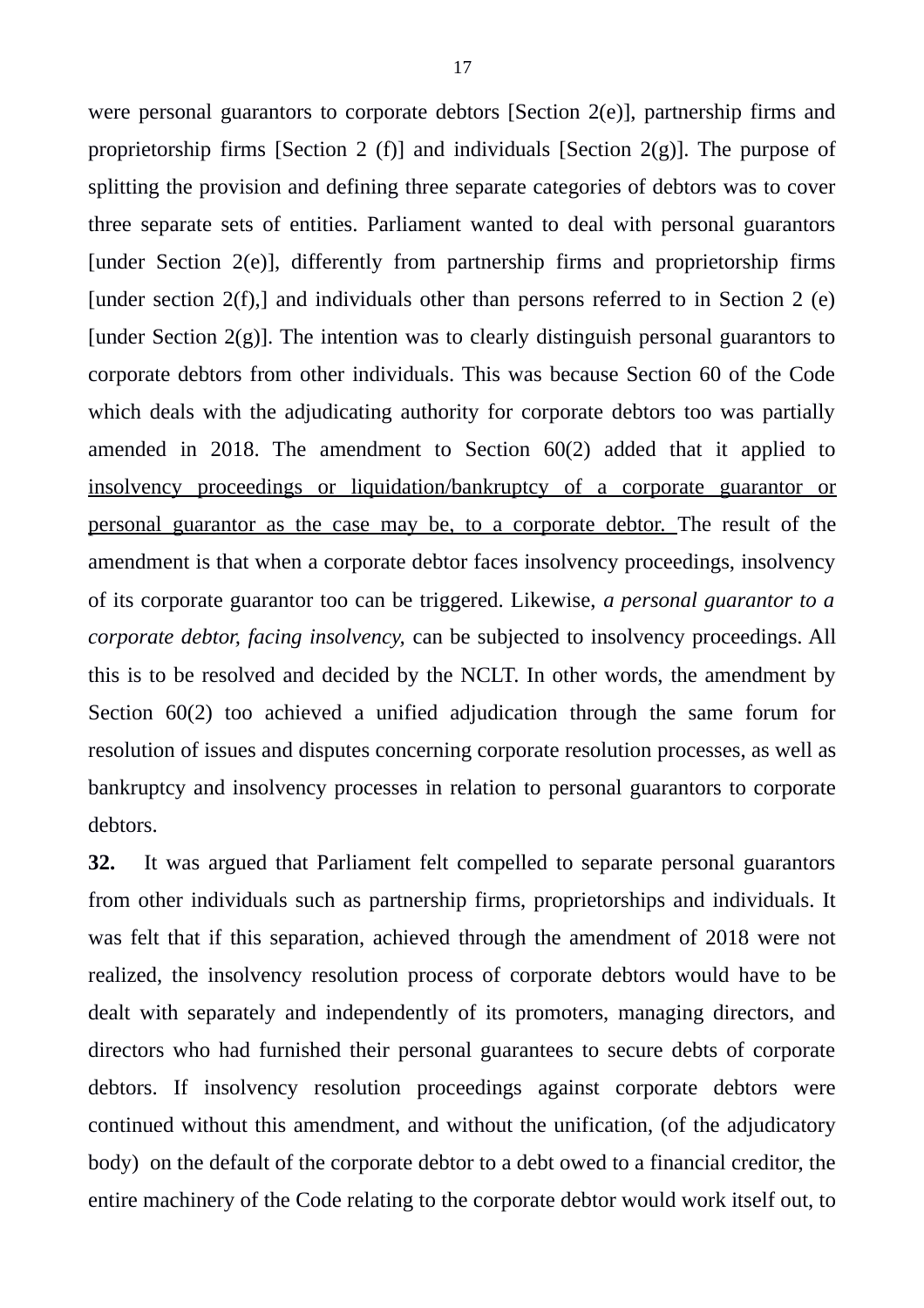were personal guarantors to corporate debtors [Section 2(e)], partnership firms and proprietorship firms [Section 2 (f)] and individuals [Section  $2(g)$ ]. The purpose of splitting the provision and defining three separate categories of debtors was to cover three separate sets of entities. Parliament wanted to deal with personal guarantors [under Section 2(e)], differently from partnership firms and proprietorship firms [under section  $2(f)$ ], and individuals other than persons referred to in Section 2 (e) [under Section  $2(g)$ ]. The intention was to clearly distinguish personal guarantors to corporate debtors from other individuals. This was because Section 60 of the Code which deals with the adjudicating authority for corporate debtors too was partially amended in 2018. The amendment to Section 60(2) added that it applied to insolvency proceedings or liquidation/bankruptcy of a corporate guarantor or personal guarantor as the case may be, to a corporate debtor. The result of the amendment is that when a corporate debtor faces insolvency proceedings, insolvency of its corporate guarantor too can be triggered. Likewise, *a personal guarantor to a corporate debtor, facing insolvency,* can be subjected to insolvency proceedings. All this is to be resolved and decided by the NCLT. In other words, the amendment by Section 60(2) too achieved a unified adjudication through the same forum for resolution of issues and disputes concerning corporate resolution processes, as well as bankruptcy and insolvency processes in relation to personal guarantors to corporate debtors.

**32.** It was argued that Parliament felt compelled to separate personal guarantors from other individuals such as partnership firms, proprietorships and individuals. It was felt that if this separation, achieved through the amendment of 2018 were not realized, the insolvency resolution process of corporate debtors would have to be dealt with separately and independently of its promoters, managing directors, and directors who had furnished their personal guarantees to secure debts of corporate debtors. If insolvency resolution proceedings against corporate debtors were continued without this amendment, and without the unification, (of the adjudicatory body) on the default of the corporate debtor to a debt owed to a financial creditor, the entire machinery of the Code relating to the corporate debtor would work itself out, to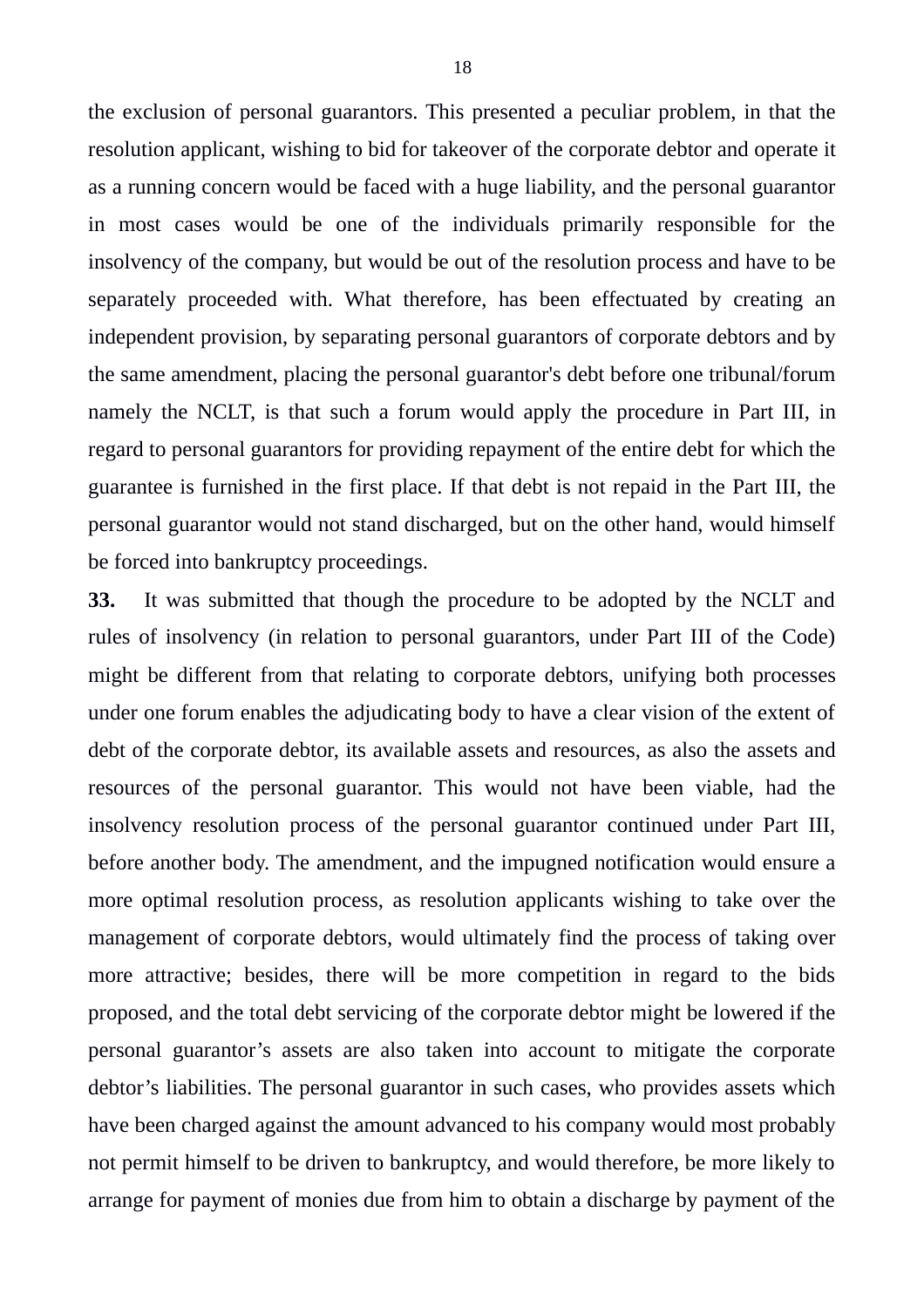the exclusion of personal guarantors. This presented a peculiar problem, in that the resolution applicant, wishing to bid for takeover of the corporate debtor and operate it as a running concern would be faced with a huge liability, and the personal guarantor in most cases would be one of the individuals primarily responsible for the insolvency of the company, but would be out of the resolution process and have to be separately proceeded with. What therefore, has been effectuated by creating an independent provision, by separating personal guarantors of corporate debtors and by the same amendment, placing the personal guarantor's debt before one tribunal/forum namely the NCLT, is that such a forum would apply the procedure in Part III, in regard to personal guarantors for providing repayment of the entire debt for which the guarantee is furnished in the first place. If that debt is not repaid in the Part III, the personal guarantor would not stand discharged, but on the other hand, would himself be forced into bankruptcy proceedings.

**33.** It was submitted that though the procedure to be adopted by the NCLT and rules of insolvency (in relation to personal guarantors, under Part III of the Code) might be different from that relating to corporate debtors, unifying both processes under one forum enables the adjudicating body to have a clear vision of the extent of debt of the corporate debtor, its available assets and resources, as also the assets and resources of the personal guarantor. This would not have been viable, had the insolvency resolution process of the personal guarantor continued under Part III, before another body. The amendment, and the impugned notification would ensure a more optimal resolution process, as resolution applicants wishing to take over the management of corporate debtors, would ultimately find the process of taking over more attractive; besides, there will be more competition in regard to the bids proposed, and the total debt servicing of the corporate debtor might be lowered if the personal guarantor's assets are also taken into account to mitigate the corporate debtor's liabilities. The personal guarantor in such cases, who provides assets which have been charged against the amount advanced to his company would most probably not permit himself to be driven to bankruptcy, and would therefore, be more likely to arrange for payment of monies due from him to obtain a discharge by payment of the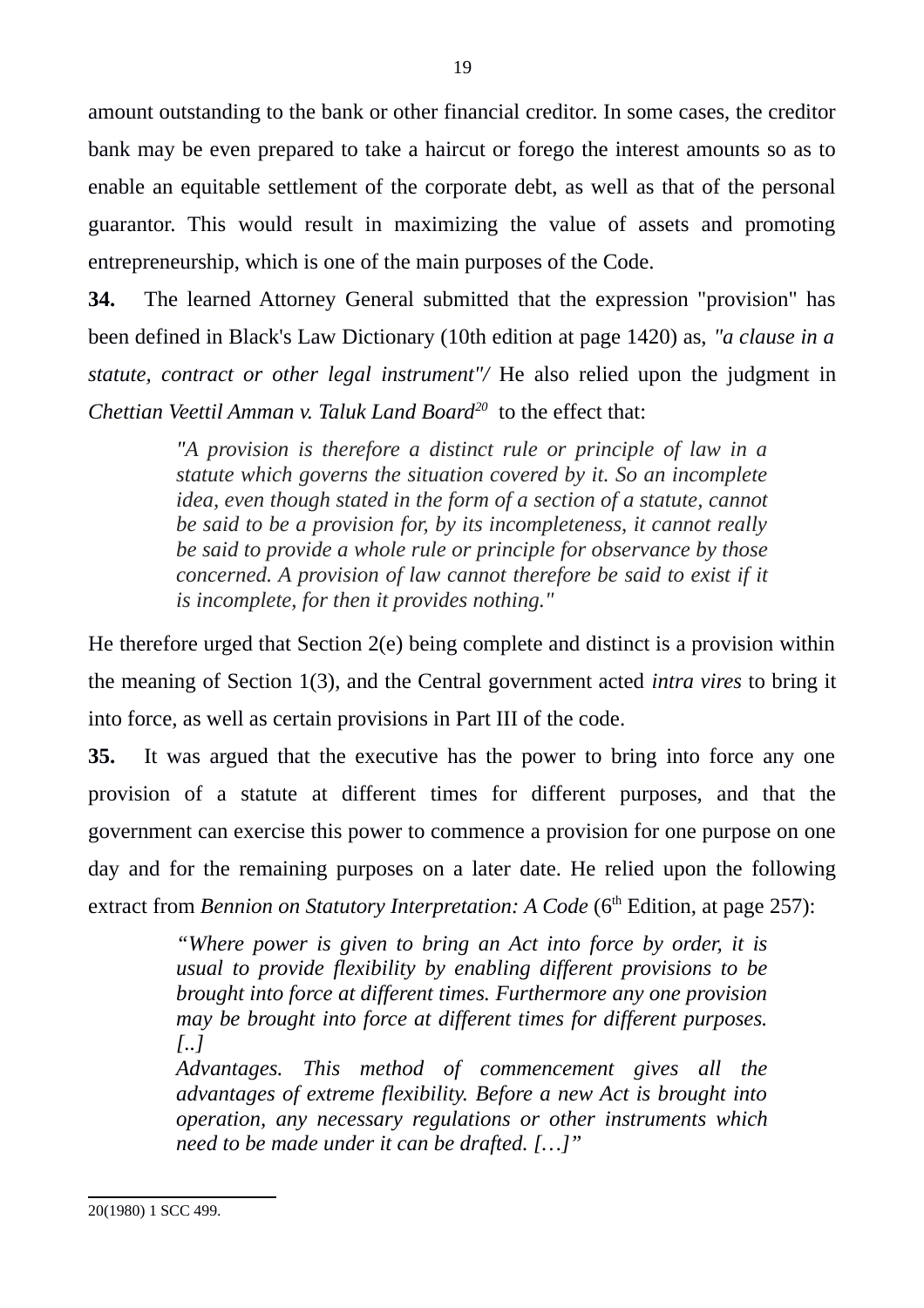amount outstanding to the bank or other financial creditor. In some cases, the creditor bank may be even prepared to take a haircut or forego the interest amounts so as to enable an equitable settlement of the corporate debt, as well as that of the personal guarantor. This would result in maximizing the value of assets and promoting entrepreneurship, which is one of the main purposes of the Code.

**34.** The learned Attorney General submitted that the expression "provision" has been defined in Black's Law Dictionary (10th edition at page 1420) as, *"a clause in a statute, contract or other legal instrument"/* He also relied upon the judgment in *Chettian Veettil Amman v. Taluk Land Board[20](#page-18-0)* to the effect that:

> *"A provision is therefore a distinct rule or principle of law in a statute which governs the situation covered by it. So an incomplete idea, even though stated in the form of a section of a statute, cannot be said to be a provision for, by its incompleteness, it cannot really be said to provide a whole rule or principle for observance by those concerned. A provision of law cannot therefore be said to exist if it is incomplete, for then it provides nothing."*

He therefore urged that Section 2(e) being complete and distinct is a provision within the meaning of Section 1(3), and the Central government acted *intra vires* to bring it into force, as well as certain provisions in Part III of the code.

**35.** It was argued that the executive has the power to bring into force any one provision of a statute at different times for different purposes, and that the government can exercise this power to commence a provision for one purpose on one day and for the remaining purposes on a later date. He relied upon the following extract from *Bennion on Statutory Interpretation: A Code* (6<sup>th</sup> Edition, at page 257):

> *"Where power is given to bring an Act into force by order, it is usual to provide flexibility by enabling different provisions to be brought into force at different times. Furthermore any one provision may be brought into force at different times for different purposes. [..]*

> *Advantages. This method of commencement gives all the advantages of extreme flexibility. Before a new Act is brought into operation, any necessary regulations or other instruments which need to be made under it can be drafted. […]"*

<span id="page-18-0"></span><sup>20(1980) 1</sup> SCC 499.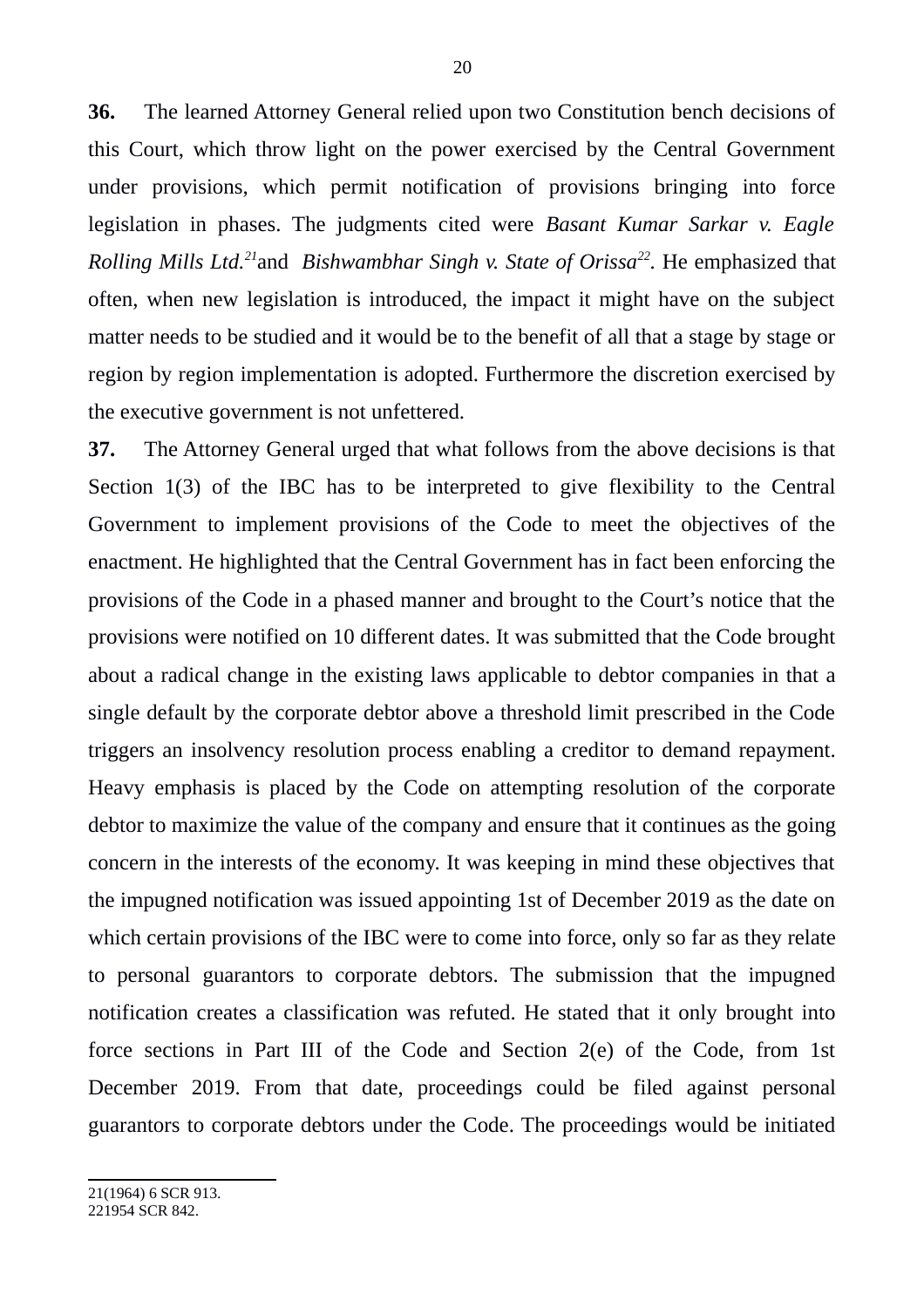**36.** The learned Attorney General relied upon two Constitution bench decisions of this Court, which throw light on the power exercised by the Central Government under provisions, which permit notification of provisions bringing into force legislation in phases. The judgments cited were *Basant Kumar Sarkar v. Eagle Rolling Mills Ltd.[21](#page-19-0)*and *Bishwambhar Singh v. State of Orissa[22](#page-19-1) .* He emphasized that often, when new legislation is introduced, the impact it might have on the subject matter needs to be studied and it would be to the benefit of all that a stage by stage or region by region implementation is adopted. Furthermore the discretion exercised by the executive government is not unfettered.

<span id="page-19-1"></span><span id="page-19-0"></span>**37.** The Attorney General urged that what follows from the above decisions is that Section 1(3) of the IBC has to be interpreted to give flexibility to the Central Government to implement provisions of the Code to meet the objectives of the enactment. He highlighted that the Central Government has in fact been enforcing the provisions of the Code in a phased manner and brought to the Court's notice that the provisions were notified on 10 different dates. It was submitted that the Code brought about a radical change in the existing laws applicable to debtor companies in that a single default by the corporate debtor above a threshold limit prescribed in the Code triggers an insolvency resolution process enabling a creditor to demand repayment. Heavy emphasis is placed by the Code on attempting resolution of the corporate debtor to maximize the value of the company and ensure that it continues as the going concern in the interests of the economy. It was keeping in mind these objectives that the impugned notification was issued appointing 1st of December 2019 as the date on which certain provisions of the IBC were to come into force, only so far as they relate to personal guarantors to corporate debtors. The submission that the impugned notification creates a classification was refuted. He stated that it only brought into force sections in Part III of the Code and Section 2(e) of the Code, from 1st December 2019. From that date, proceedings could be filed against personal guarantors to corporate debtors under the Code. The proceedings would be initiated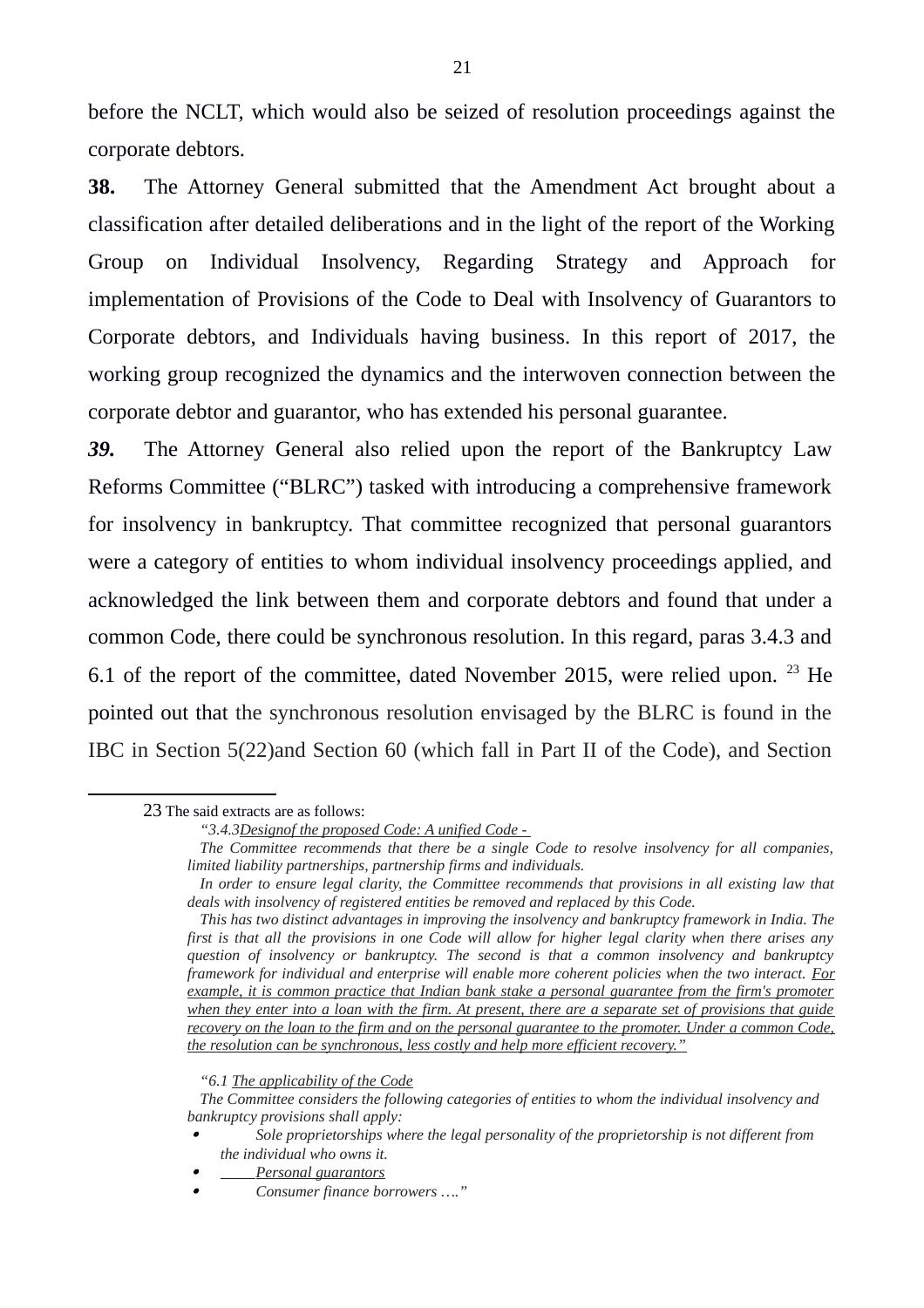before the NCLT, which would also be seized of resolution proceedings against the corporate debtors.

**38.** The Attorney General submitted that the Amendment Act brought about a classification after detailed deliberations and in the light of the report of the Working Group on Individual Insolvency, Regarding Strategy and Approach for implementation of Provisions of the Code to Deal with Insolvency of Guarantors to Corporate debtors, and Individuals having business. In this report of 2017, the working group recognized the dynamics and the interwoven connection between the corporate debtor and guarantor, who has extended his personal guarantee.

*39.* The Attorney General also relied upon the report of the Bankruptcy Law Reforms Committee ("BLRC") tasked with introducing a comprehensive framework for insolvency in bankruptcy. That committee recognized that personal guarantors were a category of entities to whom individual insolvency proceedings applied, and acknowledged the link between them and corporate debtors and found that under a common Code, there could be synchronous resolution. In this regard, paras 3.4.3 and 6.1 of the report of the committee, dated November 2015, were relied upon.  $^{23}$  $^{23}$  $^{23}$  He pointed out that the synchronous resolution envisaged by the BLRC is found in the IBC in Section 5(22)and Section 60 (which fall in Part II of the Code), and Section

- . *Sole proprietorships where the legal personality of the proprietorship is not different from the individual who owns it.*
- *Personal guarantors*

<span id="page-20-0"></span><sup>23</sup> The said extracts are as follows:

*<sup>&</sup>quot;3.4.3Designof the proposed Code: A unified Code -* 

*The Committee recommends that there be a single Code to resolve insolvency for all companies, limited liability partnerships, partnership firms and individuals.*

*In order to ensure legal clarity, the Committee recommends that provisions in all existing law that deals with insolvency of registered entities be removed and replaced by this Code.*

*This has two distinct advantages in improving the insolvency and bankruptcy framework in India. The first is that all the provisions in one Code will allow for higher legal clarity when there arises any question of insolvency or bankruptcy. The second is that a common insolvency and bankruptcy framework for individual and enterprise will enable more coherent policies when the two interact. For example, it is common practice that Indian bank stake a personal guarantee from the firm's promoter when they enter into a loan with the firm. At present, there are a separate set of provisions that guide recovery on the loan to the firm and on the personal guarantee to the promoter. Under a common Code, the resolution can be synchronous, less costly and help more efficient recovery."*

*<sup>&</sup>quot;6.1 The applicability of the Code*

*The Committee considers the following categories of entities to whom the individual insolvency and bankruptcy provisions shall apply:*

<sup>.</sup> *Consumer finance borrowers …."*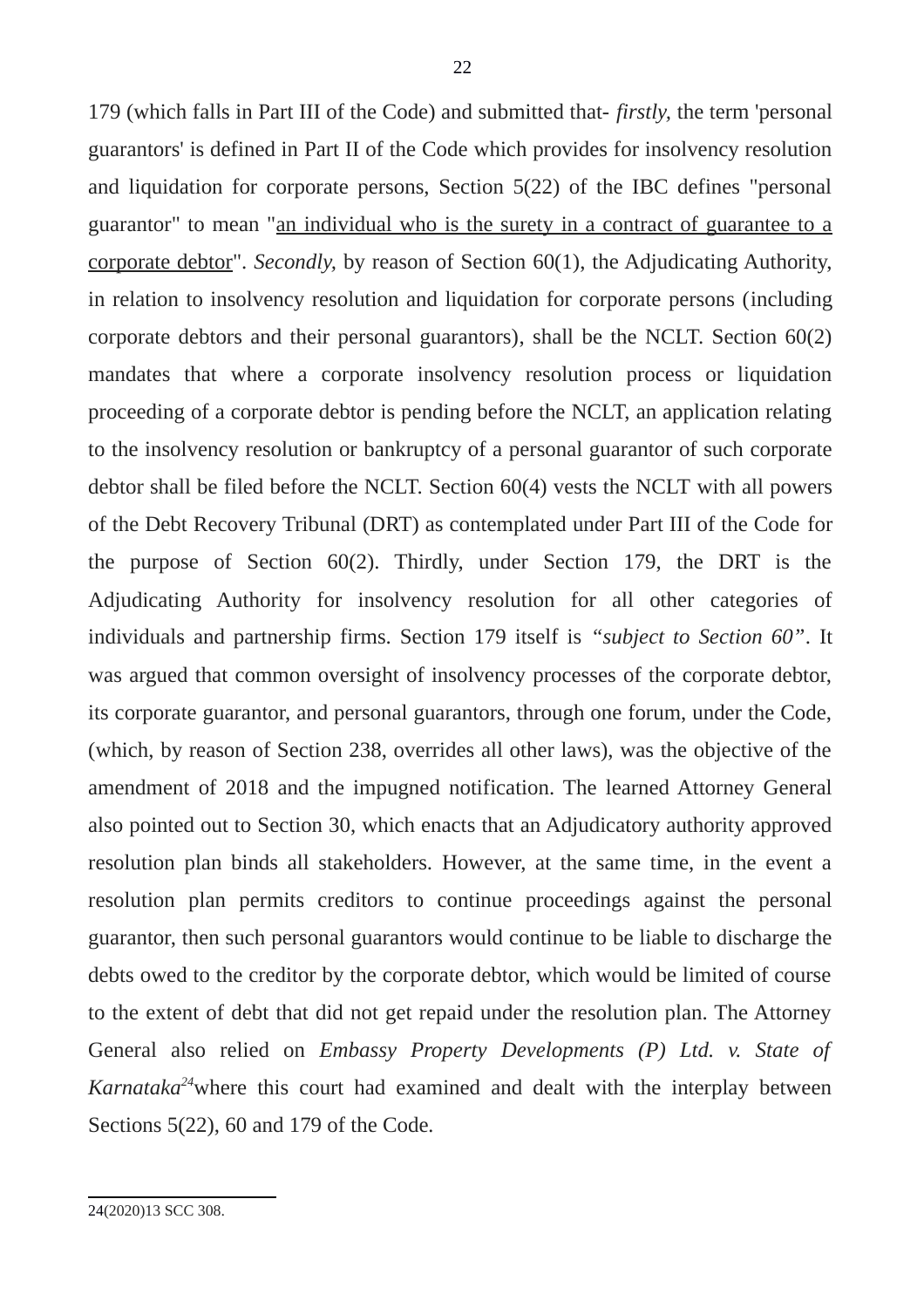<span id="page-21-0"></span>179 (which falls in Part III of the Code) and submitted that- *firstly,* the term 'personal guarantors' is defined in Part II of the Code which provides for insolvency resolution and liquidation for corporate persons, Section 5(22) of the IBC defines "personal guarantor" to mean "an individual who is the surety in a contract of guarantee to a corporate debtor". *Secondly,* by reason of Section 60(1), the Adjudicating Authority, in relation to insolvency resolution and liquidation for corporate persons (including corporate debtors and their personal guarantors), shall be the NCLT. Section 60(2) mandates that where a corporate insolvency resolution process or liquidation proceeding of a corporate debtor is pending before the NCLT, an application relating to the insolvency resolution or bankruptcy of a personal guarantor of such corporate debtor shall be filed before the NCLT. Section 60(4) vests the NCLT with all powers of the Debt Recovery Tribunal (DRT) as contemplated under Part III of the Code for the purpose of Section 60(2). Thirdly, under Section 179, the DRT is the Adjudicating Authority for insolvency resolution for all other categories of individuals and partnership firms. Section 179 itself is *"subject to Section 60"*. It was argued that common oversight of insolvency processes of the corporate debtor, its corporate guarantor, and personal guarantors, through one forum, under the Code, (which, by reason of Section 238, overrides all other laws), was the objective of the amendment of 2018 and the impugned notification. The learned Attorney General also pointed out to Section 30, which enacts that an Adjudicatory authority approved resolution plan binds all stakeholders. However, at the same time, in the event a resolution plan permits creditors to continue proceedings against the personal guarantor, then such personal guarantors would continue to be liable to discharge the debts owed to the creditor by the corporate debtor, which would be limited of course to the extent of debt that did not get repaid under the resolution plan. The Attorney General also relied on *Embassy Property Developments (P) Ltd. v. State of Karnataka[24](#page-21-0)*where this court had examined and dealt with the interplay between Sections 5(22), 60 and 179 of the Code*.*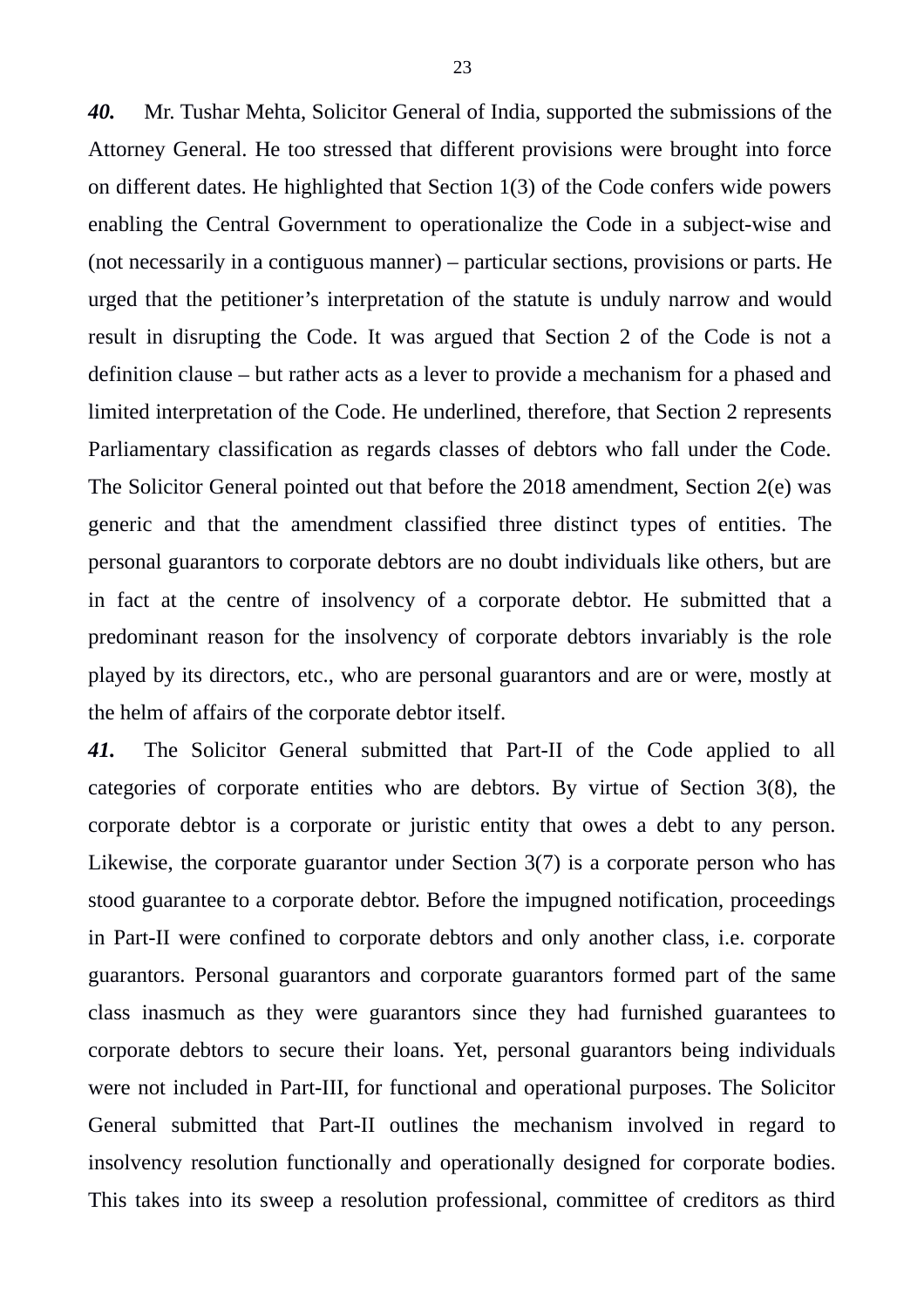*40.* Mr. Tushar Mehta, Solicitor General of India, supported the submissions of the Attorney General. He too stressed that different provisions were brought into force on different dates. He highlighted that Section 1(3) of the Code confers wide powers enabling the Central Government to operationalize the Code in a subject-wise and (not necessarily in a contiguous manner) – particular sections, provisions or parts. He urged that the petitioner's interpretation of the statute is unduly narrow and would result in disrupting the Code. It was argued that Section 2 of the Code is not a definition clause – but rather acts as a lever to provide a mechanism for a phased and limited interpretation of the Code. He underlined, therefore, that Section 2 represents Parliamentary classification as regards classes of debtors who fall under the Code. The Solicitor General pointed out that before the 2018 amendment, Section 2(e) was generic and that the amendment classified three distinct types of entities. The personal guarantors to corporate debtors are no doubt individuals like others, but are in fact at the centre of insolvency of a corporate debtor. He submitted that a predominant reason for the insolvency of corporate debtors invariably is the role played by its directors, etc., who are personal guarantors and are or were, mostly at the helm of affairs of the corporate debtor itself.

*41.* The Solicitor General submitted that Part-II of the Code applied to all categories of corporate entities who are debtors. By virtue of Section 3(8), the corporate debtor is a corporate or juristic entity that owes a debt to any person. Likewise, the corporate guarantor under Section 3(7) is a corporate person who has stood guarantee to a corporate debtor. Before the impugned notification, proceedings in Part-II were confined to corporate debtors and only another class, i.e. corporate guarantors. Personal guarantors and corporate guarantors formed part of the same class inasmuch as they were guarantors since they had furnished guarantees to corporate debtors to secure their loans. Yet, personal guarantors being individuals were not included in Part-III, for functional and operational purposes. The Solicitor General submitted that Part-II outlines the mechanism involved in regard to insolvency resolution functionally and operationally designed for corporate bodies. This takes into its sweep a resolution professional, committee of creditors as third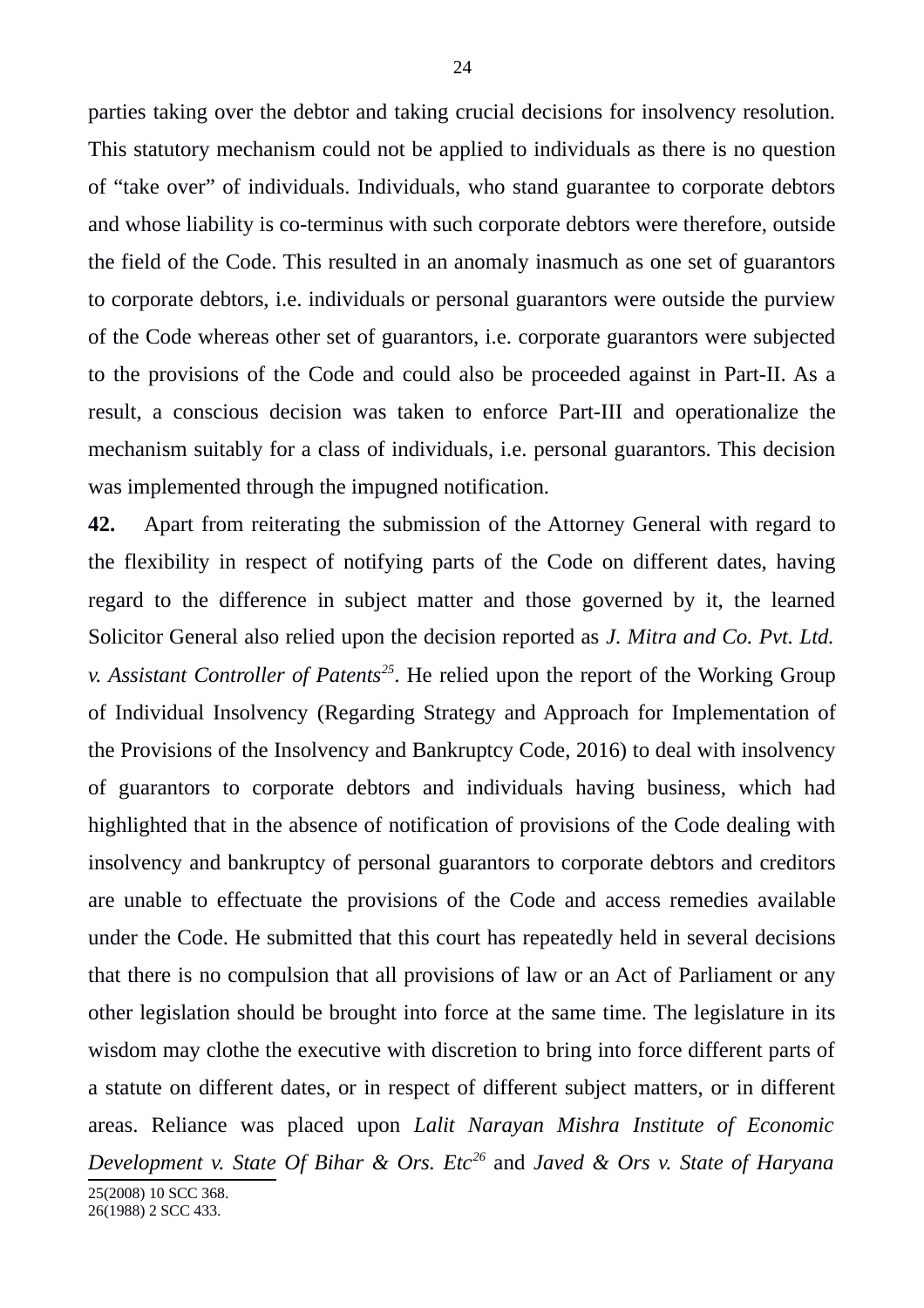parties taking over the debtor and taking crucial decisions for insolvency resolution. This statutory mechanism could not be applied to individuals as there is no question of "take over" of individuals. Individuals, who stand guarantee to corporate debtors and whose liability is co-terminus with such corporate debtors were therefore, outside the field of the Code. This resulted in an anomaly inasmuch as one set of guarantors to corporate debtors, i.e. individuals or personal guarantors were outside the purview of the Code whereas other set of guarantors, i.e. corporate guarantors were subjected to the provisions of the Code and could also be proceeded against in Part-II. As a result, a conscious decision was taken to enforce Part-III and operationalize the mechanism suitably for a class of individuals, i.e. personal guarantors. This decision was implemented through the impugned notification.

**42.** Apart from reiterating the submission of the Attorney General with regard to the flexibility in respect of notifying parts of the Code on different dates, having regard to the difference in subject matter and those governed by it, the learned Solicitor General also relied upon the decision reported as *J. Mitra and Co. Pvt. Ltd. v. Assistant Controller of Patents[25](#page-23-0)*. He relied upon the report of the Working Group of Individual Insolvency (Regarding Strategy and Approach for Implementation of the Provisions of the Insolvency and Bankruptcy Code, 2016) to deal with insolvency of guarantors to corporate debtors and individuals having business, which had highlighted that in the absence of notification of provisions of the Code dealing with insolvency and bankruptcy of personal guarantors to corporate debtors and creditors are unable to effectuate the provisions of the Code and access remedies available under the Code. He submitted that this court has repeatedly held in several decisions that there is no compulsion that all provisions of law or an Act of Parliament or any other legislation should be brought into force at the same time. The legislature in its wisdom may clothe the executive with discretion to bring into force different parts of a statute on different dates, or in respect of different subject matters, or in different areas. Reliance was placed upon *Lalit Narayan Mishra Institute of Economic Development v. State Of Bihar & Ors. Etc[26](#page-23-1)* and *Javed & Ors v. State of Haryana*

<span id="page-23-1"></span><span id="page-23-0"></span>25(2008) 10 SCC 368. 26(1988) 2 SCC 433.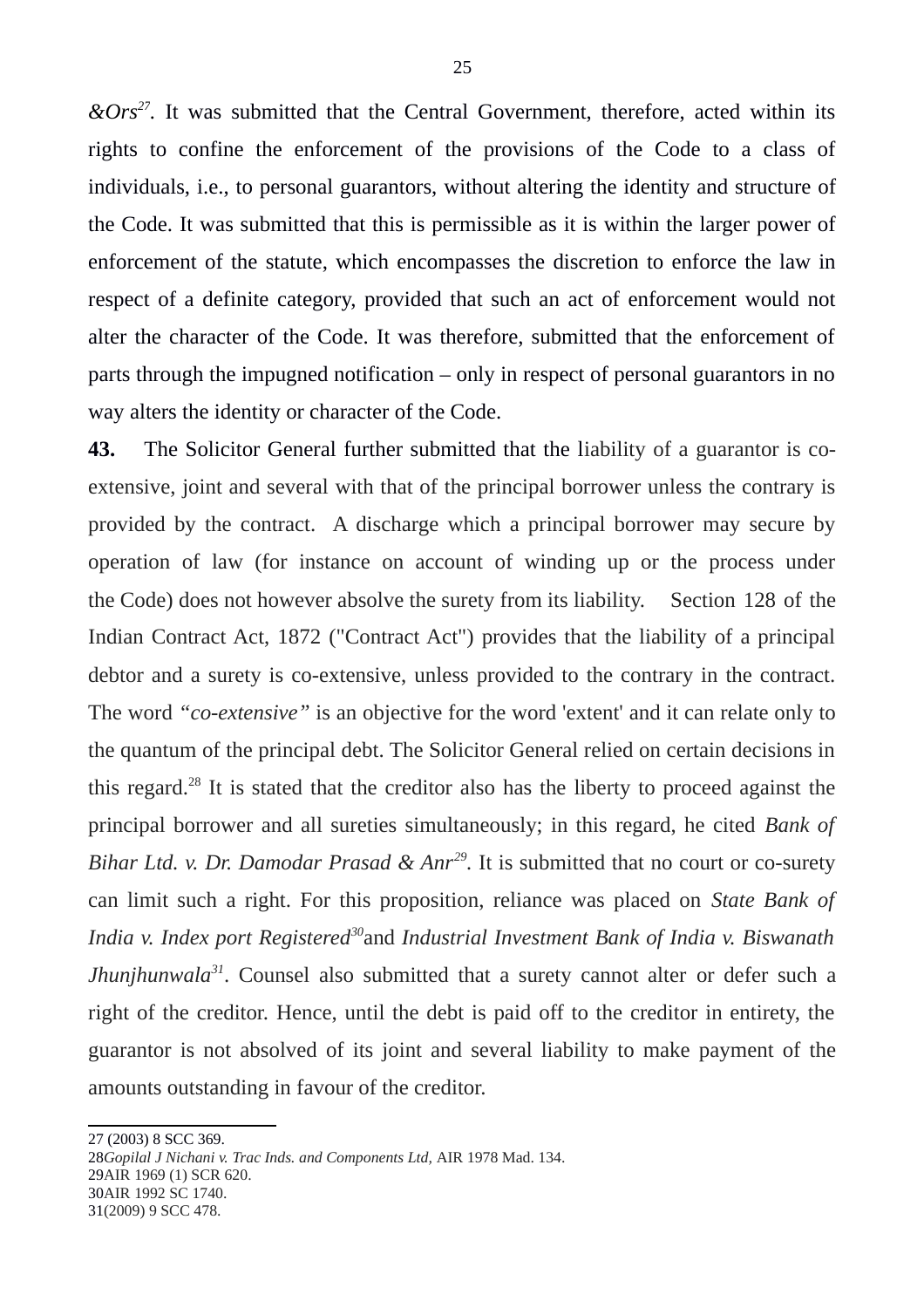*&Ors[27](#page-24-0) .* It was submitted that the Central Government, therefore, acted within its rights to confine the enforcement of the provisions of the Code to a class of individuals, i.e., to personal guarantors, without altering the identity and structure of the Code. It was submitted that this is permissible as it is within the larger power of enforcement of the statute, which encompasses the discretion to enforce the law in respect of a definite category, provided that such an act of enforcement would not alter the character of the Code. It was therefore, submitted that the enforcement of parts through the impugned notification – only in respect of personal guarantors in no way alters the identity or character of the Code.

**43.** The Solicitor General further submitted that the liability of a guarantor is coextensive, joint and several with that of the principal borrower unless the contrary is provided by the contract. A discharge which a principal borrower may secure by operation of law (for instance on account of winding up or the process under the Code) does not however absolve the surety from its liability. Section 128 of the Indian Contract Act, 1872 ("Contract Act") provides that the liability of a principal debtor and a surety is co-extensive, unless provided to the contrary in the contract. The word *"co-extensive"* is an objective for the word 'extent' and it can relate only to the quantum of the principal debt. The Solicitor General relied on certain decisions in this regard.<sup>[28](#page-24-1)</sup> It is stated that the creditor also has the liberty to proceed against the principal borrower and all sureties simultaneously; in this regard, he cited *Bank of Bihar Ltd. v. Dr. Damodar Prasad & Anr[29](#page-24-2) .* It is submitted that no court or co-surety can limit such a right. For this proposition, reliance was placed on *State Bank of India v. Index port Registered[30](#page-24-3)*and *Industrial Investment Bank of India v. Biswanath Jhunjhunwala*<sup>[31](#page-24-4)</sup>. Counsel also submitted that a surety cannot alter or defer such a right of the creditor. Hence, until the debt is paid off to the creditor in entirety, the guarantor is not absolved of its joint and several liability to make payment of the amounts outstanding in favour of the creditor.

<span id="page-24-4"></span><span id="page-24-3"></span><span id="page-24-2"></span><span id="page-24-1"></span>28*Gopilal J Nichani v. Trac Inds. and Components Ltd,* AIR 1978 Mad. 134. 29AIR 1969 (1) SCR 620. 30AIR 1992 SC 1740. 31(2009) 9 SCC 478.

<span id="page-24-0"></span><sup>27 (2003) 8</sup> SCC 369.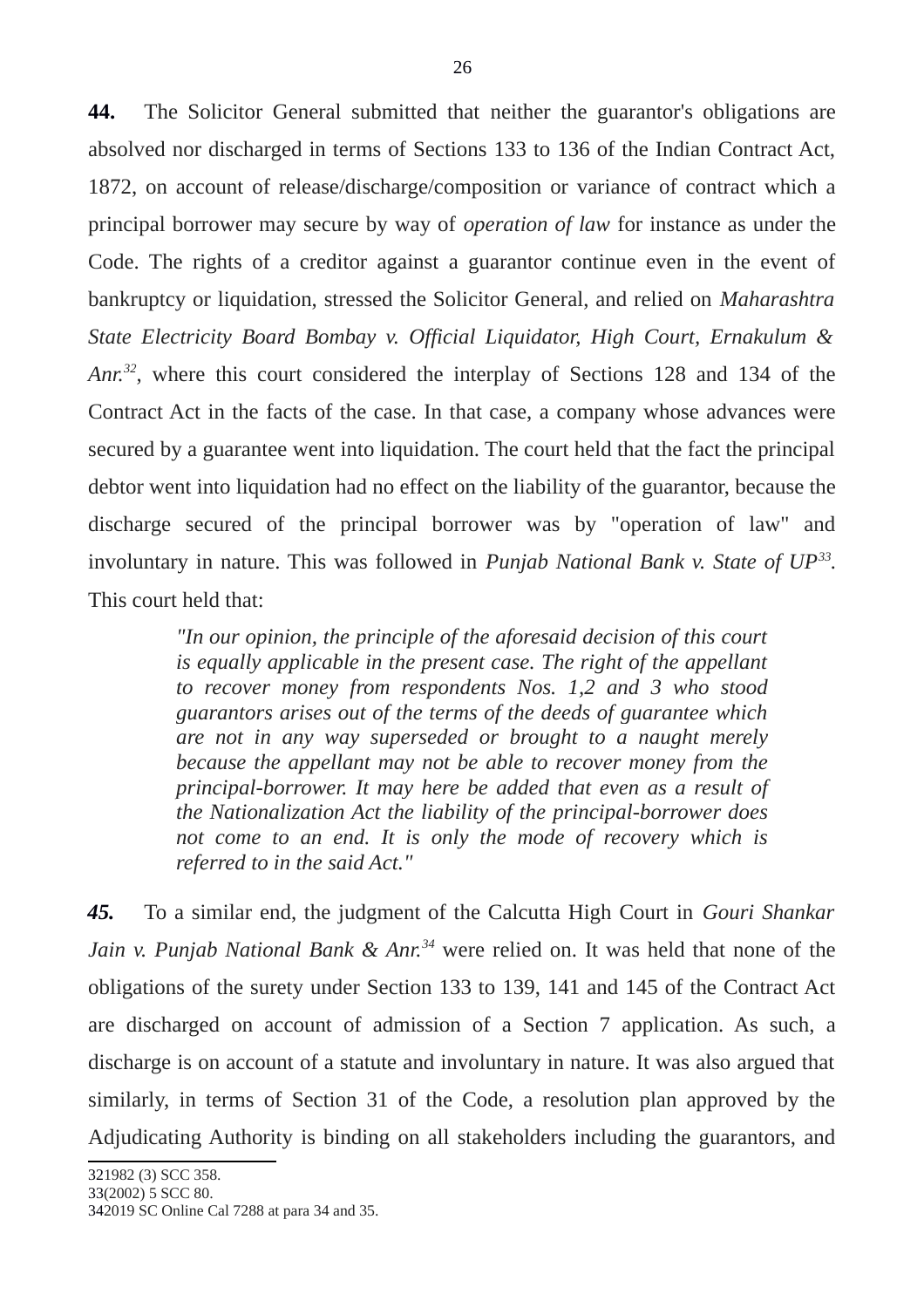**44.** The Solicitor General submitted that neither the guarantor's obligations are absolved nor discharged in terms of Sections 133 to 136 of the Indian Contract Act, 1872, on account of release/discharge/composition or variance of contract which a principal borrower may secure by way of *operation of law* for instance as under the Code. The rights of a creditor against a guarantor continue even in the event of bankruptcy or liquidation, stressed the Solicitor General, and relied on *Maharashtra State Electricity Board Bombay v. Official Liquidator, High Court, Ernakulum & Anr.[32](#page-25-0)*, where this court considered the interplay of Sections 128 and 134 of the Contract Act in the facts of the case. In that case, a company whose advances were secured by a guarantee went into liquidation. The court held that the fact the principal debtor went into liquidation had no effect on the liability of the guarantor, because the discharge secured of the principal borrower was by "operation of law" and involuntary in nature. This was followed in *Punjab National Bank v. State of UP[33](#page-25-1) .* This court held that:

> *"In our opinion, the principle of the aforesaid decision of this court is equally applicable in the present case. The right of the appellant to recover money from respondents Nos. 1,2 and 3 who stood guarantors arises out of the terms of the deeds of guarantee which are not in any way superseded or brought to a naught merely because the appellant may not be able to recover money from the principal-borrower. It may here be added that even as a result of the Nationalization Act the liability of the principal-borrower does not come to an end. It is only the mode of recovery which is referred to in the said Act."*

*45.* To a similar end, the judgment of the Calcutta High Court in *Gouri Shankar Jain v. Punjab National Bank & Anr.[34](#page-25-2)* were relied on. It was held that none of the obligations of the surety under Section 133 to 139, 141 and 145 of the Contract Act are discharged on account of admission of a Section 7 application. As such, a discharge is on account of a statute and involuntary in nature. It was also argued that similarly, in terms of Section 31 of the Code, a resolution plan approved by the Adjudicating Authority is binding on all stakeholders including the guarantors, and

<span id="page-25-2"></span><span id="page-25-1"></span><span id="page-25-0"></span><sup>342019</sup> SC Online Cal 7288 at para 34 and 35.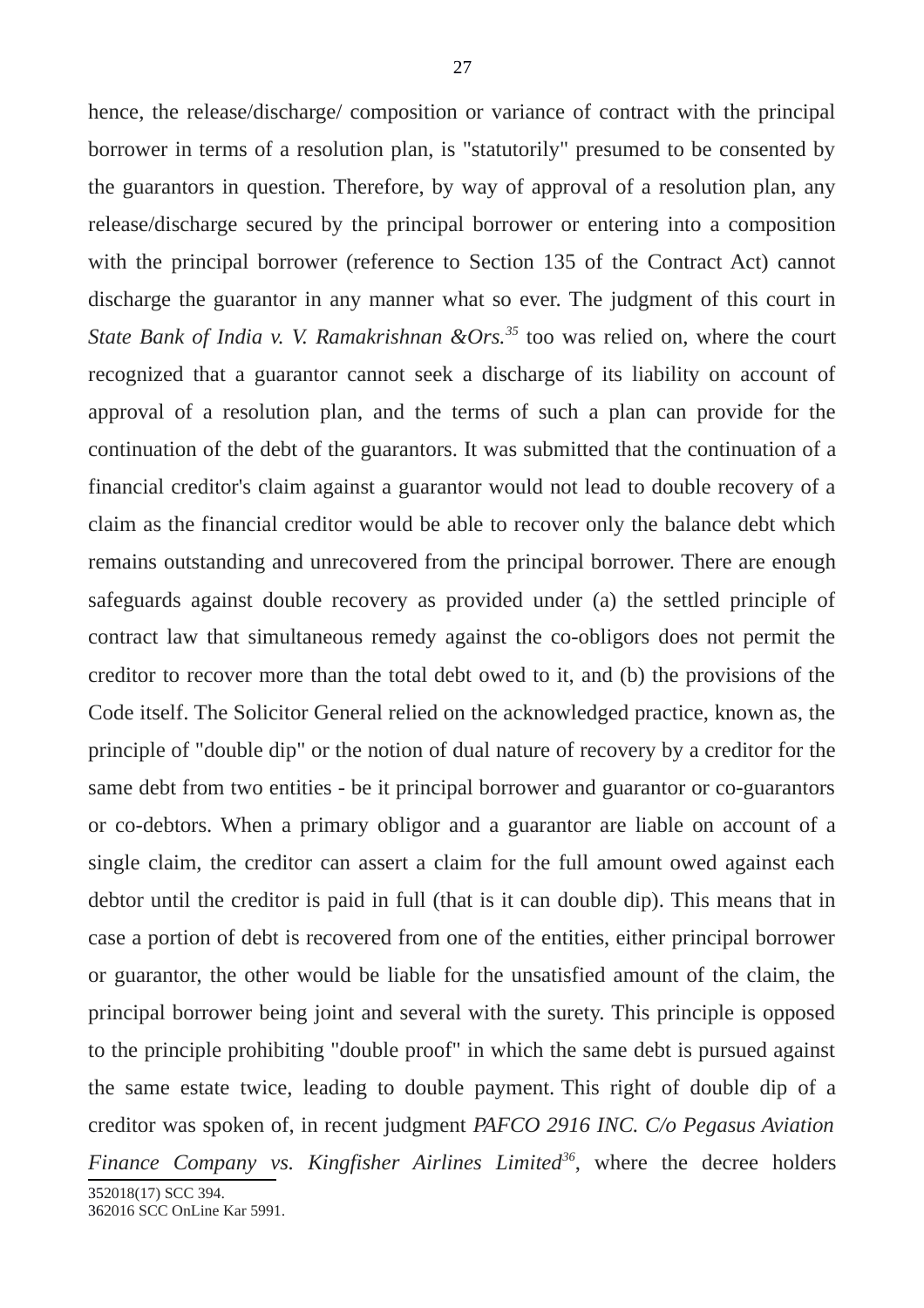hence, the release/discharge/ composition or variance of contract with the principal borrower in terms of a resolution plan, is "statutorily" presumed to be consented by the guarantors in question. Therefore, by way of approval of a resolution plan, any release/discharge secured by the principal borrower or entering into a composition with the principal borrower (reference to Section 135 of the Contract Act) cannot discharge the guarantor in any manner what so ever. The judgment of this court in *State Bank of India v. V. Ramakrishnan &Ors.[35](#page-26-0)* too was relied on, where the court recognized that a guarantor cannot seek a discharge of its liability on account of approval of a resolution plan, and the terms of such a plan can provide for the continuation of the debt of the guarantors. It was submitted that the continuation of a financial creditor's claim against a guarantor would not lead to double recovery of a claim as the financial creditor would be able to recover only the balance debt which remains outstanding and unrecovered from the principal borrower. There are enough safeguards against double recovery as provided under (a) the settled principle of contract law that simultaneous remedy against the co-obligors does not permit the creditor to recover more than the total debt owed to it, and (b) the provisions of the Code itself. The Solicitor General relied on the acknowledged practice, known as, the principle of "double dip" or the notion of dual nature of recovery by a creditor for the same debt from two entities - be it principal borrower and guarantor or co-guarantors or co-debtors. When a primary obligor and a guarantor are liable on account of a single claim, the creditor can assert a claim for the full amount owed against each debtor until the creditor is paid in full (that is it can double dip). This means that in case a portion of debt is recovered from one of the entities, either principal borrower or guarantor, the other would be liable for the unsatisfied amount of the claim, the principal borrower being joint and several with the surety. This principle is opposed to the principle prohibiting "double proof" in which the same debt is pursued against the same estate twice, leading to double payment. This right of double dip of a creditor was spoken of, in recent judgment *PAFCO 2916 INC. C/o Pegasus Aviation*

*Finance Company vs. Kingfisher Airlines Limited[36](#page-26-1)*, where the decree holders 352018(17) SCC 394.

<span id="page-26-1"></span><span id="page-26-0"></span>362016 SCC OnLine Kar 5991.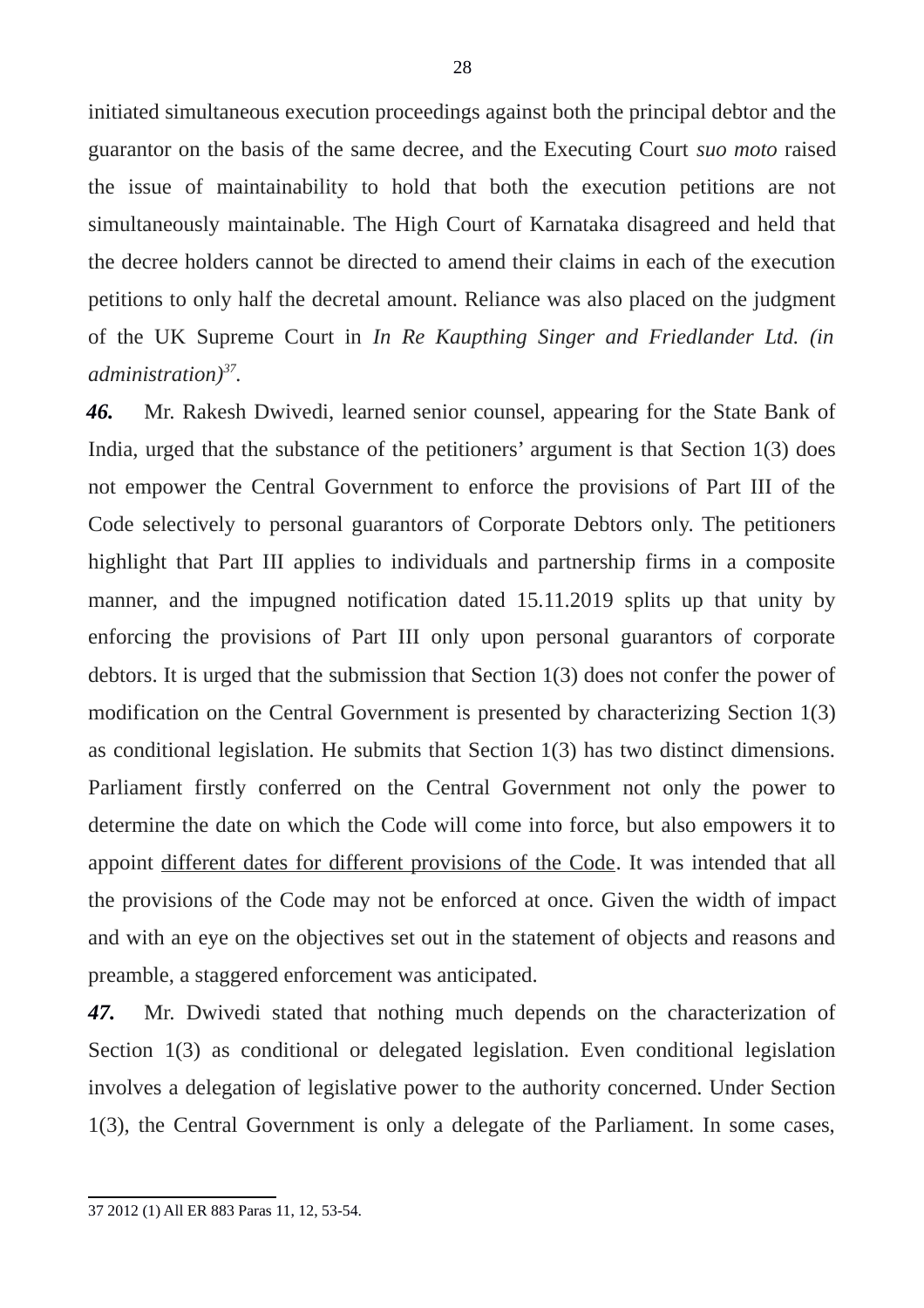initiated simultaneous execution proceedings against both the principal debtor and the guarantor on the basis of the same decree, and the Executing Court *suo moto* raised the issue of maintainability to hold that both the execution petitions are not simultaneously maintainable. The High Court of Karnataka disagreed and held that the decree holders cannot be directed to amend their claims in each of the execution petitions to only half the decretal amount. Reliance was also placed on the judgment of the UK Supreme Court in *In Re Kaupthing Singer and Friedlander Ltd. (in administration)[37](#page-27-0) .*

*46.* Mr. Rakesh Dwivedi, learned senior counsel, appearing for the State Bank of India, urged that the substance of the petitioners' argument is that Section 1(3) does not empower the Central Government to enforce the provisions of Part III of the Code selectively to personal guarantors of Corporate Debtors only. The petitioners highlight that Part III applies to individuals and partnership firms in a composite manner, and the impugned notification dated 15.11.2019 splits up that unity by enforcing the provisions of Part III only upon personal guarantors of corporate debtors. It is urged that the submission that Section 1(3) does not confer the power of modification on the Central Government is presented by characterizing Section 1(3) as conditional legislation. He submits that Section 1(3) has two distinct dimensions. Parliament firstly conferred on the Central Government not only the power to determine the date on which the Code will come into force, but also empowers it to appoint different dates for different provisions of the Code. It was intended that all the provisions of the Code may not be enforced at once. Given the width of impact and with an eye on the objectives set out in the statement of objects and reasons and preamble, a staggered enforcement was anticipated.

*47.* Mr. Dwivedi stated that nothing much depends on the characterization of Section 1(3) as conditional or delegated legislation. Even conditional legislation involves a delegation of legislative power to the authority concerned. Under Section 1(3), the Central Government is only a delegate of the Parliament. In some cases,

<span id="page-27-0"></span><sup>37 2012 (1)</sup> All ER 883 Paras 11, 12, 53-54.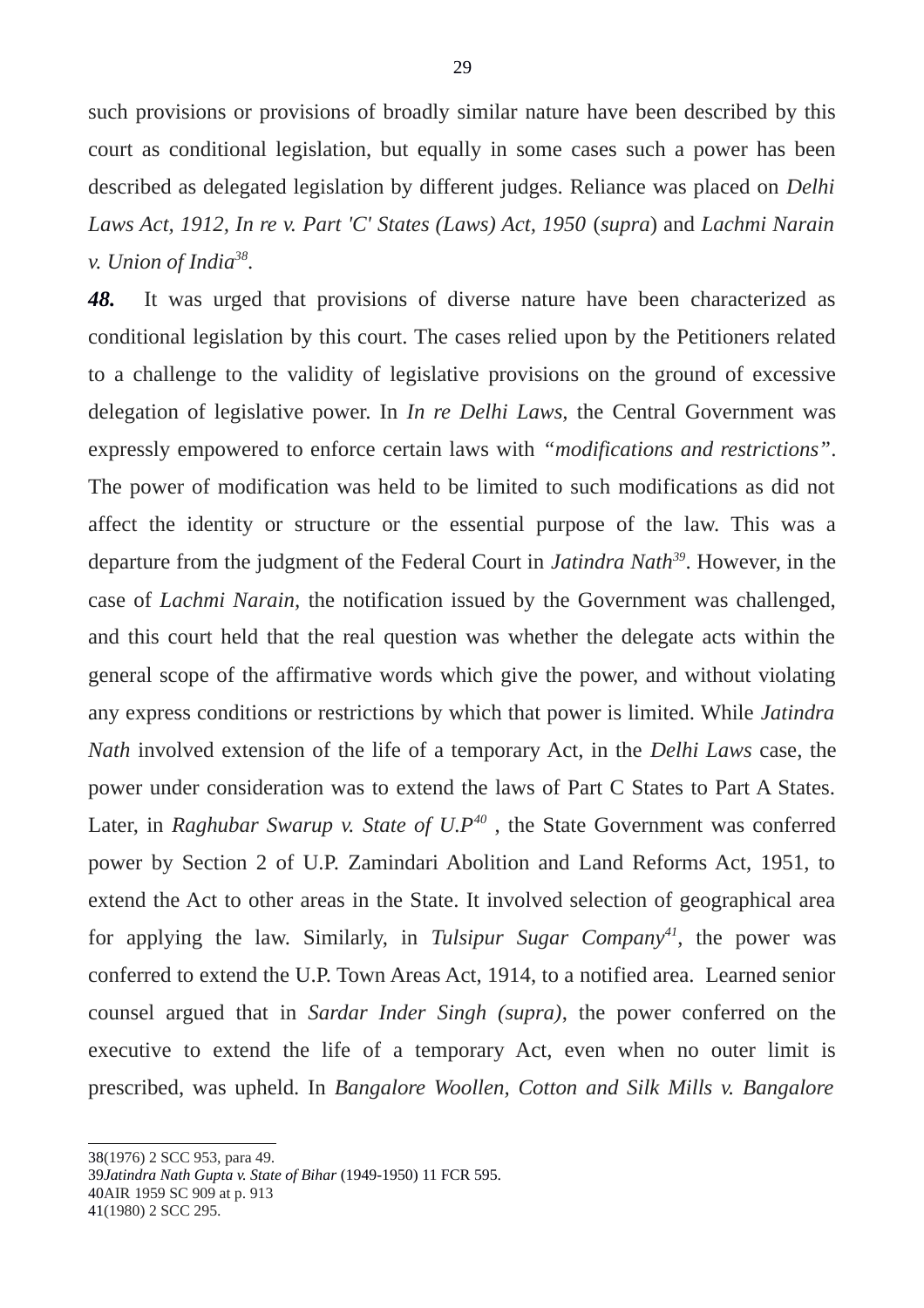such provisions or provisions of broadly similar nature have been described by this court as conditional legislation, but equally in some cases such a power has been described as delegated legislation by different judges. Reliance was placed on *Delhi Laws Act, 1912, In re v. Part 'C' States (Laws) Act, 1950* (*supra*) and *Lachmi Narain v. Union of India[38](#page-28-0)* .

*48.* It was urged that provisions of diverse nature have been characterized as conditional legislation by this court. The cases relied upon by the Petitioners related to a challenge to the validity of legislative provisions on the ground of excessive delegation of legislative power. In *In re Delhi Laws,* the Central Government was expressly empowered to enforce certain laws with *"modifications and restrictions"*. The power of modification was held to be limited to such modifications as did not affect the identity or structure or the essential purpose of the law. This was a departure from the judgment of the Federal Court in *Jatindra Nath[39](#page-28-1)*. However, in the case of *Lachmi Narain,* the notification issued by the Government was challenged, and this court held that the real question was whether the delegate acts within the general scope of the affirmative words which give the power, and without violating any express conditions or restrictions by which that power is limited. While *Jatindra Nath* involved extension of the life of a temporary Act, in the *Delhi Laws* case, the power under consideration was to extend the laws of Part C States to Part A States. Later, in *Raghubar Swarup v. State of U.P[40](#page-28-2)* , the State Government was conferred power by Section 2 of U.P. Zamindari Abolition and Land Reforms Act, 1951, to extend the Act to other areas in the State. It involved selection of geographical area for applying the law. Similarly, in *Tulsipur Sugar Company[41](#page-28-3)*, the power was conferred to extend the U.P. Town Areas Act, 1914, to a notified area. Learned senior counsel argued that in *Sardar Inder Singh (supra)*, the power conferred on the executive to extend the life of a temporary Act, even when no outer limit is prescribed, was upheld. In *Bangalore Woollen, Cotton and Silk Mills v. Bangalore*

<span id="page-28-0"></span>38(1976) 2 SCC 953, para 49.

<span id="page-28-1"></span>39*Jatindra Nath Gupta v. State of Bihar* (1949-1950) 11 FCR 595.

<span id="page-28-2"></span>40AIR 1959 SC 909 at p. 913

<span id="page-28-3"></span>41(1980) 2 SCC 295.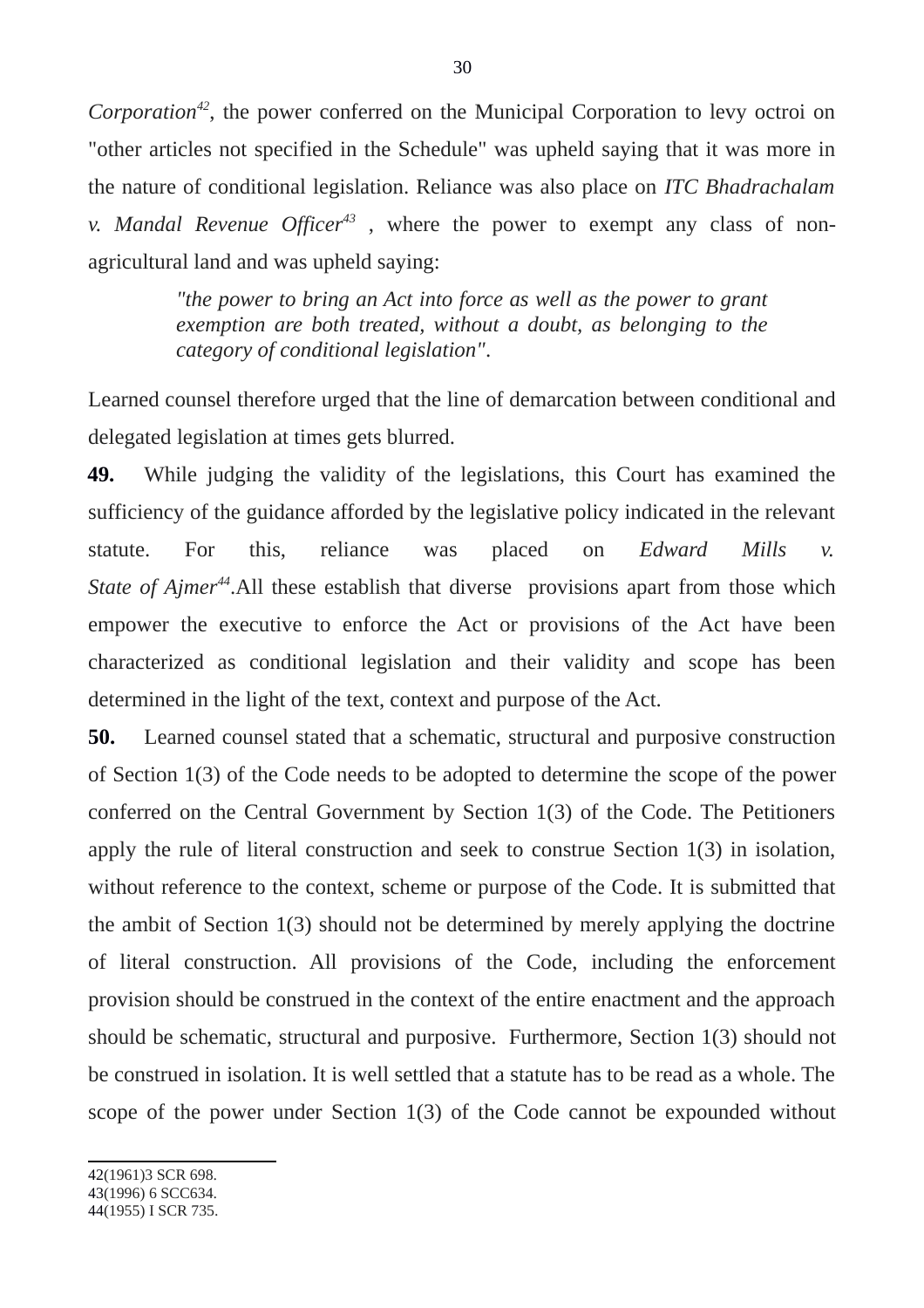*Corporation[42](#page-29-0)*, the power conferred on the Municipal Corporation to levy octroi on "other articles not specified in the Schedule" was upheld saying that it was more in the nature of conditional legislation. Reliance was also place on *ITC Bhadrachalam v. Mandal Revenue Officer[43](#page-29-1)* , where the power to exempt any class of nonagricultural land and was upheld saying:

> *"the power to bring an Act into force as well as the power to grant exemption are both treated, without a doubt, as belonging to the category of conditional legislation"*.

Learned counsel therefore urged that the line of demarcation between conditional and delegated legislation at times gets blurred.

**49.** While judging the validity of the legislations, this Court has examined the sufficiency of the guidance afforded by the legislative policy indicated in the relevant statute. For this, reliance was placed on *Edward Mills v. State of Ajmer[44](#page-29-2)*.All these establish that diverse provisions apart from those which empower the executive to enforce the Act or provisions of the Act have been characterized as conditional legislation and their validity and scope has been determined in the light of the text, context and purpose of the Act.

**50.** Learned counsel stated that a schematic, structural and purposive construction of Section 1(3) of the Code needs to be adopted to determine the scope of the power conferred on the Central Government by Section 1(3) of the Code. The Petitioners apply the rule of literal construction and seek to construe Section 1(3) in isolation, without reference to the context, scheme or purpose of the Code. It is submitted that the ambit of Section 1(3) should not be determined by merely applying the doctrine of literal construction. All provisions of the Code, including the enforcement provision should be construed in the context of the entire enactment and the approach should be schematic, structural and purposive. Furthermore, Section 1(3) should not be construed in isolation. It is well settled that a statute has to be read as a whole. The scope of the power under Section 1(3) of the Code cannot be expounded without

<span id="page-29-0"></span>42(1961)3 SCR 698.

<span id="page-29-1"></span>43(1996) 6 SCC634.

<span id="page-29-2"></span><sup>44(1955)</sup> I SCR 735.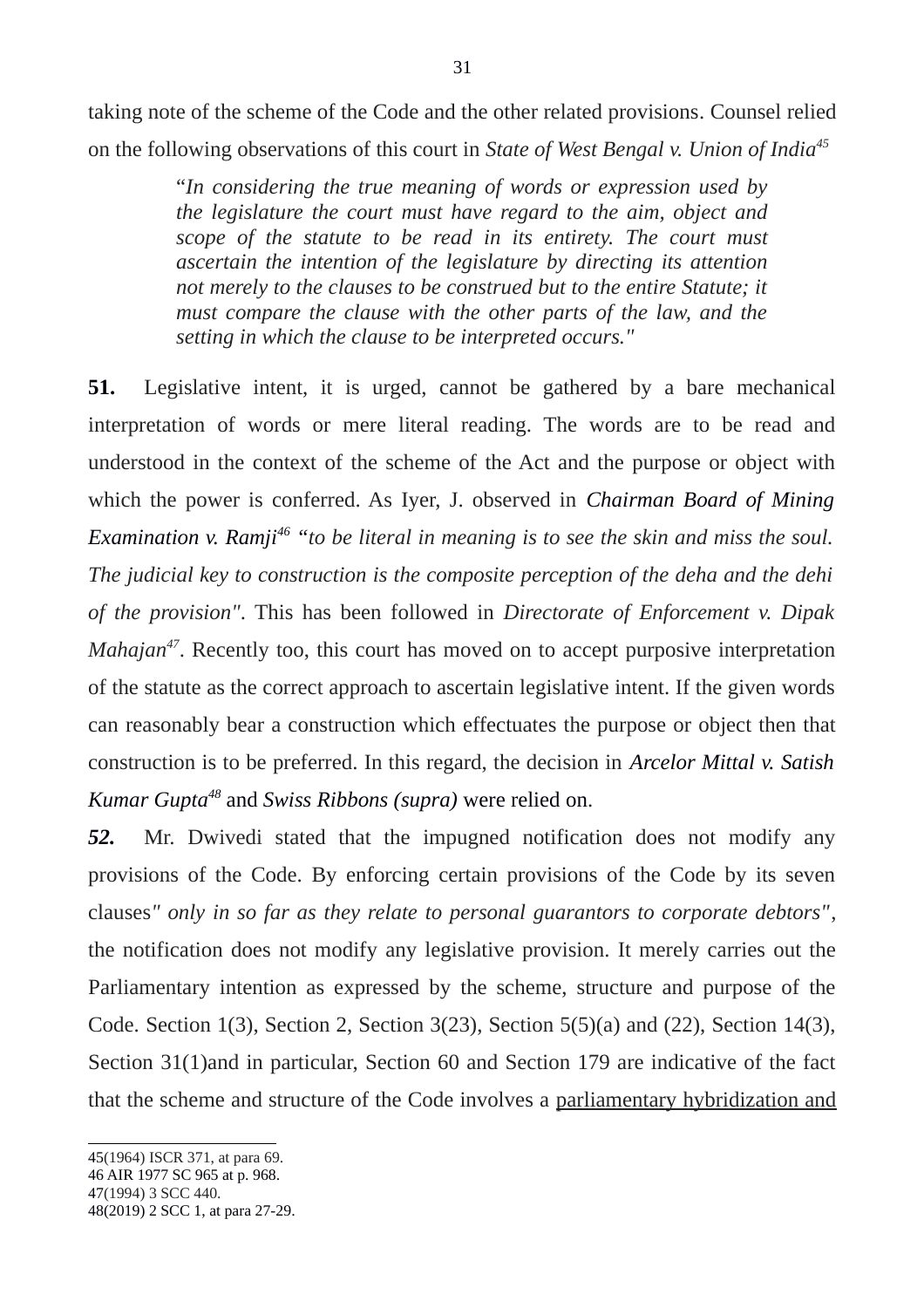taking note of the scheme of the Code and the other related provisions. Counsel relied on the following observations of this court in *State of West Bengal v. Union of India[45](#page-30-0)*

> "*In considering the true meaning of words or expression used by the legislature the court must have regard to the aim, object and scope of the statute to be read in its entirety. The court must ascertain the intention of the legislature by directing its attention not merely to the clauses to be construed but to the entire Statute; it must compare the clause with the other parts of the law, and the setting in which the clause to be interpreted occurs."*

**51.** Legislative intent, it is urged, cannot be gathered by a bare mechanical interpretation of words or mere literal reading. The words are to be read and understood in the context of the scheme of the Act and the purpose or object with which the power is conferred. As Iyer, J. observed in *Chairman Board of Mining Examination v. Ramji[46](#page-30-1) "to be literal in meaning is to see the skin and miss the soul. The judicial key to construction is the composite perception of the deha and the dehi of the provision"*. This has been followed in *Directorate of Enforcement v. Dipak Mahajan<sup>[47](#page-30-2)</sup>*. Recently too, this court has moved on to accept purposive interpretation of the statute as the correct approach to ascertain legislative intent. If the given words can reasonably bear a construction which effectuates the purpose or object then that construction is to be preferred. In this regard, the decision in *Arcelor Mittal v. Satish Kumar Gupta[48](#page-30-3)* and *Swiss Ribbons (supra)* were relied on.

*52.* Mr. Dwivedi stated that the impugned notification does not modify any provisions of the Code. By enforcing certain provisions of the Code by its seven clauses*" only in so far as they relate to personal guarantors to corporate debtors"*, the notification does not modify any legislative provision. It merely carries out the Parliamentary intention as expressed by the scheme, structure and purpose of the Code. Section 1(3), Section 2, Section 3(23), Section 5(5)(a) and (22), Section 14(3), Section 31(1)and in particular, Section 60 and Section 179 are indicative of the fact that the scheme and structure of the Code involves a parliamentary hybridization and

<span id="page-30-0"></span><sup>45(1964)</sup> ISCR 371, at para 69.

<span id="page-30-1"></span><sup>46</sup> AIR 1977 SC 965 at p. 968. 47(1994) 3 SCC 440.

<span id="page-30-3"></span><span id="page-30-2"></span><sup>48(2019) 2</sup> SCC 1, at para 27-29.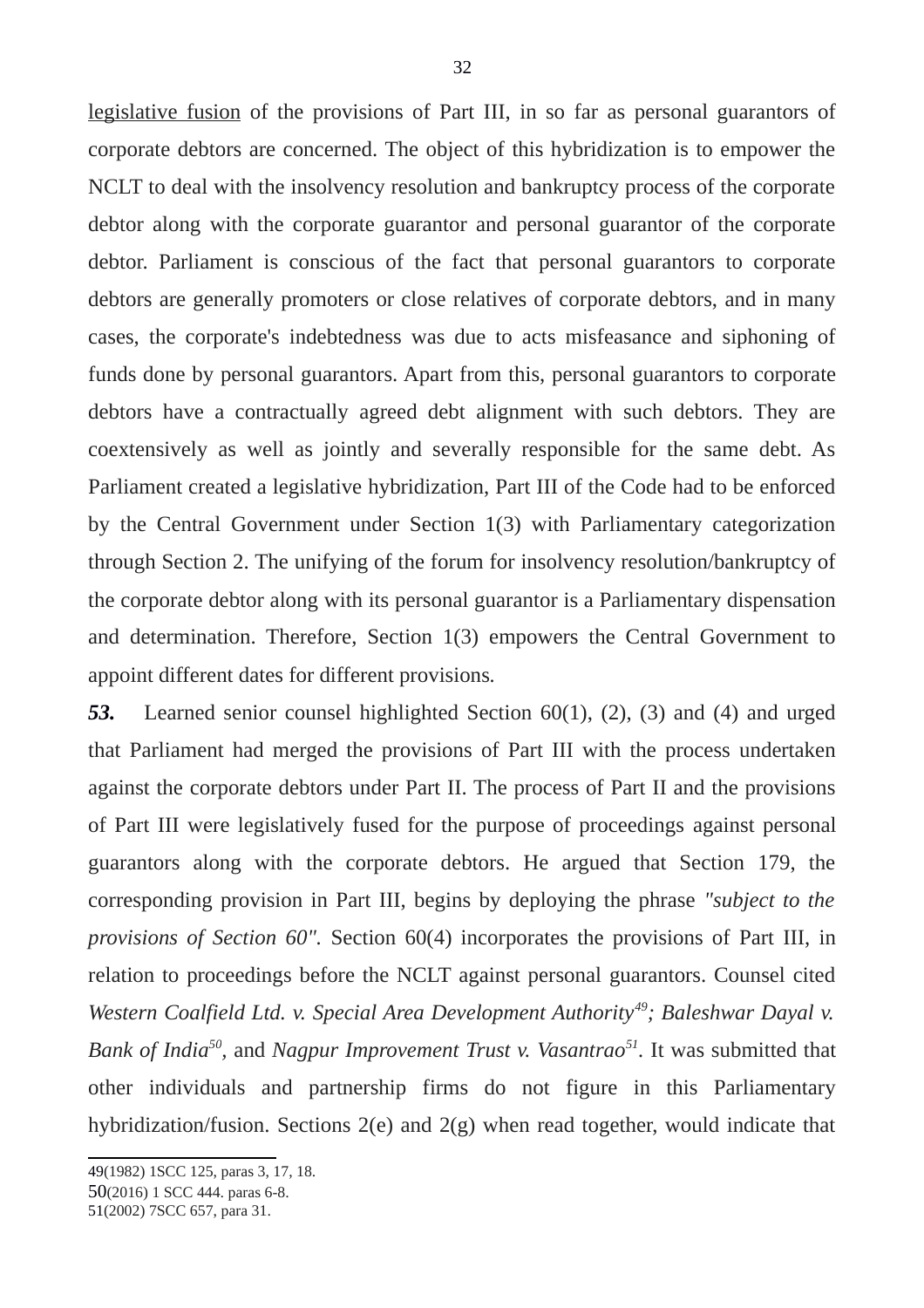legislative fusion of the provisions of Part III, in so far as personal guarantors of corporate debtors are concerned. The object of this hybridization is to empower the NCLT to deal with the insolvency resolution and bankruptcy process of the corporate debtor along with the corporate guarantor and personal guarantor of the corporate debtor. Parliament is conscious of the fact that personal guarantors to corporate debtors are generally promoters or close relatives of corporate debtors, and in many cases, the corporate's indebtedness was due to acts misfeasance and siphoning of funds done by personal guarantors. Apart from this, personal guarantors to corporate debtors have a contractually agreed debt alignment with such debtors. They are coextensively as well as jointly and severally responsible for the same debt. As Parliament created a legislative hybridization, Part III of the Code had to be enforced by the Central Government under Section 1(3) with Parliamentary categorization through Section 2. The unifying of the forum for insolvency resolution/bankruptcy of the corporate debtor along with its personal guarantor is a Parliamentary dispensation and determination. Therefore, Section 1(3) empowers the Central Government to appoint different dates for different provisions*.* 

*53.* Learned senior counsel highlighted Section 60(1), (2), (3) and (4) and urged that Parliament had merged the provisions of Part III with the process undertaken against the corporate debtors under Part II. The process of Part II and the provisions of Part III were legislatively fused for the purpose of proceedings against personal guarantors along with the corporate debtors. He argued that Section 179, the corresponding provision in Part III, begins by deploying the phrase *"subject to the provisions of Section 60".* Section 60(4) incorporates the provisions of Part III, in relation to proceedings before the NCLT against personal guarantors. Counsel cited *Western Coalfield Ltd. v. Special Area Development Authority[49](#page-31-0); Baleshwar Dayal v.* Bank of India<sup>[50](#page-31-1)</sup>, and *Nagpur Improvement Trust v. Vasantrao*<sup>[51](#page-31-2)</sup>. It was submitted that other individuals and partnership firms do not figure in this Parliamentary hybridization/fusion. Sections 2(e) and 2(g) when read together, would indicate that

<span id="page-31-0"></span><sup>49(1982) 1</sup>SCC 125, paras 3, 17, 18.

<span id="page-31-1"></span><sup>50</sup>(2016) 1 SCC 444. paras 6-8.

<span id="page-31-2"></span><sup>51(2002) 7</sup>SCC 657, para 31.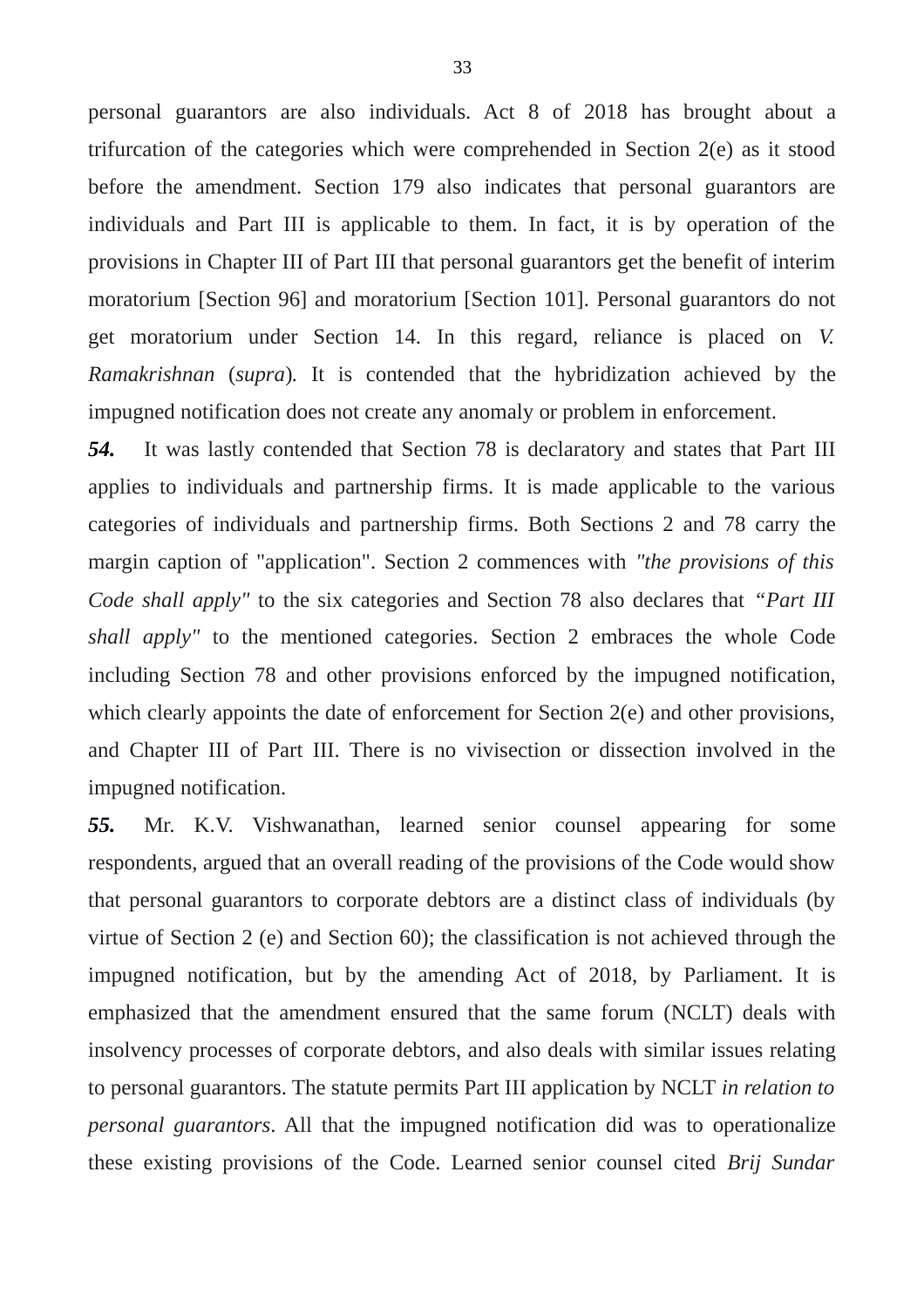personal guarantors are also individuals. Act 8 of 2018 has brought about a trifurcation of the categories which were comprehended in Section 2(e) as it stood before the amendment. Section 179 also indicates that personal guarantors are individuals and Part III is applicable to them. In fact, it is by operation of the provisions in Chapter III of Part III that personal guarantors get the benefit of interim moratorium [Section 96] and moratorium [Section 101]. Personal guarantors do not get moratorium under Section 14. In this regard, reliance is placed on *V. Ramakrishnan* (*supra*)*.* It is contended that the hybridization achieved by the impugned notification does not create any anomaly or problem in enforcement.

*54.* It was lastly contended that Section 78 is declaratory and states that Part III applies to individuals and partnership firms. It is made applicable to the various categories of individuals and partnership firms. Both Sections 2 and 78 carry the margin caption of "application". Section 2 commences with *"the provisions of this Code shall apply"* to the six categories and Section 78 also declares that *"Part III shall apply"* to the mentioned categories. Section 2 embraces the whole Code including Section 78 and other provisions enforced by the impugned notification, which clearly appoints the date of enforcement for Section 2(e) and other provisions, and Chapter III of Part III. There is no vivisection or dissection involved in the impugned notification.

*55.* Mr. K.V. Vishwanathan, learned senior counsel appearing for some respondents, argued that an overall reading of the provisions of the Code would show that personal guarantors to corporate debtors are a distinct class of individuals (by virtue of Section 2 (e) and Section 60); the classification is not achieved through the impugned notification, but by the amending Act of 2018, by Parliament. It is emphasized that the amendment ensured that the same forum (NCLT) deals with insolvency processes of corporate debtors, and also deals with similar issues relating to personal guarantors. The statute permits Part III application by NCLT *in relation to personal guarantors*. All that the impugned notification did was to operationalize these existing provisions of the Code. Learned senior counsel cited *Brij Sundar*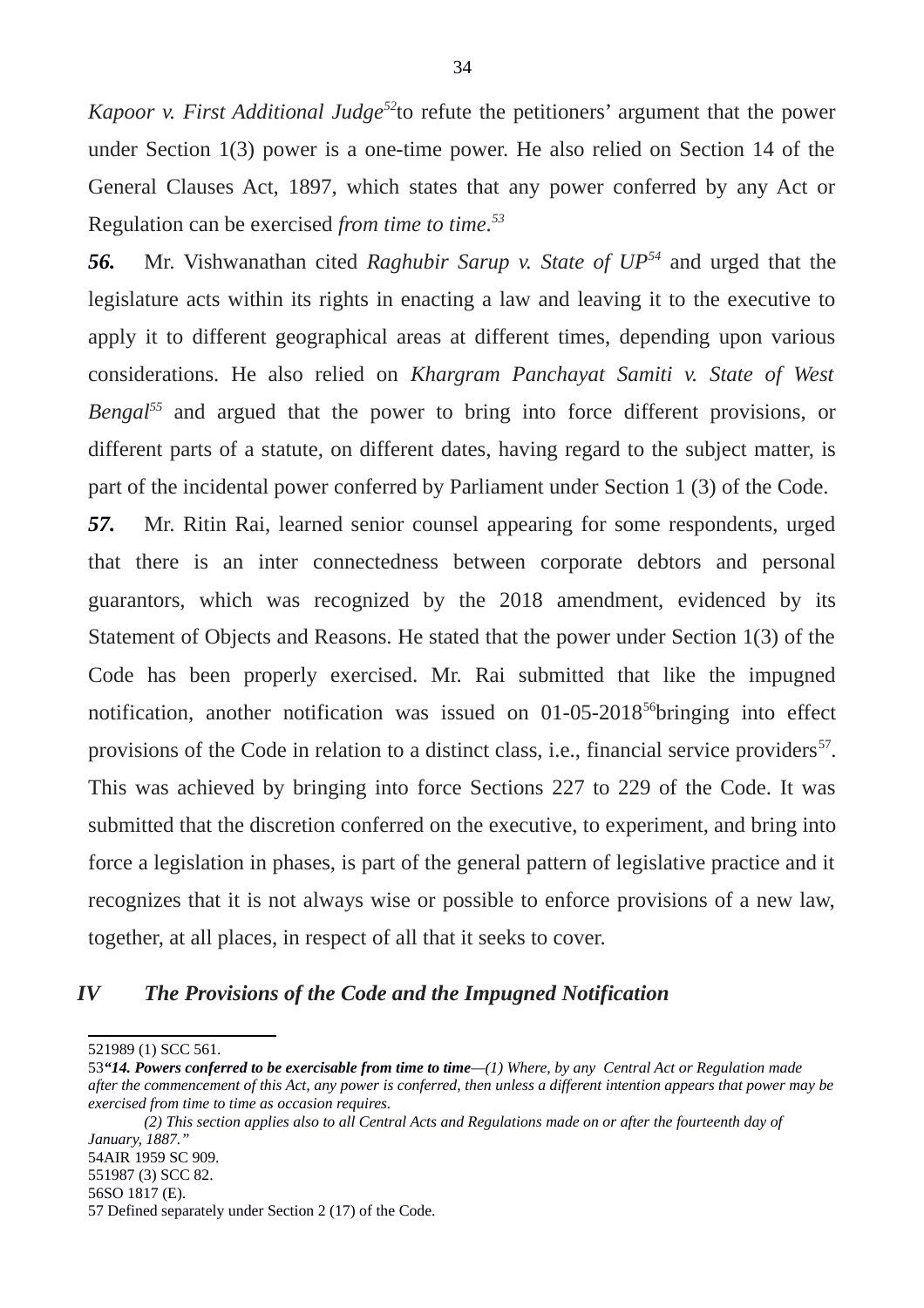*Kapoor v. First Additional Judge[52](#page-33-0)*to refute the petitioners' argument that the power under Section 1(3) power is a one-time power. He also relied on Section 14 of the General Clauses Act, 1897, which states that any power conferred by any Act or Regulation can be exercised *from time to time.[53](#page-33-1)*

*56.* Mr. Vishwanathan cited *Raghubir Sarup v. State of UP[54](#page-33-2)* and urged that the legislature acts within its rights in enacting a law and leaving it to the executive to apply it to different geographical areas at different times, depending upon various considerations. He also relied on *Khargram Panchayat Samiti v. State of West Bengal[55](#page-33-3)* and argued that the power to bring into force different provisions, or different parts of a statute, on different dates, having regard to the subject matter, is part of the incidental power conferred by Parliament under Section 1 (3) of the Code.

*57.* Mr. Ritin Rai, learned senior counsel appearing for some respondents, urged that there is an inter connectedness between corporate debtors and personal guarantors, which was recognized by the 2018 amendment, evidenced by its Statement of Objects and Reasons. He stated that the power under Section 1(3) of the Code has been properly exercised. Mr. Rai submitted that like the impugned notification, another notification was issued on 01-05-2018<sup>[56](#page-33-4)</sup>bringing into effect provisions of the Code in relation to a distinct class, i.e., financial service providers<sup>[57](#page-33-5)</sup>. This was achieved by bringing into force Sections 227 to 229 of the Code. It was submitted that the discretion conferred on the executive, to experiment, and bring into force a legislation in phases, is part of the general pattern of legislative practice and it recognizes that it is not always wise or possible to enforce provisions of a new law, together, at all places, in respect of all that it seeks to cover.

### *IV The Provisions of the Code and the Impugned Notification*

<span id="page-33-0"></span><sup>521989 (1)</sup> SCC 561.

<span id="page-33-1"></span><sup>53</sup>*"14. Powers conferred to be exercisable from time to time—(1) Where, by any Central Act or Regulation made after the commencement of this Act, any power is conferred, then unless a different intention appears that power may be exercised from time to time as occasion requires.* 

*<sup>(2)</sup> This section applies also to all Central Acts and Regulations made on or after the fourteenth day of January, 1887."*

<span id="page-33-3"></span><span id="page-33-2"></span><sup>551987 (3)</sup> SCC 82.

<span id="page-33-4"></span><sup>56</sup>SO 1817 (E).

<span id="page-33-5"></span><sup>57</sup> Defined separately under Section 2 (17) of the Code.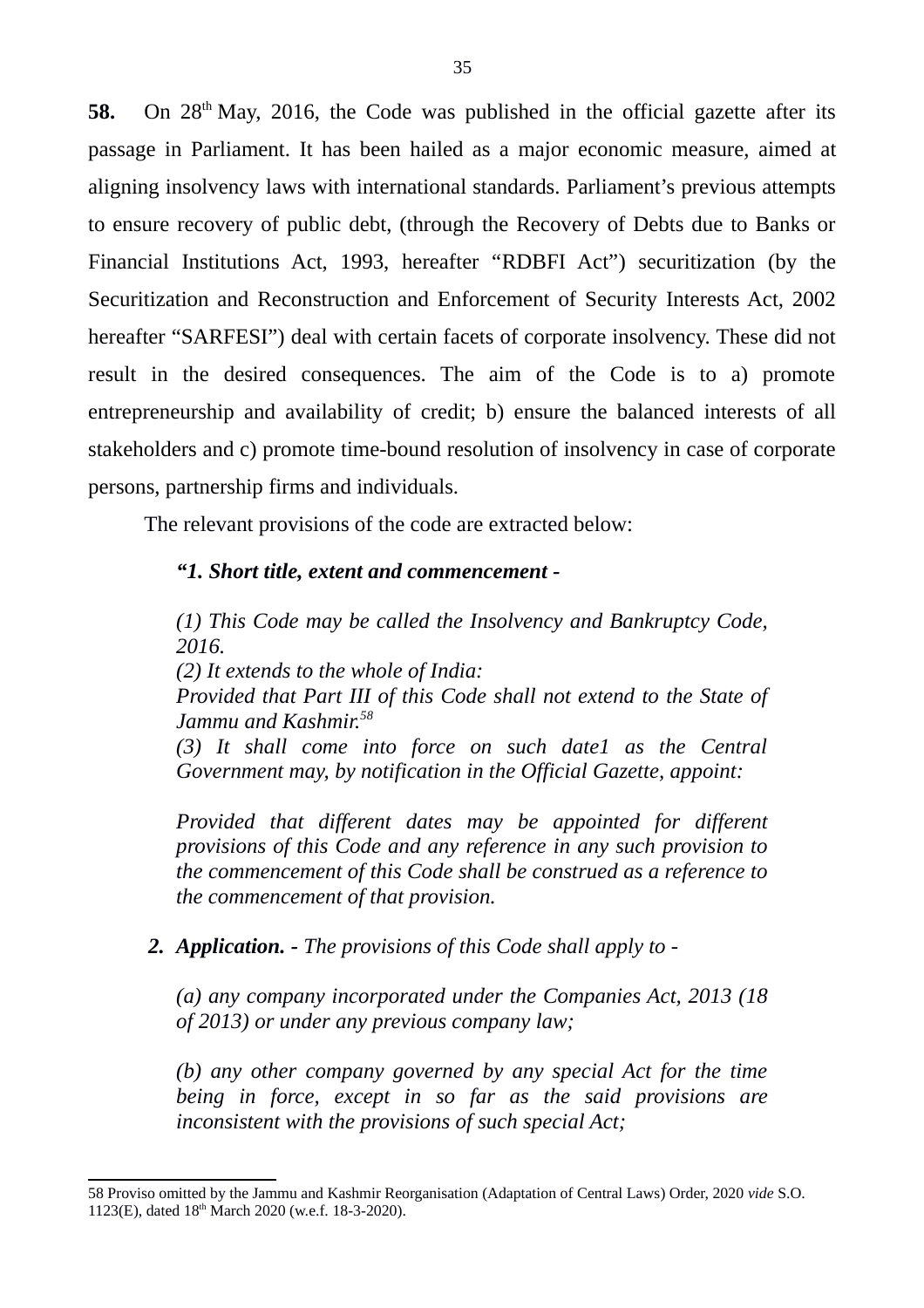58. On 28<sup>th</sup> May, 2016, the Code was published in the official gazette after its passage in Parliament. It has been hailed as a major economic measure, aimed at aligning insolvency laws with international standards. Parliament's previous attempts to ensure recovery of public debt, (through the Recovery of Debts due to Banks or Financial Institutions Act, 1993, hereafter "RDBFI Act") securitization (by the Securitization and Reconstruction and Enforcement of Security Interests Act, 2002 hereafter "SARFESI") deal with certain facets of corporate insolvency. These did not result in the desired consequences. The aim of the Code is to a) promote entrepreneurship and availability of credit; b) ensure the balanced interests of all stakeholders and c) promote time-bound resolution of insolvency in case of corporate persons, partnership firms and individuals.

The relevant provisions of the code are extracted below:

# *"1. Short title, extent and commencement -*

*(1) This Code may be called the Insolvency and Bankruptcy Code, 2016. (2) It extends to the whole of India: Provided that Part III of this Code shall not extend to the State of Jammu and Kashmir.[58](#page-34-0) (3) It shall come into force on such date1 as the Central Government may, by notification in the Official Gazette, appoint:*

*Provided that different dates may be appointed for different provisions of this Code and any reference in any such provision to the commencement of this Code shall be construed as a reference to the commencement of that provision.*

# *2. Application. - The provisions of this Code shall apply to -*

*(a) any company incorporated under the Companies Act, 2013 (18 of 2013) or under any previous company law;*

*(b) any other company governed by any special Act for the time being in force, except in so far as the said provisions are inconsistent with the provisions of such special Act;*

<span id="page-34-0"></span><sup>58</sup> Proviso omitted by the Jammu and Kashmir Reorganisation (Adaptation of Central Laws) Order, 2020 *vide* S.O. 1123(E), dated 18<sup>th</sup> March 2020 (w.e.f. 18-3-2020).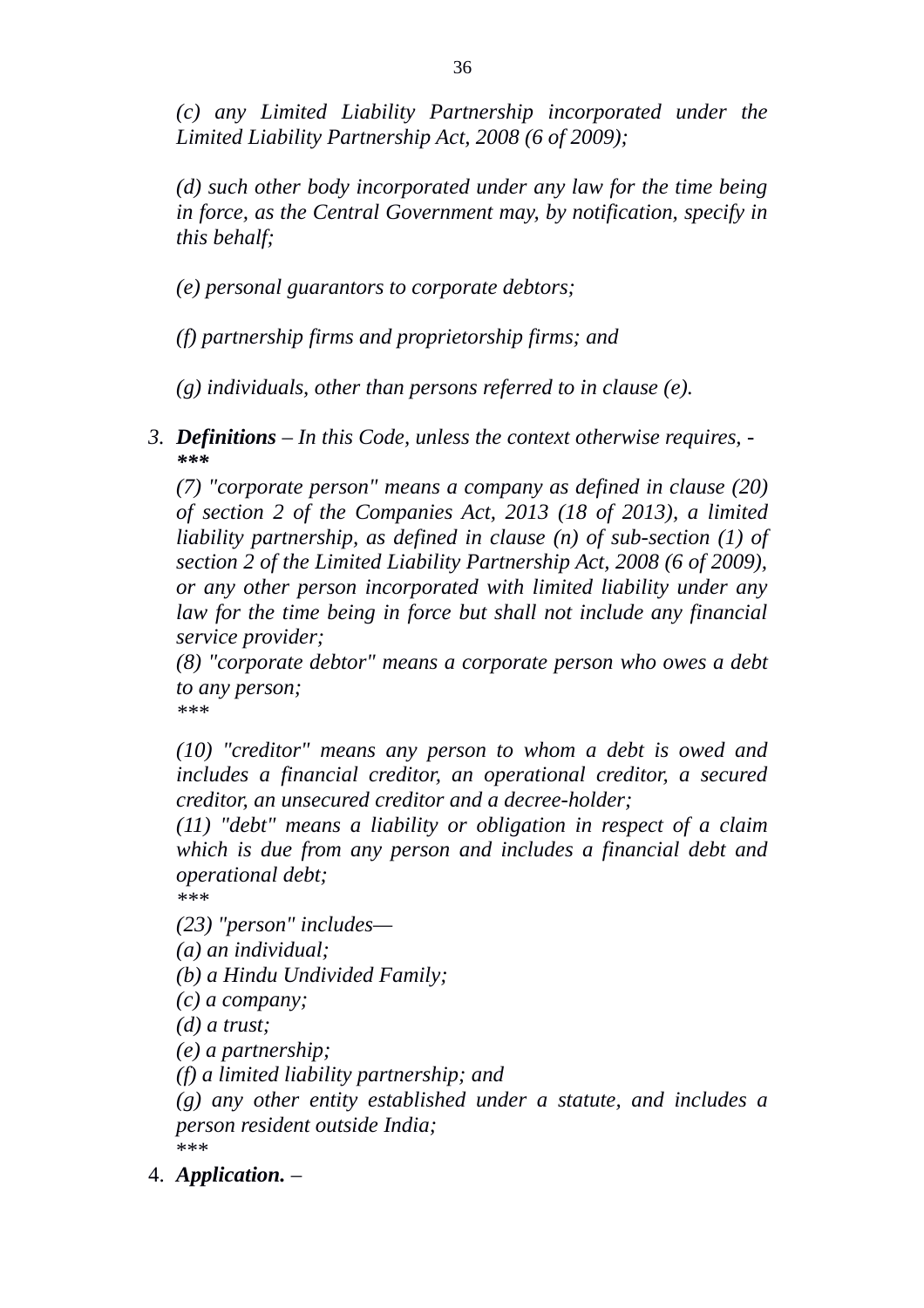*(c) any Limited Liability Partnership incorporated under the Limited Liability Partnership Act, 2008 (6 of 2009);*

*(d) such other body incorporated under any law for the time being in force, as the Central Government may, by notification, specify in this behalf;*

*(e) personal guarantors to corporate debtors;*

*(f) partnership firms and proprietorship firms; and*

*(g) individuals, other than persons referred to in clause (e).*

*3. Definitions* – *In this Code, unless the context otherwise requires, - \*\*\**

*(7) "corporate person" means a company as defined in clause (20) of section 2 of the Companies Act, 2013 (18 of 2013), a limited liability partnership, as defined in clause (n) of sub-section (1) of section 2 of the Limited Liability Partnership Act, 2008 (6 of 2009), or any other person incorporated with limited liability under any law for the time being in force but shall not include any financial service provider;*

*(8) "corporate debtor" means a corporate person who owes a debt to any person; \*\*\**

*(10) "creditor" means any person to whom a debt is owed and includes a financial creditor, an operational creditor, a secured creditor, an unsecured creditor and a decree-holder;*

*(11) "debt" means a liability or obligation in respect of a claim which is due from any person and includes a financial debt and operational debt;*

*\*\*\**

*(23) "person" includes—*

*(a) an individual;*

*(b) a Hindu Undivided Family;*

*(c) a company;*

*(d) a trust;*

*(e) a partnership;*

*(f) a limited liability partnership; and*

*(g) any other entity established under a statute, and includes a person resident outside India;* \*\*\*

4. *Application.* –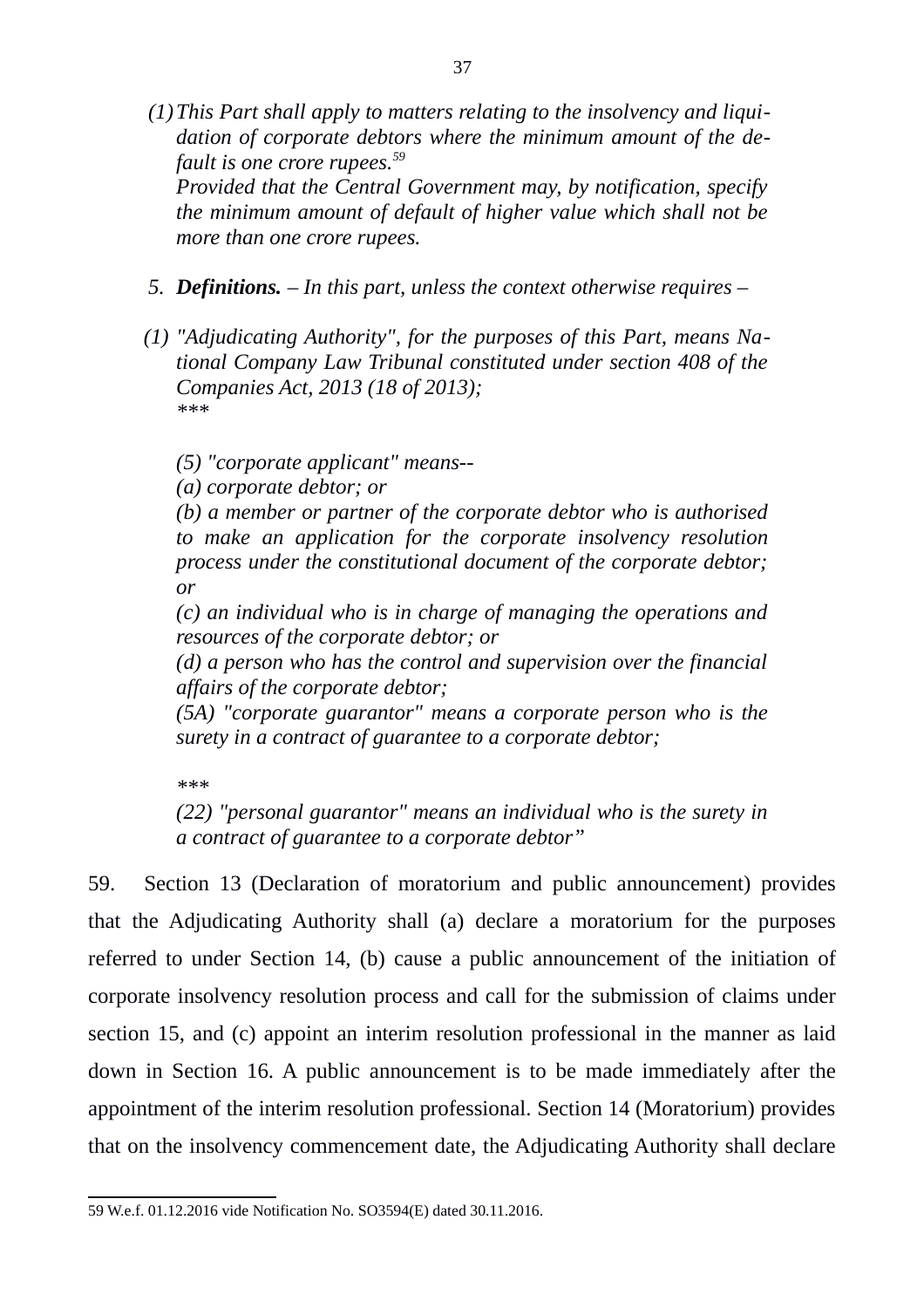*(1)This Part shall apply to matters relating to the insolvency and liquidation of corporate debtors where the minimum amount of the default is one crore rupees.[59](#page-36-0)*

*Provided that the Central Government may, by notification, specify the minimum amount of default of higher value which shall not be more than one crore rupees.*

- *5. Definitions. In this part, unless the context otherwise requires*
- *(1) "Adjudicating Authority", for the purposes of this Part, means National Company Law Tribunal constituted under section 408 of the Companies Act, 2013 (18 of 2013); \*\*\**

*(5) "corporate applicant" means--*

*(a) corporate debtor; or*

*(b) a member or partner of the corporate debtor who is authorised to make an application for the corporate insolvency resolution process under the constitutional document of the corporate debtor; or*

*(c) an individual who is in charge of managing the operations and resources of the corporate debtor; or*

*(d) a person who has the control and supervision over the financial affairs of the corporate debtor;*

*(5A) "corporate guarantor" means a corporate person who is the surety in a contract of guarantee to a corporate debtor;*

*\*\*\**

*(22) "personal guarantor" means an individual who is the surety in a contract of guarantee to a corporate debtor"*

59. Section 13 (Declaration of moratorium and public announcement) provides that the Adjudicating Authority shall (a) declare a moratorium for the purposes referred to under Section 14, (b) cause a public announcement of the initiation of corporate insolvency resolution process and call for the submission of claims under section 15, and (c) appoint an interim resolution professional in the manner as laid down in Section 16. A public announcement is to be made immediately after the appointment of the interim resolution professional. Section 14 (Moratorium) provides that on the insolvency commencement date, the Adjudicating Authority shall declare

<span id="page-36-0"></span><sup>59</sup> W.e.f. 01.12.2016 vide Notification No. SO3594(E) dated 30.11.2016.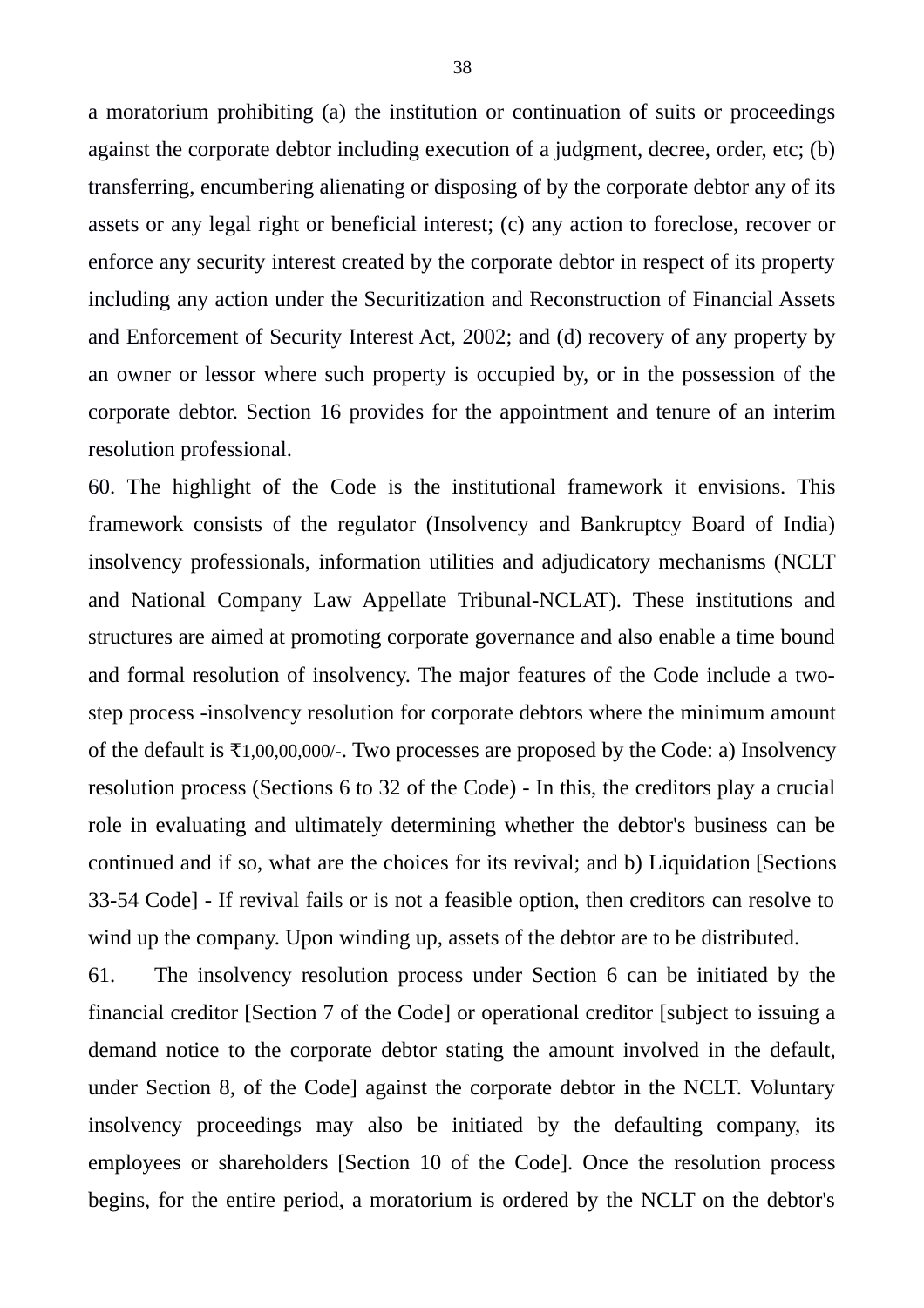a moratorium prohibiting (a) the institution or continuation of suits or proceedings against the corporate debtor including execution of a judgment, decree, order, etc; (b) transferring, encumbering alienating or disposing of by the corporate debtor any of its assets or any legal right or beneficial interest; (c) any action to foreclose, recover or enforce any security interest created by the corporate debtor in respect of its property including any action under the Securitization and Reconstruction of Financial Assets and Enforcement of Security Interest Act, 2002; and (d) recovery of any property by an owner or lessor where such property is occupied by, or in the possession of the corporate debtor. Section 16 provides for the appointment and tenure of an interim resolution professional.

60. The highlight of the Code is the institutional framework it envisions. This framework consists of the regulator (Insolvency and Bankruptcy Board of India) insolvency professionals, information utilities and adjudicatory mechanisms (NCLT and National Company Law Appellate Tribunal-NCLAT). These institutions and structures are aimed at promoting corporate governance and also enable a time bound and formal resolution of insolvency. The major features of the Code include a twostep process -insolvency resolution for corporate debtors where the minimum amount of the default is ₹1,00,00,000/-. Two processes are proposed by the Code: a) Insolvency resolution process (Sections 6 to 32 of the Code) - In this, the creditors play a crucial role in evaluating and ultimately determining whether the debtor's business can be continued and if so, what are the choices for its revival; and b) Liquidation [Sections 33-54 Code] - If revival fails or is not a feasible option, then creditors can resolve to wind up the company. Upon winding up, assets of the debtor are to be distributed.

61. The insolvency resolution process under Section 6 can be initiated by the financial creditor [Section 7 of the Code] or operational creditor [subject to issuing a demand notice to the corporate debtor stating the amount involved in the default, under Section 8, of the Code] against the corporate debtor in the NCLT. Voluntary insolvency proceedings may also be initiated by the defaulting company, its employees or shareholders [Section 10 of the Code]. Once the resolution process begins, for the entire period, a moratorium is ordered by the NCLT on the debtor's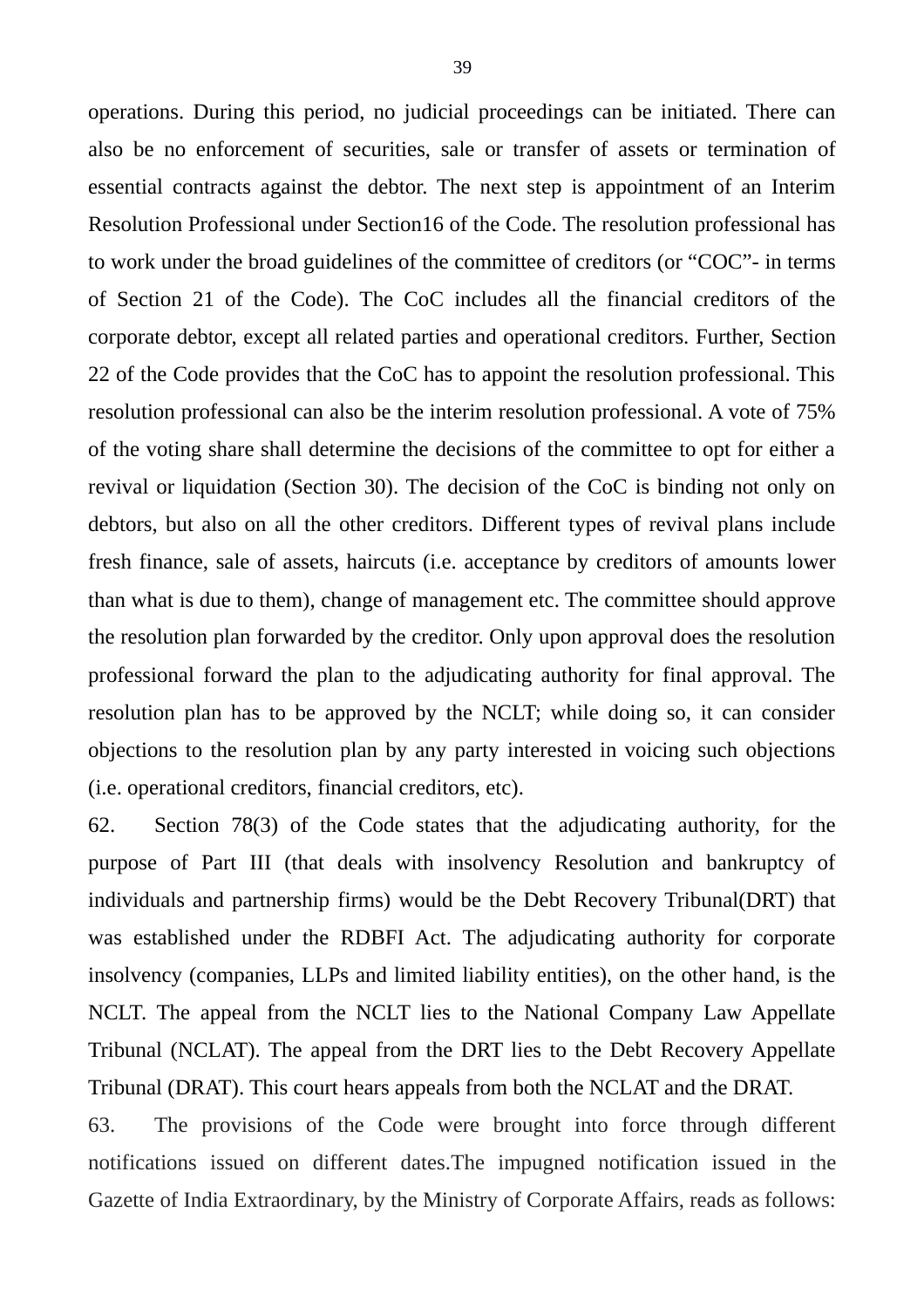operations. During this period, no judicial proceedings can be initiated. There can also be no enforcement of securities, sale or transfer of assets or termination of essential contracts against the debtor. The next step is appointment of an Interim Resolution Professional under Section16 of the Code. The resolution professional has to work under the broad guidelines of the committee of creditors (or "COC"- in terms of Section 21 of the Code). The CoC includes all the financial creditors of the corporate debtor, except all related parties and operational creditors. Further, Section 22 of the Code provides that the CoC has to appoint the resolution professional. This resolution professional can also be the interim resolution professional. A vote of 75% of the voting share shall determine the decisions of the committee to opt for either a revival or liquidation (Section 30). The decision of the CoC is binding not only on debtors, but also on all the other creditors. Different types of revival plans include fresh finance, sale of assets, haircuts (i.e. acceptance by creditors of amounts lower than what is due to them), change of management etc. The committee should approve the resolution plan forwarded by the creditor. Only upon approval does the resolution professional forward the plan to the adjudicating authority for final approval. The resolution plan has to be approved by the NCLT; while doing so, it can consider objections to the resolution plan by any party interested in voicing such objections (i.e. operational creditors, financial creditors, etc).

62. Section 78(3) of the Code states that the adjudicating authority, for the purpose of Part III (that deals with insolvency Resolution and bankruptcy of individuals and partnership firms) would be the Debt Recovery Tribunal(DRT) that was established under the RDBFI Act. The adjudicating authority for corporate insolvency (companies, LLPs and limited liability entities), on the other hand, is the NCLT. The appeal from the NCLT lies to the National Company Law Appellate Tribunal (NCLAT). The appeal from the DRT lies to the Debt Recovery Appellate Tribunal (DRAT). This court hears appeals from both the NCLAT and the DRAT.

63. The provisions of the Code were brought into force through different notifications issued on different dates.The impugned notification issued in the Gazette of India Extraordinary, by the Ministry of Corporate Affairs, reads as follows: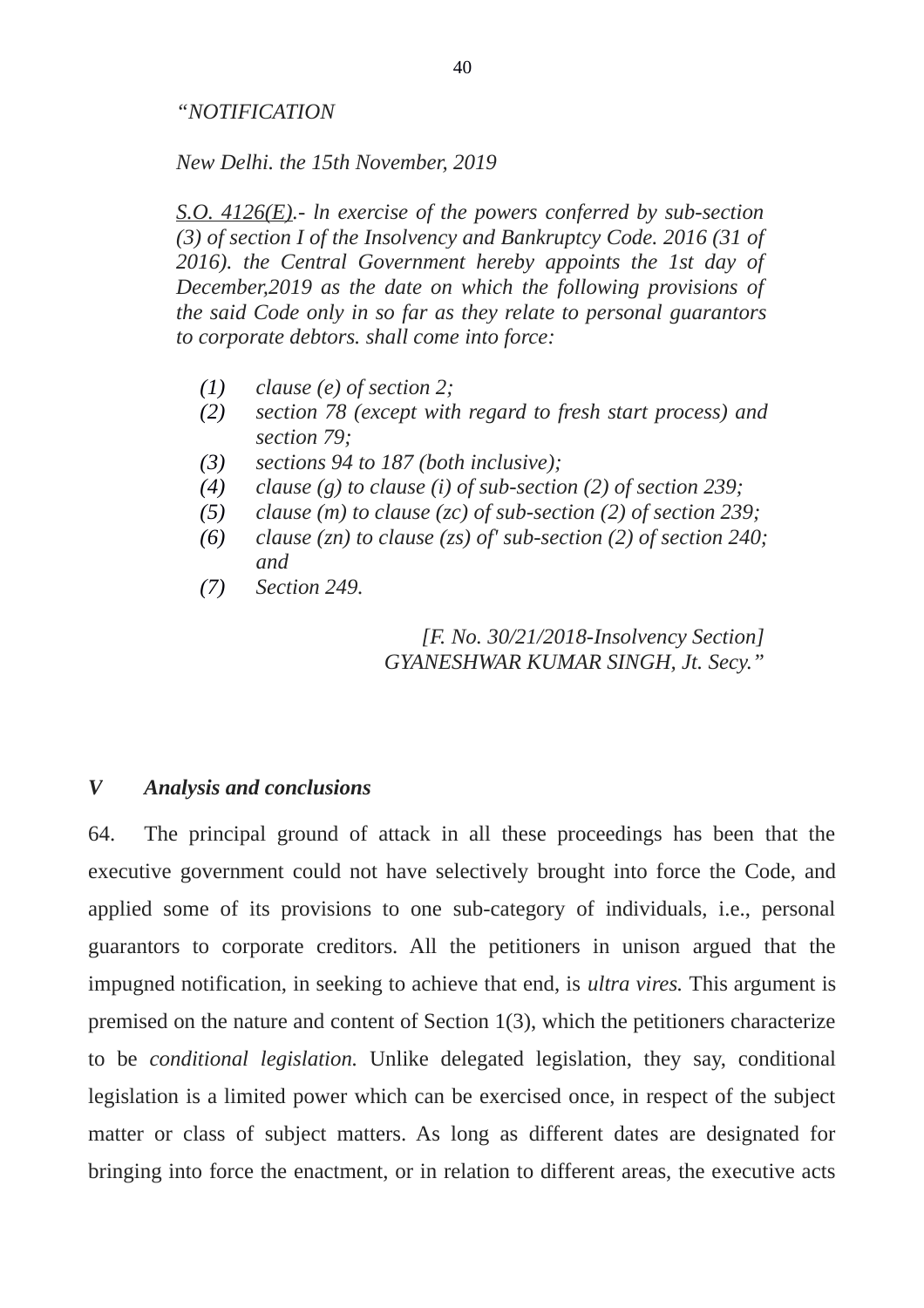## *"NOTIFICATION*

*New Delhi. the 15th November, 2019*

*S.O. 4126(E).- ln exercise of the powers conferred by sub-section (3) of section I of the Insolvency and Bankruptcy Code. 2016 (31 of 2016). the Central Government hereby appoints the 1st day of December,2019 as the date on which the following provisions of the said Code only in so far as they relate to personal guarantors to corporate debtors. shall come into force:*

- *(1) clause (e) of section 2;*
- *(2) section 78 (except with regard to fresh start process) and section 79;*
- *(3) sections 94 to 187 (both inclusive);*
- *(4) clause (g) to clause (i) of sub-section (2) of section 239;*
- *(5) clause (m) to clause (zc) of sub-section (2) of section 239;*
- *(6) clause (zn) to clause (zs) of' sub-section (2) of section 240; and*
- *(7) Section 249.*

*[F. No. 30/21/2018-Insolvency Section] GYANESHWAR KUMAR SINGH, Jt. Secy."*

## *V Analysis and conclusions*

64. The principal ground of attack in all these proceedings has been that the executive government could not have selectively brought into force the Code, and applied some of its provisions to one sub-category of individuals, i.e., personal guarantors to corporate creditors. All the petitioners in unison argued that the impugned notification, in seeking to achieve that end, is *ultra vires.* This argument is premised on the nature and content of Section 1(3), which the petitioners characterize to be *conditional legislation.* Unlike delegated legislation, they say, conditional legislation is a limited power which can be exercised once, in respect of the subject matter or class of subject matters. As long as different dates are designated for bringing into force the enactment, or in relation to different areas, the executive acts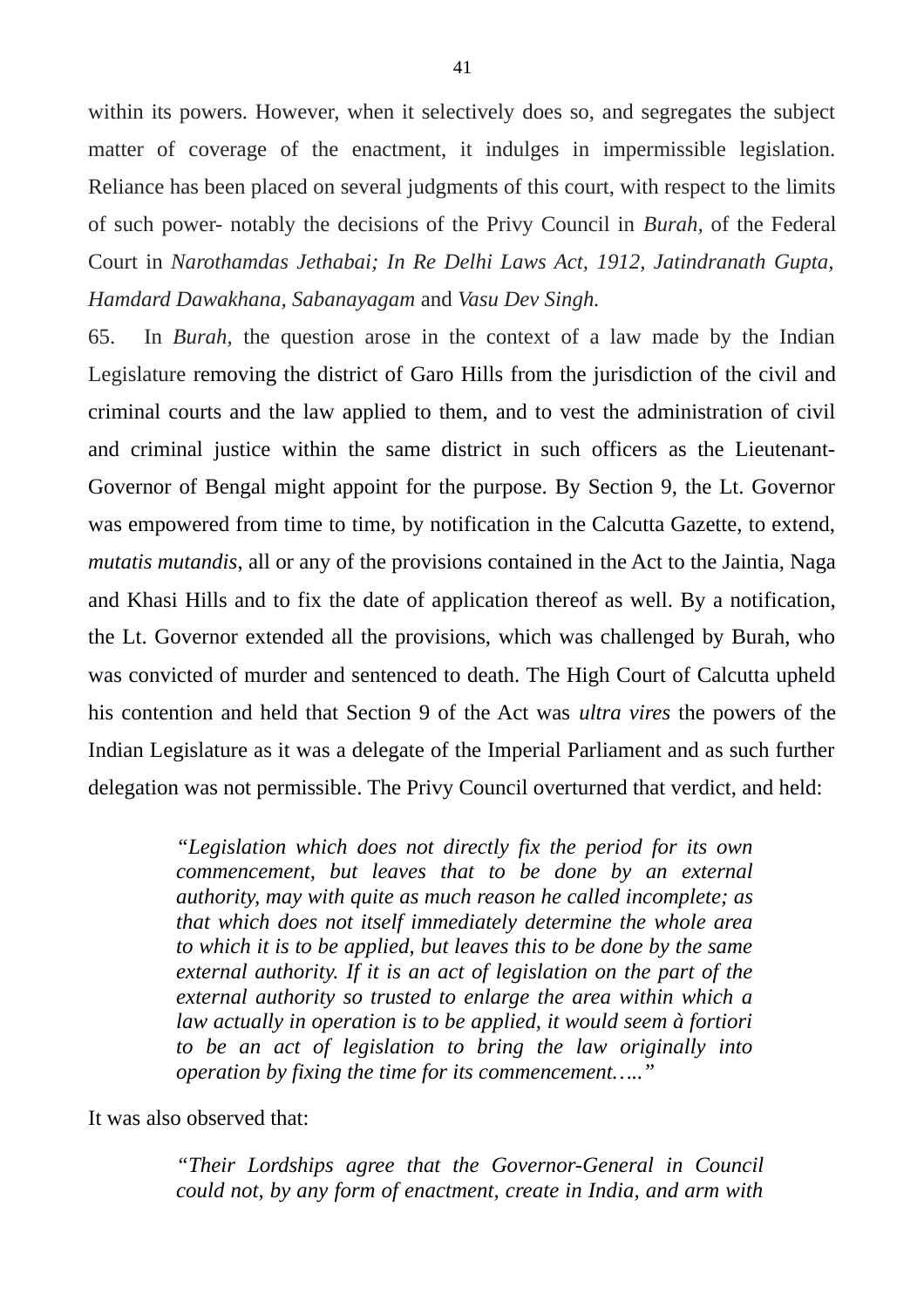within its powers. However, when it selectively does so, and segregates the subject matter of coverage of the enactment, it indulges in impermissible legislation. Reliance has been placed on several judgments of this court, with respect to the limits of such power- notably the decisions of the Privy Council in *Burah,* of the Federal Court in *Narothamdas Jethabai; In Re Delhi Laws Act, 1912, Jatindranath Gupta, Hamdard Dawakhana, Sabanayagam* and *Vasu Dev Singh.*

65. In *Burah,* the question arose in the context of a law made by the Indian Legislature removing the district of Garo Hills from the jurisdiction of the civil and criminal courts and the law applied to them, and to vest the administration of civil and criminal justice within the same district in such officers as the Lieutenant-Governor of Bengal might appoint for the purpose. By Section 9, the Lt. Governor was empowered from time to time, by notification in the Calcutta Gazette, to extend, *mutatis mutandis*, all or any of the provisions contained in the Act to the Jaintia, Naga and Khasi Hills and to fix the date of application thereof as well. By a notification, the Lt. Governor extended all the provisions, which was challenged by Burah, who was convicted of murder and sentenced to death. The High Court of Calcutta upheld his contention and held that Section 9 of the Act was *ultra vires* the powers of the Indian Legislature as it was a delegate of the Imperial Parliament and as such further delegation was not permissible. The Privy Council overturned that verdict, and held:

> *"Legislation which does not directly fix the period for its own commencement, but leaves that to be done by an external authority, may with quite as much reason he called incomplete; as that which does not itself immediately determine the whole area to which it is to be applied, but leaves this to be done by the same external authority. If it is an act of legislation on the part of the external authority so trusted to enlarge the area within which a law actually in operation is to be applied, it would seem à fortiori to be an act of legislation to bring the law originally into operation by fixing the time for its commencement….."*

It was also observed that:

*"Their Lordships agree that the Governor-General in Council could not, by any form of enactment, create in India, and arm with*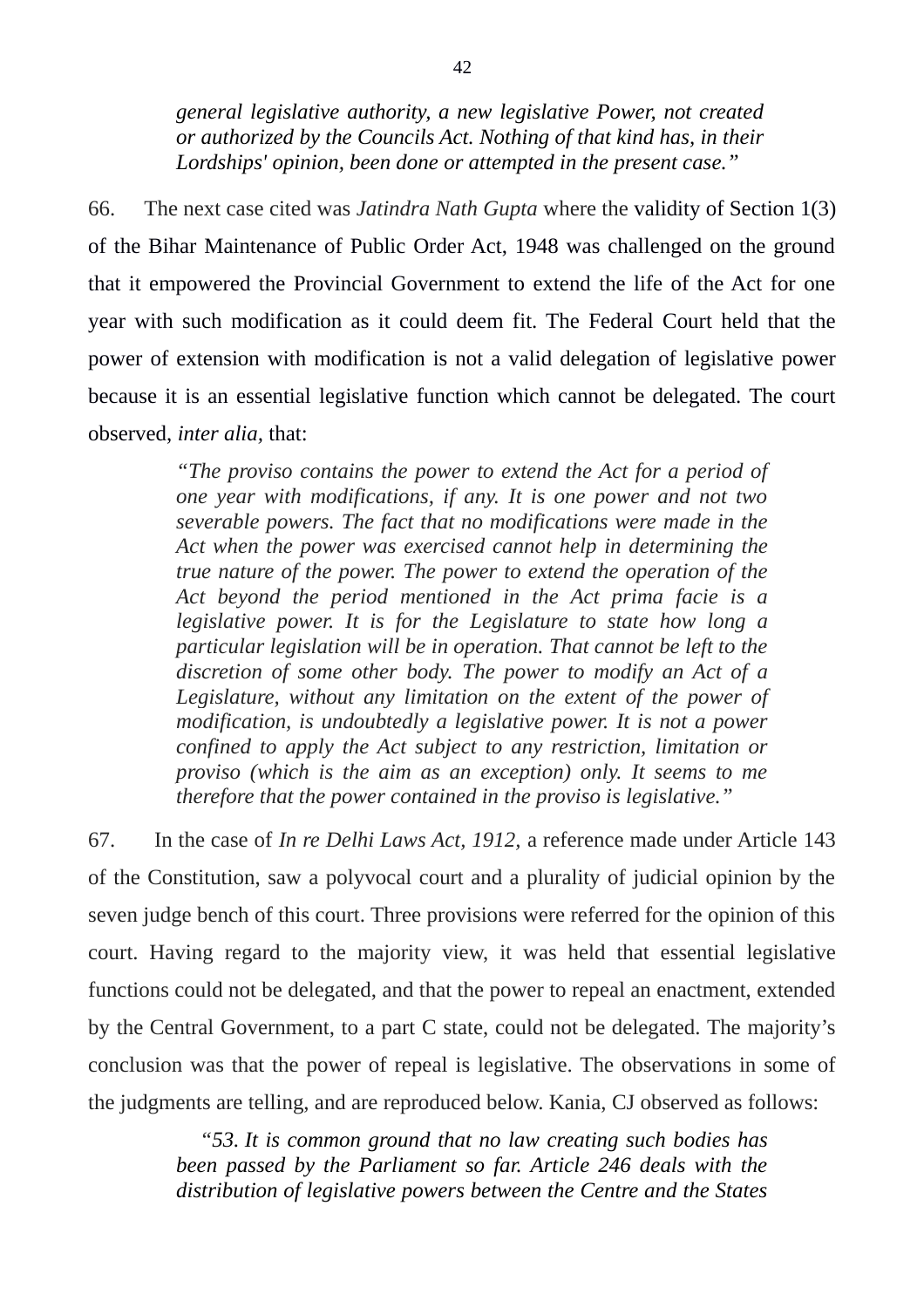*general legislative authority, a new legislative Power, not created or authorized by the Councils Act. Nothing of that kind has, in their Lordships' opinion, been done or attempted in the present case."*

66. The next case cited was *Jatindra Nath Gupta* where the validity of Section 1(3) of the Bihar Maintenance of Public Order Act, 1948 was challenged on the ground that it empowered the Provincial Government to extend the life of the Act for one year with such modification as it could deem fit. The Federal Court held that the power of extension with modification is not a valid delegation of legislative power because it is an essential legislative function which cannot be delegated. The court observed, *inter alia,* that:

> *"The proviso contains the power to extend the Act for a period of one year with modifications, if any. It is one power and not two severable powers. The fact that no modifications were made in the Act when the power was exercised cannot help in determining the true nature of the power. The power to extend the operation of the Act beyond the period mentioned in the Act prima facie is a legislative power. It is for the Legislature to state how long a particular legislation will be in operation. That cannot be left to the discretion of some other body. The power to modify an Act of a Legislature, without any limitation on the extent of the power of modification, is undoubtedly a legislative power. It is not a power confined to apply the Act subject to any restriction, limitation or proviso (which is the aim as an exception) only. It seems to me therefore that the power contained in the proviso is legislative."*

67. In the case of *In re Delhi Laws Act, 1912,* a reference made under Article 143 of the Constitution, saw a polyvocal court and a plurality of judicial opinion by the seven judge bench of this court. Three provisions were referred for the opinion of this court. Having regard to the majority view, it was held that essential legislative functions could not be delegated, and that the power to repeal an enactment, extended by the Central Government, to a part C state, could not be delegated. The majority's conclusion was that the power of repeal is legislative. The observations in some of the judgments are telling, and are reproduced below. Kania, CJ observed as follows:

> *"53. It is common ground that no law creating such bodies has been passed by the Parliament so far. Article 246 deals with the distribution of legislative powers between the Centre and the States*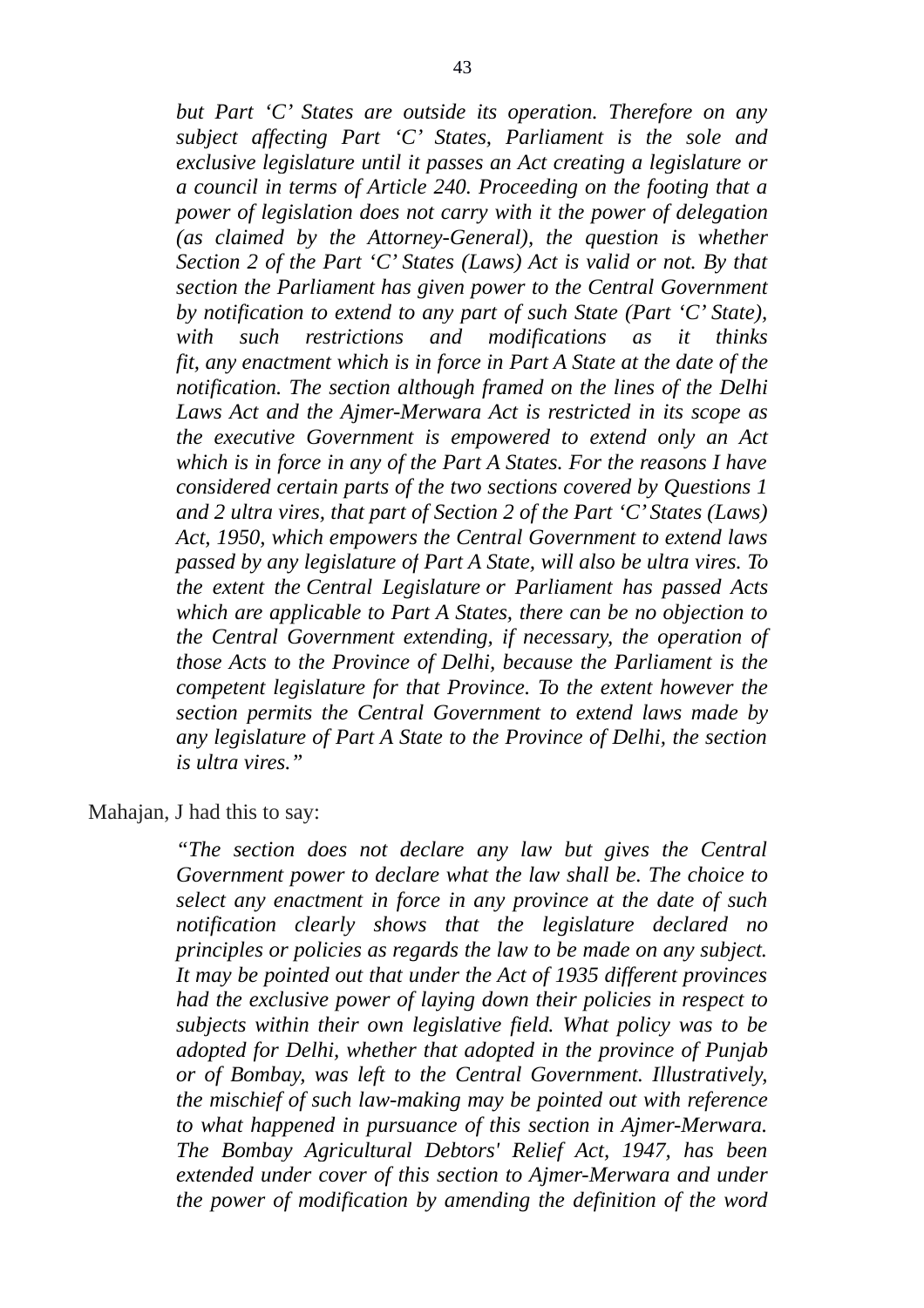*but Part 'C' States are outside its operation. Therefore on any subject affecting Part 'C' States, Parliament is the sole and exclusive legislature until it passes an Act creating a legislature or a council in terms of Article 240. Proceeding on the footing that a power of legislation does not carry with it the power of delegation (as claimed by the Attorney-General), the question is whether Section 2 of the Part 'C' States (Laws) Act is valid or not. By that section the Parliament has given power to the Central Government by notification to extend to any part of such State (Part 'C' State), with such restrictions and modifications as it thinks fit, any enactment which is in force in Part A State at the date of the notification. The section although framed on the lines of the Delhi Laws Act and the Ajmer-Merwara Act is restricted in its scope as the executive Government is empowered to extend only an Act which is in force in any of the Part A States. For the reasons I have considered certain parts of the two sections covered by Questions 1 and 2 ultra vires, that part of Section 2 of the Part 'C' States (Laws) Act, 1950, which empowers the Central Government to extend laws passed by any legislature of Part A State, will also be ultra vires. To the extent the Central Legislature or Parliament has passed Acts which are applicable to Part A States, there can be no objection to the Central Government extending, if necessary, the operation of those Acts to the Province of Delhi, because the Parliament is the competent legislature for that Province. To the extent however the section permits the Central Government to extend laws made by any legislature of Part A State to the Province of Delhi, the section is ultra vires."*

Mahajan, J had this to say:

*"The section does not declare any law but gives the Central Government power to declare what the law shall be. The choice to select any enactment in force in any province at the date of such notification clearly shows that the legislature declared no principles or policies as regards the law to be made on any subject. It may be pointed out that under the Act of 1935 different provinces had the exclusive power of laying down their policies in respect to subjects within their own legislative field. What policy was to be adopted for Delhi, whether that adopted in the province of Punjab or of Bombay, was left to the Central Government. Illustratively, the mischief of such law-making may be pointed out with reference to what happened in pursuance of this section in Ajmer-Merwara. The Bombay Agricultural Debtors' Relief Act, 1947, has been extended under cover of this section to Ajmer-Merwara and under the power of modification by amending the definition of the word*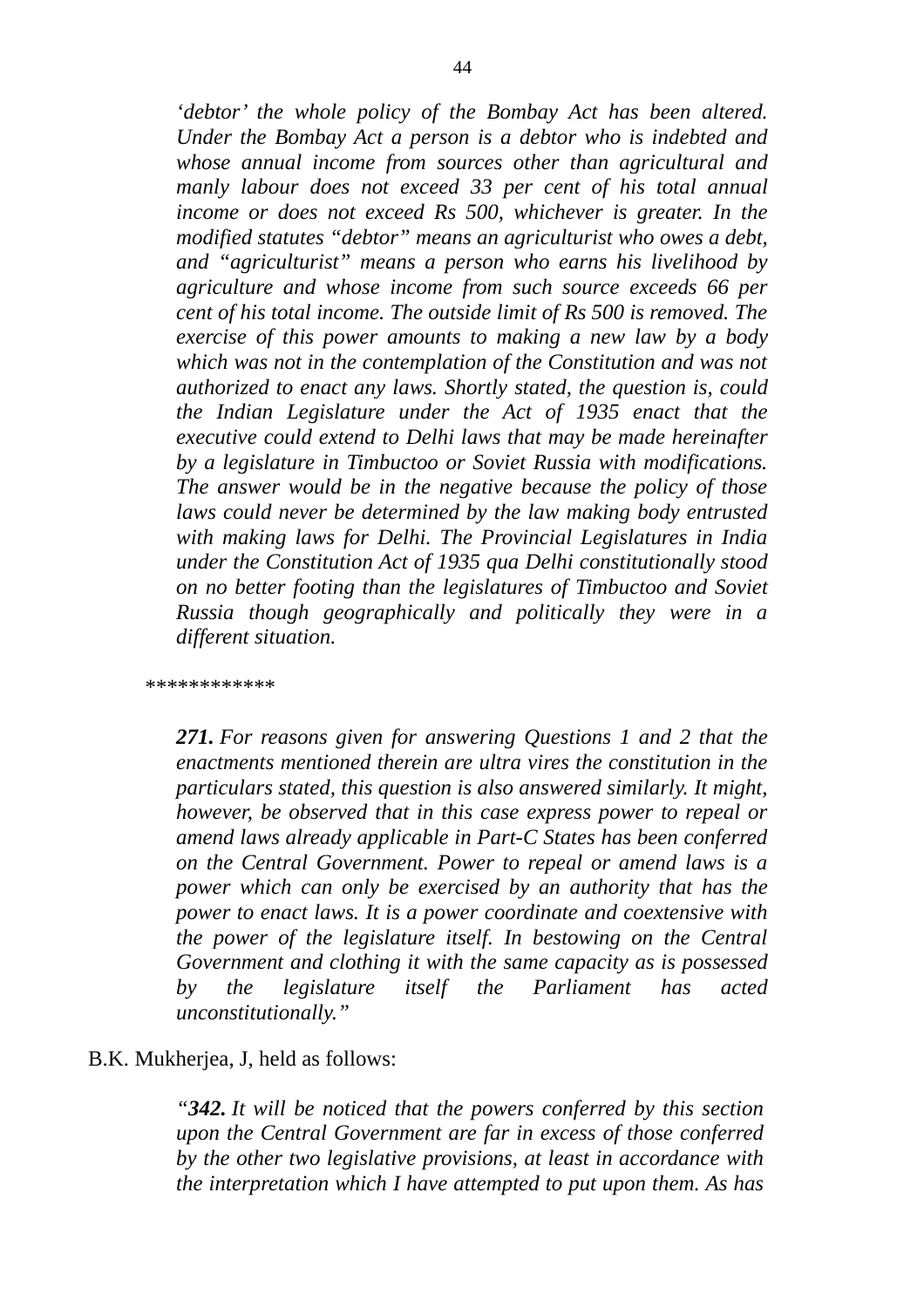*'debtor' the whole policy of the Bombay Act has been altered. Under the Bombay Act a person is a debtor who is indebted and whose annual income from sources other than agricultural and manly labour does not exceed 33 per cent of his total annual income or does not exceed Rs 500, whichever is greater. In the modified statutes "debtor" means an agriculturist who owes a debt, and "agriculturist" means a person who earns his livelihood by agriculture and whose income from such source exceeds 66 per cent of his total income. The outside limit of Rs 500 is removed. The exercise of this power amounts to making a new law by a body which was not in the contemplation of the Constitution and was not authorized to enact any laws. Shortly stated, the question is, could the Indian Legislature under the Act of 1935 enact that the executive could extend to Delhi laws that may be made hereinafter by a legislature in Timbuctoo or Soviet Russia with modifications. The answer would be in the negative because the policy of those laws could never be determined by the law making body entrusted with making laws for Delhi. The Provincial Legislatures in India under the Constitution Act of 1935 qua Delhi constitutionally stood on no better footing than the legislatures of Timbuctoo and Soviet Russia though geographically and politically they were in a different situation.*

*\*\*\*\*\*\*\*\*\*\*\*\**

*271. For reasons given for answering Questions 1 and 2 that the enactments mentioned therein are ultra vires the constitution in the particulars stated, this question is also answered similarly. It might, however, be observed that in this case express power to repeal or amend laws already applicable in Part-C States has been conferred on the Central Government. Power to repeal or amend laws is a power which can only be exercised by an authority that has the power to enact laws. It is a power coordinate and coextensive with the power of the legislature itself. In bestowing on the Central Government and clothing it with the same capacity as is possessed by the legislature itself the Parliament has acted unconstitutionally."*

## B.K. Mukherjea, J, held as follows:

*"342. It will be noticed that the powers conferred by this section upon the Central Government are far in excess of those conferred by the other two legislative provisions, at least in accordance with the interpretation which I have attempted to put upon them. As has*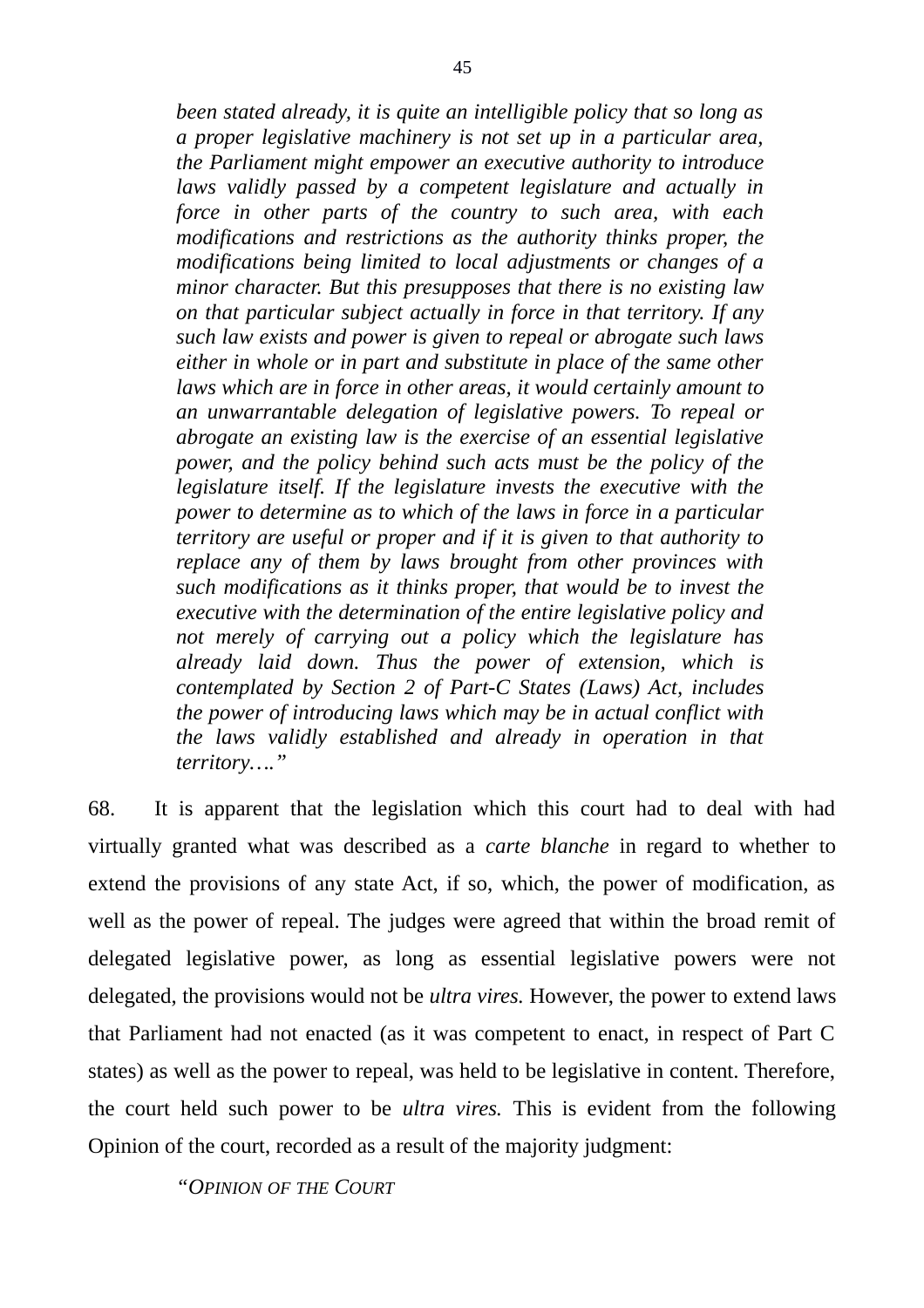*been stated already, it is quite an intelligible policy that so long as a proper legislative machinery is not set up in a particular area, the Parliament might empower an executive authority to introduce laws validly passed by a competent legislature and actually in force in other parts of the country to such area, with each modifications and restrictions as the authority thinks proper, the modifications being limited to local adjustments or changes of a minor character. But this presupposes that there is no existing law on that particular subject actually in force in that territory. If any such law exists and power is given to repeal or abrogate such laws either in whole or in part and substitute in place of the same other laws which are in force in other areas, it would certainly amount to an unwarrantable delegation of legislative powers. To repeal or abrogate an existing law is the exercise of an essential legislative power, and the policy behind such acts must be the policy of the legislature itself. If the legislature invests the executive with the power to determine as to which of the laws in force in a particular territory are useful or proper and if it is given to that authority to replace any of them by laws brought from other provinces with such modifications as it thinks proper, that would be to invest the executive with the determination of the entire legislative policy and not merely of carrying out a policy which the legislature has already laid down. Thus the power of extension, which is contemplated by Section 2 of Part-C States (Laws) Act, includes the power of introducing laws which may be in actual conflict with the laws validly established and already in operation in that territory…."*

68. It is apparent that the legislation which this court had to deal with had virtually granted what was described as a *carte blanche* in regard to whether to extend the provisions of any state Act, if so, which, the power of modification, as well as the power of repeal. The judges were agreed that within the broad remit of delegated legislative power, as long as essential legislative powers were not delegated, the provisions would not be *ultra vires.* However, the power to extend laws that Parliament had not enacted (as it was competent to enact, in respect of Part C states) as well as the power to repeal, was held to be legislative in content. Therefore, the court held such power to be *ultra vires.* This is evident from the following Opinion of the court, recorded as a result of the majority judgment:

*"OPINION OF THE COURT*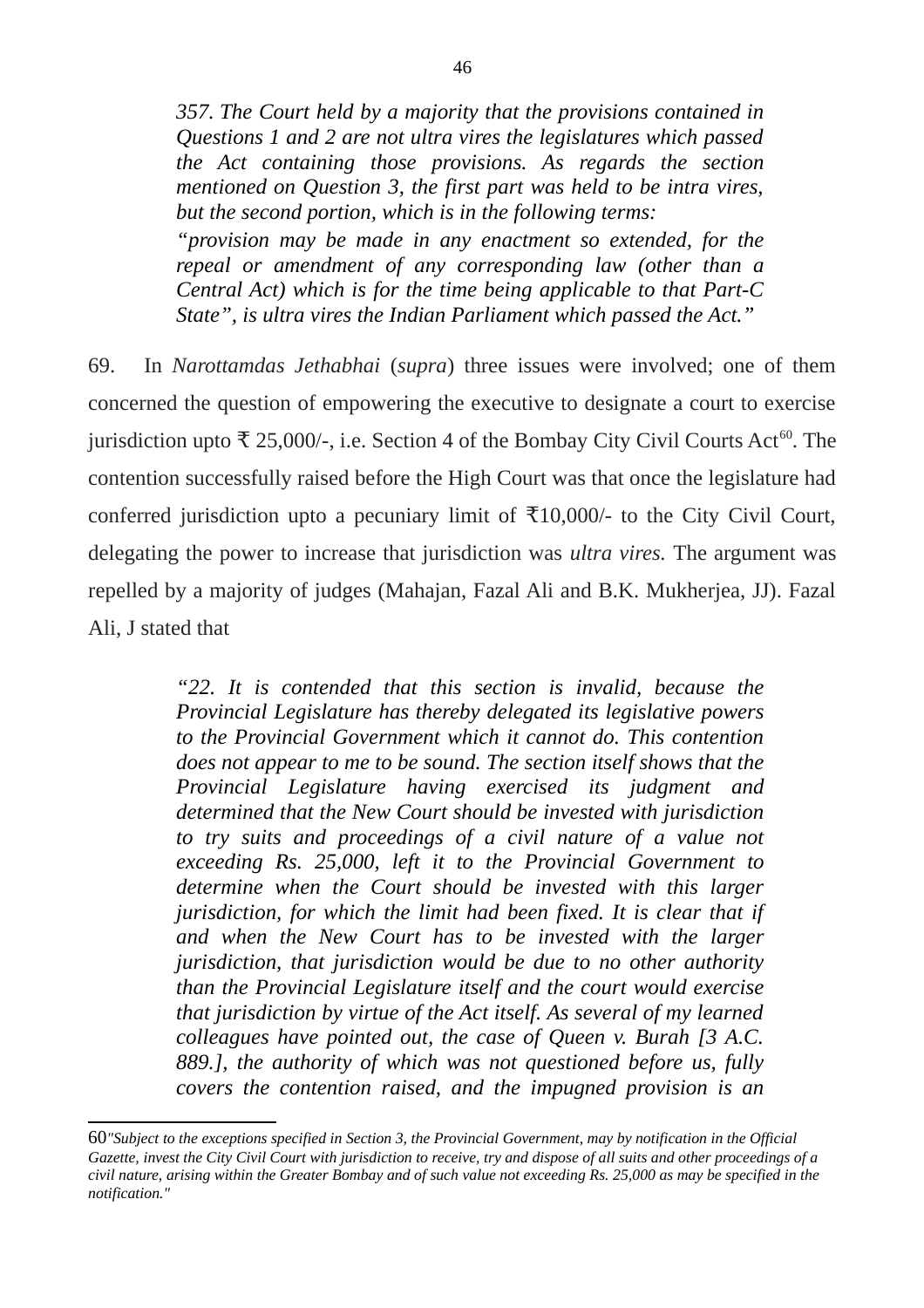*357. The Court held by a majority that the provisions contained in Questions 1 and 2 are not ultra vires the legislatures which passed the Act containing those provisions. As regards the section mentioned on Question 3, the first part was held to be intra vires, but the second portion, which is in the following terms: "provision may be made in any enactment so extended, for the repeal or amendment of any corresponding law (other than a Central Act) which is for the time being applicable to that Part-C State", is ultra vires the Indian Parliament which passed the Act."*

69. In *Narottamdas Jethabhai* (*supra*) three issues were involved; one of them concerned the question of empowering the executive to designate a court to exercise jurisdiction upto  $\bar{\tau}$  25,000/-, i.e. Section 4 of the Bombay City Civil Courts Act<sup>[60](#page-45-0)</sup>. The contention successfully raised before the High Court was that once the legislature had conferred jurisdiction upto a pecuniary limit of  $\overline{x}10,000/$ - to the City Civil Court, delegating the power to increase that jurisdiction was *ultra vires.* The argument was repelled by a majority of judges (Mahajan, Fazal Ali and B.K. Mukherjea, JJ). Fazal Ali, J stated that

> *"22. It is contended that this section is invalid, because the Provincial Legislature has thereby delegated its legislative powers to the Provincial Government which it cannot do. This contention does not appear to me to be sound. The section itself shows that the Provincial Legislature having exercised its judgment and determined that the New Court should be invested with jurisdiction to try suits and proceedings of a civil nature of a value not exceeding Rs. 25,000, left it to the Provincial Government to determine when the Court should be invested with this larger jurisdiction, for which the limit had been fixed. It is clear that if and when the New Court has to be invested with the larger jurisdiction, that jurisdiction would be due to no other authority than the Provincial Legislature itself and the court would exercise that jurisdiction by virtue of the Act itself. As several of my learned colleagues have pointed out, the case of Queen v. Burah [3 A.C. 889.], the authority of which was not questioned before us, fully covers the contention raised, and the impugned provision is an*

<span id="page-45-0"></span><sup>60</sup>*"Subject to the exceptions specified in Section 3, the Provincial Government, may by notification in the Official Gazette, invest the City Civil Court with jurisdiction to receive, try and dispose of all suits and other proceedings of a civil nature, arising within the Greater Bombay and of such value not exceeding Rs. 25,000 as may be specified in the notification."*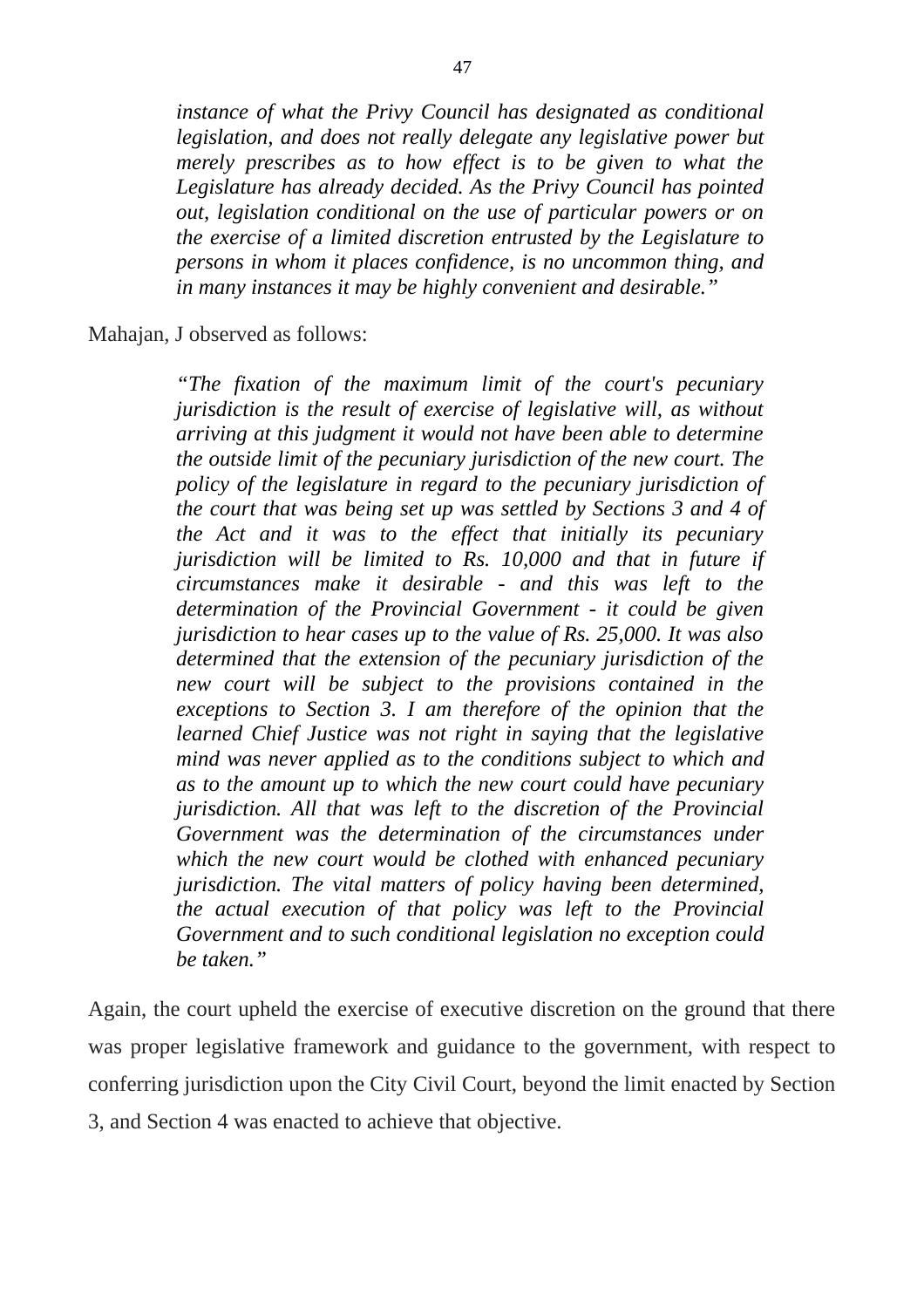*instance of what the Privy Council has designated as conditional legislation, and does not really delegate any legislative power but merely prescribes as to how effect is to be given to what the Legislature has already decided. As the Privy Council has pointed out, legislation conditional on the use of particular powers or on the exercise of a limited discretion entrusted by the Legislature to persons in whom it places confidence, is no uncommon thing, and in many instances it may be highly convenient and desirable."* 

Mahajan, J observed as follows:

*"The fixation of the maximum limit of the court's pecuniary jurisdiction is the result of exercise of legislative will, as without arriving at this judgment it would not have been able to determine the outside limit of the pecuniary jurisdiction of the new court. The policy of the legislature in regard to the pecuniary jurisdiction of the court that was being set up was settled by Sections 3 and 4 of the Act and it was to the effect that initially its pecuniary jurisdiction will be limited to Rs. 10,000 and that in future if circumstances make it desirable - and this was left to the determination of the Provincial Government - it could be given jurisdiction to hear cases up to the value of Rs. 25,000. It was also determined that the extension of the pecuniary jurisdiction of the new court will be subject to the provisions contained in the exceptions to Section 3. I am therefore of the opinion that the learned Chief Justice was not right in saying that the legislative mind was never applied as to the conditions subject to which and as to the amount up to which the new court could have pecuniary jurisdiction. All that was left to the discretion of the Provincial Government was the determination of the circumstances under which the new court would be clothed with enhanced pecuniary jurisdiction. The vital matters of policy having been determined, the actual execution of that policy was left to the Provincial Government and to such conditional legislation no exception could be taken."*

Again, the court upheld the exercise of executive discretion on the ground that there was proper legislative framework and guidance to the government, with respect to conferring jurisdiction upon the City Civil Court, beyond the limit enacted by Section 3, and Section 4 was enacted to achieve that objective.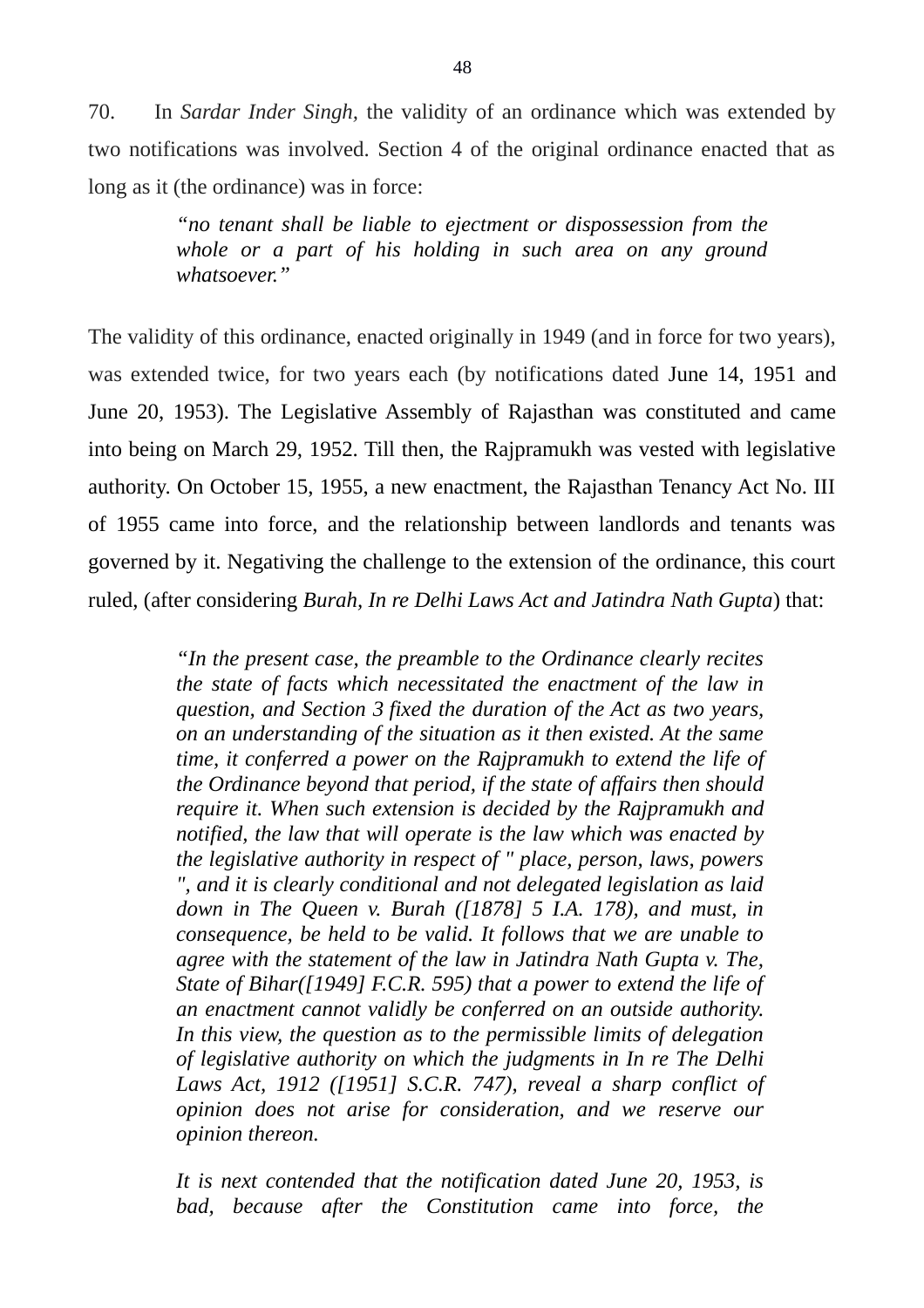70. In *Sardar Inder Singh,* the validity of an ordinance which was extended by two notifications was involved. Section 4 of the original ordinance enacted that as long as it (the ordinance) was in force:

> *"no tenant shall be liable to ejectment or dispossession from the whole or a part of his holding in such area on any ground whatsoever."*

The validity of this ordinance, enacted originally in 1949 (and in force for two years), was extended twice, for two years each (by notifications dated June 14, 1951 and June 20, 1953). The Legislative Assembly of Rajasthan was constituted and came into being on March 29, 1952. Till then, the Rajpramukh was vested with legislative authority. On October 15, 1955, a new enactment, the Rajasthan Tenancy Act No. III of 1955 came into force, and the relationship between landlords and tenants was governed by it. Negativing the challenge to the extension of the ordinance, this court ruled, (after considering *Burah, In re Delhi Laws Act and Jatindra Nath Gupta*) that:

> *"In the present case, the preamble to the Ordinance clearly recites the state of facts which necessitated the enactment of the law in question, and Section 3 fixed the duration of the Act as two years, on an understanding of the situation as it then existed. At the same time, it conferred a power on the Rajpramukh to extend the life of the Ordinance beyond that period, if the state of affairs then should require it. When such extension is decided by the Rajpramukh and notified, the law that will operate is the law which was enacted by the legislative authority in respect of " place, person, laws, powers ", and it is clearly conditional and not delegated legislation as laid down in The Queen v. Burah ([1878] 5 I.A. 178), and must, in consequence, be held to be valid. It follows that we are unable to agree with the statement of the law in Jatindra Nath Gupta v. The, State of Bihar([1949] F.C.R. 595) that a power to extend the life of an enactment cannot validly be conferred on an outside authority. In this view, the question as to the permissible limits of delegation of legislative authority on which the judgments in In re The Delhi Laws Act, 1912 ([1951] S.C.R. 747), reveal a sharp conflict of opinion does not arise for consideration, and we reserve our opinion thereon.*

> *It is next contended that the notification dated June 20, 1953, is bad, because after the Constitution came into force, the*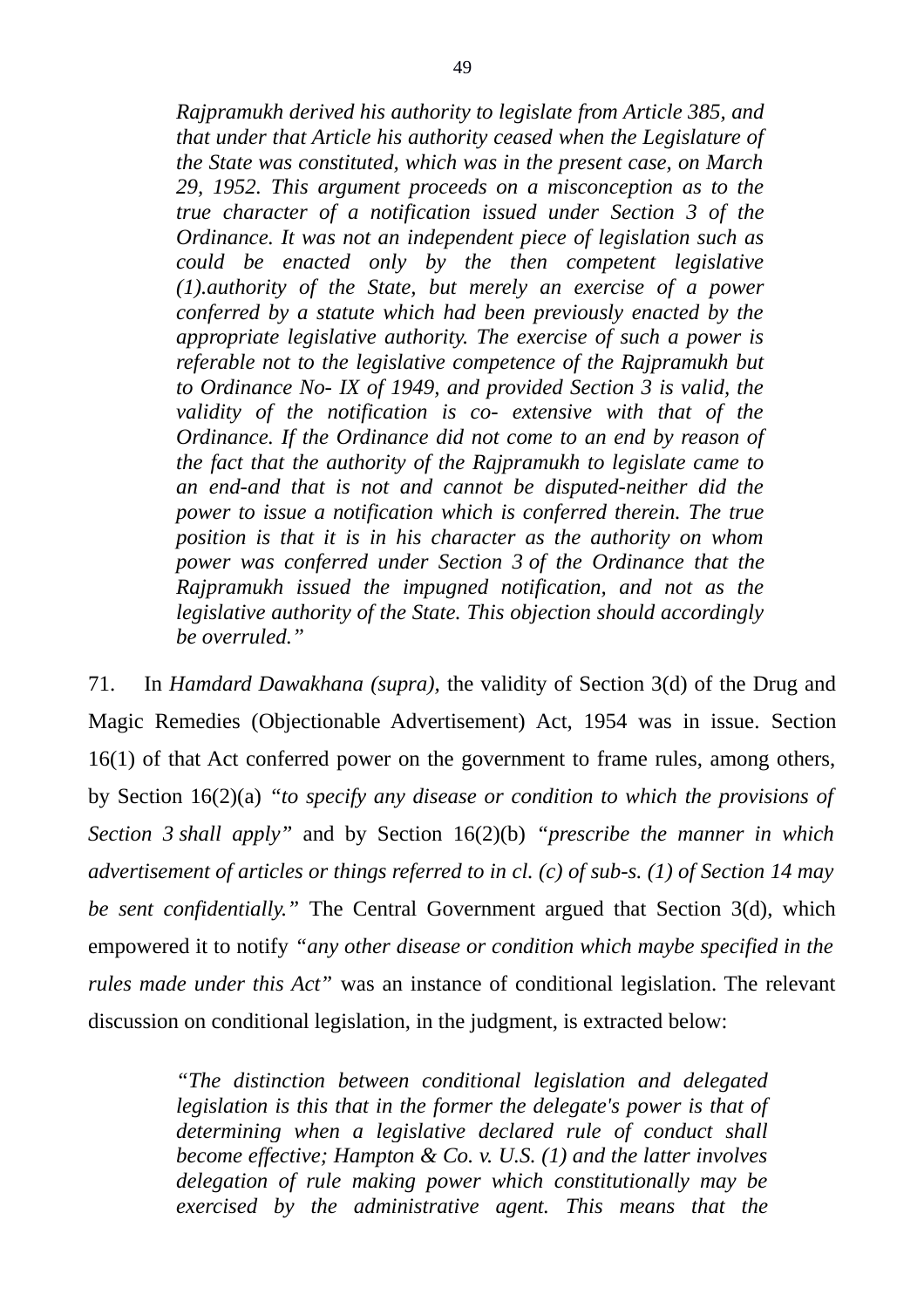*Rajpramukh derived his authority to legislate from Article 385, and that under that Article his authority ceased when the Legislature of the State was constituted, which was in the present case, on March 29, 1952. This argument proceeds on a misconception as to the true character of a notification issued under Section 3 of the Ordinance. It was not an independent piece of legislation such as could be enacted only by the then competent legislative (1).authority of the State, but merely an exercise of a power conferred by a statute which had been previously enacted by the appropriate legislative authority. The exercise of such a power is referable not to the legislative competence of the Rajpramukh but to Ordinance No- IX of 1949, and provided Section 3 is valid, the validity of the notification is co- extensive with that of the Ordinance. If the Ordinance did not come to an end by reason of the fact that the authority of the Rajpramukh to legislate came to an end-and that is not and cannot be disputed-neither did the power to issue a notification which is conferred therein. The true position is that it is in his character as the authority on whom power was conferred under Section 3 of the Ordinance that the Rajpramukh issued the impugned notification, and not as the legislative authority of the State. This objection should accordingly be overruled."*

71. In *Hamdard Dawakhana (supra),* the validity of Section 3(d) of the Drug and Magic Remedies (Objectionable Advertisement) Act, 1954 was in issue. Section 16(1) of that Act conferred power on the government to frame rules, among others, by Section 16(2)(a) *"to specify any disease or condition to which the provisions of Section 3 shall apply"* and by Section 16(2)(b) *"prescribe the manner in which advertisement of articles or things referred to in cl. (c) of sub-s. (1) of Section 14 may be sent confidentially."* The Central Government argued that Section 3(d), which empowered it to notify *"any other disease or condition which maybe specified in the rules made under this Act"* was an instance of conditional legislation. The relevant discussion on conditional legislation, in the judgment, is extracted below:

> *"The distinction between conditional legislation and delegated legislation is this that in the former the delegate's power is that of determining when a legislative declared rule of conduct shall become effective; Hampton & Co. v. U.S. (1) and the latter involves delegation of rule making power which constitutionally may be exercised by the administrative agent. This means that the*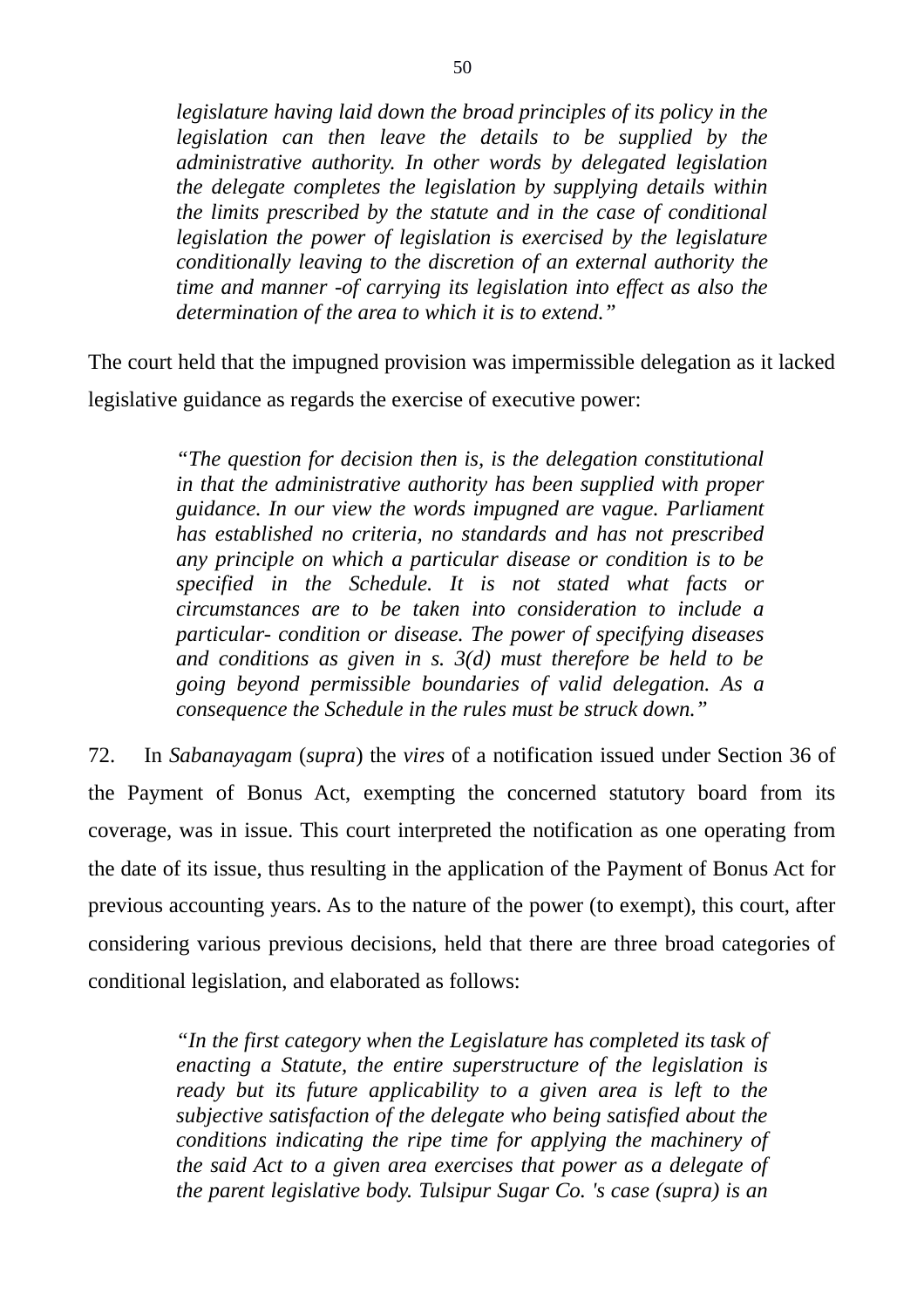*legislature having laid down the broad principles of its policy in the legislation can then leave the details to be supplied by the administrative authority. In other words by delegated legislation the delegate completes the legislation by supplying details within the limits prescribed by the statute and in the case of conditional legislation the power of legislation is exercised by the legislature conditionally leaving to the discretion of an external authority the time and manner -of carrying its legislation into effect as also the determination of the area to which it is to extend."*

The court held that the impugned provision was impermissible delegation as it lacked legislative guidance as regards the exercise of executive power:

> *"The question for decision then is, is the delegation constitutional in that the administrative authority has been supplied with proper guidance. In our view the words impugned are vague. Parliament has established no criteria, no standards and has not prescribed any principle on which a particular disease or condition is to be specified in the Schedule. It is not stated what facts or circumstances are to be taken into consideration to include a particular- condition or disease. The power of specifying diseases and conditions as given in s. 3(d) must therefore be held to be going beyond permissible boundaries of valid delegation. As a consequence the Schedule in the rules must be struck down."*

72. In *Sabanayagam* (*supra*) the *vires* of a notification issued under Section 36 of the Payment of Bonus Act, exempting the concerned statutory board from its coverage, was in issue. This court interpreted the notification as one operating from the date of its issue, thus resulting in the application of the Payment of Bonus Act for previous accounting years. As to the nature of the power (to exempt), this court, after considering various previous decisions, held that there are three broad categories of conditional legislation, and elaborated as follows:

> *"In the first category when the Legislature has completed its task of enacting a Statute, the entire superstructure of the legislation is ready but its future applicability to a given area is left to the subjective satisfaction of the delegate who being satisfied about the conditions indicating the ripe time for applying the machinery of the said Act to a given area exercises that power as a delegate of the parent legislative body. Tulsipur Sugar Co. 's case (supra) is an*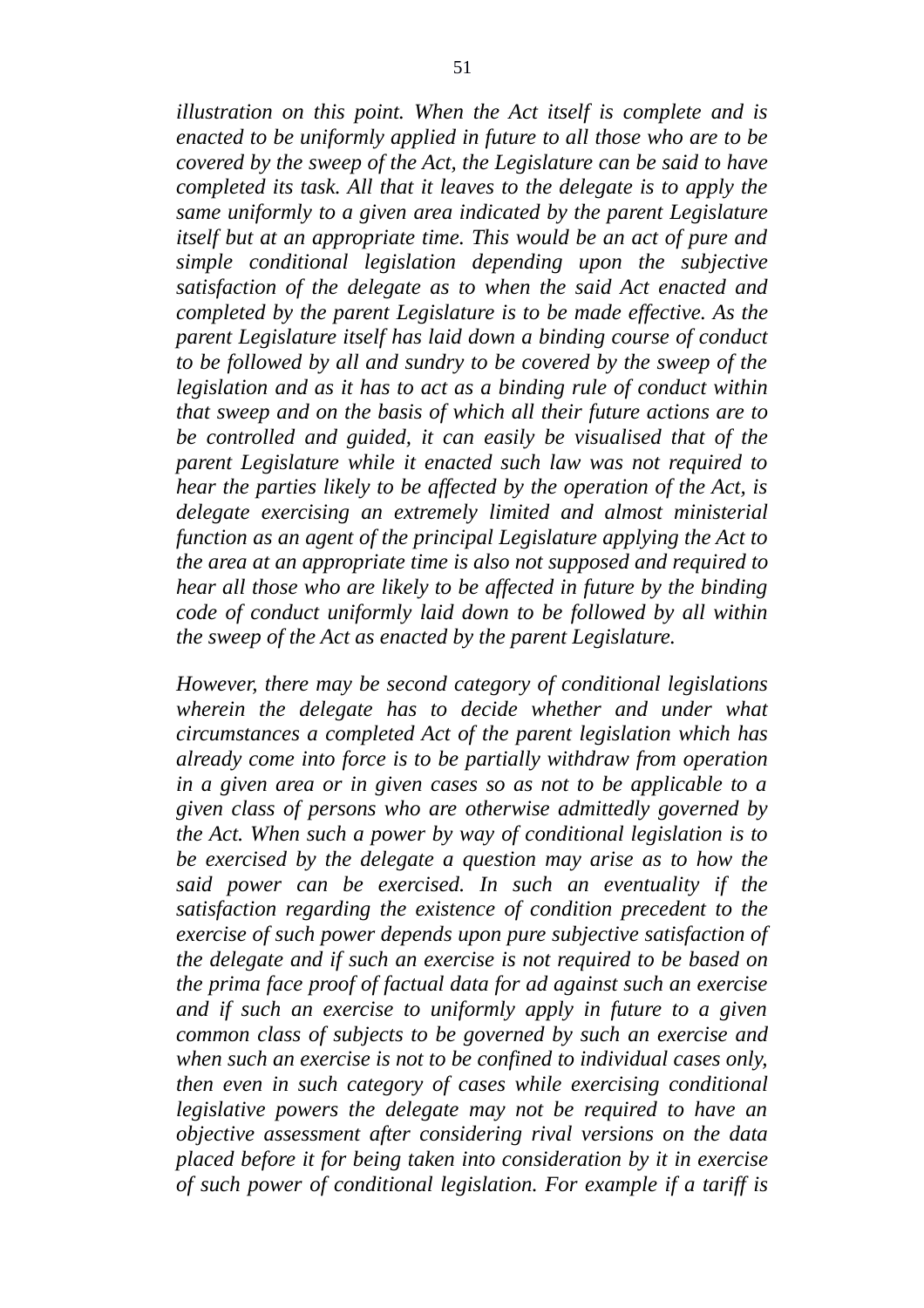*illustration on this point. When the Act itself is complete and is enacted to be uniformly applied in future to all those who are to be covered by the sweep of the Act, the Legislature can be said to have completed its task. All that it leaves to the delegate is to apply the same uniformly to a given area indicated by the parent Legislature itself but at an appropriate time. This would be an act of pure and simple conditional legislation depending upon the subjective satisfaction of the delegate as to when the said Act enacted and completed by the parent Legislature is to be made effective. As the parent Legislature itself has laid down a binding course of conduct to be followed by all and sundry to be covered by the sweep of the legislation and as it has to act as a binding rule of conduct within that sweep and on the basis of which all their future actions are to be controlled and guided, it can easily be visualised that of the parent Legislature while it enacted such law was not required to hear the parties likely to be affected by the operation of the Act, is delegate exercising an extremely limited and almost ministerial function as an agent of the principal Legislature applying the Act to the area at an appropriate time is also not supposed and required to hear all those who are likely to be affected in future by the binding code of conduct uniformly laid down to be followed by all within the sweep of the Act as enacted by the parent Legislature.*

*However, there may be second category of conditional legislations wherein the delegate has to decide whether and under what circumstances a completed Act of the parent legislation which has already come into force is to be partially withdraw from operation in a given area or in given cases so as not to be applicable to a given class of persons who are otherwise admittedly governed by the Act. When such a power by way of conditional legislation is to be exercised by the delegate a question may arise as to how the said power can be exercised. In such an eventuality if the satisfaction regarding the existence of condition precedent to the exercise of such power depends upon pure subjective satisfaction of the delegate and if such an exercise is not required to be based on the prima face proof of factual data for ad against such an exercise and if such an exercise to uniformly apply in future to a given common class of subjects to be governed by such an exercise and when such an exercise is not to be confined to individual cases only, then even in such category of cases while exercising conditional legislative powers the delegate may not be required to have an objective assessment after considering rival versions on the data placed before it for being taken into consideration by it in exercise of such power of conditional legislation. For example if a tariff is*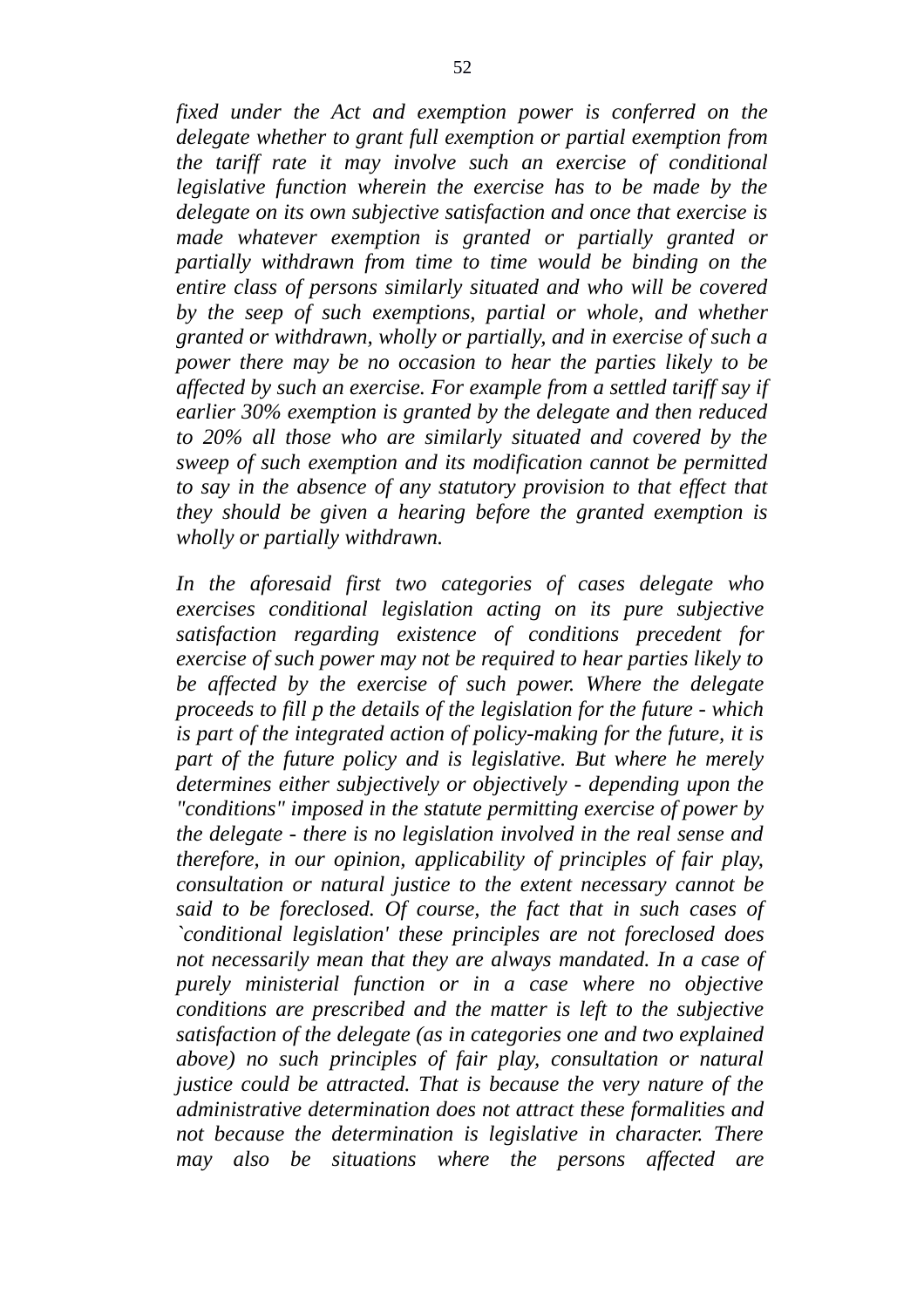*fixed under the Act and exemption power is conferred on the delegate whether to grant full exemption or partial exemption from the tariff rate it may involve such an exercise of conditional legislative function wherein the exercise has to be made by the delegate on its own subjective satisfaction and once that exercise is made whatever exemption is granted or partially granted or partially withdrawn from time to time would be binding on the entire class of persons similarly situated and who will be covered by the seep of such exemptions, partial or whole, and whether granted or withdrawn, wholly or partially, and in exercise of such a power there may be no occasion to hear the parties likely to be affected by such an exercise. For example from a settled tariff say if earlier 30% exemption is granted by the delegate and then reduced to 20% all those who are similarly situated and covered by the sweep of such exemption and its modification cannot be permitted to say in the absence of any statutory provision to that effect that they should be given a hearing before the granted exemption is wholly or partially withdrawn.*

*In the aforesaid first two categories of cases delegate who exercises conditional legislation acting on its pure subjective satisfaction regarding existence of conditions precedent for exercise of such power may not be required to hear parties likely to be affected by the exercise of such power. Where the delegate proceeds to fill p the details of the legislation for the future - which is part of the integrated action of policy-making for the future, it is part of the future policy and is legislative. But where he merely determines either subjectively or objectively - depending upon the "conditions" imposed in the statute permitting exercise of power by the delegate - there is no legislation involved in the real sense and therefore, in our opinion, applicability of principles of fair play, consultation or natural justice to the extent necessary cannot be said to be foreclosed. Of course, the fact that in such cases of `conditional legislation' these principles are not foreclosed does not necessarily mean that they are always mandated. In a case of purely ministerial function or in a case where no objective conditions are prescribed and the matter is left to the subjective satisfaction of the delegate (as in categories one and two explained above) no such principles of fair play, consultation or natural justice could be attracted. That is because the very nature of the administrative determination does not attract these formalities and not because the determination is legislative in character. There may also be situations where the persons affected are*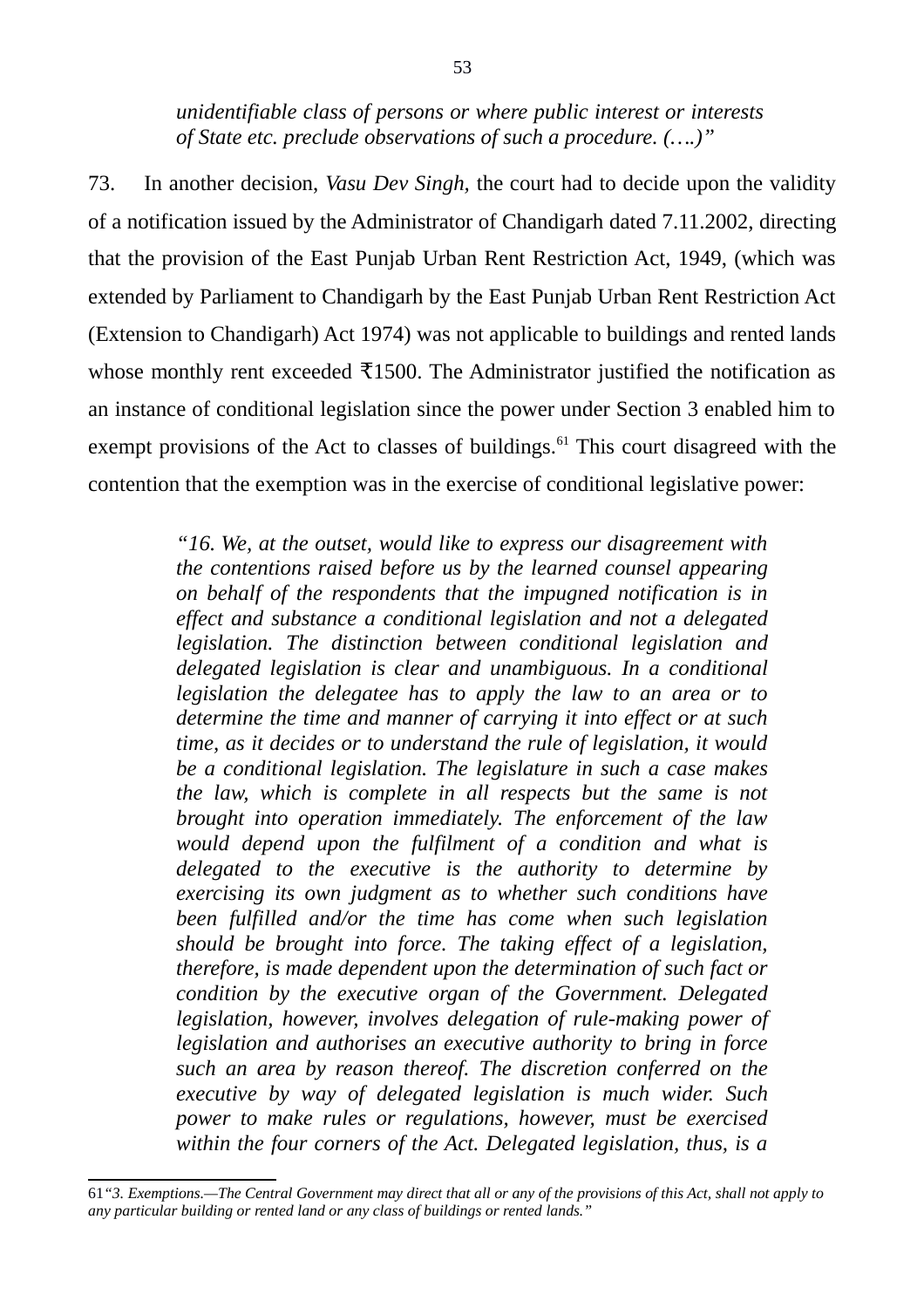*unidentifiable class of persons or where public interest or interests of State etc. preclude observations of such a procedure. (….)"*

73. In another decision, *Vasu Dev Singh,* the court had to decide upon the validity of a notification issued by the Administrator of Chandigarh dated 7.11.2002, directing that the provision of the East Punjab Urban Rent Restriction Act, 1949, (which was extended by Parliament to Chandigarh by the East Punjab Urban Rent Restriction Act (Extension to Chandigarh) Act 1974) was not applicable to buildings and rented lands whose monthly rent exceeded  $\overline{x}$ 1500. The Administrator justified the notification as an instance of conditional legislation since the power under Section 3 enabled him to exempt provisions of the Act to classes of buildings. $61$  This court disagreed with the contention that the exemption was in the exercise of conditional legislative power:

> *"16. We, at the outset, would like to express our disagreement with the contentions raised before us by the learned counsel appearing on behalf of the respondents that the impugned notification is in effect and substance a conditional legislation and not a delegated legislation. The distinction between conditional legislation and delegated legislation is clear and unambiguous. In a conditional legislation the delegatee has to apply the law to an area or to determine the time and manner of carrying it into effect or at such time, as it decides or to understand the rule of legislation, it would be a conditional legislation. The legislature in such a case makes the law, which is complete in all respects but the same is not brought into operation immediately. The enforcement of the law would depend upon the fulfilment of a condition and what is delegated to the executive is the authority to determine by exercising its own judgment as to whether such conditions have been fulfilled and/or the time has come when such legislation should be brought into force. The taking effect of a legislation, therefore, is made dependent upon the determination of such fact or condition by the executive organ of the Government. Delegated legislation, however, involves delegation of rule-making power of legislation and authorises an executive authority to bring in force such an area by reason thereof. The discretion conferred on the executive by way of delegated legislation is much wider. Such power to make rules or regulations, however, must be exercised within the four corners of the Act. Delegated legislation, thus, is a*

<span id="page-52-0"></span><sup>61</sup>*"3. Exemptions.—The Central Government may direct that all or any of the provisions of this Act, shall not apply to any particular building or rented land or any class of buildings or rented lands."*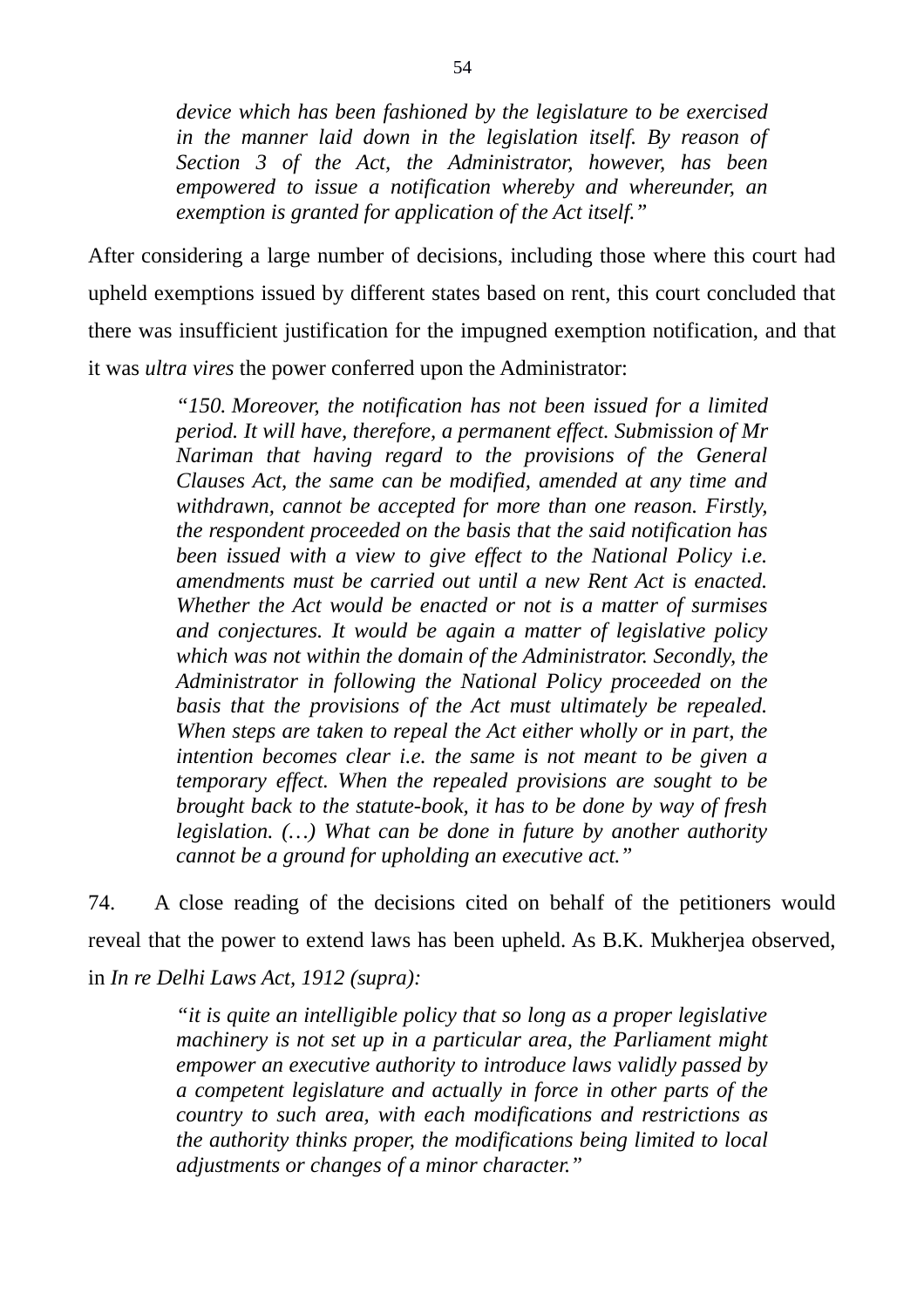*device which has been fashioned by the legislature to be exercised in the manner laid down in the legislation itself. By reason of Section 3 of the Act, the Administrator, however, has been empowered to issue a notification whereby and whereunder, an exemption is granted for application of the Act itself."*

After considering a large number of decisions, including those where this court had upheld exemptions issued by different states based on rent, this court concluded that there was insufficient justification for the impugned exemption notification, and that it was *ultra vires* the power conferred upon the Administrator:

> *"150. Moreover, the notification has not been issued for a limited period. It will have, therefore, a permanent effect. Submission of Mr Nariman that having regard to the provisions of the General Clauses Act, the same can be modified, amended at any time and withdrawn, cannot be accepted for more than one reason. Firstly, the respondent proceeded on the basis that the said notification has been issued with a view to give effect to the National Policy i.e. amendments must be carried out until a new Rent Act is enacted. Whether the Act would be enacted or not is a matter of surmises and conjectures. It would be again a matter of legislative policy which was not within the domain of the Administrator. Secondly, the Administrator in following the National Policy proceeded on the basis that the provisions of the Act must ultimately be repealed. When steps are taken to repeal the Act either wholly or in part, the intention becomes clear i.e. the same is not meant to be given a temporary effect. When the repealed provisions are sought to be brought back to the statute-book, it has to be done by way of fresh legislation. (…) What can be done in future by another authority cannot be a ground for upholding an executive act."*

74. A close reading of the decisions cited on behalf of the petitioners would reveal that the power to extend laws has been upheld. As B.K. Mukherjea observed, in *In re Delhi Laws Act, 1912 (supra):*

> *"it is quite an intelligible policy that so long as a proper legislative machinery is not set up in a particular area, the Parliament might empower an executive authority to introduce laws validly passed by a competent legislature and actually in force in other parts of the country to such area, with each modifications and restrictions as the authority thinks proper, the modifications being limited to local adjustments or changes of a minor character."*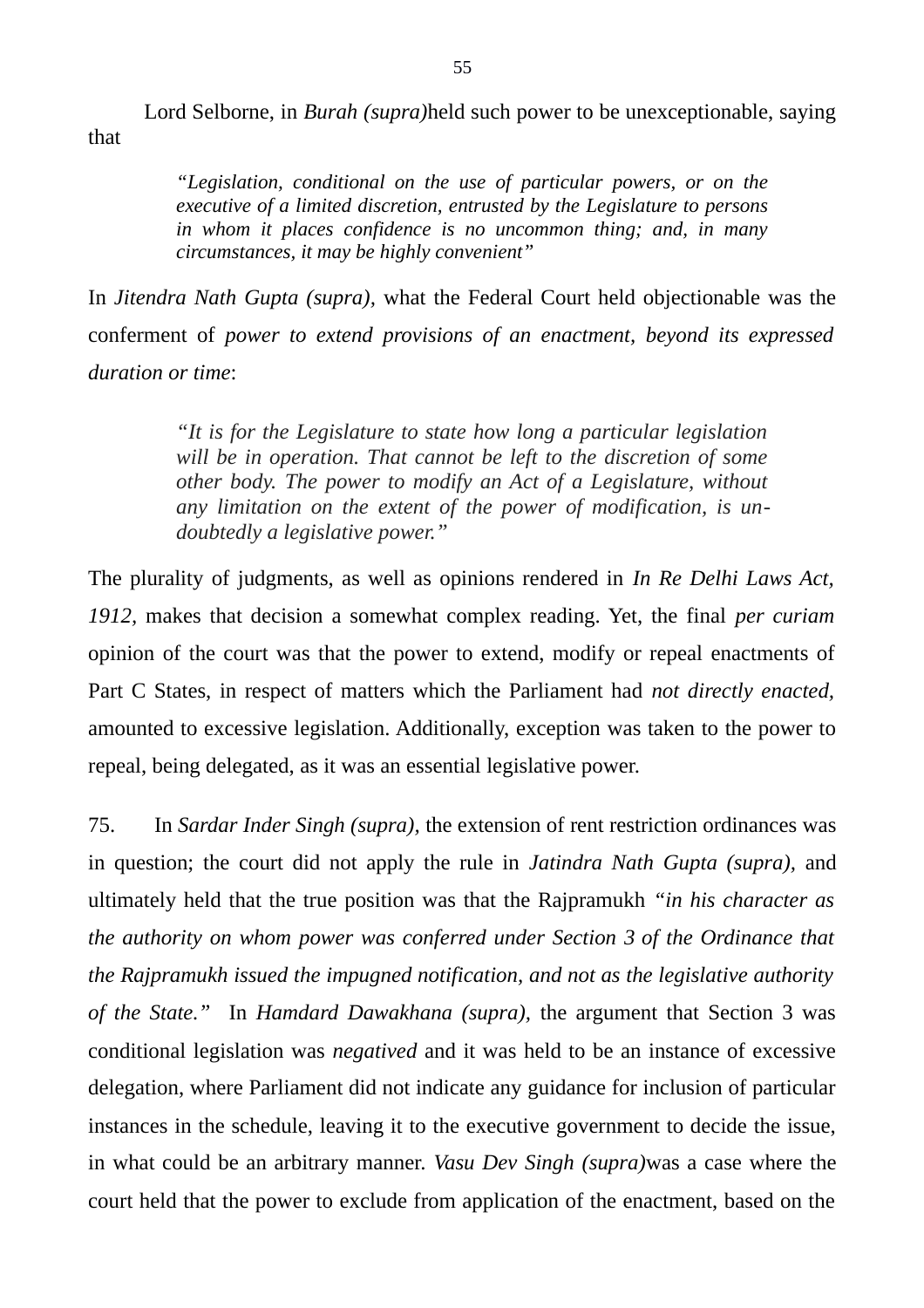Lord Selborne, in *Burah (supra)*held such power to be unexceptionable, saying that

> *"Legislation, conditional on the use of particular powers, or on the executive of a limited discretion, entrusted by the Legislature to persons in whom it places confidence is no uncommon thing; and, in many circumstances, it may be highly convenient"*

In *Jitendra Nath Gupta (supra),* what the Federal Court held objectionable was the conferment of *power to extend provisions of an enactment, beyond its expressed duration or time*:

> *"It is for the Legislature to state how long a particular legislation will be in operation. That cannot be left to the discretion of some other body. The power to modify an Act of a Legislature, without any limitation on the extent of the power of modification, is undoubtedly a legislative power."*

The plurality of judgments, as well as opinions rendered in *In Re Delhi Laws Act, 1912,* makes that decision a somewhat complex reading. Yet, the final *per curiam* opinion of the court was that the power to extend, modify or repeal enactments of Part C States, in respect of matters which the Parliament had *not directly enacted,* amounted to excessive legislation. Additionally, exception was taken to the power to repeal, being delegated, as it was an essential legislative power.

75. In *Sardar Inder Singh (supra),* the extension of rent restriction ordinances was in question; the court did not apply the rule in *Jatindra Nath Gupta (supra),* and ultimately held that the true position was that the Rajpramukh *"in his character as the authority on whom power was conferred under Section 3 of the Ordinance that the Rajpramukh issued the impugned notification, and not as the legislative authority of the State."* In *Hamdard Dawakhana (supra),* the argument that Section 3 was conditional legislation was *negatived* and it was held to be an instance of excessive delegation, where Parliament did not indicate any guidance for inclusion of particular instances in the schedule, leaving it to the executive government to decide the issue, in what could be an arbitrary manner. *Vasu Dev Singh (supra)*was a case where the court held that the power to exclude from application of the enactment, based on the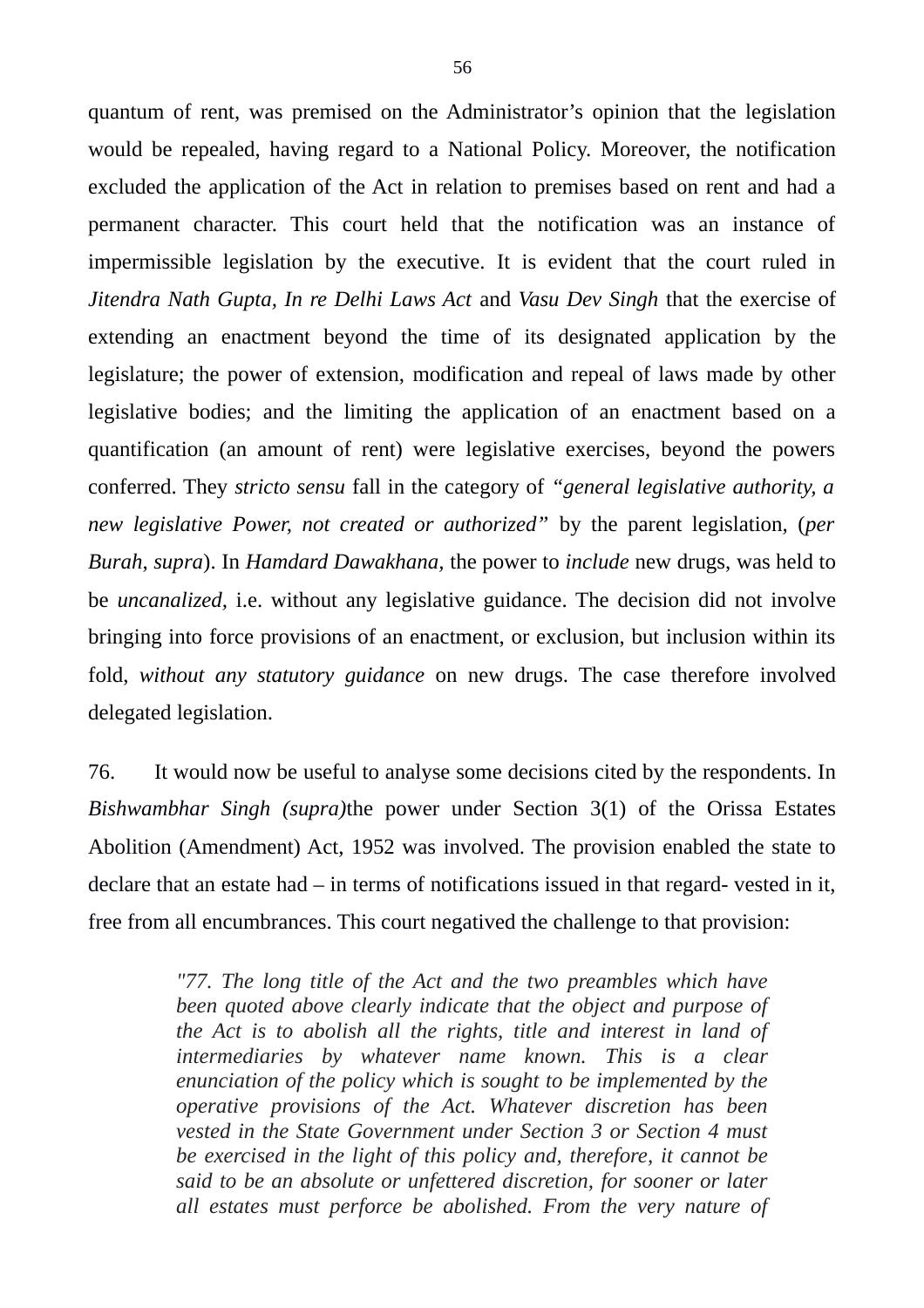quantum of rent, was premised on the Administrator's opinion that the legislation would be repealed, having regard to a National Policy. Moreover, the notification excluded the application of the Act in relation to premises based on rent and had a permanent character. This court held that the notification was an instance of impermissible legislation by the executive. It is evident that the court ruled in *Jitendra Nath Gupta, In re Delhi Laws Act* and *Vasu Dev Singh* that the exercise of extending an enactment beyond the time of its designated application by the legislature; the power of extension, modification and repeal of laws made by other legislative bodies; and the limiting the application of an enactment based on a quantification (an amount of rent) were legislative exercises, beyond the powers conferred. They *stricto sensu* fall in the category of *"general legislative authority, a new legislative Power, not created or authorized"* by the parent legislation, (*per Burah*, *supra*). In *Hamdard Dawakhana,* the power to *include* new drugs, was held to be *uncanalized,* i.e. without any legislative guidance. The decision did not involve bringing into force provisions of an enactment, or exclusion, but inclusion within its fold, *without any statutory guidance* on new drugs. The case therefore involved delegated legislation.

76. It would now be useful to analyse some decisions cited by the respondents. In *Bishwambhar Singh (supra)*the power under Section 3(1) of the Orissa Estates Abolition (Amendment) Act, 1952 was involved. The provision enabled the state to declare that an estate had – in terms of notifications issued in that regard- vested in it, free from all encumbrances. This court negatived the challenge to that provision:

> *"77. The long title of the Act and the two preambles which have been quoted above clearly indicate that the object and purpose of the Act is to abolish all the rights, title and interest in land of intermediaries by whatever name known. This is a clear enunciation of the policy which is sought to be implemented by the operative provisions of the Act. Whatever discretion has been vested in the State Government under Section 3 or Section 4 must be exercised in the light of this policy and, therefore, it cannot be said to be an absolute or unfettered discretion, for sooner or later all estates must perforce be abolished. From the very nature of*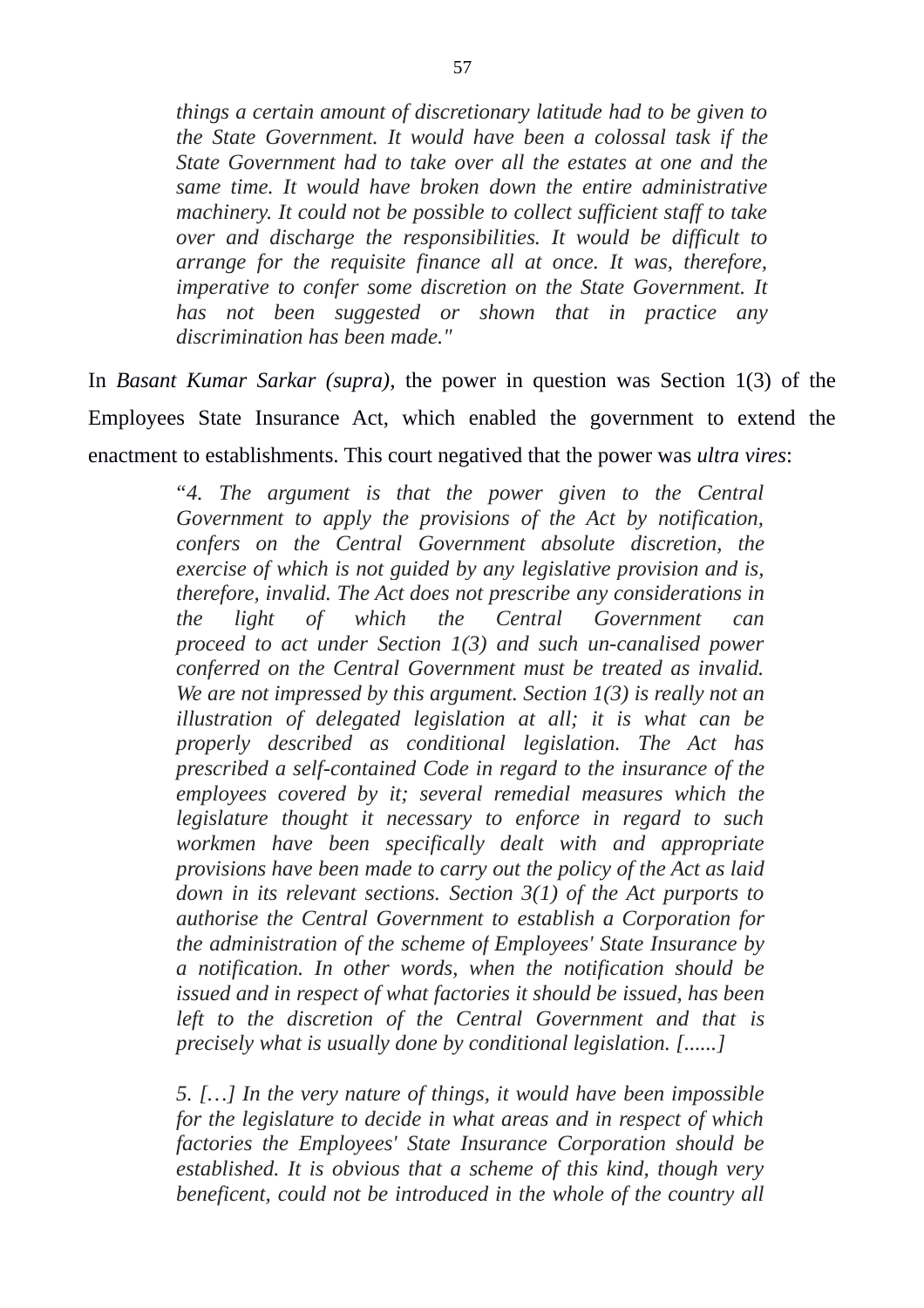*things a certain amount of discretionary latitude had to be given to the State Government. It would have been a colossal task if the State Government had to take over all the estates at one and the same time. It would have broken down the entire administrative machinery. It could not be possible to collect sufficient staff to take over and discharge the responsibilities. It would be difficult to arrange for the requisite finance all at once. It was, therefore, imperative to confer some discretion on the State Government. It has not been suggested or shown that in practice any discrimination has been made."*

In *Basant Kumar Sarkar (supra),* the power in question was Section 1(3) of the Employees State Insurance Act, which enabled the government to extend the enactment to establishments. This court negatived that the power was *ultra vires*:

> *"4. The argument is that the power given to the Central Government to apply the provisions of the Act by notification, confers on the Central Government absolute discretion, the exercise of which is not guided by any legislative provision and is, therefore, invalid. The Act does not prescribe any considerations in the light of which the Central Government can proceed to act under Section 1(3) and such un-canalised power conferred on the Central Government must be treated as invalid. We are not impressed by this argument. Section 1(3) is really not an illustration of delegated legislation at all; it is what can be properly described as conditional legislation. The Act has prescribed a self-contained Code in regard to the insurance of the employees covered by it; several remedial measures which the legislature thought it necessary to enforce in regard to such workmen have been specifically dealt with and appropriate provisions have been made to carry out the policy of the Act as laid down in its relevant sections. Section 3(1) of the Act purports to authorise the Central Government to establish a Corporation for the administration of the scheme of Employees' State Insurance by a notification. In other words, when the notification should be issued and in respect of what factories it should be issued, has been left to the discretion of the Central Government and that is precisely what is usually done by conditional legislation. [......]*

> *5. […] In the very nature of things, it would have been impossible for the legislature to decide in what areas and in respect of which factories the Employees' State Insurance Corporation should be established. It is obvious that a scheme of this kind, though very beneficent, could not be introduced in the whole of the country all*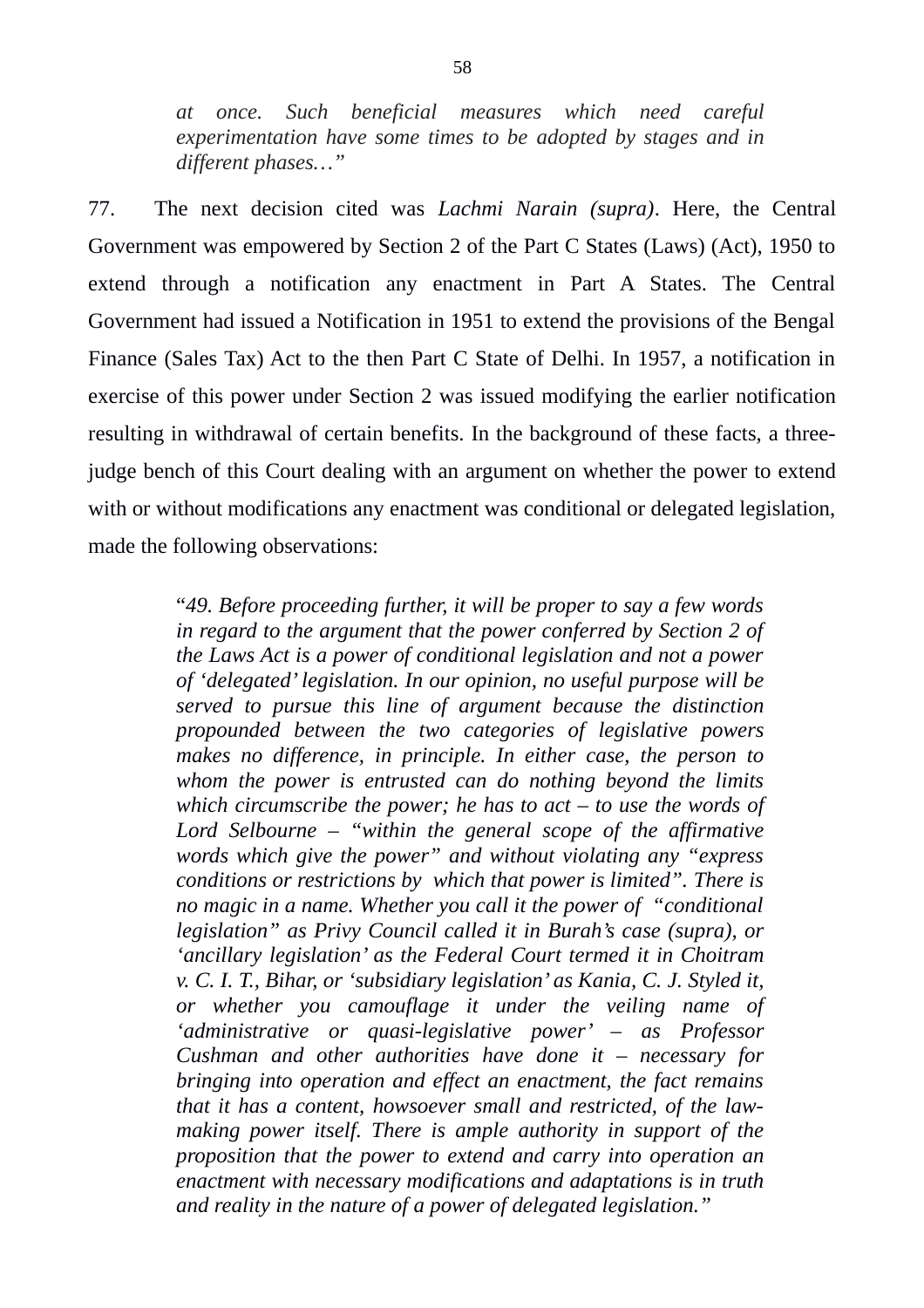*at once. Such beneficial measures which need careful experimentation have some times to be adopted by stages and in different phases…"*

77. The next decision cited was *Lachmi Narain (supra)*. Here, the Central Government was empowered by Section 2 of the Part C States (Laws) (Act), 1950 to extend through a notification any enactment in Part A States. The Central Government had issued a Notification in 1951 to extend the provisions of the Bengal Finance (Sales Tax) Act to the then Part C State of Delhi. In 1957, a notification in exercise of this power under Section 2 was issued modifying the earlier notification resulting in withdrawal of certain benefits. In the background of these facts, a threejudge bench of this Court dealing with an argument on whether the power to extend with or without modifications any enactment was conditional or delegated legislation, made the following observations:

> "*49. Before proceeding further, it will be proper to say a few words in regard to the argument that the power conferred by Section 2 of the Laws Act is a power of conditional legislation and not a power of 'delegated' legislation. In our opinion, no useful purpose will be served to pursue this line of argument because the distinction propounded between the two categories of legislative powers makes no difference, in principle. In either case, the person to whom the power is entrusted can do nothing beyond the limits which circumscribe the power; he has to act – to use the words of Lord Selbourne – "within the general scope of the affirmative words which give the power" and without violating any "express conditions or restrictions by which that power is limited". There is no magic in a name. Whether you call it the power of "conditional legislation" as Privy Council called it in Burah's case (supra), or 'ancillary legislation' as the Federal Court termed it in Choitram v. C. I. T., Bihar, or 'subsidiary legislation' as Kania, C. J. Styled it, or whether you camouflage it under the veiling name of 'administrative or quasi-legislative power' – as Professor Cushman and other authorities have done it – necessary for bringing into operation and effect an enactment, the fact remains that it has a content, howsoever small and restricted, of the lawmaking power itself. There is ample authority in support of the proposition that the power to extend and carry into operation an enactment with necessary modifications and adaptations is in truth and reality in the nature of a power of delegated legislation."*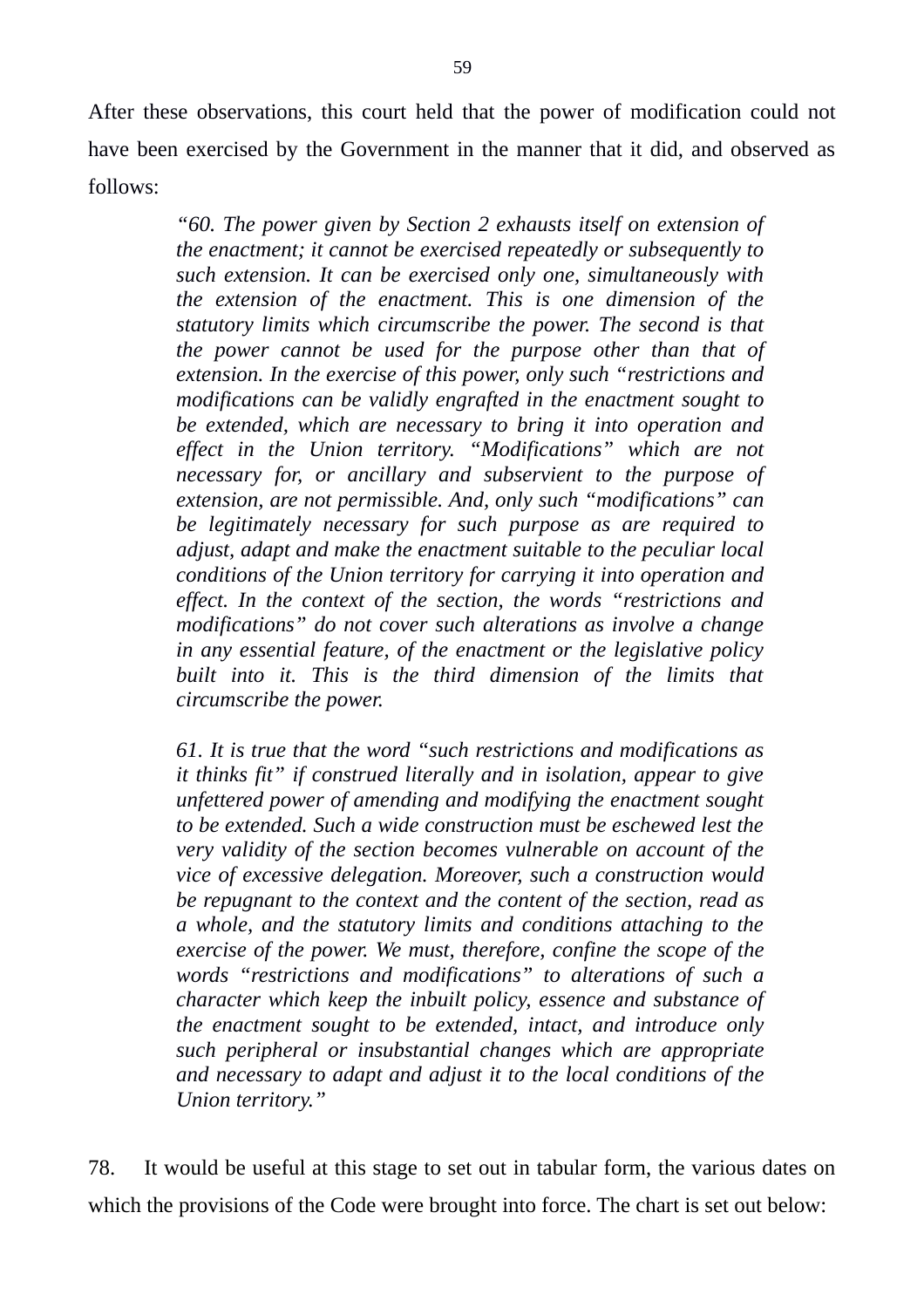After these observations, this court held that the power of modification could not have been exercised by the Government in the manner that it did, and observed as follows:

> *"60. The power given by Section 2 exhausts itself on extension of the enactment; it cannot be exercised repeatedly or subsequently to such extension. It can be exercised only one, simultaneously with the extension of the enactment. This is one dimension of the statutory limits which circumscribe the power. The second is that the power cannot be used for the purpose other than that of extension. In the exercise of this power, only such "restrictions and modifications can be validly engrafted in the enactment sought to be extended, which are necessary to bring it into operation and effect in the Union territory. "Modifications" which are not necessary for, or ancillary and subservient to the purpose of extension, are not permissible. And, only such "modifications" can be legitimately necessary for such purpose as are required to adjust, adapt and make the enactment suitable to the peculiar local conditions of the Union territory for carrying it into operation and effect. In the context of the section, the words "restrictions and modifications" do not cover such alterations as involve a change in any essential feature, of the enactment or the legislative policy built into it. This is the third dimension of the limits that circumscribe the power.*

> *61. It is true that the word "such restrictions and modifications as it thinks fit" if construed literally and in isolation, appear to give unfettered power of amending and modifying the enactment sought to be extended. Such a wide construction must be eschewed lest the very validity of the section becomes vulnerable on account of the vice of excessive delegation. Moreover, such a construction would be repugnant to the context and the content of the section, read as a whole, and the statutory limits and conditions attaching to the exercise of the power. We must, therefore, confine the scope of the words "restrictions and modifications" to alterations of such a character which keep the inbuilt policy, essence and substance of the enactment sought to be extended, intact, and introduce only such peripheral or insubstantial changes which are appropriate and necessary to adapt and adjust it to the local conditions of the Union territory."*

78. It would be useful at this stage to set out in tabular form, the various dates on which the provisions of the Code were brought into force. The chart is set out below: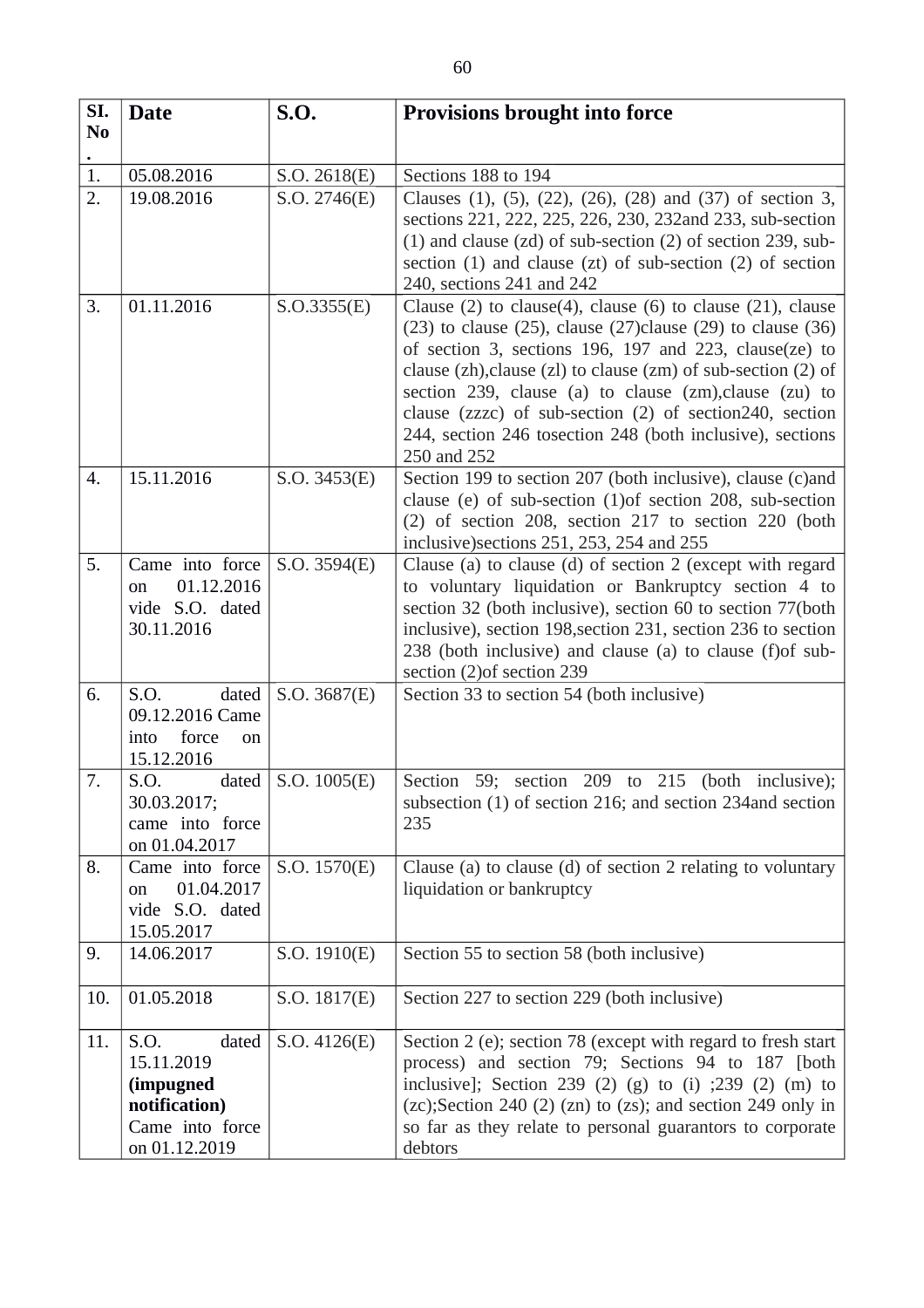| SI.<br>N <sub>0</sub> | <b>Date</b>                                                                                   | <b>S.O.</b>  | <b>Provisions brought into force</b>                                                                                                                                                                                                                                                                                                                                                                                                                                                 |
|-----------------------|-----------------------------------------------------------------------------------------------|--------------|--------------------------------------------------------------------------------------------------------------------------------------------------------------------------------------------------------------------------------------------------------------------------------------------------------------------------------------------------------------------------------------------------------------------------------------------------------------------------------------|
|                       |                                                                                               |              |                                                                                                                                                                                                                                                                                                                                                                                                                                                                                      |
| 1.                    | 05.08.2016                                                                                    | S.O. 2618(E) | Sections 188 to 194                                                                                                                                                                                                                                                                                                                                                                                                                                                                  |
| 2.                    | 19.08.2016                                                                                    | S.O. 2746(E) | Clauses (1), (5), (22), (26), (28) and (37) of section 3,<br>sections 221, 222, 225, 226, 230, 232and 233, sub-section<br>$(1)$ and clause $(zd)$ of sub-section $(2)$ of section 239, sub-<br>section (1) and clause (zt) of sub-section (2) of section<br>240, sections 241 and 242                                                                                                                                                                                                |
| 3.                    | 01.11.2016                                                                                    | S. O.3355(E) | Clause $(2)$ to clause $(4)$ , clause $(6)$ to clause $(21)$ , clause<br>$(23)$ to clause $(25)$ , clause $(27)$ clause $(29)$ to clause $(36)$<br>of section 3, sections 196, 197 and 223, clause(ze) to<br>clause $(zh)$ , clause $(zl)$ to clause $(zm)$ of sub-section $(2)$ of<br>section 239, clause (a) to clause (zm), clause (zu) to<br>clause (zzzc) of sub-section (2) of section240, section<br>244, section 246 tosection 248 (both inclusive), sections<br>250 and 252 |
| 4.                    | 15.11.2016                                                                                    | S.O. 3453(E) | Section 199 to section 207 (both inclusive), clause (c)and<br>clause (e) of sub-section (1) of section 208, sub-section<br>(2) of section 208, section 217 to section 220 (both<br>inclusive) sections 251, 253, 254 and 255                                                                                                                                                                                                                                                         |
| 5.                    | Came into force<br>01.12.2016<br>on<br>vide S.O. dated<br>30.11.2016                          | S.O. 3594(E) | Clause (a) to clause (d) of section 2 (except with regard<br>to voluntary liquidation or Bankruptcy section 4 to<br>section 32 (both inclusive), section 60 to section 77(both<br>inclusive), section 198, section 231, section 236 to section<br>238 (both inclusive) and clause (a) to clause (f) of sub-<br>section (2) of section 239                                                                                                                                            |
| 6.                    | S.O.<br>dated<br>09.12.2016 Came<br>force<br>into<br>on<br>15.12.2016                         | S.O. 3687(E) | Section 33 to section 54 (both inclusive)                                                                                                                                                                                                                                                                                                                                                                                                                                            |
| 7.                    | S.O.<br>dated<br>30.03.2017;<br>came into force<br>on 01.04.2017                              | S.O. 1005(E) | Section 59; section 209 to 215<br>(both inclusive);<br>subsection (1) of section 216; and section 234 and section<br>235                                                                                                                                                                                                                                                                                                                                                             |
| 8.                    | Came into force<br>01.04.2017<br>on<br>vide S.O. dated<br>15.05.2017                          | S.O. 1570(E) | Clause (a) to clause (d) of section 2 relating to voluntary<br>liquidation or bankruptcy                                                                                                                                                                                                                                                                                                                                                                                             |
| 9.                    | 14.06.2017                                                                                    | S.O. 1910(E) | Section 55 to section 58 (both inclusive)                                                                                                                                                                                                                                                                                                                                                                                                                                            |
| 10.                   | 01.05.2018                                                                                    | S.O. 1817(E) | Section 227 to section 229 (both inclusive)                                                                                                                                                                                                                                                                                                                                                                                                                                          |
| 11.                   | S.O.<br>dated<br>15.11.2019<br>(impugned<br>notification)<br>Came into force<br>on 01.12.2019 | S.O. 4126(E) | Section 2 (e); section 78 (except with regard to fresh start<br>process) and section 79; Sections 94 to 187 [both<br>inclusive]; Section 239 (2) (g) to (i) $;239$ (2) (m) to<br>$(zc)$ ; Section 240 $(2)$ $(zn)$ to $(zs)$ ; and section 249 only in<br>so far as they relate to personal guarantors to corporate<br>debtors                                                                                                                                                       |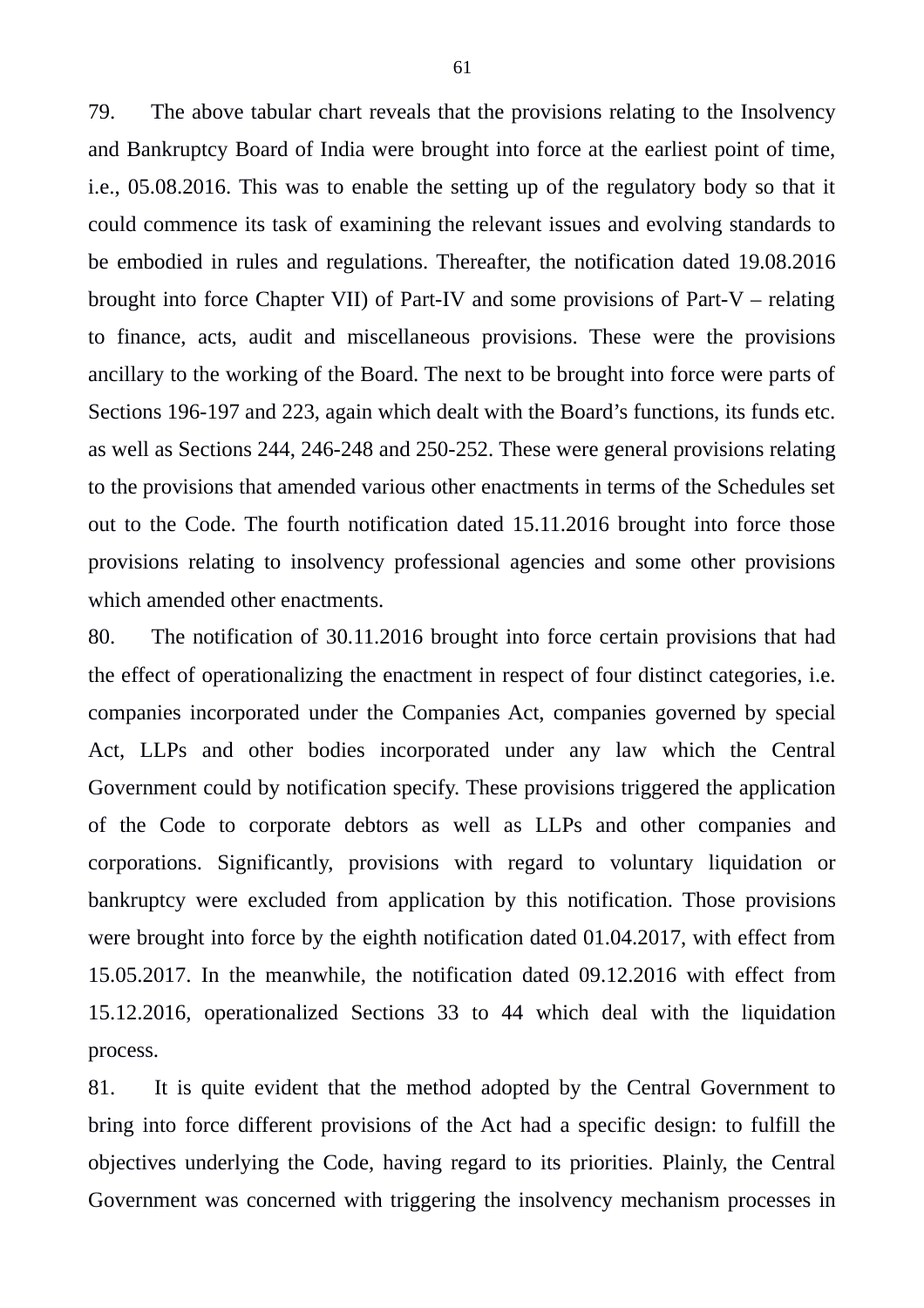79. The above tabular chart reveals that the provisions relating to the Insolvency and Bankruptcy Board of India were brought into force at the earliest point of time, i.e., 05.08.2016. This was to enable the setting up of the regulatory body so that it could commence its task of examining the relevant issues and evolving standards to be embodied in rules and regulations. Thereafter, the notification dated 19.08.2016 brought into force Chapter VII) of Part-IV and some provisions of Part-V – relating to finance, acts, audit and miscellaneous provisions. These were the provisions ancillary to the working of the Board. The next to be brought into force were parts of Sections 196-197 and 223, again which dealt with the Board's functions, its funds etc. as well as Sections 244, 246-248 and 250-252. These were general provisions relating to the provisions that amended various other enactments in terms of the Schedules set out to the Code. The fourth notification dated 15.11.2016 brought into force those provisions relating to insolvency professional agencies and some other provisions which amended other enactments.

80. The notification of 30.11.2016 brought into force certain provisions that had the effect of operationalizing the enactment in respect of four distinct categories, i.e. companies incorporated under the Companies Act, companies governed by special Act, LLPs and other bodies incorporated under any law which the Central Government could by notification specify. These provisions triggered the application of the Code to corporate debtors as well as LLPs and other companies and corporations. Significantly, provisions with regard to voluntary liquidation or bankruptcy were excluded from application by this notification. Those provisions were brought into force by the eighth notification dated 01.04.2017, with effect from 15.05.2017. In the meanwhile, the notification dated 09.12.2016 with effect from 15.12.2016, operationalized Sections 33 to 44 which deal with the liquidation process.

81. It is quite evident that the method adopted by the Central Government to bring into force different provisions of the Act had a specific design: to fulfill the objectives underlying the Code, having regard to its priorities. Plainly, the Central Government was concerned with triggering the insolvency mechanism processes in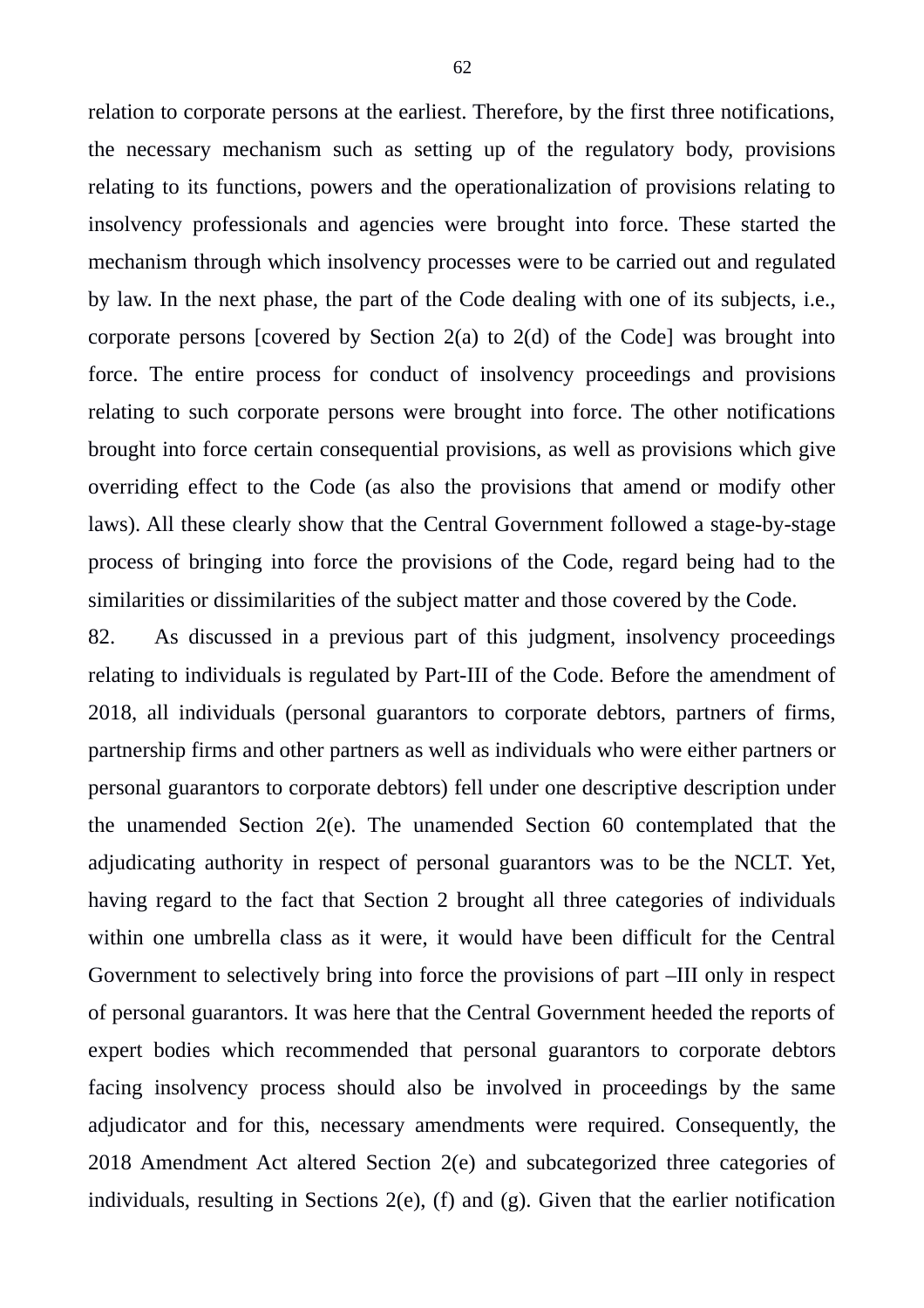relation to corporate persons at the earliest. Therefore, by the first three notifications, the necessary mechanism such as setting up of the regulatory body, provisions relating to its functions, powers and the operationalization of provisions relating to insolvency professionals and agencies were brought into force. These started the mechanism through which insolvency processes were to be carried out and regulated by law. In the next phase, the part of the Code dealing with one of its subjects, i.e., corporate persons [covered by Section 2(a) to 2(d) of the Code] was brought into force. The entire process for conduct of insolvency proceedings and provisions relating to such corporate persons were brought into force. The other notifications brought into force certain consequential provisions, as well as provisions which give overriding effect to the Code (as also the provisions that amend or modify other laws). All these clearly show that the Central Government followed a stage-by-stage process of bringing into force the provisions of the Code, regard being had to the similarities or dissimilarities of the subject matter and those covered by the Code.

82. As discussed in a previous part of this judgment, insolvency proceedings relating to individuals is regulated by Part-III of the Code. Before the amendment of 2018, all individuals (personal guarantors to corporate debtors, partners of firms, partnership firms and other partners as well as individuals who were either partners or personal guarantors to corporate debtors) fell under one descriptive description under the unamended Section 2(e). The unamended Section 60 contemplated that the adjudicating authority in respect of personal guarantors was to be the NCLT. Yet, having regard to the fact that Section 2 brought all three categories of individuals within one umbrella class as it were, it would have been difficult for the Central Government to selectively bring into force the provisions of part –III only in respect of personal guarantors. It was here that the Central Government heeded the reports of expert bodies which recommended that personal guarantors to corporate debtors facing insolvency process should also be involved in proceedings by the same adjudicator and for this, necessary amendments were required. Consequently, the 2018 Amendment Act altered Section 2(e) and subcategorized three categories of individuals, resulting in Sections 2(e), (f) and (g). Given that the earlier notification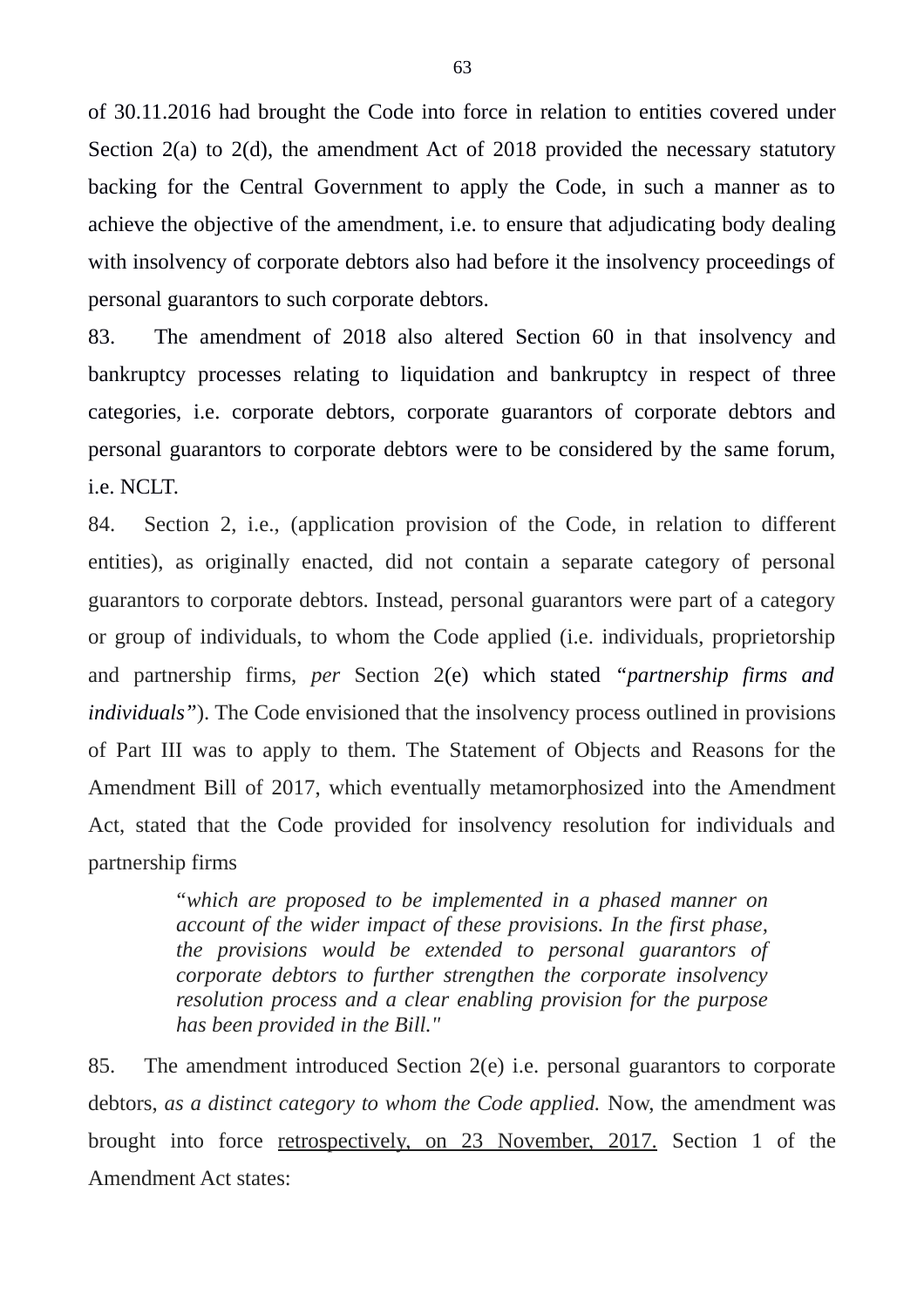of 30.11.2016 had brought the Code into force in relation to entities covered under Section 2(a) to 2(d), the amendment Act of 2018 provided the necessary statutory backing for the Central Government to apply the Code, in such a manner as to achieve the objective of the amendment, i.e. to ensure that adjudicating body dealing with insolvency of corporate debtors also had before it the insolvency proceedings of personal guarantors to such corporate debtors.

83. The amendment of 2018 also altered Section 60 in that insolvency and bankruptcy processes relating to liquidation and bankruptcy in respect of three categories, i.e. corporate debtors, corporate guarantors of corporate debtors and personal guarantors to corporate debtors were to be considered by the same forum, i.e. NCLT.

84. Section 2, i.e., (application provision of the Code, in relation to different entities), as originally enacted, did not contain a separate category of personal guarantors to corporate debtors. Instead, personal guarantors were part of a category or group of individuals, to whom the Code applied (i.e. individuals, proprietorship and partnership firms, *per* Section 2(e) which stated *"partnership firms and individuals"*). The Code envisioned that the insolvency process outlined in provisions of Part III was to apply to them. The Statement of Objects and Reasons for the Amendment Bill of 2017, which eventually metamorphosized into the Amendment Act, stated that the Code provided for insolvency resolution for individuals and partnership firms

> *"which are proposed to be implemented in a phased manner on account of the wider impact of these provisions. In the first phase, the provisions would be extended to personal guarantors of corporate debtors to further strengthen the corporate insolvency resolution process and a clear enabling provision for the purpose has been provided in the Bill."*

85. The amendment introduced Section 2(e) i.e. personal guarantors to corporate debtors, *as a distinct category to whom the Code applied.* Now, the amendment was brought into force retrospectively, on 23 November, 2017. Section 1 of the Amendment Act states: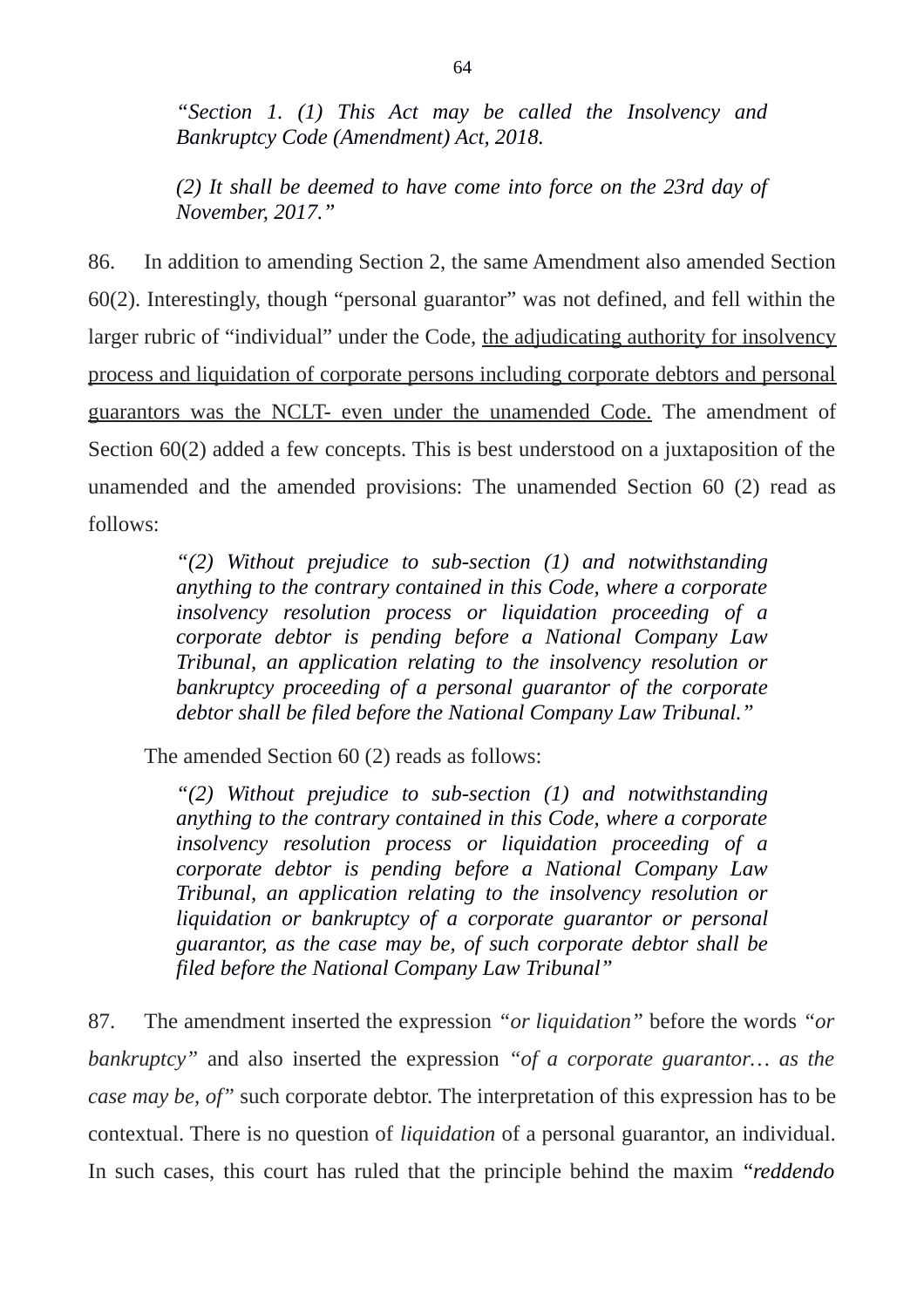*"Section 1. (1) This Act may be called the Insolvency and Bankruptcy Code (Amendment) Act, 2018.* 

*(2) It shall be deemed to have come into force on the 23rd day of November, 2017."*

86. In addition to amending Section 2, the same Amendment also amended Section 60(2). Interestingly, though "personal guarantor" was not defined, and fell within the larger rubric of "individual" under the Code, the adjudicating authority for insolvency process and liquidation of corporate persons including corporate debtors and personal guarantors was the NCLT- even under the unamended Code. The amendment of Section 60(2) added a few concepts. This is best understood on a juxtaposition of the unamended and the amended provisions: The unamended Section 60 (2) read as follows:

> *"(2) Without prejudice to sub-section (1) and notwithstanding anything to the contrary contained in this Code, where a corporate insolvency resolution process or liquidation proceeding of a corporate debtor is pending before a National Company Law Tribunal, an application relating to the insolvency resolution or bankruptcy proceeding of a personal guarantor of the corporate debtor shall be filed before the National Company Law Tribunal."*

The amended Section 60 (2) reads as follows:

*"(2) Without prejudice to sub-section (1) and notwithstanding anything to the contrary contained in this Code, where a corporate insolvency resolution process or liquidation proceeding of a corporate debtor is pending before a National Company Law Tribunal, an application relating to the insolvency resolution or liquidation or bankruptcy of a corporate guarantor or personal guarantor, as the case may be, of such corporate debtor shall be filed before the National Company Law Tribunal"*

87. The amendment inserted the expression *"or liquidation"* before the words *"or bankruptcy"* and also inserted the expression *"of a corporate guarantor… as the case may be, of"* such corporate debtor. The interpretation of this expression has to be contextual. There is no question of *liquidation* of a personal guarantor, an individual. In such cases, this court has ruled that the principle behind the maxim "*reddendo*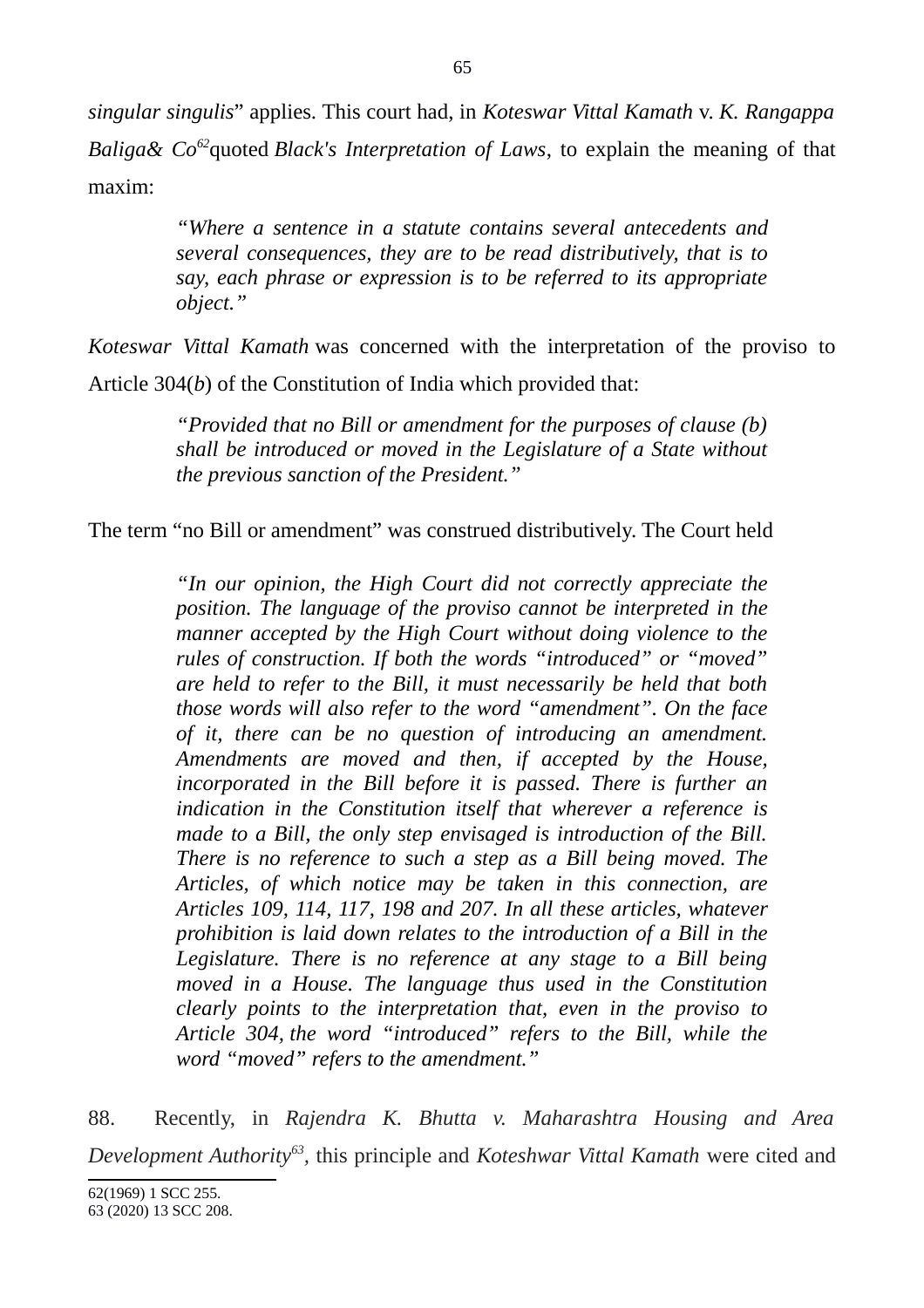*singular singulis*" applies. This court had, in *Koteswar Vittal Kamath* v. *K. Rangappa Baliga& Co[62](#page-64-0)*quoted *Black's Interpretation of Laws*, to explain the meaning of that maxim:

> *"Where a sentence in a statute contains several antecedents and several consequences, they are to be read distributively, that is to say, each phrase or expression is to be referred to its appropriate object."*

*Koteswar Vittal Kamath* was concerned with the interpretation of the proviso to Article 304(*b*) of the Constitution of India which provided that:

> *"Provided that no Bill or amendment for the purposes of clause (b) shall be introduced or moved in the Legislature of a State without the previous sanction of the President."*

The term "no Bill or amendment" was construed distributively. The Court held

*"In our opinion, the High Court did not correctly appreciate the position. The language of the proviso cannot be interpreted in the manner accepted by the High Court without doing violence to the rules of construction. If both the words "introduced" or "moved" are held to refer to the Bill, it must necessarily be held that both those words will also refer to the word "amendment". On the face of it, there can be no question of introducing an amendment. Amendments are moved and then, if accepted by the House, incorporated in the Bill before it is passed. There is further an indication in the Constitution itself that wherever a reference is made to a Bill, the only step envisaged is introduction of the Bill. There is no reference to such a step as a Bill being moved. The Articles, of which notice may be taken in this connection, are Articles 109, 114, 117, 198 and 207. In all these articles, whatever prohibition is laid down relates to the introduction of a Bill in the Legislature. There is no reference at any stage to a Bill being moved in a House. The language thus used in the Constitution clearly points to the interpretation that, even in the proviso to Article 304, the word "introduced" refers to the Bill, while the word "moved" refers to the amendment."*

88. Recently, in *Rajendra K. Bhutta v. Maharashtra Housing and Area Development Authority[63](#page-64-1) ,* this principle and *Koteshwar Vittal Kamath* were cited and

<span id="page-64-1"></span><span id="page-64-0"></span><sup>62(1969) 1</sup> SCC 255. 63 (2020) 13 SCC 208.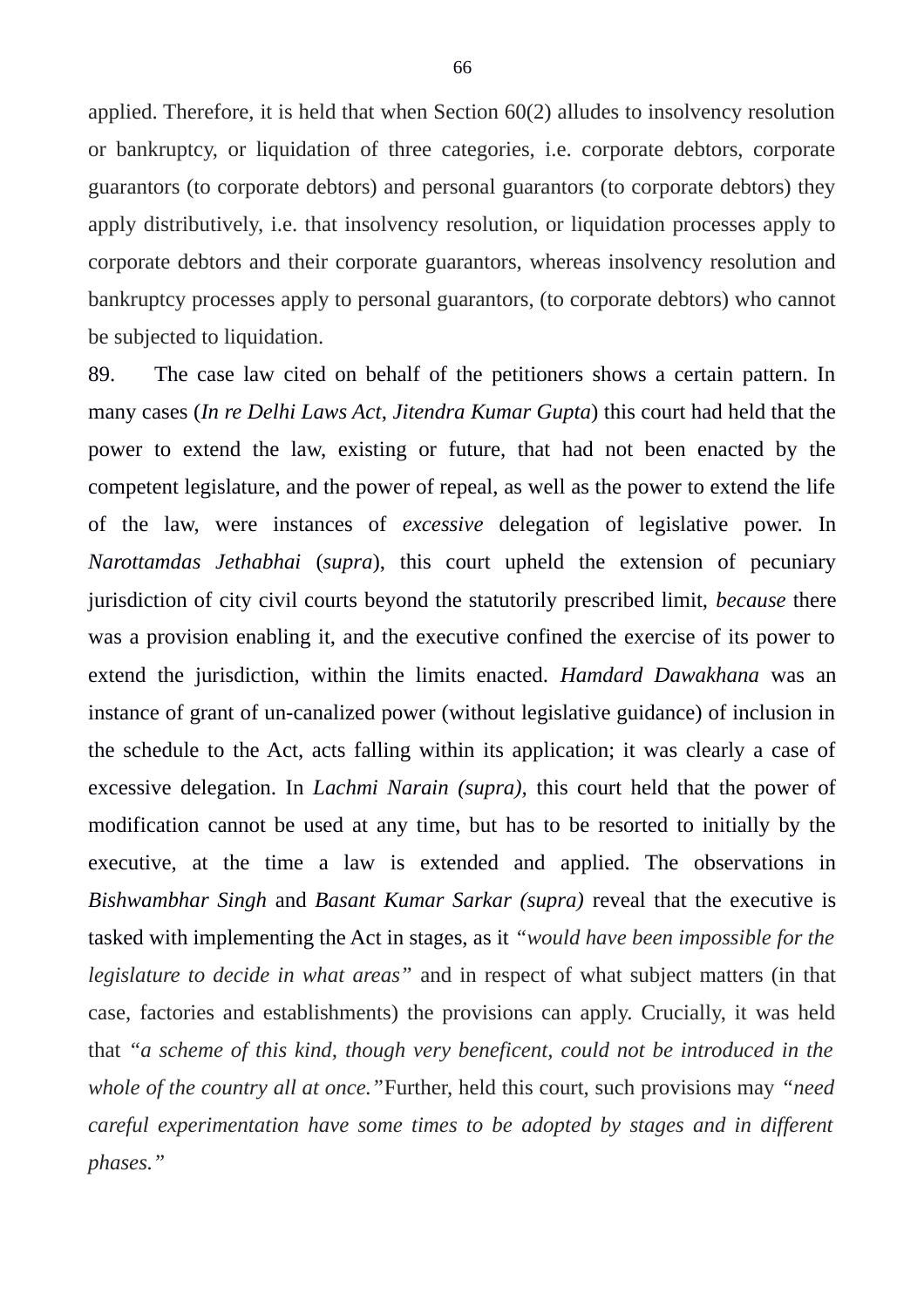applied. Therefore, it is held that when Section 60(2) alludes to insolvency resolution or bankruptcy, or liquidation of three categories, i.e. corporate debtors, corporate guarantors (to corporate debtors) and personal guarantors (to corporate debtors) they apply distributively, i.e. that insolvency resolution, or liquidation processes apply to corporate debtors and their corporate guarantors, whereas insolvency resolution and bankruptcy processes apply to personal guarantors, (to corporate debtors) who cannot be subjected to liquidation.

89. The case law cited on behalf of the petitioners shows a certain pattern. In many cases (*In re Delhi Laws Act*, *Jitendra Kumar Gupta*) this court had held that the power to extend the law, existing or future, that had not been enacted by the competent legislature, and the power of repeal, as well as the power to extend the life of the law, were instances of *excessive* delegation of legislative power. In *Narottamdas Jethabhai* (*supra*), this court upheld the extension of pecuniary jurisdiction of city civil courts beyond the statutorily prescribed limit, *because* there was a provision enabling it, and the executive confined the exercise of its power to extend the jurisdiction, within the limits enacted. *Hamdard Dawakhana* was an instance of grant of un-canalized power (without legislative guidance) of inclusion in the schedule to the Act, acts falling within its application; it was clearly a case of excessive delegation. In *Lachmi Narain (supra),* this court held that the power of modification cannot be used at any time, but has to be resorted to initially by the executive, at the time a law is extended and applied. The observations in *Bishwambhar Singh* and *Basant Kumar Sarkar (supra)* reveal that the executive is tasked with implementing the Act in stages, as it *"would have been impossible for the legislature to decide in what areas"* and in respect of what subject matters (in that case, factories and establishments) the provisions can apply. Crucially, it was held that *"a scheme of this kind, though very beneficent, could not be introduced in the whole of the country all at once."*Further, held this court, such provisions may *"need careful experimentation have some times to be adopted by stages and in different phases."*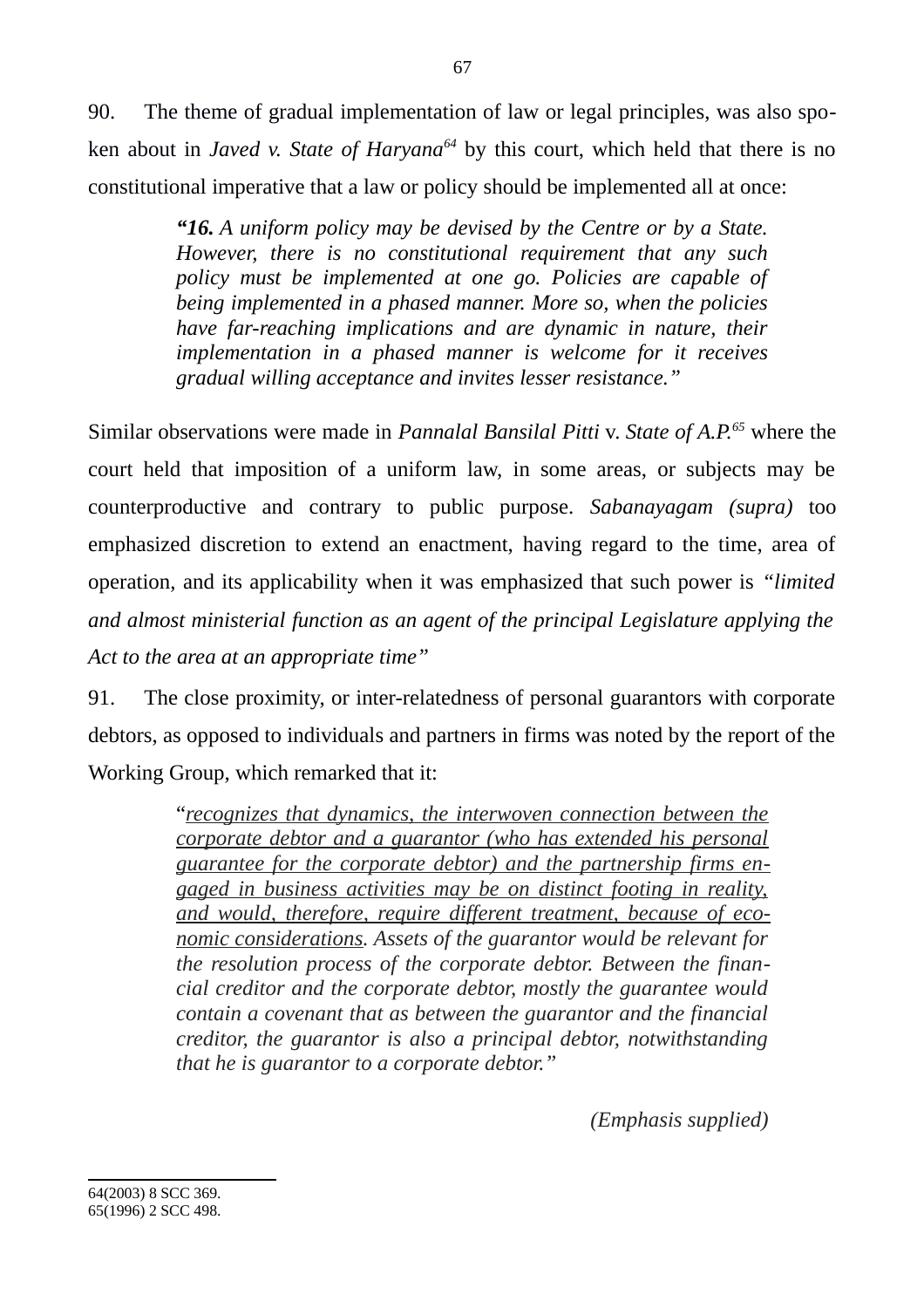90. The theme of gradual implementation of law or legal principles, was also spoken about in *Javed v. State of Haryana[64](#page-66-0)* by this court, which held that there is no constitutional imperative that a law or policy should be implemented all at once:

> *"16. A uniform policy may be devised by the Centre or by a State. However, there is no constitutional requirement that any such policy must be implemented at one go. Policies are capable of being implemented in a phased manner. More so, when the policies have far-reaching implications and are dynamic in nature, their implementation in a phased manner is welcome for it receives gradual willing acceptance and invites lesser resistance."*

Similar observations were made in *Pannalal Bansilal Pitti* v. *State of A.P.[65](#page-66-1)* where the court held that imposition of a uniform law, in some areas, or subjects may be counterproductive and contrary to public purpose. *Sabanayagam (supra)* too emphasized discretion to extend an enactment, having regard to the time, area of operation, and its applicability when it was emphasized that such power is *"limited and almost ministerial function as an agent of the principal Legislature applying the Act to the area at an appropriate time"*

91. The close proximity, or inter-relatedness of personal guarantors with corporate debtors, as opposed to individuals and partners in firms was noted by the report of the Working Group, which remarked that it:

> "*recognizes that dynamics, the interwoven connection between the corporate debtor and a guarantor (who has extended his personal guarantee for the corporate debtor) and the partnership firms engaged in business activities may be on distinct footing in reality, and would, therefore, require different treatment, because of economic considerations. Assets of the guarantor would be relevant for the resolution process of the corporate debtor. Between the financial creditor and the corporate debtor, mostly the guarantee would contain a covenant that as between the guarantor and the financial creditor, the guarantor is also a principal debtor, notwithstanding that he is guarantor to a corporate debtor."*

> > *(Emphasis supplied)*

<span id="page-66-1"></span><span id="page-66-0"></span><sup>64(2003) 8</sup> SCC 369. 65(1996) 2 SCC 498.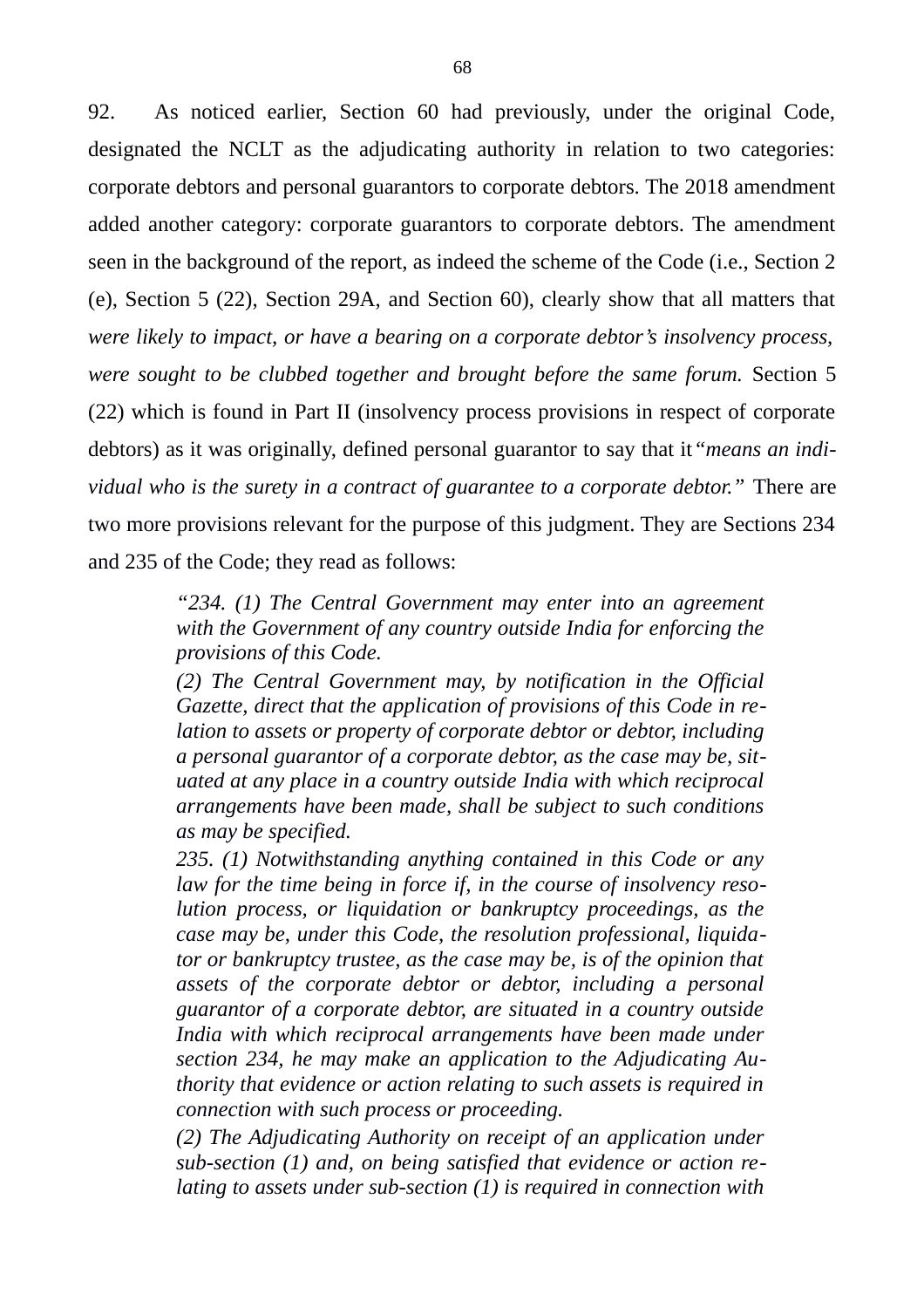92. As noticed earlier, Section 60 had previously, under the original Code, designated the NCLT as the adjudicating authority in relation to two categories: corporate debtors and personal guarantors to corporate debtors. The 2018 amendment added another category: corporate guarantors to corporate debtors. The amendment seen in the background of the report, as indeed the scheme of the Code (i.e., Section 2 (e), Section 5 (22), Section 29A, and Section 60), clearly show that all matters that *were likely to impact, or have a bearing on a corporate debtor's insolvency process, were sought to be clubbed together and brought before the same forum.* Section 5 (22) which is found in Part II (insolvency process provisions in respect of corporate debtors) as it was originally, defined personal guarantor to say that it*"means an individual who is the surety in a contract of guarantee to a corporate debtor."* There are two more provisions relevant for the purpose of this judgment. They are Sections 234 and 235 of the Code; they read as follows:

> *"234. (1) The Central Government may enter into an agreement with the Government of any country outside India for enforcing the provisions of this Code.*

> *(2) The Central Government may, by notification in the Official Gazette, direct that the application of provisions of this Code in relation to assets or property of corporate debtor or debtor, including a personal guarantor of a corporate debtor, as the case may be, situated at any place in a country outside India with which reciprocal arrangements have been made, shall be subject to such conditions as may be specified.*

> *235. (1) Notwithstanding anything contained in this Code or any law for the time being in force if, in the course of insolvency resolution process, or liquidation or bankruptcy proceedings, as the case may be, under this Code, the resolution professional, liquidator or bankruptcy trustee, as the case may be, is of the opinion that assets of the corporate debtor or debtor, including a personal guarantor of a corporate debtor, are situated in a country outside India with which reciprocal arrangements have been made under section 234, he may make an application to the Adjudicating Authority that evidence or action relating to such assets is required in connection with such process or proceeding.*

> *(2) The Adjudicating Authority on receipt of an application under sub-section (1) and, on being satisfied that evidence or action relating to assets under sub-section (1) is required in connection with*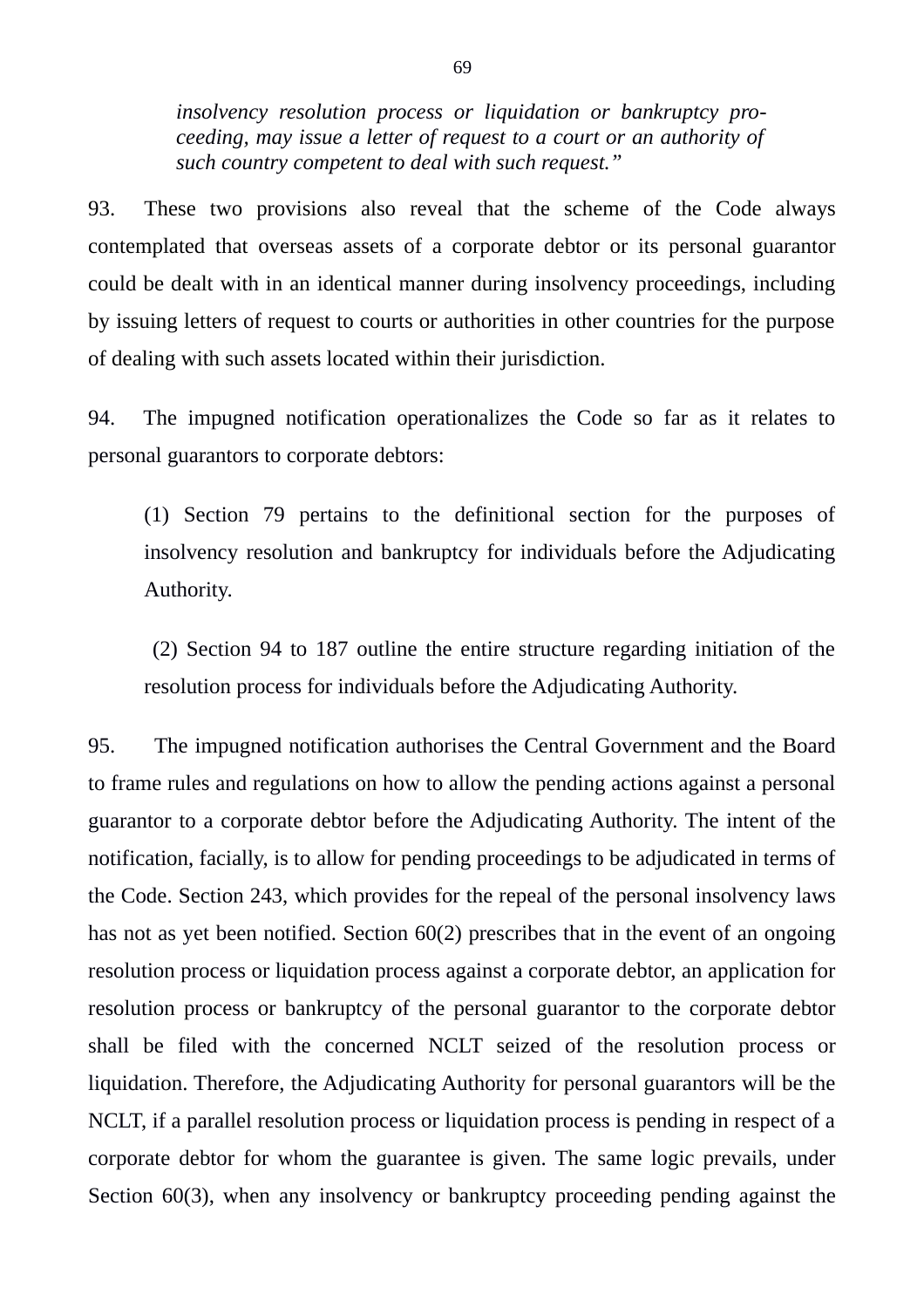*insolvency resolution process or liquidation or bankruptcy proceeding, may issue a letter of request to a court or an authority of such country competent to deal with such request."*

93. These two provisions also reveal that the scheme of the Code always contemplated that overseas assets of a corporate debtor or its personal guarantor could be dealt with in an identical manner during insolvency proceedings, including by issuing letters of request to courts or authorities in other countries for the purpose of dealing with such assets located within their jurisdiction.

94. The impugned notification operationalizes the Code so far as it relates to personal guarantors to corporate debtors:

(1) Section 79 pertains to the definitional section for the purposes of insolvency resolution and bankruptcy for individuals before the Adjudicating Authority.

 (2) Section 94 to 187 outline the entire structure regarding initiation of the resolution process for individuals before the Adjudicating Authority.

95. The impugned notification authorises the Central Government and the Board to frame rules and regulations on how to allow the pending actions against a personal guarantor to a corporate debtor before the Adjudicating Authority. The intent of the notification, facially, is to allow for pending proceedings to be adjudicated in terms of the Code. Section 243, which provides for the repeal of the personal insolvency laws has not as yet been notified. Section 60(2) prescribes that in the event of an ongoing resolution process or liquidation process against a corporate debtor, an application for resolution process or bankruptcy of the personal guarantor to the corporate debtor shall be filed with the concerned NCLT seized of the resolution process or liquidation. Therefore, the Adjudicating Authority for personal guarantors will be the NCLT, if a parallel resolution process or liquidation process is pending in respect of a corporate debtor for whom the guarantee is given. The same logic prevails, under Section 60(3), when any insolvency or bankruptcy proceeding pending against the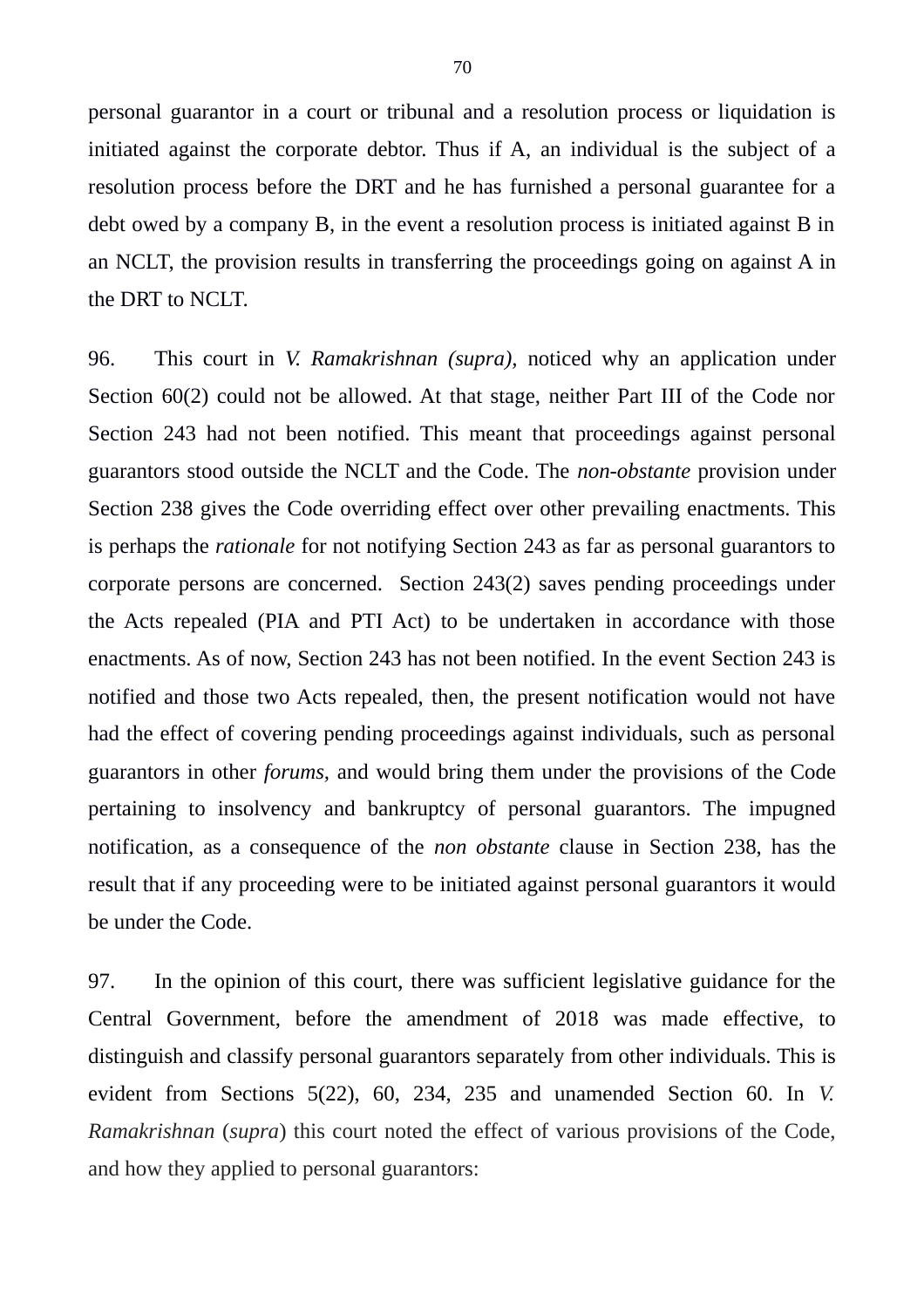personal guarantor in a court or tribunal and a resolution process or liquidation is initiated against the corporate debtor. Thus if A, an individual is the subject of a resolution process before the DRT and he has furnished a personal guarantee for a debt owed by a company B, in the event a resolution process is initiated against B in an NCLT, the provision results in transferring the proceedings going on against A in the DRT to NCLT.

96. This court in *V. Ramakrishnan (supra),* noticed why an application under Section 60(2) could not be allowed. At that stage, neither Part III of the Code nor Section 243 had not been notified. This meant that proceedings against personal guarantors stood outside the NCLT and the Code. The *non-obstante* provision under Section 238 gives the Code overriding effect over other prevailing enactments. This is perhaps the *rationale* for not notifying Section 243 as far as personal guarantors to corporate persons are concerned. Section 243(2) saves pending proceedings under the Acts repealed (PIA and PTI Act) to be undertaken in accordance with those enactments. As of now, Section 243 has not been notified. In the event Section 243 is notified and those two Acts repealed, then, the present notification would not have had the effect of covering pending proceedings against individuals, such as personal guarantors in other *forums,* and would bring them under the provisions of the Code pertaining to insolvency and bankruptcy of personal guarantors. The impugned notification, as a consequence of the *non obstante* clause in Section 238, has the result that if any proceeding were to be initiated against personal guarantors it would be under the Code.

97. In the opinion of this court, there was sufficient legislative guidance for the Central Government, before the amendment of 2018 was made effective, to distinguish and classify personal guarantors separately from other individuals. This is evident from Sections 5(22), 60, 234, 235 and unamended Section 60. In *V. Ramakrishnan* (*supra*) this court noted the effect of various provisions of the Code, and how they applied to personal guarantors: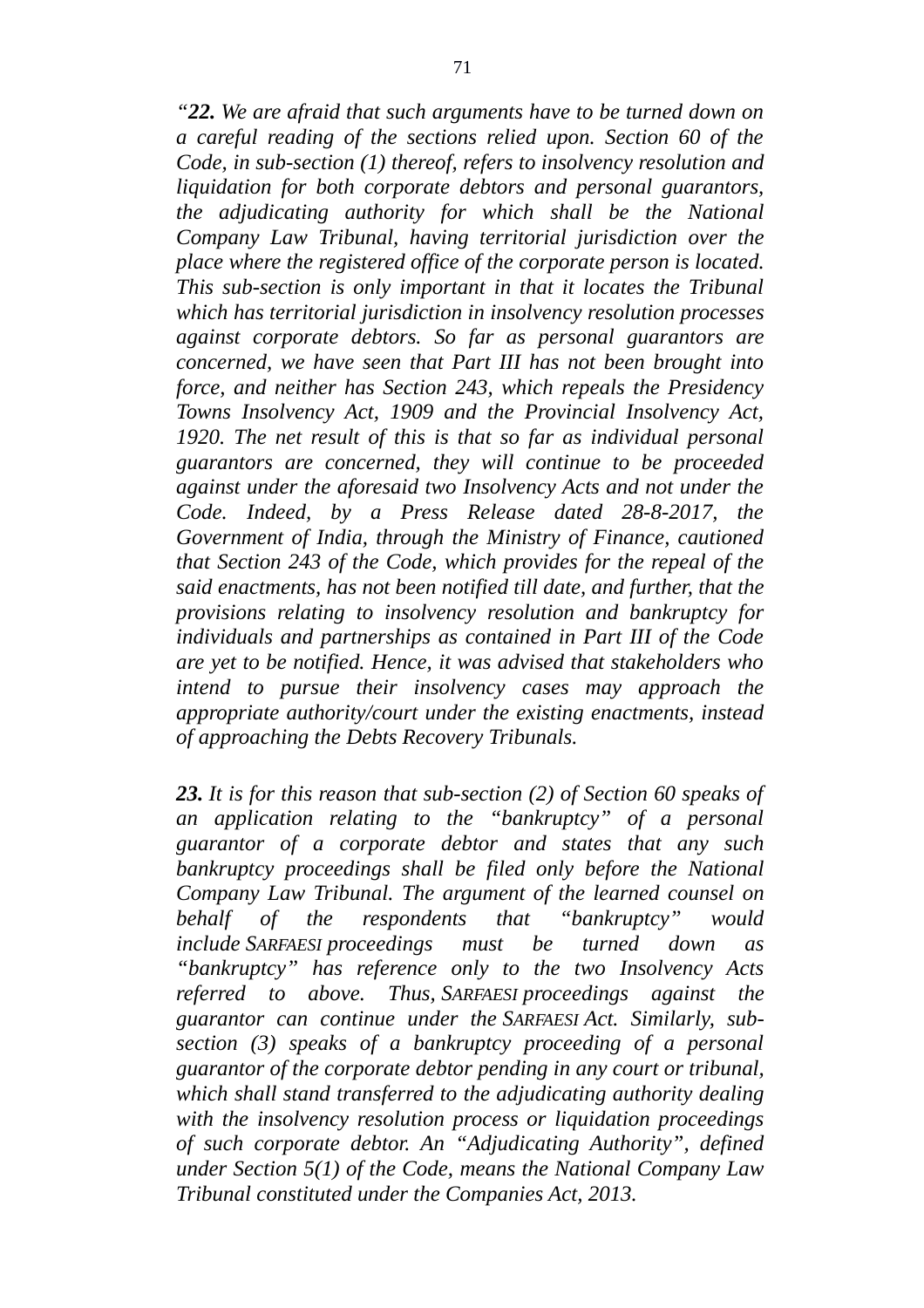*"22. We are afraid that such arguments have to be turned down on a careful reading of the sections relied upon. Section 60 of the Code, in sub-section (1) thereof, refers to insolvency resolution and liquidation for both corporate debtors and personal guarantors, the adjudicating authority for which shall be the National Company Law Tribunal, having territorial jurisdiction over the place where the registered office of the corporate person is located. This sub-section is only important in that it locates the Tribunal which has territorial jurisdiction in insolvency resolution processes against corporate debtors. So far as personal guarantors are concerned, we have seen that Part III has not been brought into force, and neither has Section 243, which repeals the Presidency Towns Insolvency Act, 1909 and the Provincial Insolvency Act, 1920. The net result of this is that so far as individual personal guarantors are concerned, they will continue to be proceeded against under the aforesaid two Insolvency Acts and not under the Code. Indeed, by a Press Release dated 28-8-2017, the Government of India, through the Ministry of Finance, cautioned that Section 243 of the Code, which provides for the repeal of the said enactments, has not been notified till date, and further, that the provisions relating to insolvency resolution and bankruptcy for individuals and partnerships as contained in Part III of the Code are yet to be notified. Hence, it was advised that stakeholders who intend to pursue their insolvency cases may approach the appropriate authority/court under the existing enactments, instead of approaching the Debts Recovery Tribunals.*

*23. It is for this reason that sub-section (2) of Section 60 speaks of an application relating to the "bankruptcy" of a personal guarantor of a corporate debtor and states that any such bankruptcy proceedings shall be filed only before the National Company Law Tribunal. The argument of the learned counsel on behalf of the respondents that "bankruptcy" would include SARFAESI proceedings must be turned down as "bankruptcy" has reference only to the two Insolvency Acts referred to above. Thus, SARFAESI proceedings against the guarantor can continue under the SARFAESI Act. Similarly, subsection (3) speaks of a bankruptcy proceeding of a personal guarantor of the corporate debtor pending in any court or tribunal, which shall stand transferred to the adjudicating authority dealing with the insolvency resolution process or liquidation proceedings of such corporate debtor. An "Adjudicating Authority", defined under Section 5(1) of the Code, means the National Company Law Tribunal constituted under the Companies Act, 2013.*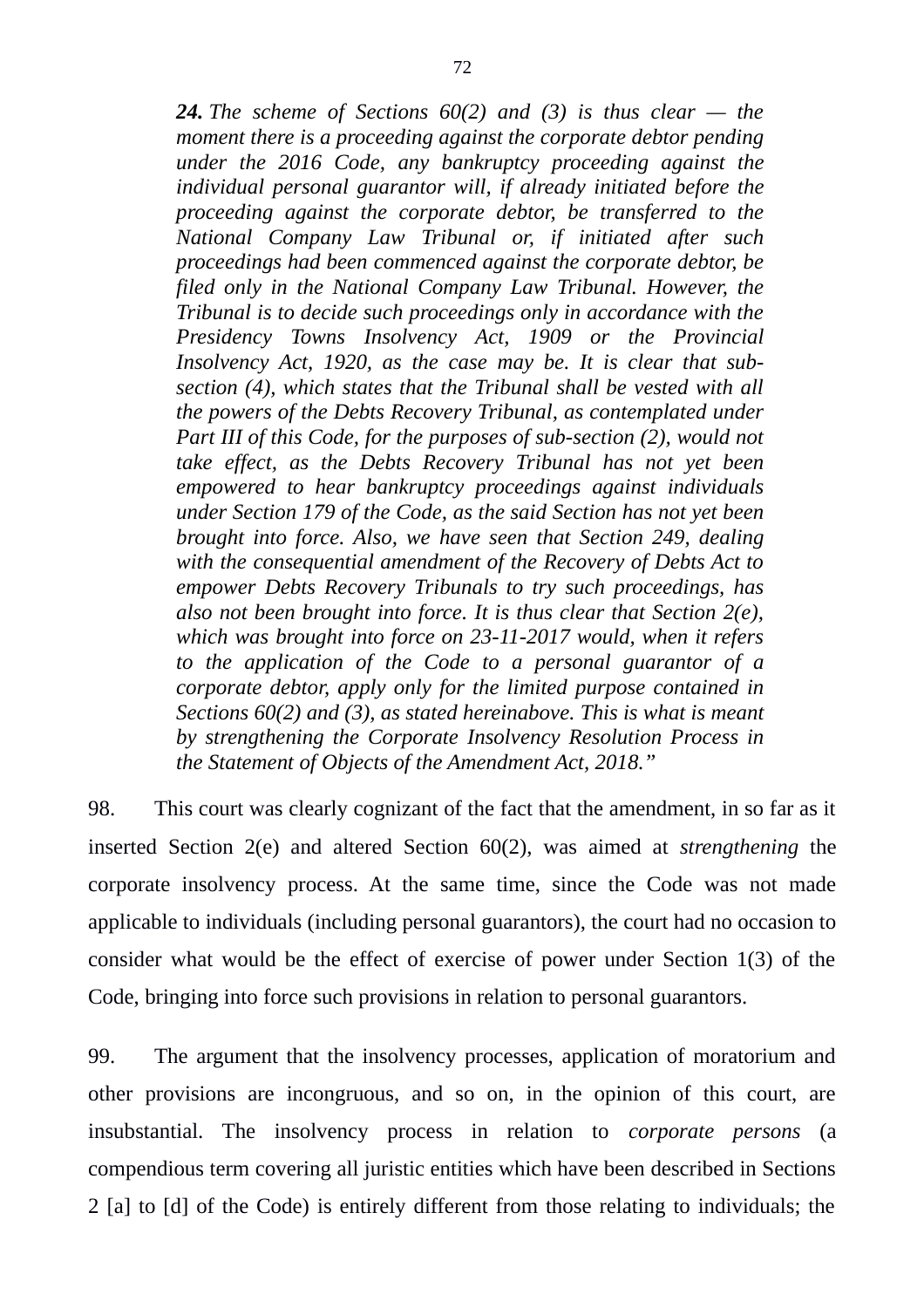*24. The scheme of Sections 60(2) and (3) is thus clear — the moment there is a proceeding against the corporate debtor pending under the 2016 Code, any bankruptcy proceeding against the individual personal guarantor will, if already initiated before the proceeding against the corporate debtor, be transferred to the National Company Law Tribunal or, if initiated after such proceedings had been commenced against the corporate debtor, be filed only in the National Company Law Tribunal. However, the Tribunal is to decide such proceedings only in accordance with the Presidency Towns Insolvency Act, 1909 or the Provincial Insolvency Act, 1920, as the case may be. It is clear that subsection (4), which states that the Tribunal shall be vested with all the powers of the Debts Recovery Tribunal, as contemplated under Part III of this Code, for the purposes of sub-section (2), would not take effect, as the Debts Recovery Tribunal has not yet been empowered to hear bankruptcy proceedings against individuals under Section 179 of the Code, as the said Section has not yet been brought into force. Also, we have seen that Section 249, dealing with the consequential amendment of the Recovery of Debts Act to empower Debts Recovery Tribunals to try such proceedings, has also not been brought into force. It is thus clear that Section 2(e), which was brought into force on 23-11-2017 would, when it refers to the application of the Code to a personal guarantor of a corporate debtor, apply only for the limited purpose contained in Sections 60(2) and (3), as stated hereinabove. This is what is meant by strengthening the Corporate Insolvency Resolution Process in the Statement of Objects of the Amendment Act, 2018."*

98. This court was clearly cognizant of the fact that the amendment, in so far as it inserted Section 2(e) and altered Section 60(2), was aimed at *strengthening* the corporate insolvency process. At the same time, since the Code was not made applicable to individuals (including personal guarantors), the court had no occasion to consider what would be the effect of exercise of power under Section 1(3) of the Code, bringing into force such provisions in relation to personal guarantors.

99. The argument that the insolvency processes, application of moratorium and other provisions are incongruous, and so on, in the opinion of this court, are insubstantial. The insolvency process in relation to *corporate persons* (a compendious term covering all juristic entities which have been described in Sections 2 [a] to [d] of the Code) is entirely different from those relating to individuals; the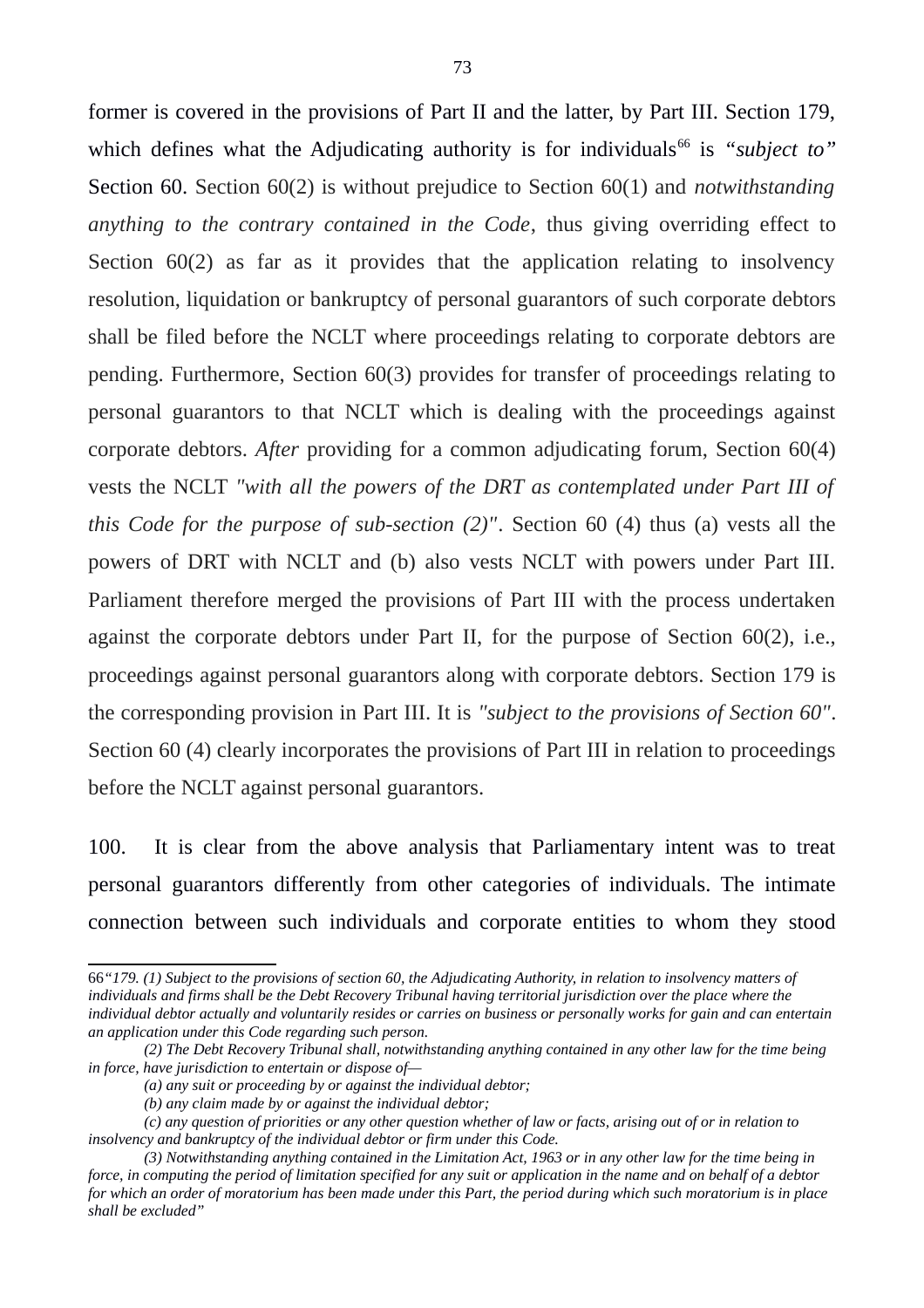former is covered in the provisions of Part II and the latter, by Part III. Section 179, which defines what the Adjudicating authority is for individuals<sup>[66](#page-72-0)</sup> is "subject to" Section 60. Section 60(2) is without prejudice to Section 60(1) and *notwithstanding anything to the contrary contained in the Code*, thus giving overriding effect to Section 60(2) as far as it provides that the application relating to insolvency resolution, liquidation or bankruptcy of personal guarantors of such corporate debtors shall be filed before the NCLT where proceedings relating to corporate debtors are pending. Furthermore, Section 60(3) provides for transfer of proceedings relating to personal guarantors to that NCLT which is dealing with the proceedings against corporate debtors. *After* providing for a common adjudicating forum, Section 60(4) vests the NCLT *"with all the powers of the DRT as contemplated under Part III of this Code for the purpose of sub-section (2)"*. Section 60 (4) thus (a) vests all the powers of DRT with NCLT and (b) also vests NCLT with powers under Part III. Parliament therefore merged the provisions of Part III with the process undertaken against the corporate debtors under Part II, for the purpose of Section 60(2), i.e., proceedings against personal guarantors along with corporate debtors. Section 179 is the corresponding provision in Part III. It is *"subject to the provisions of Section 60"*. Section 60 (4) clearly incorporates the provisions of Part III in relation to proceedings before the NCLT against personal guarantors.

100. It is clear from the above analysis that Parliamentary intent was to treat personal guarantors differently from other categories of individuals. The intimate connection between such individuals and corporate entities to whom they stood

<span id="page-72-0"></span><sup>66</sup>*"179. (1) Subject to the provisions of section 60, the Adjudicating Authority, in relation to insolvency matters of*  individuals and firms shall be the Debt Recovery Tribunal having territorial jurisdiction over the place where the *individual debtor actually and voluntarily resides or carries on business or personally works for gain and can entertain an application under this Code regarding such person.* 

*<sup>(2)</sup> The Debt Recovery Tribunal shall, notwithstanding anything contained in any other law for the time being in force, have jurisdiction to entertain or dispose of—* 

*<sup>(</sup>a) any suit or proceeding by or against the individual debtor;* 

*<sup>(</sup>b) any claim made by or against the individual debtor;* 

*<sup>(</sup>c) any question of priorities or any other question whether of law or facts, arising out of or in relation to insolvency and bankruptcy of the individual debtor or firm under this Code.* 

*<sup>(3)</sup> Notwithstanding anything contained in the Limitation Act, 1963 or in any other law for the time being in force, in computing the period of limitation specified for any suit or application in the name and on behalf of a debtor for which an order of moratorium has been made under this Part, the period during which such moratorium is in place shall be excluded"*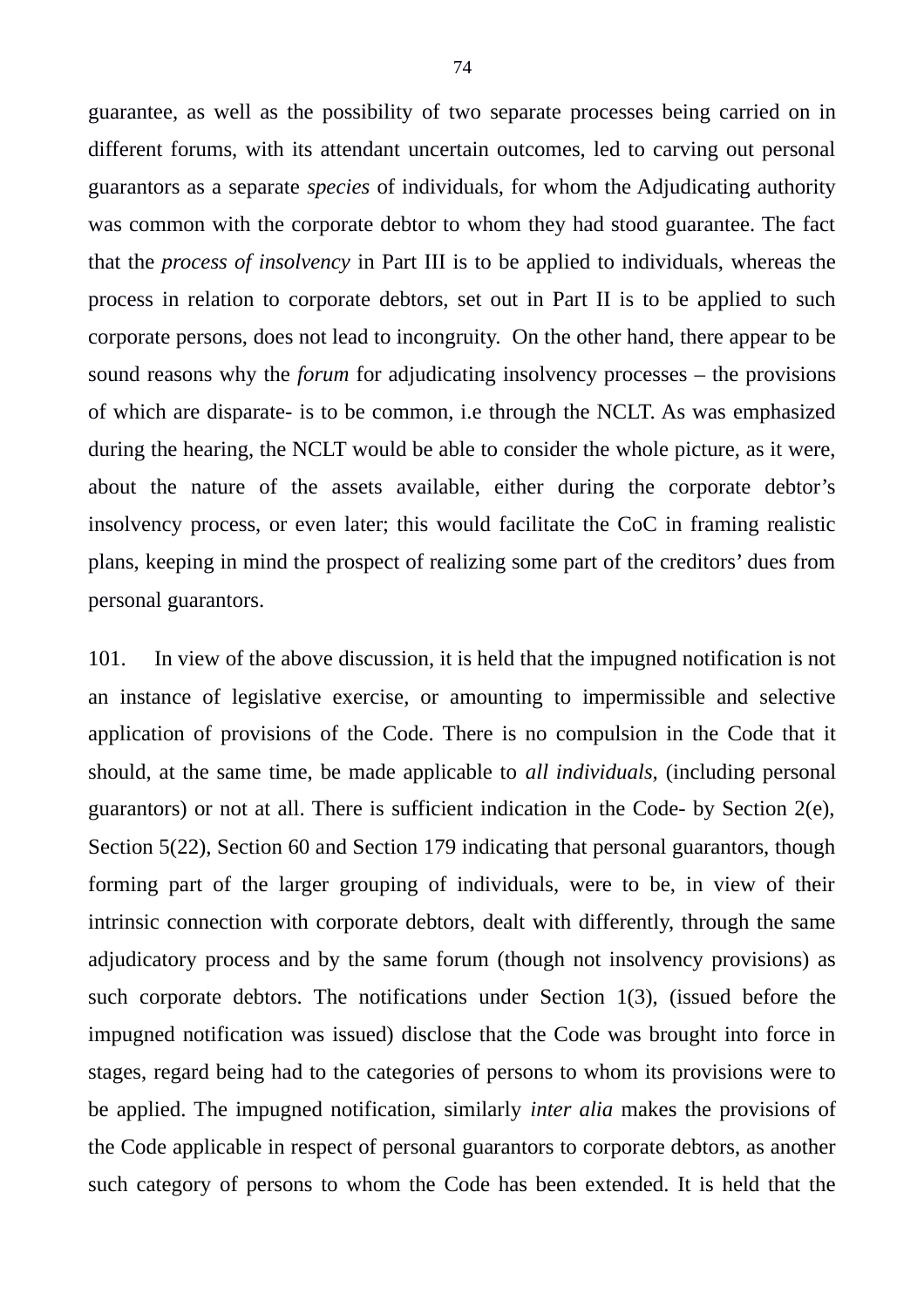guarantee, as well as the possibility of two separate processes being carried on in different forums, with its attendant uncertain outcomes, led to carving out personal guarantors as a separate *species* of individuals, for whom the Adjudicating authority was common with the corporate debtor to whom they had stood guarantee. The fact that the *process of insolvency* in Part III is to be applied to individuals, whereas the process in relation to corporate debtors, set out in Part II is to be applied to such corporate persons, does not lead to incongruity. On the other hand, there appear to be sound reasons why the *forum* for adjudicating insolvency processes – the provisions of which are disparate- is to be common, i.e through the NCLT. As was emphasized during the hearing, the NCLT would be able to consider the whole picture, as it were, about the nature of the assets available, either during the corporate debtor's insolvency process, or even later; this would facilitate the CoC in framing realistic plans, keeping in mind the prospect of realizing some part of the creditors' dues from personal guarantors.

101. In view of the above discussion, it is held that the impugned notification is not an instance of legislative exercise, or amounting to impermissible and selective application of provisions of the Code. There is no compulsion in the Code that it should, at the same time, be made applicable to *all individuals,* (including personal guarantors) or not at all. There is sufficient indication in the Code- by Section 2(e), Section 5(22), Section 60 and Section 179 indicating that personal guarantors, though forming part of the larger grouping of individuals, were to be, in view of their intrinsic connection with corporate debtors, dealt with differently, through the same adjudicatory process and by the same forum (though not insolvency provisions) as such corporate debtors. The notifications under Section 1(3), (issued before the impugned notification was issued) disclose that the Code was brought into force in stages, regard being had to the categories of persons to whom its provisions were to be applied. The impugned notification, similarly *inter alia* makes the provisions of the Code applicable in respect of personal guarantors to corporate debtors, as another such category of persons to whom the Code has been extended. It is held that the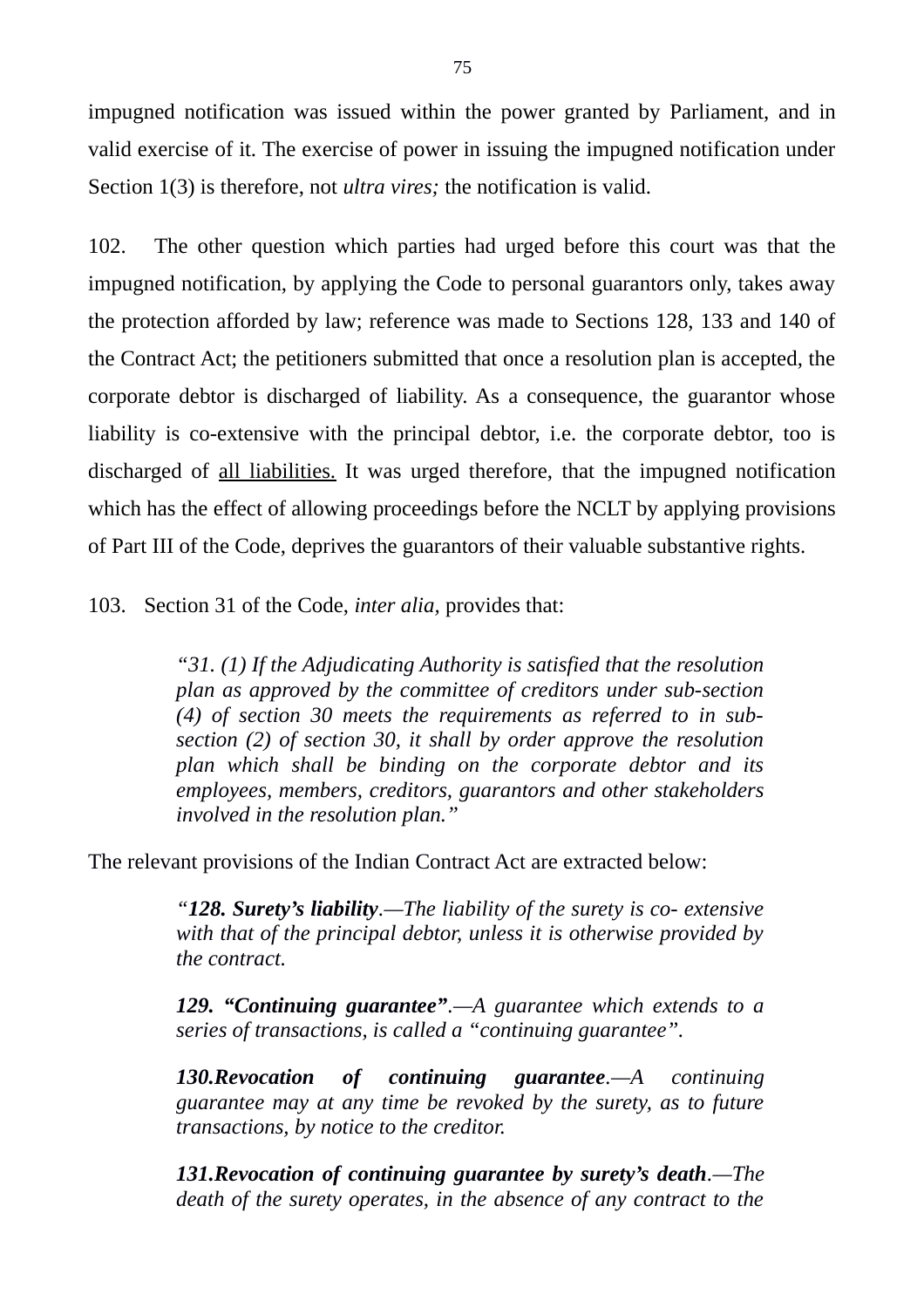impugned notification was issued within the power granted by Parliament, and in valid exercise of it. The exercise of power in issuing the impugned notification under Section 1(3) is therefore, not *ultra vires;* the notification is valid.

102. The other question which parties had urged before this court was that the impugned notification, by applying the Code to personal guarantors only, takes away the protection afforded by law; reference was made to Sections 128, 133 and 140 of the Contract Act; the petitioners submitted that once a resolution plan is accepted, the corporate debtor is discharged of liability. As a consequence, the guarantor whose liability is co-extensive with the principal debtor, i.e. the corporate debtor, too is discharged of all liabilities. It was urged therefore, that the impugned notification which has the effect of allowing proceedings before the NCLT by applying provisions of Part III of the Code, deprives the guarantors of their valuable substantive rights.

103. Section 31 of the Code, *inter alia,* provides that:

*"31. (1) If the Adjudicating Authority is satisfied that the resolution plan as approved by the committee of creditors under sub-section (4) of section 30 meets the requirements as referred to in subsection (2) of section 30, it shall by order approve the resolution plan which shall be binding on the corporate debtor and its employees, members, creditors, guarantors and other stakeholders involved in the resolution plan."*

The relevant provisions of the Indian Contract Act are extracted below:

*"128. Surety's liability.—The liability of the surety is co- extensive with that of the principal debtor, unless it is otherwise provided by the contract.* 

*129. "Continuing guarantee".—A guarantee which extends to a series of transactions, is called a "continuing guarantee".*

*130.Revocation of continuing guarantee.—A continuing guarantee may at any time be revoked by the surety, as to future transactions, by notice to the creditor.* 

*131.Revocation of continuing guarantee by surety's death.—The death of the surety operates, in the absence of any contract to the*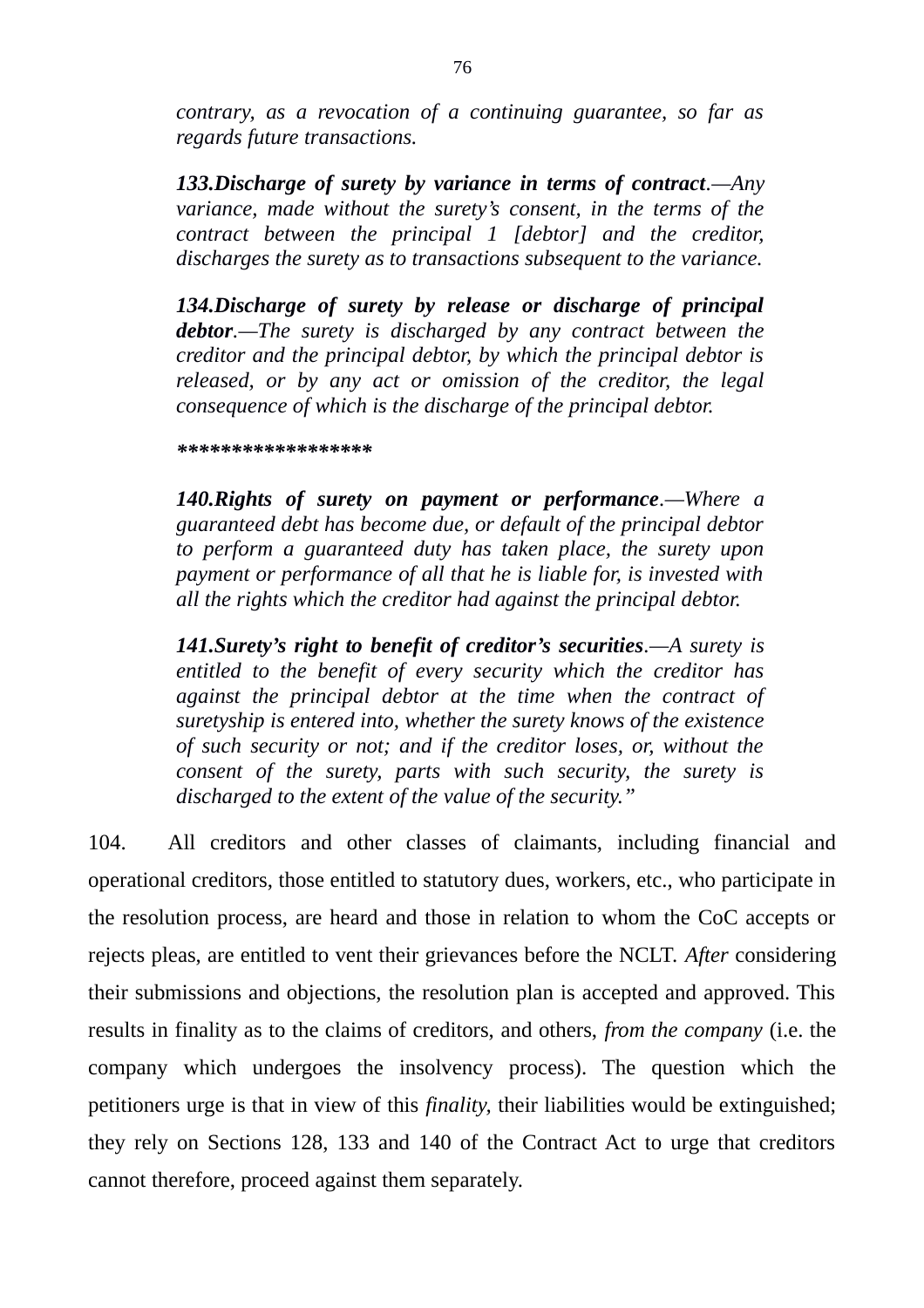*contrary, as a revocation of a continuing guarantee, so far as regards future transactions.* 

*133.Discharge of surety by variance in terms of contract.—Any variance, made without the surety's consent, in the terms of the contract between the principal 1 [debtor] and the creditor, discharges the surety as to transactions subsequent to the variance.*

*134.Discharge of surety by release or discharge of principal debtor.—The surety is discharged by any contract between the creditor and the principal debtor, by which the principal debtor is released, or by any act or omission of the creditor, the legal consequence of which is the discharge of the principal debtor.*

## *\*\*\*\*\*\*\*\*\*\*\*\*\*\*\*\*\*\**

*140.Rights of surety on payment or performance.—Where a guaranteed debt has become due, or default of the principal debtor to perform a guaranteed duty has taken place, the surety upon payment or performance of all that he is liable for, is invested with all the rights which the creditor had against the principal debtor.* 

*141.Surety's right to benefit of creditor's securities.—A surety is entitled to the benefit of every security which the creditor has against the principal debtor at the time when the contract of suretyship is entered into, whether the surety knows of the existence of such security or not; and if the creditor loses, or, without the consent of the surety, parts with such security, the surety is discharged to the extent of the value of the security."* 

104. All creditors and other classes of claimants, including financial and operational creditors, those entitled to statutory dues, workers, etc., who participate in the resolution process, are heard and those in relation to whom the CoC accepts or rejects pleas, are entitled to vent their grievances before the NCLT. *After* considering their submissions and objections, the resolution plan is accepted and approved. This results in finality as to the claims of creditors, and others, *from the company* (i.e. the company which undergoes the insolvency process). The question which the petitioners urge is that in view of this *finality,* their liabilities would be extinguished; they rely on Sections 128, 133 and 140 of the Contract Act to urge that creditors cannot therefore, proceed against them separately.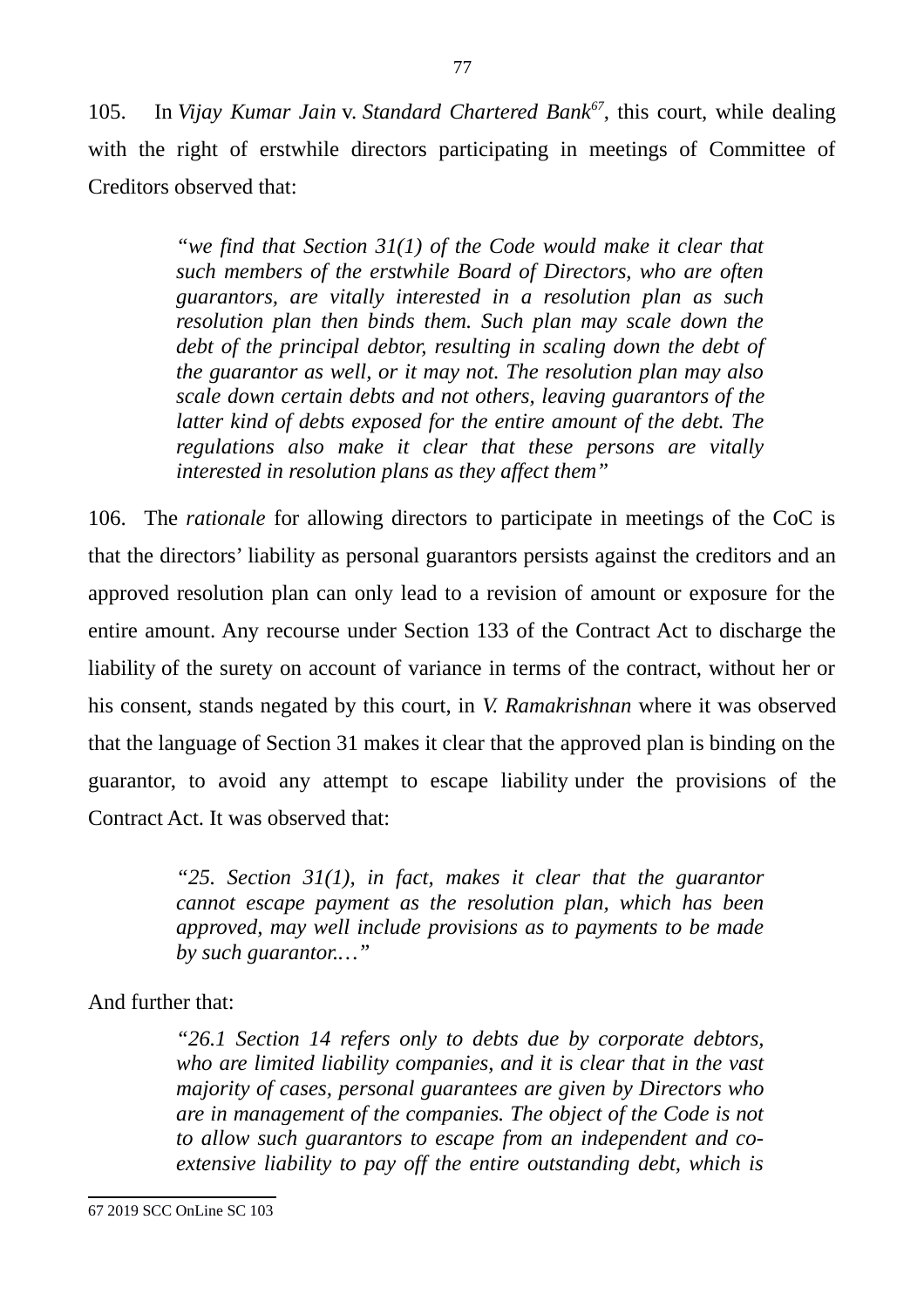105. In *Vijay Kumar Jain* v. *Standard Chartered Bank[67](#page-76-0)*, this court, while dealing with the right of erstwhile directors participating in meetings of Committee of Creditors observed that:

77

*"we find that Section 31(1) of the Code would make it clear that such members of the erstwhile Board of Directors, who are often guarantors, are vitally interested in a resolution plan as such resolution plan then binds them. Such plan may scale down the debt of the principal debtor, resulting in scaling down the debt of the guarantor as well, or it may not. The resolution plan may also scale down certain debts and not others, leaving guarantors of the latter kind of debts exposed for the entire amount of the debt. The regulations also make it clear that these persons are vitally interested in resolution plans as they affect them"*

106. The *rationale* for allowing directors to participate in meetings of the CoC is that the directors' liability as personal guarantors persists against the creditors and an approved resolution plan can only lead to a revision of amount or exposure for the entire amount. Any recourse under Section 133 of the Contract Act to discharge the liability of the surety on account of variance in terms of the contract, without her or his consent, stands negated by this court, in *V. Ramakrishnan* where it was observed that the language of Section 31 makes it clear that the approved plan is binding on the guarantor, to avoid any attempt to escape liability under the provisions of the Contract Act. It was observed that:

> *"25. Section 31(1), in fact, makes it clear that the guarantor cannot escape payment as the resolution plan, which has been approved, may well include provisions as to payments to be made by such guarantor.…"*

And further that:

*"26.1 Section 14 refers only to debts due by corporate debtors, who are limited liability companies, and it is clear that in the vast majority of cases, personal guarantees are given by Directors who are in management of the companies. The object of the Code is not to allow such guarantors to escape from an independent and coextensive liability to pay off the entire outstanding debt, which is*

<span id="page-76-0"></span><sup>67</sup> 2019 SCC OnLine SC 103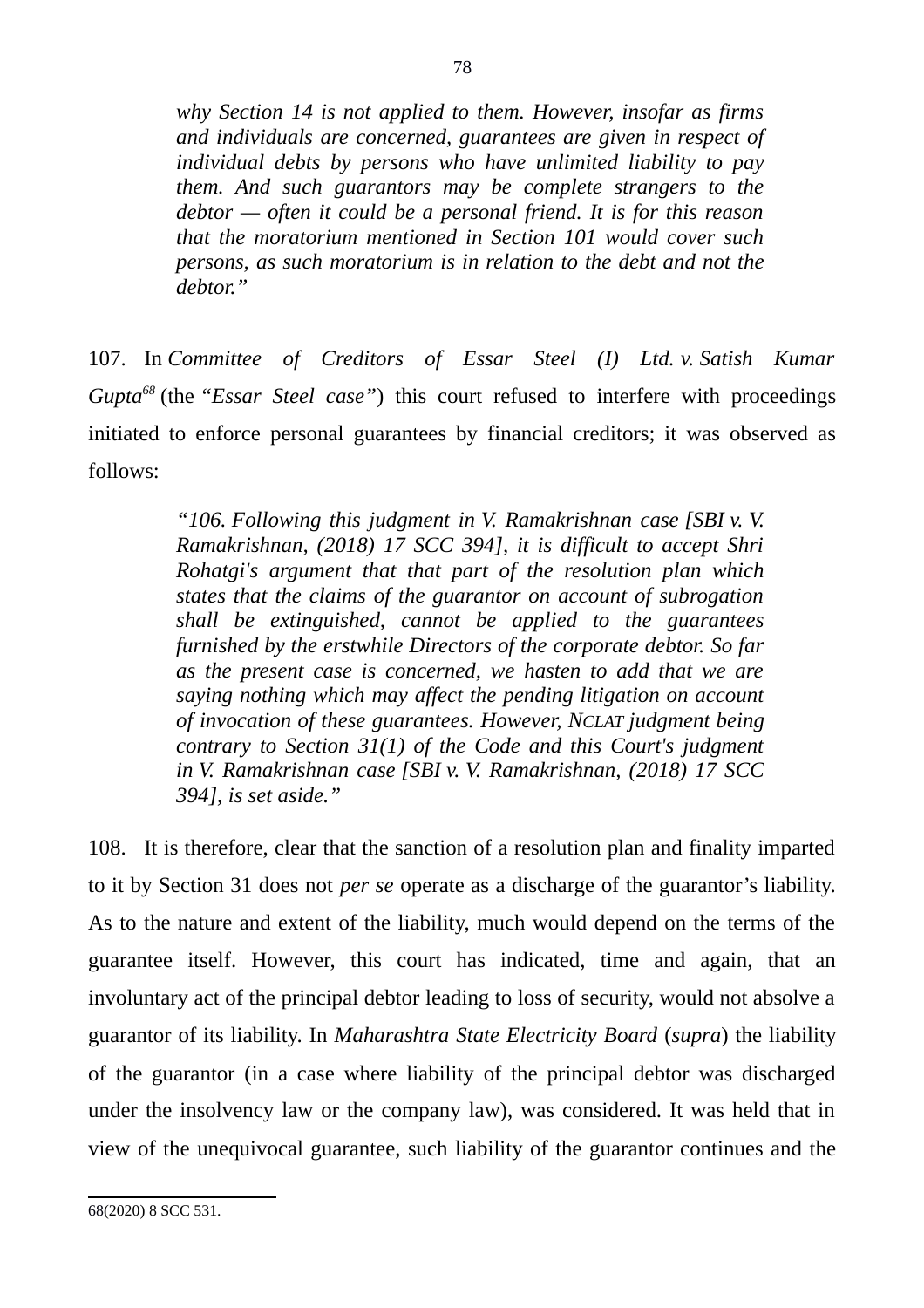*why Section 14 is not applied to them. However, insofar as firms and individuals are concerned, guarantees are given in respect of individual debts by persons who have unlimited liability to pay them. And such guarantors may be complete strangers to the debtor — often it could be a personal friend. It is for this reason that the moratorium mentioned in Section 101 would cover such persons, as such moratorium is in relation to the debt and not the debtor."*

107. In *Committee of Creditors of Essar Steel (I) Ltd. v. Satish Kumar Gupta[68](#page-77-0)* (the *"Essar Steel case"*) this court refused to interfere with proceedings initiated to enforce personal guarantees by financial creditors; it was observed as follows:

> *"106. Following this judgment in V. Ramakrishnan case [SBI v. V. Ramakrishnan, (2018) 17 SCC 394], it is difficult to accept Shri Rohatgi's argument that that part of the resolution plan which states that the claims of the guarantor on account of subrogation shall be extinguished, cannot be applied to the guarantees furnished by the erstwhile Directors of the corporate debtor. So far as the present case is concerned, we hasten to add that we are saying nothing which may affect the pending litigation on account of invocation of these guarantees. However, NCLAT judgment being contrary to Section 31(1) of the Code and this Court's judgment in V. Ramakrishnan case [SBI v. V. Ramakrishnan, (2018) 17 SCC 394], is set aside."*

108. It is therefore, clear that the sanction of a resolution plan and finality imparted to it by Section 31 does not *per se* operate as a discharge of the guarantor's liability. As to the nature and extent of the liability, much would depend on the terms of the guarantee itself. However, this court has indicated, time and again, that an involuntary act of the principal debtor leading to loss of security, would not absolve a guarantor of its liability. In *Maharashtra State Electricity Board* (*supra*) the liability of the guarantor (in a case where liability of the principal debtor was discharged under the insolvency law or the company law), was considered. It was held that in view of the unequivocal guarantee, such liability of the guarantor continues and the

<span id="page-77-0"></span><sup>68(2020) 8</sup> SCC 531.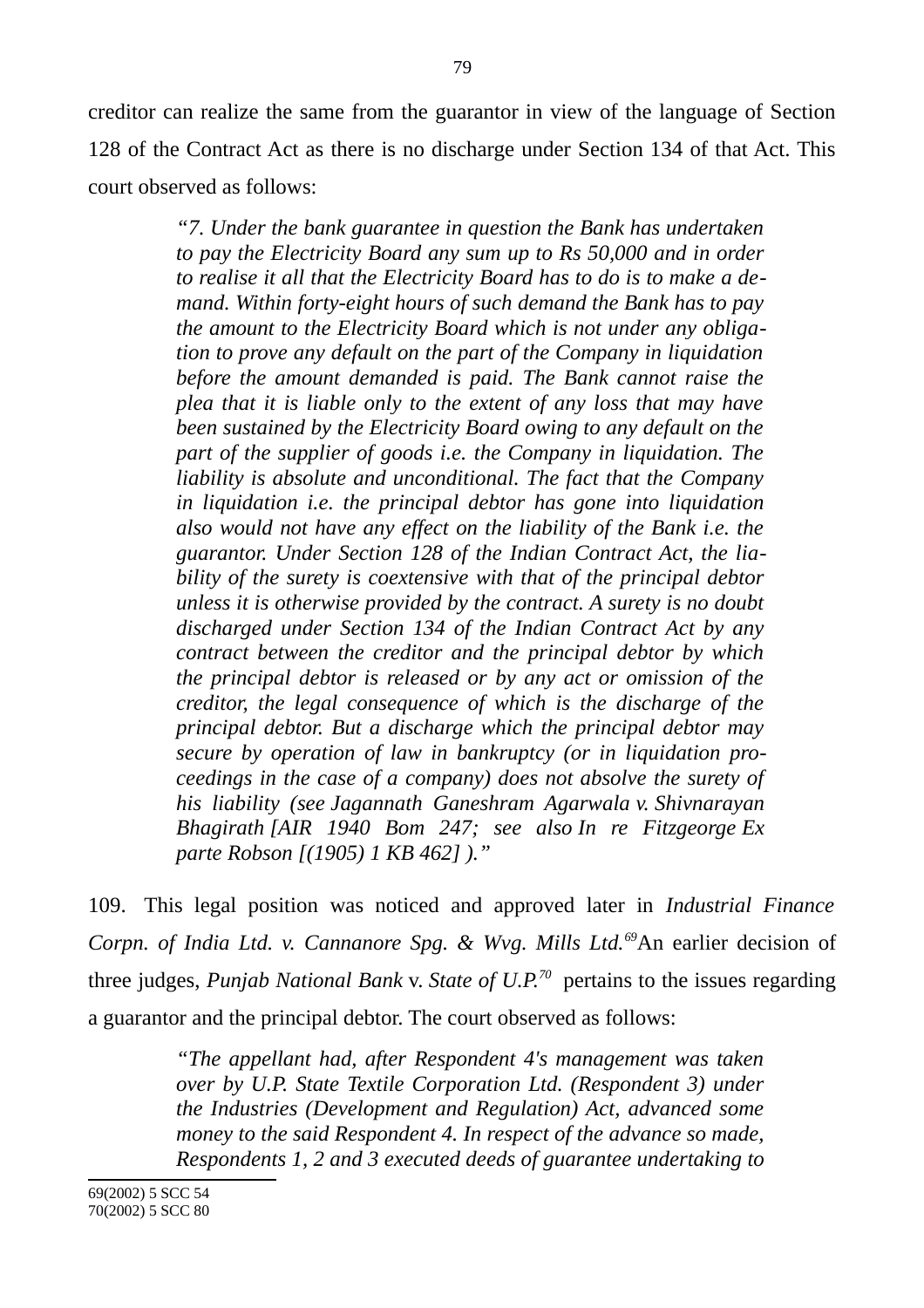creditor can realize the same from the guarantor in view of the language of Section 128 of the Contract Act as there is no discharge under Section 134 of that Act. This court observed as follows:

> *"7. Under the bank guarantee in question the Bank has undertaken to pay the Electricity Board any sum up to Rs 50,000 and in order to realise it all that the Electricity Board has to do is to make a demand. Within forty-eight hours of such demand the Bank has to pay the amount to the Electricity Board which is not under any obligation to prove any default on the part of the Company in liquidation before the amount demanded is paid. The Bank cannot raise the plea that it is liable only to the extent of any loss that may have been sustained by the Electricity Board owing to any default on the part of the supplier of goods i.e. the Company in liquidation. The liability is absolute and unconditional. The fact that the Company in liquidation i.e. the principal debtor has gone into liquidation also would not have any effect on the liability of the Bank i.e. the guarantor. Under Section 128 of the Indian Contract Act, the liability of the surety is coextensive with that of the principal debtor unless it is otherwise provided by the contract. A surety is no doubt discharged under Section 134 of the Indian Contract Act by any contract between the creditor and the principal debtor by which the principal debtor is released or by any act or omission of the creditor, the legal consequence of which is the discharge of the principal debtor. But a discharge which the principal debtor may secure by operation of law in bankruptcy (or in liquidation proceedings in the case of a company) does not absolve the surety of his liability (see Jagannath Ganeshram Agarwala v. Shivnarayan Bhagirath [AIR 1940 Bom 247; see also In re Fitzgeorge Ex parte Robson [(1905) 1 KB 462] )."*

109. This legal position was noticed and approved later in *Industrial Finance Corpn. of India Ltd. v. Cannanore Spg. & Wvg. Mills Ltd.[69](#page-78-0)*An earlier decision of three judges, *Punjab National Bank* v. *State of U.P.[70](#page-78-1)* pertains to the issues regarding a guarantor and the principal debtor. The court observed as follows:

> <span id="page-78-1"></span><span id="page-78-0"></span>*"The appellant had, after Respondent 4's management was taken over by U.P. State Textile Corporation Ltd. (Respondent 3) under the Industries (Development and Regulation) Act, advanced some money to the said Respondent 4. In respect of the advance so made, Respondents 1, 2 and 3 executed deeds of guarantee undertaking to*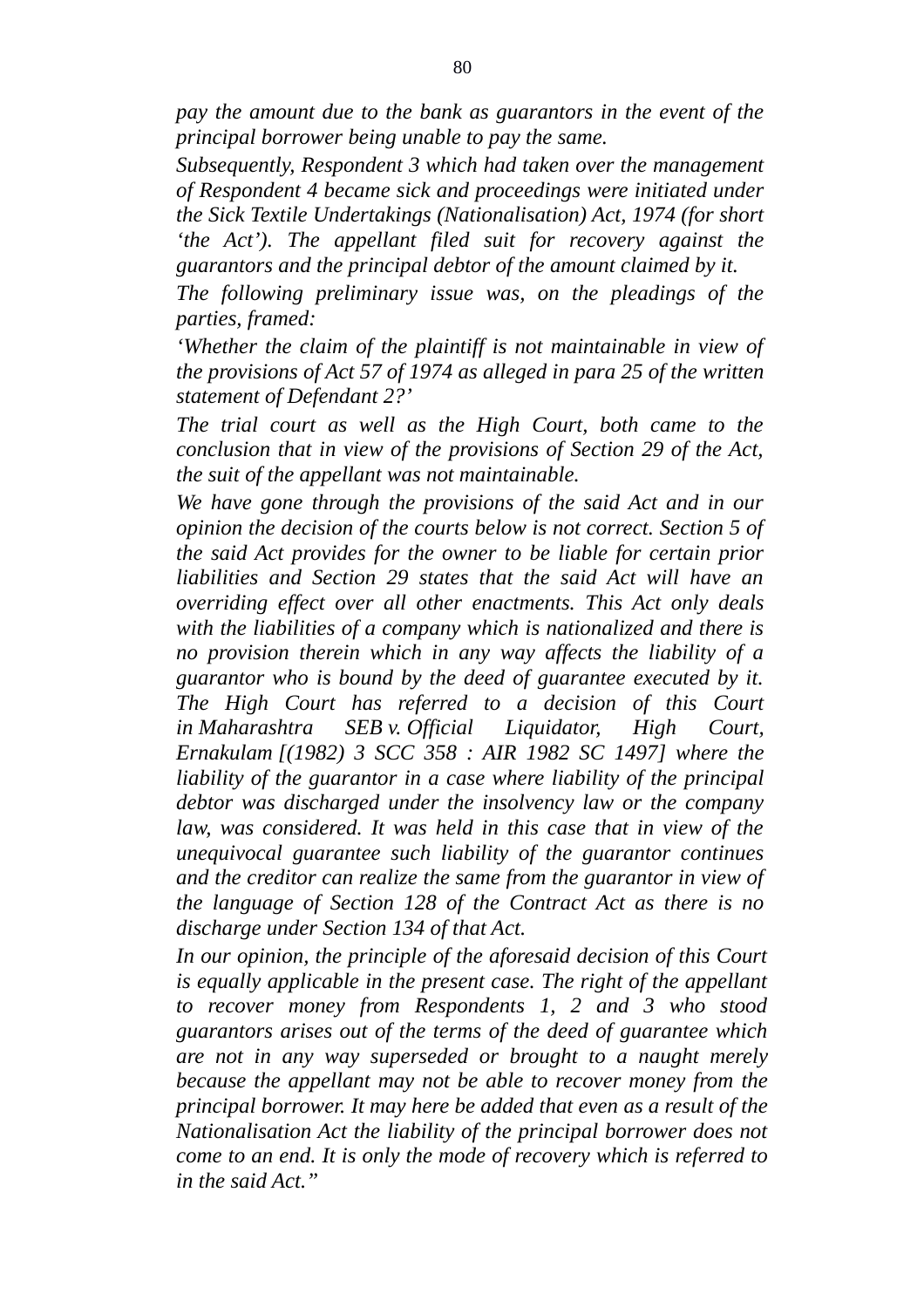*pay the amount due to the bank as guarantors in the event of the principal borrower being unable to pay the same.*

*Subsequently, Respondent 3 which had taken over the management of Respondent 4 became sick and proceedings were initiated under the Sick Textile Undertakings (Nationalisation) Act, 1974 (for short 'the Act'). The appellant filed suit for recovery against the guarantors and the principal debtor of the amount claimed by it.*

*The following preliminary issue was, on the pleadings of the parties, framed:*

*'Whether the claim of the plaintiff is not maintainable in view of the provisions of Act 57 of 1974 as alleged in para 25 of the written statement of Defendant 2?'*

*The trial court as well as the High Court, both came to the conclusion that in view of the provisions of Section 29 of the Act, the suit of the appellant was not maintainable.*

*We have gone through the provisions of the said Act and in our opinion the decision of the courts below is not correct. Section 5 of the said Act provides for the owner to be liable for certain prior liabilities and Section 29 states that the said Act will have an overriding effect over all other enactments. This Act only deals with the liabilities of a company which is nationalized and there is no provision therein which in any way affects the liability of a guarantor who is bound by the deed of guarantee executed by it. The High Court has referred to a decision of this Court in Maharashtra SEB v. Official Liquidator, High Court, Ernakulam [(1982) 3 SCC 358 : AIR 1982 SC 1497] where the liability of the guarantor in a case where liability of the principal debtor was discharged under the insolvency law or the company law, was considered. It was held in this case that in view of the unequivocal guarantee such liability of the guarantor continues and the creditor can realize the same from the guarantor in view of the language of Section 128 of the Contract Act as there is no discharge under Section 134 of that Act.*

*In our opinion, the principle of the aforesaid decision of this Court is equally applicable in the present case. The right of the appellant to recover money from Respondents 1, 2 and 3 who stood guarantors arises out of the terms of the deed of guarantee which are not in any way superseded or brought to a naught merely because the appellant may not be able to recover money from the principal borrower. It may here be added that even as a result of the Nationalisation Act the liability of the principal borrower does not come to an end. It is only the mode of recovery which is referred to in the said Act."*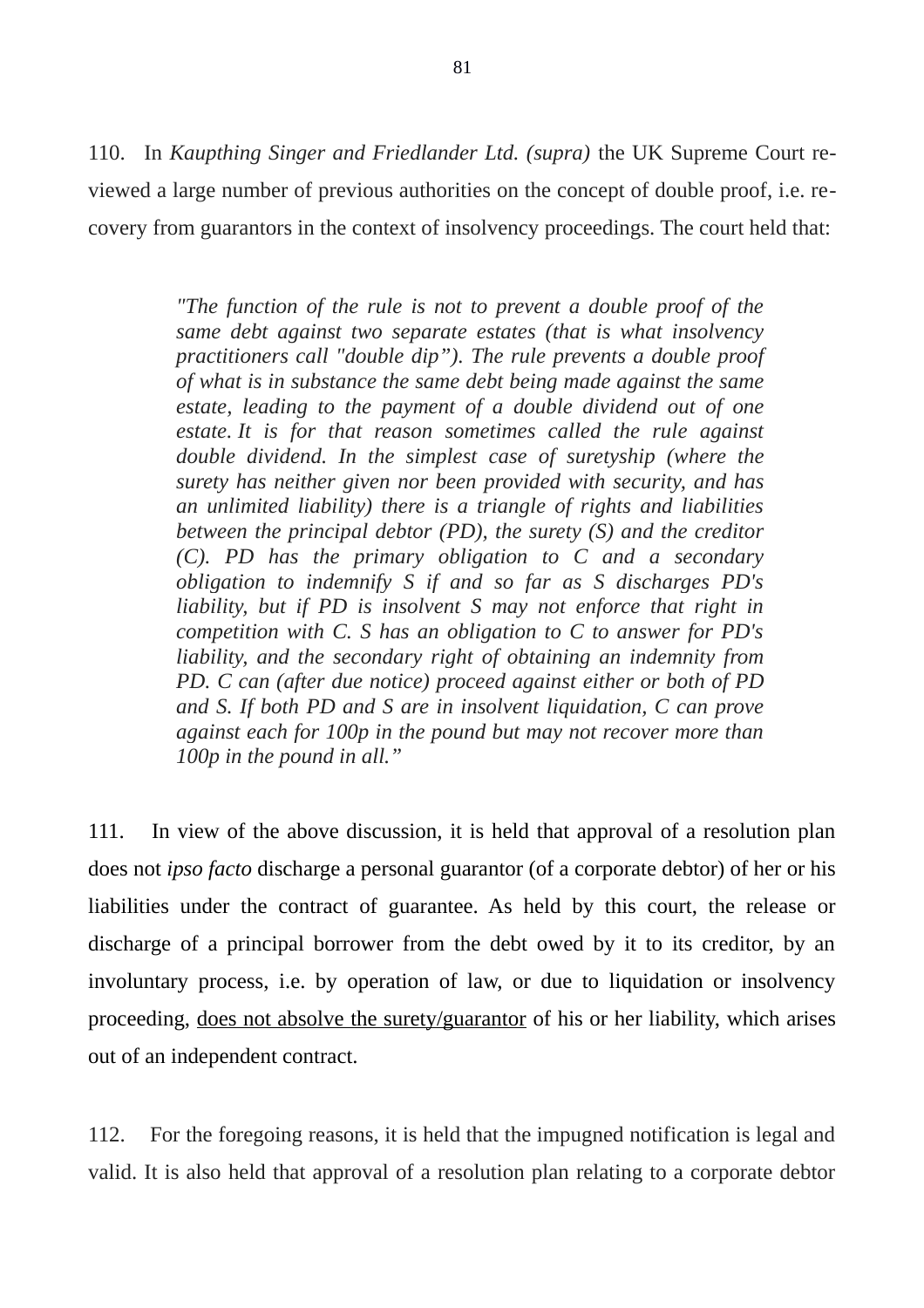110. In *Kaupthing Singer and Friedlander Ltd. (supra)* the UK Supreme Court reviewed a large number of previous authorities on the concept of double proof, i.e. recovery from guarantors in the context of insolvency proceedings. The court held that:

> *"The function of the rule is not to prevent a double proof of the same debt against two separate estates (that is what insolvency practitioners call "double dip"). The rule prevents a double proof of what is in substance the same debt being made against the same estate, leading to the payment of a double dividend out of one estate. It is for that reason sometimes called the rule against double dividend. In the simplest case of suretyship (where the surety has neither given nor been provided with security, and has an unlimited liability) there is a triangle of rights and liabilities between the principal debtor (PD), the surety (S) and the creditor (C). PD has the primary obligation to C and a secondary obligation to indemnify S if and so far as S discharges PD's liability, but if PD is insolvent S may not enforce that right in competition with C. S has an obligation to C to answer for PD's liability, and the secondary right of obtaining an indemnity from PD. C can (after due notice) proceed against either or both of PD and S. If both PD and S are in insolvent liquidation, C can prove against each for 100p in the pound but may not recover more than 100p in the pound in all."*

111. In view of the above discussion, it is held that approval of a resolution plan does not *ipso facto* discharge a personal guarantor (of a corporate debtor) of her or his liabilities under the contract of guarantee. As held by this court, the release or discharge of a principal borrower from the debt owed by it to its creditor, by an involuntary process, i.e. by operation of law, or due to liquidation or insolvency proceeding, does not absolve the surety/guarantor of his or her liability, which arises out of an independent contract.

112. For the foregoing reasons, it is held that the impugned notification is legal and valid. It is also held that approval of a resolution plan relating to a corporate debtor